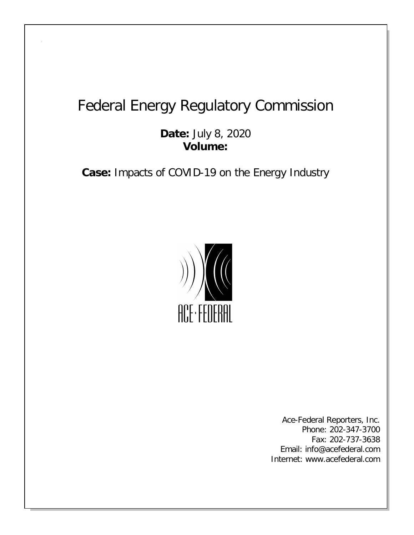## Federal Energy Regulatory Commission

**Date:** July 8, 2020 **Volume:**

**Case:** Impacts of COVID-19 on the Energy Industry



Ace-Federal Reporters, Inc. Phone: 202-347-3700 Fax: 202-737-3638 Email: info@acefederal.com Internet: www.acefederal.com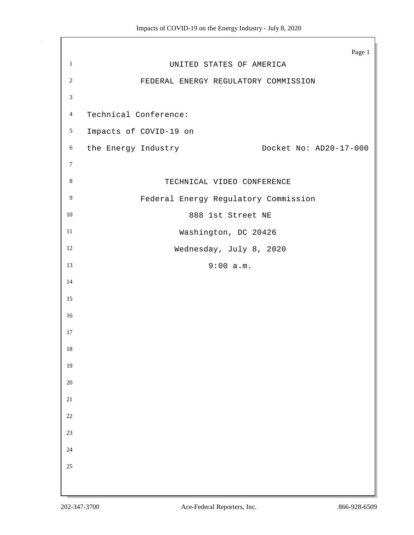|                             | Page 1                                        |  |
|-----------------------------|-----------------------------------------------|--|
| $1\,$                       | UNITED STATES OF AMERICA                      |  |
| $\sqrt{2}$                  | FEDERAL ENERGY REGULATORY COMMISSION          |  |
| $\ensuremath{\mathfrak{Z}}$ |                                               |  |
| $\overline{4}$              | Technical Conference:                         |  |
| $\mathfrak{S}$              | Impacts of COVID-19 on                        |  |
| $\boldsymbol{6}$            | the Energy Industry<br>Docket No: AD20-17-000 |  |
| $\boldsymbol{7}$            |                                               |  |
| $8\,$                       | TECHNICAL VIDEO CONFERENCE                    |  |
| $\overline{9}$              | Federal Energy Regulatory Commission          |  |
| $10\,$                      | 888 1st Street NE                             |  |
| $11\,$                      | Washington, DC 20426                          |  |
| $12\,$                      | Wednesday, July 8, 2020                       |  |
| 13                          | 9:00 a.m.                                     |  |
| 14                          |                                               |  |
| 15                          |                                               |  |
| $16\,$                      |                                               |  |
| 17                          |                                               |  |
| 18                          |                                               |  |
| $19\,$                      |                                               |  |
| $20\,$                      |                                               |  |
| 21                          |                                               |  |
| $22\,$                      |                                               |  |
| $23\,$                      |                                               |  |
| $24\,$                      |                                               |  |
| $25\,$                      |                                               |  |
|                             |                                               |  |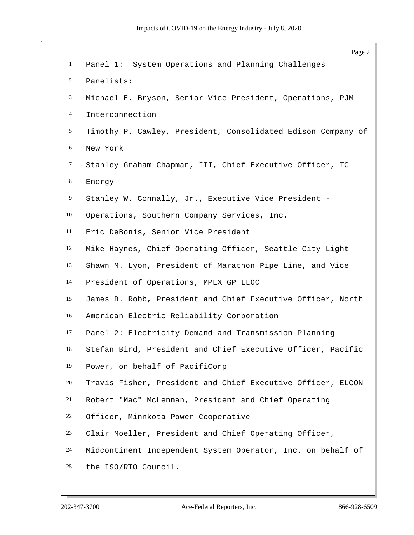|                 | Page 2                                                       |
|-----------------|--------------------------------------------------------------|
| $\mathbf{1}$    | Panel 1: System Operations and Planning Challenges           |
| $\overline{c}$  | Panelists:                                                   |
| 3               | Michael E. Bryson, Senior Vice President, Operations, PJM    |
| $\overline{4}$  | Interconnection                                              |
| $5\overline{)}$ | Timothy P. Cawley, President, Consolidated Edison Company of |
| 6               | New York                                                     |
| $\tau$          | Stanley Graham Chapman, III, Chief Executive Officer, TC     |
| $8\,$           | Energy                                                       |
| $\overline{9}$  | Stanley W. Connally, Jr., Executive Vice President -         |
| 10              | Operations, Southern Company Services, Inc.                  |
| 11              | Eric DeBonis, Senior Vice President                          |
| 12              | Mike Haynes, Chief Operating Officer, Seattle City Light     |
| 13              | Shawn M. Lyon, President of Marathon Pipe Line, and Vice     |
| 14              | President of Operations, MPLX GP LLOC                        |
| 15              | James B. Robb, President and Chief Executive Officer, North  |
| 16              | American Electric Reliability Corporation                    |
| 17              | Panel 2: Electricity Demand and Transmission Planning        |
| 18              | Stefan Bird, President and Chief Executive Officer, Pacific  |
| 19              | Power, on behalf of PacifiCorp                               |
| 20              | Travis Fisher, President and Chief Executive Officer, ELCON  |
| 21              | Robert "Mac" McLennan, President and Chief Operating         |
| 22              | Officer, Minnkota Power Cooperative                          |
| 23              | Clair Moeller, President and Chief Operating Officer,        |
| 24              | Midcontinent Independent System Operator, Inc. on behalf of  |
| 25              | the ISO/RTO Council.                                         |
|                 |                                                              |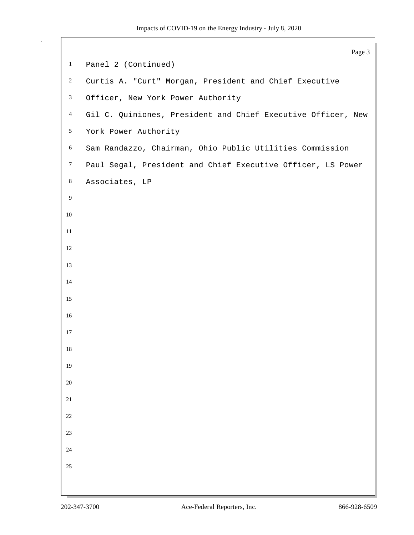```
Page 3
1 Panel 2 (Continued)
2 Curtis A. "Curt" Morgan, President and Chief Executive
3 Officer, New York Power Authority
4 Gil C. Quiniones, President and Chief Executive Officer, New
5 York Power Authority
6 Sam Randazzo, Chairman, Ohio Public Utilities Commission
7 Paul Segal, President and Chief Executive Officer, LS Power
8 Associates, LP
9
10
11
12
13
14
15
16
17
18
19
20
21
22
23
24
25
```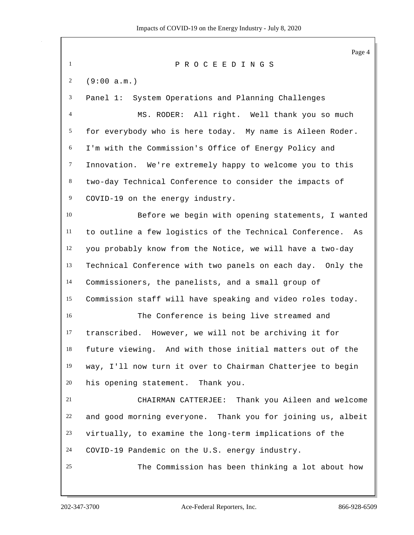Page 4 P R O C E E D I N G S (9:00 a.m.) Panel 1: System Operations and Planning Challenges MS. RODER: All right. Well thank you so much for everybody who is here today. My name is Aileen Roder. I'm with the Commission's Office of Energy Policy and Innovation. We're extremely happy to welcome you to this two-day Technical Conference to consider the impacts of COVID-19 on the energy industry. Before we begin with opening statements, I wanted to outline a few logistics of the Technical Conference. As you probably know from the Notice, we will have a two-day Technical Conference with two panels on each day. Only the Commissioners, the panelists, and a small group of Commission staff will have speaking and video roles today. The Conference is being live streamed and transcribed. However, we will not be archiving it for future viewing. And with those initial matters out of the way, I'll now turn it over to Chairman Chatterjee to begin his opening statement. Thank you. CHAIRMAN CATTERJEE: Thank you Aileen and welcome and good morning everyone. Thank you for joining us, albeit virtually, to examine the long-term implications of the COVID-19 Pandemic on the U.S. energy industry. The Commission has been thinking a lot about how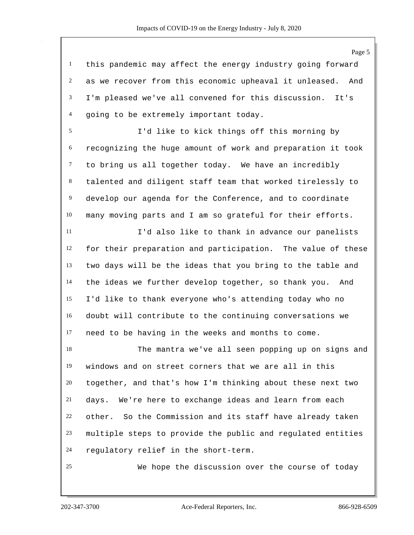this pandemic may affect the energy industry going forward as we recover from this economic upheaval it unleased. And I'm pleased we've all convened for this discussion. It's going to be extremely important today.

 I'd like to kick things off this morning by recognizing the huge amount of work and preparation it took to bring us all together today. We have an incredibly talented and diligent staff team that worked tirelessly to develop our agenda for the Conference, and to coordinate many moving parts and I am so grateful for their efforts.

 I'd also like to thank in advance our panelists for their preparation and participation. The value of these two days will be the ideas that you bring to the table and the ideas we further develop together, so thank you. And I'd like to thank everyone who's attending today who no doubt will contribute to the continuing conversations we need to be having in the weeks and months to come.

 The mantra we've all seen popping up on signs and windows and on street corners that we are all in this together, and that's how I'm thinking about these next two days. We're here to exchange ideas and learn from each other. So the Commission and its staff have already taken multiple steps to provide the public and regulated entities regulatory relief in the short-term.

We hope the discussion over the course of today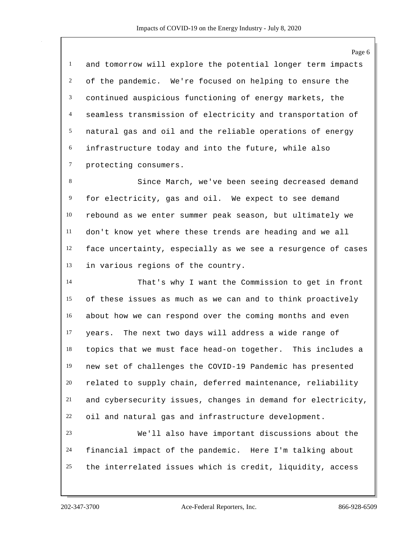and tomorrow will explore the potential longer term impacts of the pandemic. We're focused on helping to ensure the continued auspicious functioning of energy markets, the seamless transmission of electricity and transportation of natural gas and oil and the reliable operations of energy infrastructure today and into the future, while also protecting consumers.

 Since March, we've been seeing decreased demand for electricity, gas and oil. We expect to see demand rebound as we enter summer peak season, but ultimately we don't know yet where these trends are heading and we all face uncertainty, especially as we see a resurgence of cases in various regions of the country.

 That's why I want the Commission to get in front of these issues as much as we can and to think proactively about how we can respond over the coming months and even years. The next two days will address a wide range of topics that we must face head-on together. This includes a new set of challenges the COVID-19 Pandemic has presented related to supply chain, deferred maintenance, reliability and cybersecurity issues, changes in demand for electricity, oil and natural gas and infrastructure development.

 We'll also have important discussions about the financial impact of the pandemic. Here I'm talking about the interrelated issues which is credit, liquidity, access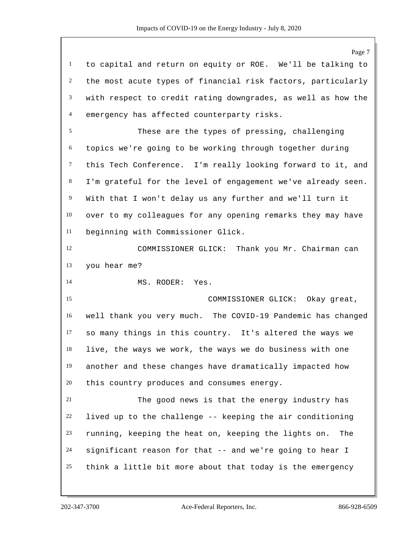Page 7 to capital and return on equity or ROE. We'll be talking to the most acute types of financial risk factors, particularly with respect to credit rating downgrades, as well as how the emergency has affected counterparty risks. These are the types of pressing, challenging topics we're going to be working through together during this Tech Conference. I'm really looking forward to it, and 8 I'm grateful for the level of engagement we've already seen. With that I won't delay us any further and we'll turn it over to my colleagues for any opening remarks they may have beginning with Commissioner Glick. 12 COMMISSIONER GLICK: Thank you Mr. Chairman can you hear me? MS. RODER: Yes. COMMISSIONER GLICK: Okay great, well thank you very much. The COVID-19 Pandemic has changed so many things in this country. It's altered the ways we live, the ways we work, the ways we do business with one another and these changes have dramatically impacted how this country produces and consumes energy. The good news is that the energy industry has lived up to the challenge -- keeping the air conditioning running, keeping the heat on, keeping the lights on. The significant reason for that -- and we're going to hear I think a little bit more about that today is the emergency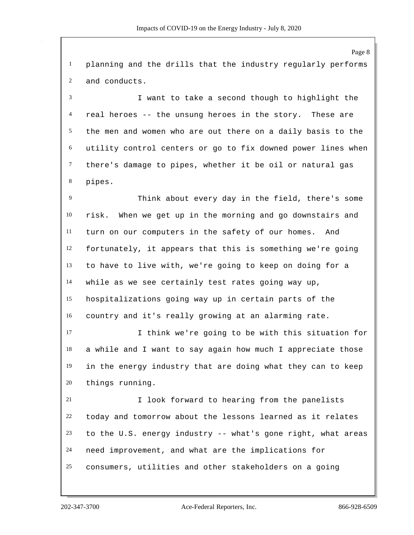planning and the drills that the industry regularly performs and conducts.

 I want to take a second though to highlight the real heroes -- the unsung heroes in the story. These are the men and women who are out there on a daily basis to the utility control centers or go to fix downed power lines when there's damage to pipes, whether it be oil or natural gas pipes.

 Think about every day in the field, there's some risk. When we get up in the morning and go downstairs and turn on our computers in the safety of our homes. And fortunately, it appears that this is something we're going to have to live with, we're going to keep on doing for a while as we see certainly test rates going way up, hospitalizations going way up in certain parts of the country and it's really growing at an alarming rate.

 I think we're going to be with this situation for a while and I want to say again how much I appreciate those in the energy industry that are doing what they can to keep things running.

 I look forward to hearing from the panelists today and tomorrow about the lessons learned as it relates to the U.S. energy industry -- what's gone right, what areas need improvement, and what are the implications for consumers, utilities and other stakeholders on a going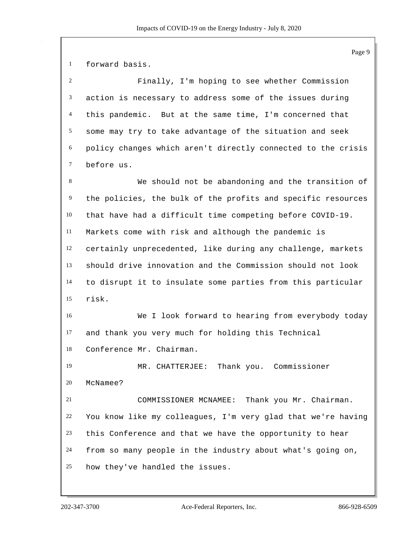forward basis.

 Finally, I'm hoping to see whether Commission action is necessary to address some of the issues during this pandemic. But at the same time, I'm concerned that some may try to take advantage of the situation and seek policy changes which aren't directly connected to the crisis before us.

 We should not be abandoning and the transition of the policies, the bulk of the profits and specific resources that have had a difficult time competing before COVID-19. Markets come with risk and although the pandemic is certainly unprecedented, like during any challenge, markets should drive innovation and the Commission should not look to disrupt it to insulate some parties from this particular risk.

 We I look forward to hearing from everybody today and thank you very much for holding this Technical Conference Mr. Chairman.

 MR. CHATTERJEE: Thank you. Commissioner McNamee?

 COMMISSIONER MCNAMEE: Thank you Mr. Chairman. You know like my colleagues, I'm very glad that we're having this Conference and that we have the opportunity to hear from so many people in the industry about what's going on, how they've handled the issues.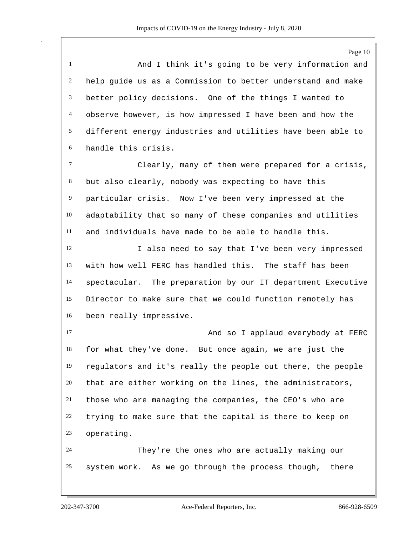Page 10 And I think it's going to be very information and help guide us as a Commission to better understand and make better policy decisions. One of the things I wanted to observe however, is how impressed I have been and how the different energy industries and utilities have been able to handle this crisis. Clearly, many of them were prepared for a crisis, but also clearly, nobody was expecting to have this particular crisis. Now I've been very impressed at the adaptability that so many of these companies and utilities and individuals have made to be able to handle this. 12 I also need to say that I've been very impressed with how well FERC has handled this. The staff has been spectacular. The preparation by our IT department Executive Director to make sure that we could function remotely has been really impressive. 17 and so I applaud everybody at FERC for what they've done. But once again, we are just the regulators and it's really the people out there, the people that are either working on the lines, the administrators, those who are managing the companies, the CEO's who are trying to make sure that the capital is there to keep on operating. They're the ones who are actually making our system work. As we go through the process though, there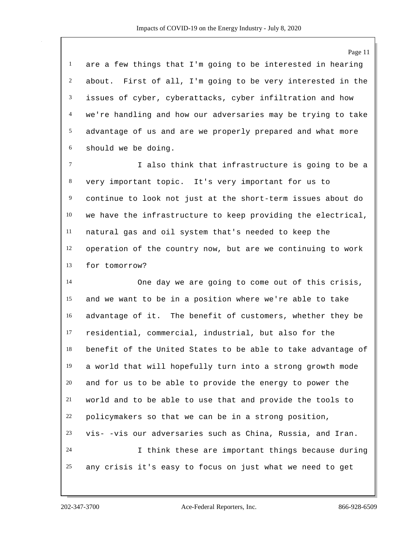are a few things that I'm going to be interested in hearing about. First of all, I'm going to be very interested in the issues of cyber, cyberattacks, cyber infiltration and how we're handling and how our adversaries may be trying to take advantage of us and are we properly prepared and what more should we be doing.

 I also think that infrastructure is going to be a very important topic. It's very important for us to continue to look not just at the short-term issues about do we have the infrastructure to keep providing the electrical, natural gas and oil system that's needed to keep the operation of the country now, but are we continuing to work for tomorrow?

 One day we are going to come out of this crisis, and we want to be in a position where we're able to take advantage of it. The benefit of customers, whether they be residential, commercial, industrial, but also for the benefit of the United States to be able to take advantage of a world that will hopefully turn into a strong growth mode and for us to be able to provide the energy to power the world and to be able to use that and provide the tools to policymakers so that we can be in a strong position, vis- -vis our adversaries such as China, Russia, and Iran. I think these are important things because during any crisis it's easy to focus on just what we need to get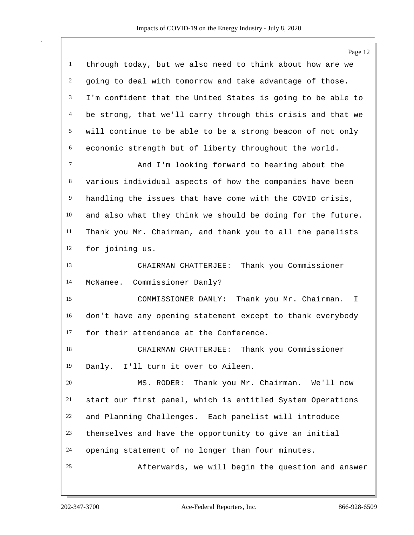|                | Page 12                                                     |
|----------------|-------------------------------------------------------------|
| $\mathbf{1}$   | through today, but we also need to think about how are we   |
| $\overline{c}$ | going to deal with tomorrow and take advantage of those.    |
| 3              | I'm confident that the United States is going to be able to |
| $\overline{4}$ | be strong, that we'll carry through this crisis and that we |
| 5              | will continue to be able to be a strong beacon of not only  |
| 6              | economic strength but of liberty throughout the world.      |
| $\tau$         | And I'm looking forward to hearing about the                |
| 8              | various individual aspects of how the companies have been   |
| $\overline{9}$ | handling the issues that have come with the COVID crisis,   |
| 10             | and also what they think we should be doing for the future. |
| 11             | Thank you Mr. Chairman, and thank you to all the panelists  |
| 12             | for joining us.                                             |
| 13             | CHAIRMAN CHATTERJEE: Thank you Commissioner                 |
| 14             | Commissioner Danly?<br>McNamee.                             |
| 15             | Thank you Mr. Chairman.<br>COMMISSIONER DANLY:<br>I.        |
| 16             | don't have any opening statement except to thank everybody  |
| 17             | for their attendance at the Conference.                     |
| 18             | CHAIRMAN CHATTERJEE:<br>Thank you Commissioner              |
| 19             | Danly. I'll turn it over to Aileen.                         |
| 20             | Thank you Mr. Chairman. We'll now<br>MS. RODER:             |
| 21             | start our first panel, which is entitled System Operations  |
| 22             | and Planning Challenges. Each panelist will introduce       |
| 23             | themselves and have the opportunity to give an initial      |
| 24             | opening statement of no longer than four minutes.           |
| 25             | Afterwards, we will begin the question and answer           |
|                |                                                             |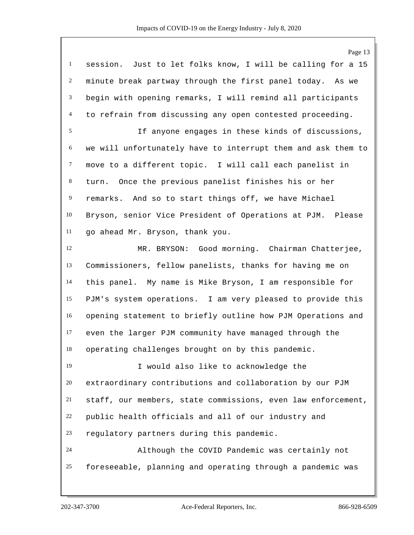Page 13 session. Just to let folks know, I will be calling for a 15 minute break partway through the first panel today. As we begin with opening remarks, I will remind all participants to refrain from discussing any open contested proceeding. If anyone engages in these kinds of discussions, we will unfortunately have to interrupt them and ask them to move to a different topic. I will call each panelist in turn. Once the previous panelist finishes his or her remarks. And so to start things off, we have Michael Bryson, senior Vice President of Operations at PJM. Please go ahead Mr. Bryson, thank you. MR. BRYSON: Good morning. Chairman Chatterjee, Commissioners, fellow panelists, thanks for having me on this panel. My name is Mike Bryson, I am responsible for PJM's system operations. I am very pleased to provide this opening statement to briefly outline how PJM Operations and even the larger PJM community have managed through the operating challenges brought on by this pandemic. I would also like to acknowledge the extraordinary contributions and collaboration by our PJM staff, our members, state commissions, even law enforcement, public health officials and all of our industry and regulatory partners during this pandemic. Although the COVID Pandemic was certainly not foreseeable, planning and operating through a pandemic was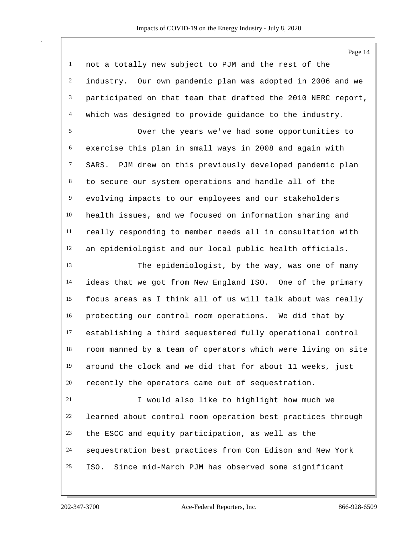Page 14 not a totally new subject to PJM and the rest of the industry. Our own pandemic plan was adopted in 2006 and we participated on that team that drafted the 2010 NERC report, which was designed to provide guidance to the industry. Over the years we've had some opportunities to exercise this plan in small ways in 2008 and again with SARS. PJM drew on this previously developed pandemic plan to secure our system operations and handle all of the evolving impacts to our employees and our stakeholders health issues, and we focused on information sharing and really responding to member needs all in consultation with an epidemiologist and our local public health officials. The epidemiologist, by the way, was one of many ideas that we got from New England ISO. One of the primary focus areas as I think all of us will talk about was really protecting our control room operations. We did that by establishing a third sequestered fully operational control room manned by a team of operators which were living on site around the clock and we did that for about 11 weeks, just recently the operators came out of sequestration. I would also like to highlight how much we learned about control room operation best practices through the ESCC and equity participation, as well as the sequestration best practices from Con Edison and New York ISO. Since mid-March PJM has observed some significant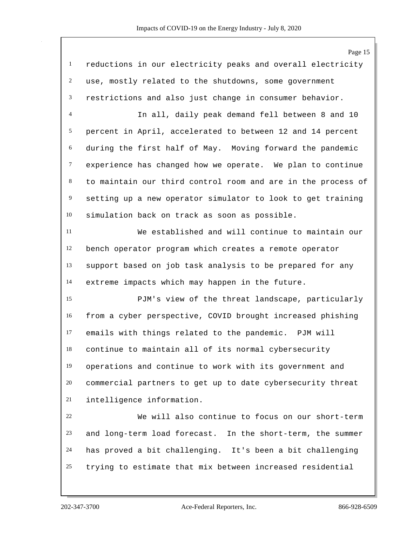|                | Page 15                                                      |
|----------------|--------------------------------------------------------------|
| $\mathbf{1}$   | reductions in our electricity peaks and overall electricity  |
| 2              | use, mostly related to the shutdowns, some government        |
| 3              | restrictions and also just change in consumer behavior.      |
| 4              | In all, daily peak demand fell between 8 and 10              |
| 5              | percent in April, accelerated to between 12 and 14 percent   |
| 6              | during the first half of May. Moving forward the pandemic    |
| $\tau$         | experience has changed how we operate. We plan to continue   |
| 8              | to maintain our third control room and are in the process of |
| $\overline{9}$ | setting up a new operator simulator to look to get training  |
| 10             | simulation back on track as soon as possible.                |
| 11             | We established and will continue to maintain our             |
| 12             | bench operator program which creates a remote operator       |
| 13             | support based on job task analysis to be prepared for any    |
| 14             | extreme impacts which may happen in the future.              |
| 15             | PJM's view of the threat landscape, particularly             |
| 16             | from a cyber perspective, COVID brought increased phishing   |
| 17             | emails with things related to the pandemic. PJM will         |
| 18             | continue to maintain all of its normal cybersecurity         |
| 19             | operations and continue to work with its government and      |
| 20             | commercial partners to get up to date cybersecurity threat   |
| 21             | intelligence information.                                    |
| 22             | We will also continue to focus on our short-term             |
| 23             | and long-term load forecast. In the short-term, the summer   |
| 24             | has proved a bit challenging. It's been a bit challenging    |
| 25             | trying to estimate that mix between increased residential    |

202-347-3700 Ace-Federal Reporters, Inc. 866-928-6509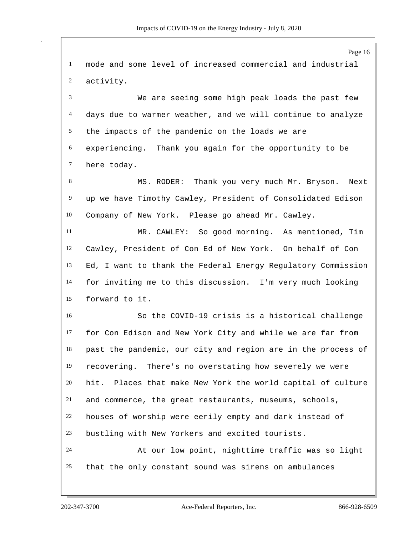Page 16 mode and some level of increased commercial and industrial activity. We are seeing some high peak loads the past few days due to warmer weather, and we will continue to analyze the impacts of the pandemic on the loads we are experiencing. Thank you again for the opportunity to be here today. 8 MS. RODER: Thank you very much Mr. Bryson. Next up we have Timothy Cawley, President of Consolidated Edison Company of New York. Please go ahead Mr. Cawley. MR. CAWLEY: So good morning. As mentioned, Tim Cawley, President of Con Ed of New York. On behalf of Con Ed, I want to thank the Federal Energy Regulatory Commission for inviting me to this discussion. I'm very much looking forward to it. So the COVID-19 crisis is a historical challenge for Con Edison and New York City and while we are far from past the pandemic, our city and region are in the process of recovering. There's no overstating how severely we were hit. Places that make New York the world capital of culture and commerce, the great restaurants, museums, schools, houses of worship were eerily empty and dark instead of bustling with New Yorkers and excited tourists. At our low point, nighttime traffic was so light that the only constant sound was sirens on ambulances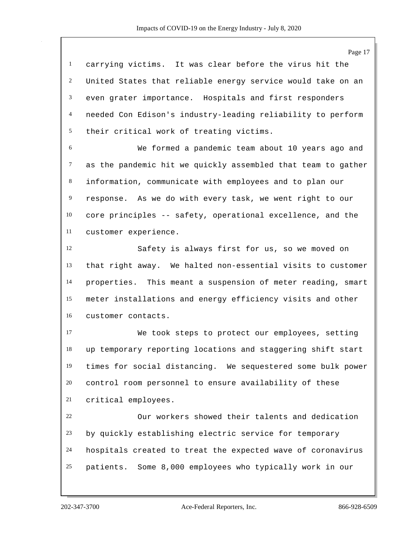Page 17 carrying victims. It was clear before the virus hit the United States that reliable energy service would take on an even grater importance. Hospitals and first responders needed Con Edison's industry-leading reliability to perform their critical work of treating victims. We formed a pandemic team about 10 years ago and as the pandemic hit we quickly assembled that team to gather information, communicate with employees and to plan our response. As we do with every task, we went right to our core principles -- safety, operational excellence, and the customer experience. Safety is always first for us, so we moved on that right away. We halted non-essential visits to customer properties. This meant a suspension of meter reading, smart meter installations and energy efficiency visits and other customer contacts. We took steps to protect our employees, setting up temporary reporting locations and staggering shift start times for social distancing. We sequestered some bulk power control room personnel to ensure availability of these critical employees. Our workers showed their talents and dedication by quickly establishing electric service for temporary hospitals created to treat the expected wave of coronavirus patients. Some 8,000 employees who typically work in our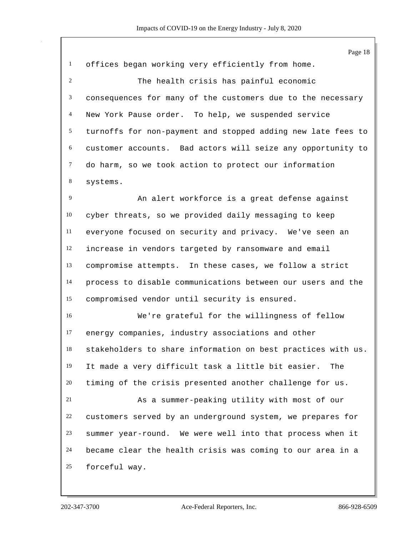|              | Page 18                                                      |
|--------------|--------------------------------------------------------------|
| $\mathbf{1}$ | offices began working very efficiently from home.            |
| 2            | The health crisis has painful economic                       |
| 3            | consequences for many of the customers due to the necessary  |
| 4            | New York Pause order. To help, we suspended service          |
| 5            | turnoffs for non-payment and stopped adding new late fees to |
| 6            | customer accounts. Bad actors will seize any opportunity to  |
| $\tau$       | do harm, so we took action to protect our information        |
| 8            | systems.                                                     |
| 9            | An alert workforce is a great defense against                |
| 10           | cyber threats, so we provided daily messaging to keep        |
| 11           | everyone focused on security and privacy. We've seen an      |
| 12           | increase in vendors targeted by ransomware and email         |
| 13           | compromise attempts. In these cases, we follow a strict      |
| 14           | process to disable communications between our users and the  |
| 15           | compromised vendor until security is ensured.                |
| 16           | We're grateful for the willingness of fellow                 |
| 17           | energy companies, industry associations and other            |
| 18           | stakeholders to share information on best practices with us. |
| 19           | It made a very difficult task a little bit easier.<br>The    |
| 20           | timing of the crisis presented another challenge for us.     |
| 21           | As a summer-peaking utility with most of our                 |
| 22           | customers served by an underground system, we prepares for   |
| 23           | summer year-round. We were well into that process when it    |
| 24           | became clear the health crisis was coming to our area in a   |
| 25           | forceful way.                                                |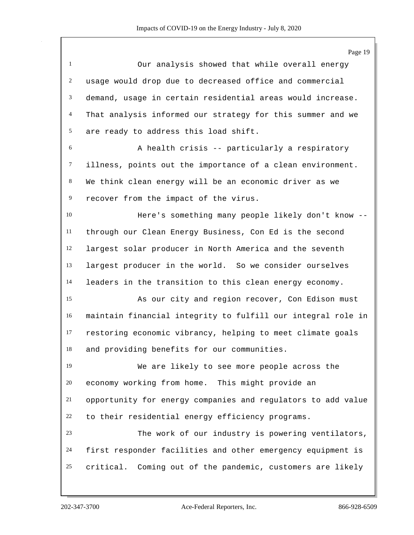Page 19 Our analysis showed that while overall energy usage would drop due to decreased office and commercial demand, usage in certain residential areas would increase. That analysis informed our strategy for this summer and we are ready to address this load shift. A health crisis -- particularly a respiratory illness, points out the importance of a clean environment. We think clean energy will be an economic driver as we recover from the impact of the virus. Here's something many people likely don't know -- through our Clean Energy Business, Con Ed is the second largest solar producer in North America and the seventh largest producer in the world. So we consider ourselves leaders in the transition to this clean energy economy. As our city and region recover, Con Edison must maintain financial integrity to fulfill our integral role in restoring economic vibrancy, helping to meet climate goals and providing benefits for our communities. We are likely to see more people across the economy working from home. This might provide an opportunity for energy companies and regulators to add value to their residential energy efficiency programs. The work of our industry is powering ventilators, first responder facilities and other emergency equipment is critical. Coming out of the pandemic, customers are likely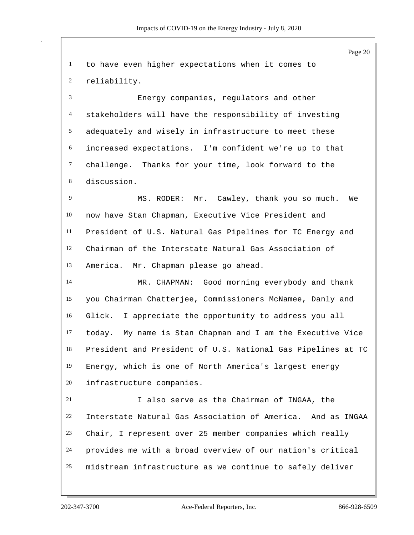Page 20 to have even higher expectations when it comes to reliability. Energy companies, regulators and other stakeholders will have the responsibility of investing adequately and wisely in infrastructure to meet these increased expectations. I'm confident we're up to that challenge. Thanks for your time, look forward to the discussion. MS. RODER: Mr. Cawley, thank you so much. We now have Stan Chapman, Executive Vice President and President of U.S. Natural Gas Pipelines for TC Energy and Chairman of the Interstate Natural Gas Association of America. Mr. Chapman please go ahead. MR. CHAPMAN: Good morning everybody and thank you Chairman Chatterjee, Commissioners McNamee, Danly and Glick. I appreciate the opportunity to address you all today. My name is Stan Chapman and I am the Executive Vice President and President of U.S. National Gas Pipelines at TC Energy, which is one of North America's largest energy infrastructure companies. I also serve as the Chairman of INGAA, the Interstate Natural Gas Association of America. And as INGAA Chair, I represent over 25 member companies which really provides me with a broad overview of our nation's critical midstream infrastructure as we continue to safely deliver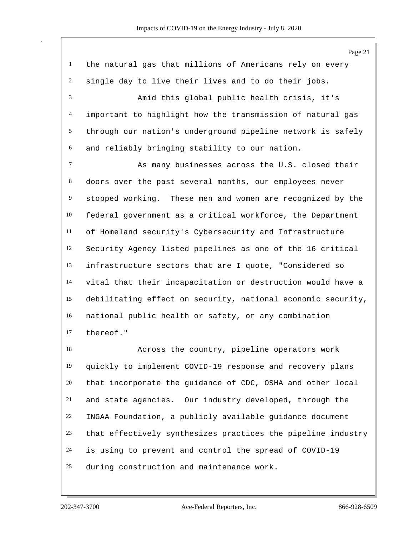the natural gas that millions of Americans rely on every single day to live their lives and to do their jobs. Amid this global public health crisis, it's important to highlight how the transmission of natural gas through our nation's underground pipeline network is safely and reliably bringing stability to our nation. As many businesses across the U.S. closed their doors over the past several months, our employees never stopped working. These men and women are recognized by the federal government as a critical workforce, the Department of Homeland security's Cybersecurity and Infrastructure Security Agency listed pipelines as one of the 16 critical infrastructure sectors that are I quote, "Considered so vital that their incapacitation or destruction would have a debilitating effect on security, national economic security, national public health or safety, or any combination thereof." Across the country, pipeline operators work

 quickly to implement COVID-19 response and recovery plans that incorporate the guidance of CDC, OSHA and other local and state agencies. Our industry developed, through the INGAA Foundation, a publicly available guidance document that effectively synthesizes practices the pipeline industry is using to prevent and control the spread of COVID-19 during construction and maintenance work.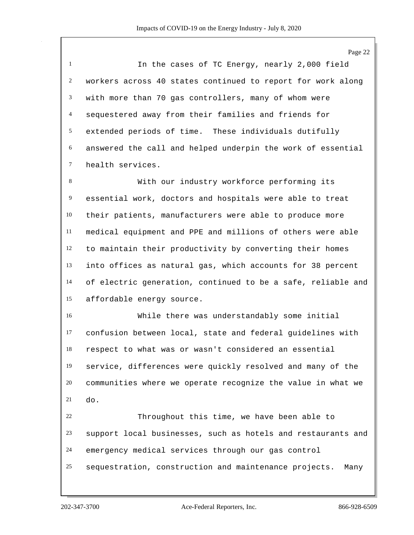Page 22 In the cases of TC Energy, nearly 2,000 field workers across 40 states continued to report for work along with more than 70 gas controllers, many of whom were sequestered away from their families and friends for extended periods of time. These individuals dutifully answered the call and helped underpin the work of essential health services.

 With our industry workforce performing its essential work, doctors and hospitals were able to treat their patients, manufacturers were able to produce more medical equipment and PPE and millions of others were able to maintain their productivity by converting their homes into offices as natural gas, which accounts for 38 percent of electric generation, continued to be a safe, reliable and affordable energy source.

 While there was understandably some initial confusion between local, state and federal guidelines with respect to what was or wasn't considered an essential service, differences were quickly resolved and many of the communities where we operate recognize the value in what we do.

 Throughout this time, we have been able to support local businesses, such as hotels and restaurants and emergency medical services through our gas control sequestration, construction and maintenance projects. Many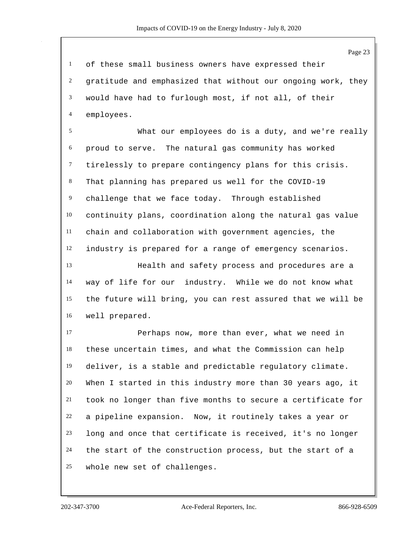of these small business owners have expressed their gratitude and emphasized that without our ongoing work, they would have had to furlough most, if not all, of their employees.

 What our employees do is a duty, and we're really proud to serve. The natural gas community has worked tirelessly to prepare contingency plans for this crisis. That planning has prepared us well for the COVID-19 challenge that we face today. Through established continuity plans, coordination along the natural gas value chain and collaboration with government agencies, the industry is prepared for a range of emergency scenarios.

 Health and safety process and procedures are a way of life for our industry. While we do not know what the future will bring, you can rest assured that we will be well prepared.

 Perhaps now, more than ever, what we need in these uncertain times, and what the Commission can help deliver, is a stable and predictable regulatory climate. When I started in this industry more than 30 years ago, it took no longer than five months to secure a certificate for a pipeline expansion. Now, it routinely takes a year or long and once that certificate is received, it's no longer the start of the construction process, but the start of a whole new set of challenges.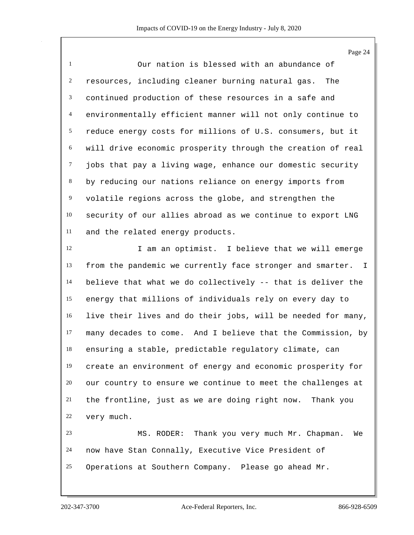Page 24

 Our nation is blessed with an abundance of resources, including cleaner burning natural gas. The continued production of these resources in a safe and environmentally efficient manner will not only continue to reduce energy costs for millions of U.S. consumers, but it will drive economic prosperity through the creation of real jobs that pay a living wage, enhance our domestic security by reducing our nations reliance on energy imports from volatile regions across the globe, and strengthen the security of our allies abroad as we continue to export LNG and the related energy products.

12 I am an optimist. I believe that we will emerge from the pandemic we currently face stronger and smarter. I believe that what we do collectively -- that is deliver the energy that millions of individuals rely on every day to live their lives and do their jobs, will be needed for many, many decades to come. And I believe that the Commission, by ensuring a stable, predictable regulatory climate, can create an environment of energy and economic prosperity for our country to ensure we continue to meet the challenges at the frontline, just as we are doing right now. Thank you very much.

 MS. RODER: Thank you very much Mr. Chapman. We now have Stan Connally, Executive Vice President of Operations at Southern Company. Please go ahead Mr.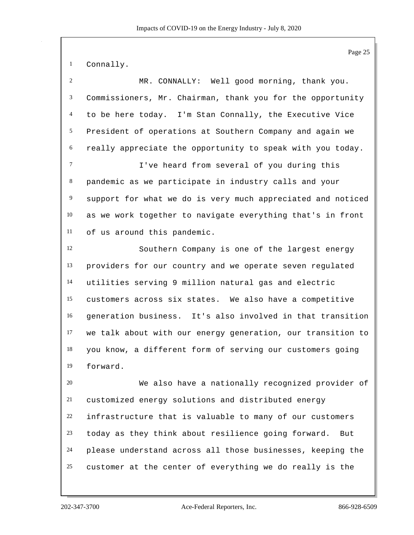Connally.

| $\overline{2}$   | MR. CONNALLY: Well good morning, thank you.                 |
|------------------|-------------------------------------------------------------|
| $\mathfrak{Z}$   | Commissioners, Mr. Chairman, thank you for the opportunity  |
| $\overline{4}$   | to be here today. I'm Stan Connally, the Executive Vice     |
| $\mathfrak{S}$   | President of operations at Southern Company and again we    |
| 6                | really appreciate the opportunity to speak with you today.  |
| $\tau$           | I've heard from several of you during this                  |
| 8                | pandemic as we participate in industry calls and your       |
| $\boldsymbol{9}$ | support for what we do is very much appreciated and noticed |
| 10               | as we work together to navigate everything that's in front  |
| 11               | of us around this pandemic.                                 |
| 12               | Southern Company is one of the largest energy               |
| 13               | providers for our country and we operate seven regulated    |
| 14               | utilities serving 9 million natural gas and electric        |
| 15               | customers across six states. We also have a competitive     |
| 16               | generation business. It's also involved in that transition  |
| 17               | we talk about with our energy generation, our transition to |
| 18               | you know, a different form of serving our customers going   |
| 19               | forward.                                                    |
| 20               | We also have a nationally recognized provider of            |
| 21               | customized energy solutions and distributed energy          |
| 22               | infrastructure that is valuable to many of our customers    |
| 23               | today as they think about resilience going forward.<br>But  |
| 24               | please understand across all those businesses, keeping the  |
| 25               | customer at the center of everything we do really is the    |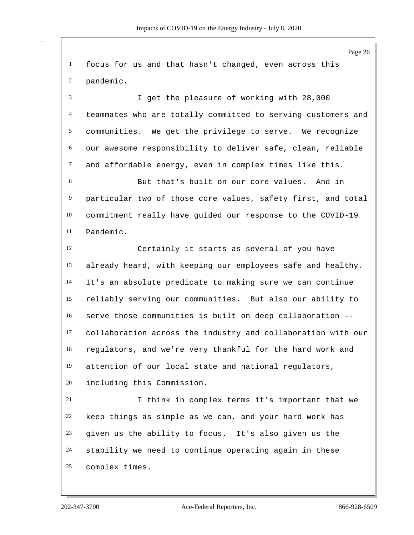focus for us and that hasn't changed, even across this pandemic.

 I get the pleasure of working with 28,000 teammates who are totally committed to serving customers and communities. We get the privilege to serve. We recognize our awesome responsibility to deliver safe, clean, reliable and affordable energy, even in complex times like this.

 But that's built on our core values. And in particular two of those core values, safety first, and total commitment really have guided our response to the COVID-19 Pandemic.

 Certainly it starts as several of you have already heard, with keeping our employees safe and healthy. It's an absolute predicate to making sure we can continue reliably serving our communities. But also our ability to serve those communities is built on deep collaboration -- collaboration across the industry and collaboration with our regulators, and we're very thankful for the hard work and attention of our local state and national regulators, including this Commission.

 I think in complex terms it's important that we keep things as simple as we can, and your hard work has given us the ability to focus. It's also given us the stability we need to continue operating again in these complex times.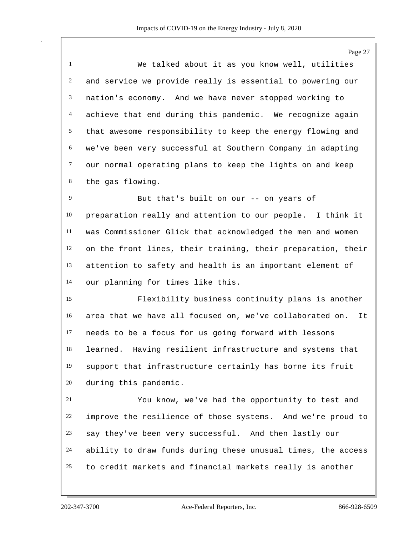Page 27

 We talked about it as you know well, utilities and service we provide really is essential to powering our nation's economy. And we have never stopped working to achieve that end during this pandemic. We recognize again that awesome responsibility to keep the energy flowing and we've been very successful at Southern Company in adapting our normal operating plans to keep the lights on and keep the gas flowing.

 But that's built on our -- on years of preparation really and attention to our people. I think it was Commissioner Glick that acknowledged the men and women on the front lines, their training, their preparation, their attention to safety and health is an important element of our planning for times like this.

 Flexibility business continuity plans is another area that we have all focused on, we've collaborated on. It needs to be a focus for us going forward with lessons learned. Having resilient infrastructure and systems that support that infrastructure certainly has borne its fruit during this pandemic.

 You know, we've had the opportunity to test and improve the resilience of those systems. And we're proud to say they've been very successful. And then lastly our ability to draw funds during these unusual times, the access to credit markets and financial markets really is another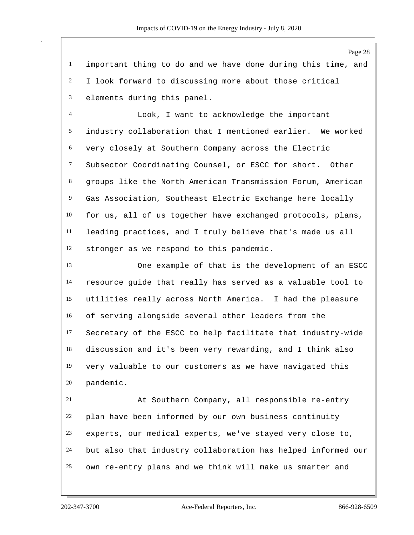important thing to do and we have done during this time, and I look forward to discussing more about those critical elements during this panel.

 Look, I want to acknowledge the important industry collaboration that I mentioned earlier. We worked very closely at Southern Company across the Electric Subsector Coordinating Counsel, or ESCC for short. Other groups like the North American Transmission Forum, American Gas Association, Southeast Electric Exchange here locally for us, all of us together have exchanged protocols, plans, leading practices, and I truly believe that's made us all stronger as we respond to this pandemic.

 One example of that is the development of an ESCC resource guide that really has served as a valuable tool to utilities really across North America. I had the pleasure of serving alongside several other leaders from the Secretary of the ESCC to help facilitate that industry-wide discussion and it's been very rewarding, and I think also very valuable to our customers as we have navigated this pandemic.

 At Southern Company, all responsible re-entry plan have been informed by our own business continuity experts, our medical experts, we've stayed very close to, but also that industry collaboration has helped informed our own re-entry plans and we think will make us smarter and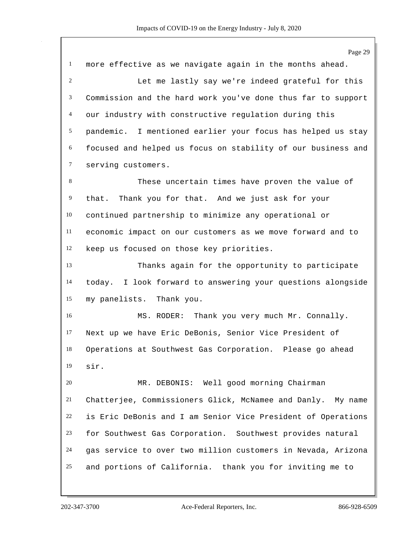Page 29 more effective as we navigate again in the months ahead. Let me lastly say we're indeed grateful for this Commission and the hard work you've done thus far to support our industry with constructive regulation during this pandemic. I mentioned earlier your focus has helped us stay focused and helped us focus on stability of our business and serving customers. These uncertain times have proven the value of that. Thank you for that. And we just ask for your continued partnership to minimize any operational or economic impact on our customers as we move forward and to keep us focused on those key priorities. Thanks again for the opportunity to participate today. I look forward to answering your questions alongside my panelists. Thank you. MS. RODER: Thank you very much Mr. Connally. Next up we have Eric DeBonis, Senior Vice President of Operations at Southwest Gas Corporation. Please go ahead sir. MR. DEBONIS: Well good morning Chairman Chatterjee, Commissioners Glick, McNamee and Danly. My name is Eric DeBonis and I am Senior Vice President of Operations for Southwest Gas Corporation. Southwest provides natural gas service to over two million customers in Nevada, Arizona and portions of California. thank you for inviting me to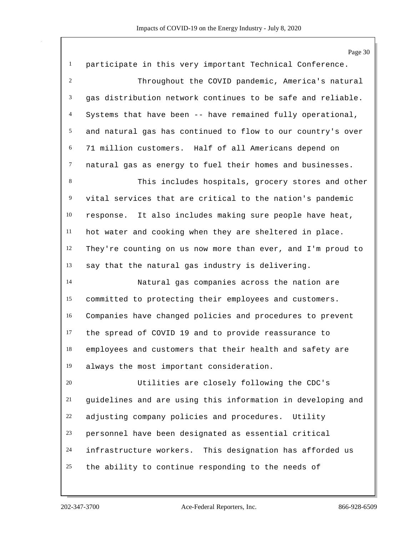|                | Page 30                                                     |
|----------------|-------------------------------------------------------------|
| $\mathbf{1}$   | participate in this very important Technical Conference.    |
| 2              | Throughout the COVID pandemic, America's natural            |
| 3              | gas distribution network continues to be safe and reliable. |
| $\overline{4}$ | Systems that have been -- have remained fully operational,  |
| 5              | and natural gas has continued to flow to our country's over |
| 6              | 71 million customers. Half of all Americans depend on       |
| $\tau$         | natural gas as energy to fuel their homes and businesses.   |
| 8              | This includes hospitals, grocery stores and other           |
| 9              | vital services that are critical to the nation's pandemic   |
| 10             | It also includes making sure people have heat,<br>response. |
| 11             | hot water and cooking when they are sheltered in place.     |
| 12             | They're counting on us now more than ever, and I'm proud to |
| 13             | say that the natural gas industry is delivering.            |
| 14             | Natural gas companies across the nation are                 |
| 15             | committed to protecting their employees and customers.      |
| 16             | Companies have changed policies and procedures to prevent   |
| 17             | the spread of COVID 19 and to provide reassurance to        |
| 18             | employees and customers that their health and safety are    |
| 19             | always the most important consideration.                    |
| 20             | Utilities are closely following the CDC's                   |
| 21             | guidelines and are using this information in developing and |
| 22             | adjusting company policies and procedures. Utility          |
| 23             | personnel have been designated as essential critical        |
| 24             | infrastructure workers. This designation has afforded us    |
| 25             | the ability to continue responding to the needs of          |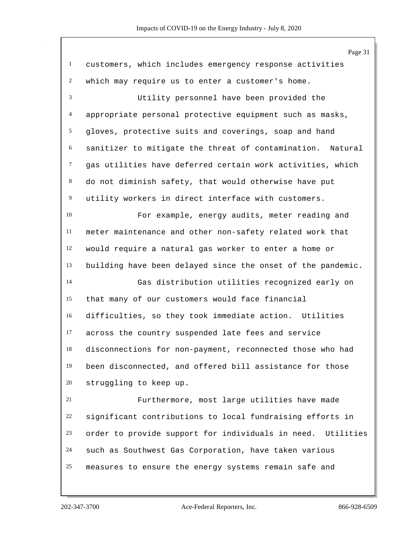|                | Page 31                                                       |
|----------------|---------------------------------------------------------------|
| $\mathbf{1}$   | customers, which includes emergency response activities       |
| $\overline{c}$ | which may require us to enter a customer's home.              |
| 3              | Utility personnel have been provided the                      |
| $\overline{4}$ | appropriate personal protective equipment such as masks,      |
| 5              | gloves, protective suits and coverings, soap and hand         |
| 6              | sanitizer to mitigate the threat of contamination.<br>Natural |
| $\tau$         | gas utilities have deferred certain work activities, which    |
| 8              | do not diminish safety, that would otherwise have put         |
| $\overline{9}$ | utility workers in direct interface with customers.           |
| 10             | For example, energy audits, meter reading and                 |
| 11             | meter maintenance and other non-safety related work that      |
| 12             | would require a natural gas worker to enter a home or         |
| 13             | building have been delayed since the onset of the pandemic.   |
| 14             | Gas distribution utilities recognized early on                |
| 15             | that many of our customers would face financial               |
| 16             | difficulties, so they took immediate action. Utilities        |
| 17             | across the country suspended late fees and service            |
| 18             | disconnections for non-payment, reconnected those who had     |
| 19             | been disconnected, and offered bill assistance for those      |
| 20             | struggling to keep up.                                        |
| 21             | Furthermore, most large utilities have made                   |
| 22             | significant contributions to local fundraising efforts in     |
| 23             | order to provide support for individuals in need. Utilities   |
| 24             | such as Southwest Gas Corporation, have taken various         |
| 25             | measures to ensure the energy systems remain safe and         |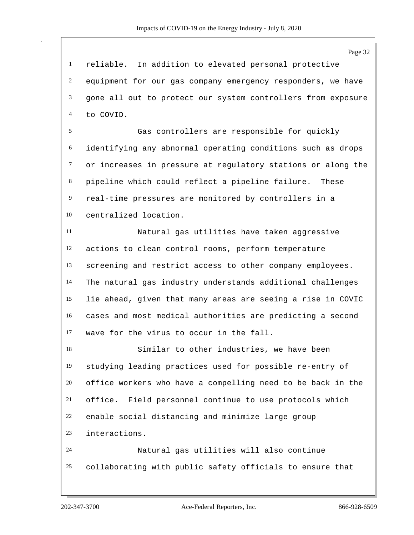reliable. In addition to elevated personal protective equipment for our gas company emergency responders, we have gone all out to protect our system controllers from exposure to COVID.

 Gas controllers are responsible for quickly identifying any abnormal operating conditions such as drops or increases in pressure at regulatory stations or along the pipeline which could reflect a pipeline failure. These real-time pressures are monitored by controllers in a centralized location.

 Natural gas utilities have taken aggressive actions to clean control rooms, perform temperature screening and restrict access to other company employees. The natural gas industry understands additional challenges lie ahead, given that many areas are seeing a rise in COVIC cases and most medical authorities are predicting a second wave for the virus to occur in the fall.

 Similar to other industries, we have been studying leading practices used for possible re-entry of office workers who have a compelling need to be back in the office. Field personnel continue to use protocols which enable social distancing and minimize large group interactions. Natural gas utilities will also continue

collaborating with public safety officials to ensure that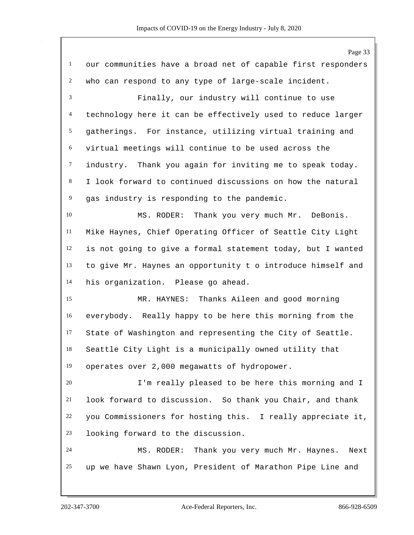Page 33 our communities have a broad net of capable first responders who can respond to any type of large-scale incident. Finally, our industry will continue to use technology here it can be effectively used to reduce larger gatherings. For instance, utilizing virtual training and virtual meetings will continue to be used across the industry. Thank you again for inviting me to speak today. I look forward to continued discussions on how the natural gas industry is responding to the pandemic. MS. RODER: Thank you very much Mr. DeBonis. Mike Haynes, Chief Operating Officer of Seattle City Light is not going to give a formal statement today, but I wanted to give Mr. Haynes an opportunity t o introduce himself and his organization. Please go ahead. MR. HAYNES: Thanks Aileen and good morning everybody. Really happy to be here this morning from the State of Washington and representing the City of Seattle. Seattle City Light is a municipally owned utility that operates over 2,000 megawatts of hydropower. I'm really pleased to be here this morning and I look forward to discussion. So thank you Chair, and thank you Commissioners for hosting this. I really appreciate it, looking forward to the discussion. MS. RODER: Thank you very much Mr. Haynes. Next up we have Shawn Lyon, President of Marathon Pipe Line and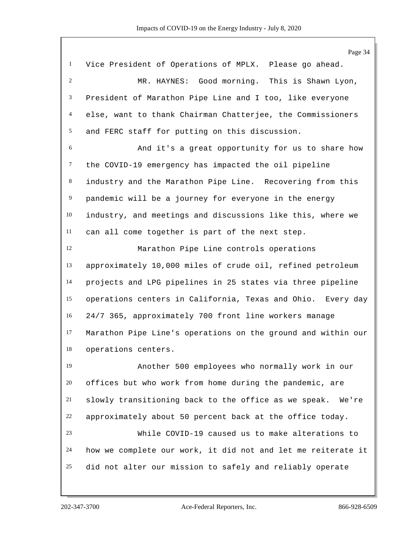Page 34 Vice President of Operations of MPLX. Please go ahead. MR. HAYNES: Good morning. This is Shawn Lyon, President of Marathon Pipe Line and I too, like everyone else, want to thank Chairman Chatterjee, the Commissioners and FERC staff for putting on this discussion. And it's a great opportunity for us to share how the COVID-19 emergency has impacted the oil pipeline industry and the Marathon Pipe Line. Recovering from this pandemic will be a journey for everyone in the energy industry, and meetings and discussions like this, where we can all come together is part of the next step. Marathon Pipe Line controls operations approximately 10,000 miles of crude oil, refined petroleum projects and LPG pipelines in 25 states via three pipeline operations centers in California, Texas and Ohio. Every day 24/7 365, approximately 700 front line workers manage Marathon Pipe Line's operations on the ground and within our operations centers. Another 500 employees who normally work in our offices but who work from home during the pandemic, are slowly transitioning back to the office as we speak. We're approximately about 50 percent back at the office today. While COVID-19 caused us to make alterations to how we complete our work, it did not and let me reiterate it did not alter our mission to safely and reliably operate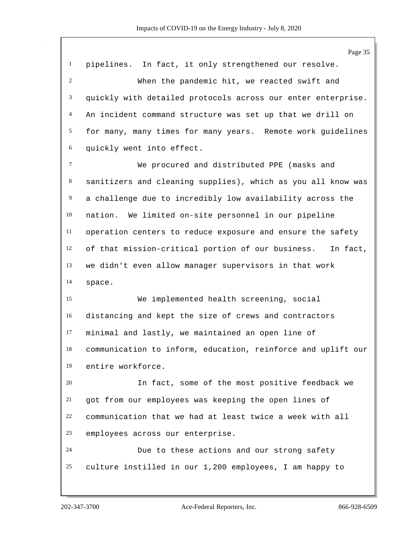Page 35 pipelines. In fact, it only strengthened our resolve. When the pandemic hit, we reacted swift and 3 quickly with detailed protocols across our enter enterprise. An incident command structure was set up that we drill on for many, many times for many years. Remote work guidelines quickly went into effect. We procured and distributed PPE (masks and sanitizers and cleaning supplies), which as you all know was a challenge due to incredibly low availability across the nation. We limited on-site personnel in our pipeline operation centers to reduce exposure and ensure the safety of that mission-critical portion of our business. In fact, we didn't even allow manager supervisors in that work space. We implemented health screening, social distancing and kept the size of crews and contractors minimal and lastly, we maintained an open line of communication to inform, education, reinforce and uplift our entire workforce. In fact, some of the most positive feedback we got from our employees was keeping the open lines of communication that we had at least twice a week with all employees across our enterprise. Due to these actions and our strong safety culture instilled in our 1,200 employees, I am happy to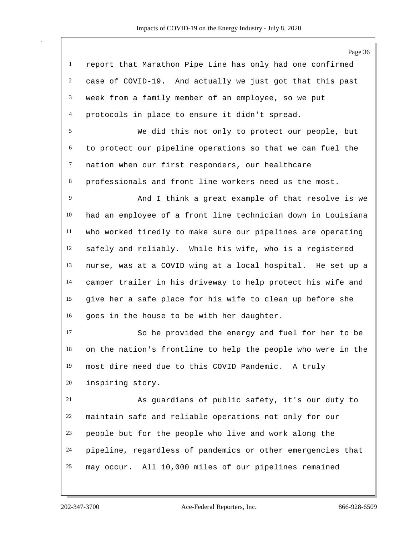Page 36 report that Marathon Pipe Line has only had one confirmed case of COVID-19. And actually we just got that this past week from a family member of an employee, so we put protocols in place to ensure it didn't spread. We did this not only to protect our people, but to protect our pipeline operations so that we can fuel the nation when our first responders, our healthcare professionals and front line workers need us the most. And I think a great example of that resolve is we had an employee of a front line technician down in Louisiana who worked tiredly to make sure our pipelines are operating safely and reliably. While his wife, who is a registered nurse, was at a COVID wing at a local hospital. He set up a camper trailer in his driveway to help protect his wife and give her a safe place for his wife to clean up before she goes in the house to be with her daughter. So he provided the energy and fuel for her to be on the nation's frontline to help the people who were in the most dire need due to this COVID Pandemic. A truly inspiring story. As guardians of public safety, it's our duty to maintain safe and reliable operations not only for our people but for the people who live and work along the pipeline, regardless of pandemics or other emergencies that may occur. All 10,000 miles of our pipelines remained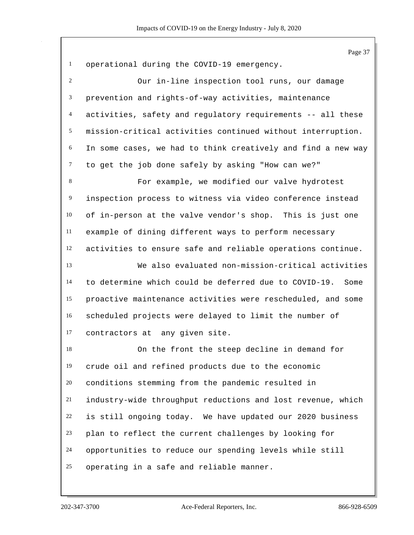|              | Page 37                                                       |
|--------------|---------------------------------------------------------------|
| $\mathbf{1}$ | operational during the COVID-19 emergency.                    |
| 2            | Our in-line inspection tool runs, our damage                  |
| 3            | prevention and rights-of-way activities, maintenance          |
| 4            | activities, safety and regulatory requirements -- all these   |
| 5            | mission-critical activities continued without interruption.   |
| 6            | In some cases, we had to think creatively and find a new way  |
| $\tau$       | to get the job done safely by asking "How can we?"            |
| $\,8\,$      | For example, we modified our valve hydrotest                  |
| 9            | inspection process to witness via video conference instead    |
| 10           | of in-person at the valve vendor's shop. This is just one     |
| 11           | example of dining different ways to perform necessary         |
| 12           | activities to ensure safe and reliable operations continue.   |
| 13           | We also evaluated non-mission-critical activities             |
| 14           | to determine which could be deferred due to COVID-19.<br>Some |
| 15           | proactive maintenance activities were rescheduled, and some   |
| 16           | scheduled projects were delayed to limit the number of        |
| 17           | contractors at any given site.                                |
| 18           | On the front the steep decline in demand for                  |
| 19           | crude oil and refined products due to the economic            |
| 20           | conditions stemming from the pandemic resulted in             |
| 21           | industry-wide throughput reductions and lost revenue, which   |
| 22           | is still ongoing today. We have updated our 2020 business     |
| 23           | plan to reflect the current challenges by looking for         |
| 24           | opportunities to reduce our spending levels while still       |
| 25           | operating in a safe and reliable manner.                      |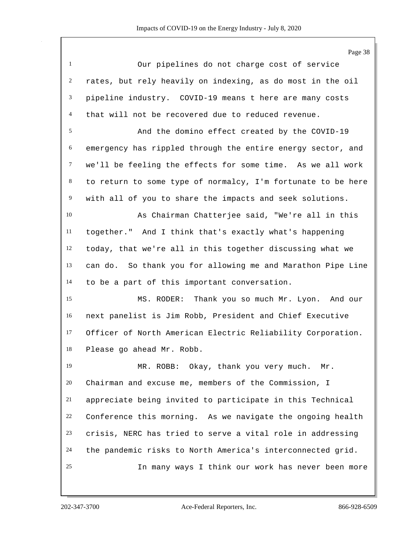Page 38

| $\overline{1}$ | Our pipelines do not charge cost of service                  |
|----------------|--------------------------------------------------------------|
|                | 2 rates, but rely heavily on indexing, as do most in the oil |
|                | 3 pipeline industry. COVID-19 means t here are many costs    |
|                | 4 that will not be recovered due to reduced revenue.         |

 And the domino effect created by the COVID-19 emergency has rippled through the entire energy sector, and we'll be feeling the effects for some time. As we all work to return to some type of normalcy, I'm fortunate to be here with all of you to share the impacts and seek solutions.

 As Chairman Chatterjee said, "We're all in this together." And I think that's exactly what's happening today, that we're all in this together discussing what we can do. So thank you for allowing me and Marathon Pipe Line to be a part of this important conversation.

 MS. RODER: Thank you so much Mr. Lyon. And our next panelist is Jim Robb, President and Chief Executive Officer of North American Electric Reliability Corporation. Please go ahead Mr. Robb.

 MR. ROBB: Okay, thank you very much. Mr. Chairman and excuse me, members of the Commission, I appreciate being invited to participate in this Technical Conference this morning. As we navigate the ongoing health crisis, NERC has tried to serve a vital role in addressing the pandemic risks to North America's interconnected grid. In many ways I think our work has never been more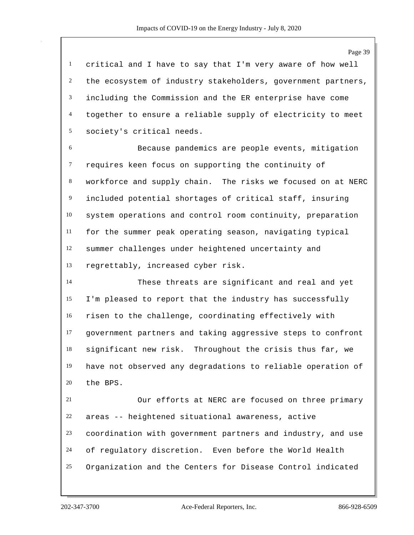critical and I have to say that I'm very aware of how well the ecosystem of industry stakeholders, government partners, including the Commission and the ER enterprise have come together to ensure a reliable supply of electricity to meet society's critical needs.

 Because pandemics are people events, mitigation requires keen focus on supporting the continuity of workforce and supply chain. The risks we focused on at NERC included potential shortages of critical staff, insuring system operations and control room continuity, preparation for the summer peak operating season, navigating typical summer challenges under heightened uncertainty and regrettably, increased cyber risk.

 These threats are significant and real and yet I'm pleased to report that the industry has successfully risen to the challenge, coordinating effectively with government partners and taking aggressive steps to confront significant new risk. Throughout the crisis thus far, we have not observed any degradations to reliable operation of the BPS.

 Our efforts at NERC are focused on three primary areas -- heightened situational awareness, active coordination with government partners and industry, and use of regulatory discretion. Even before the World Health Organization and the Centers for Disease Control indicated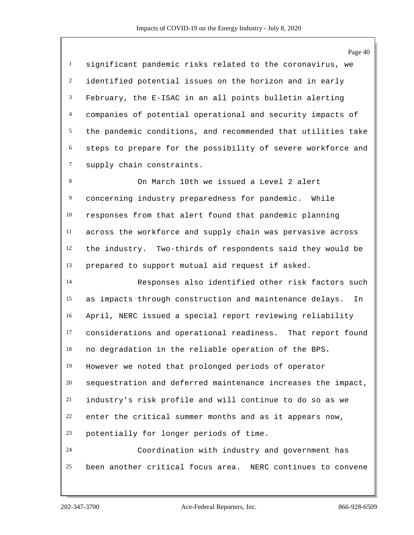significant pandemic risks related to the coronavirus, we identified potential issues on the horizon and in early February, the E-ISAC in an all points bulletin alerting companies of potential operational and security impacts of the pandemic conditions, and recommended that utilities take steps to prepare for the possibility of severe workforce and supply chain constraints.

 On March 10th we issued a Level 2 alert concerning industry preparedness for pandemic. While responses from that alert found that pandemic planning across the workforce and supply chain was pervasive across the industry. Two-thirds of respondents said they would be prepared to support mutual aid request if asked.

 Responses also identified other risk factors such as impacts through construction and maintenance delays. In April, NERC issued a special report reviewing reliability considerations and operational readiness. That report found no degradation in the reliable operation of the BPS. However we noted that prolonged periods of operator sequestration and deferred maintenance increases the impact, industry's risk profile and will continue to do so as we enter the critical summer months and as it appears now, potentially for longer periods of time. Coordination with industry and government has

been another critical focus area. NERC continues to convene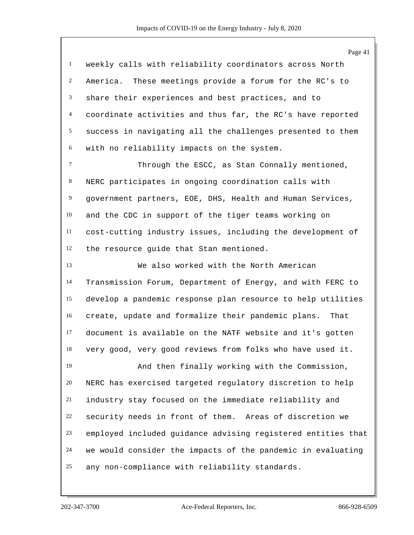|                | Page 41                                                      |
|----------------|--------------------------------------------------------------|
| $\mathbf{1}$   | weekly calls with reliability coordinators across North      |
| 2              | America. These meetings provide a forum for the RC's to      |
| 3              | share their experiences and best practices, and to           |
| 4              | coordinate activities and thus far, the RC's have reported   |
| 5              | success in navigating all the challenges presented to them   |
| 6              | with no reliability impacts on the system.                   |
| $\tau$         | Through the ESCC, as Stan Connally mentioned,                |
| 8              | NERC participates in ongoing coordination calls with         |
| $\overline{9}$ | government partners, EOE, DHS, Health and Human Services,    |
| 10             | and the CDC in support of the tiger teams working on         |
| $11\,$         | cost-cutting industry issues, including the development of   |
| 12             | the resource guide that Stan mentioned.                      |
| 13             | We also worked with the North American                       |
| 14             | Transmission Forum, Department of Energy, and with FERC to   |
| 15             | develop a pandemic response plan resource to help utilities  |
| 16             | create, update and formalize their pandemic plans.<br>That   |
| 17             | document is available on the NATF website and it's gotten    |
| 18             | very good, very good reviews from folks who have used it.    |
| 19             | And then finally working with the Commission,                |
| 20             | NERC has exercised targeted regulatory discretion to help    |
| 21             | industry stay focused on the immediate reliability and       |
| 22             | security needs in front of them. Areas of discretion we      |
| 23             | employed included guidance advising registered entities that |
| 24             | we would consider the impacts of the pandemic in evaluating  |
| 25             | any non-compliance with reliability standards.               |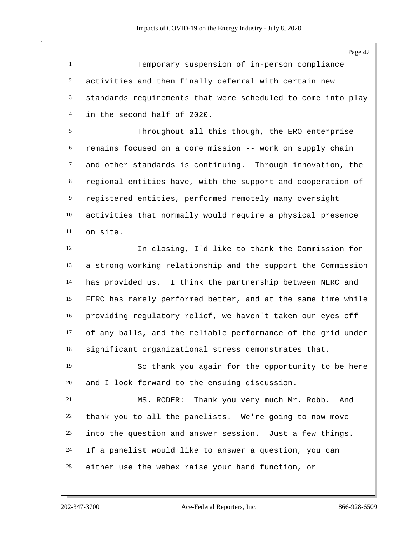Temporary suspension of in-person compliance activities and then finally deferral with certain new standards requirements that were scheduled to come into play in the second half of 2020.

 Throughout all this though, the ERO enterprise remains focused on a core mission -- work on supply chain and other standards is continuing. Through innovation, the regional entities have, with the support and cooperation of registered entities, performed remotely many oversight activities that normally would require a physical presence on site.

 In closing, I'd like to thank the Commission for a strong working relationship and the support the Commission has provided us. I think the partnership between NERC and FERC has rarely performed better, and at the same time while providing regulatory relief, we haven't taken our eyes off of any balls, and the reliable performance of the grid under significant organizational stress demonstrates that.

 So thank you again for the opportunity to be here and I look forward to the ensuing discussion.

 MS. RODER: Thank you very much Mr. Robb. And thank you to all the panelists. We're going to now move into the question and answer session. Just a few things. If a panelist would like to answer a question, you can either use the webex raise your hand function, or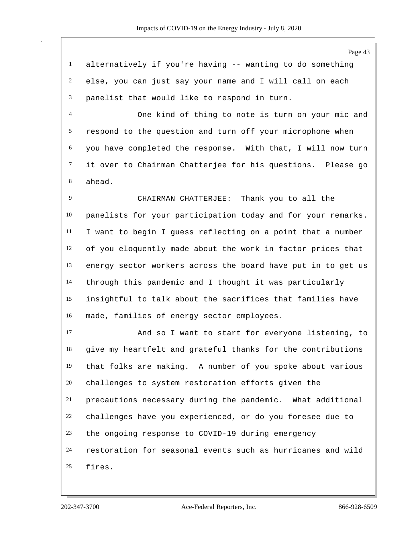Page 43 alternatively if you're having -- wanting to do something else, you can just say your name and I will call on each panelist that would like to respond in turn. One kind of thing to note is turn on your mic and respond to the question and turn off your microphone when you have completed the response. With that, I will now turn it over to Chairman Chatterjee for his questions. Please go ahead. CHAIRMAN CHATTERJEE: Thank you to all the panelists for your participation today and for your remarks. I want to begin I guess reflecting on a point that a number of you eloquently made about the work in factor prices that energy sector workers across the board have put in to get us through this pandemic and I thought it was particularly insightful to talk about the sacrifices that families have made, families of energy sector employees. And so I want to start for everyone listening, to give my heartfelt and grateful thanks for the contributions that folks are making. A number of you spoke about various challenges to system restoration efforts given the precautions necessary during the pandemic. What additional challenges have you experienced, or do you foresee due to the ongoing response to COVID-19 during emergency restoration for seasonal events such as hurricanes and wild fires.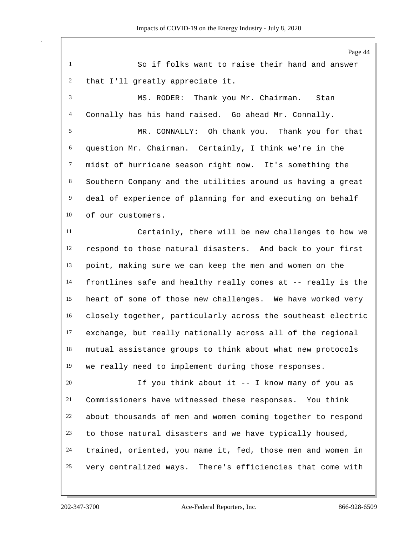Page 44 So if folks want to raise their hand and answer that I'll greatly appreciate it. MS. RODER: Thank you Mr. Chairman. Stan Connally has his hand raised. Go ahead Mr. Connally. MR. CONNALLY: Oh thank you. Thank you for that question Mr. Chairman. Certainly, I think we're in the midst of hurricane season right now. It's something the Southern Company and the utilities around us having a great deal of experience of planning for and executing on behalf of our customers. Certainly, there will be new challenges to how we respond to those natural disasters. And back to your first point, making sure we can keep the men and women on the frontlines safe and healthy really comes at -- really is the heart of some of those new challenges. We have worked very closely together, particularly across the southeast electric exchange, but really nationally across all of the regional mutual assistance groups to think about what new protocols we really need to implement during those responses. If you think about it -- I know many of you as Commissioners have witnessed these responses. You think about thousands of men and women coming together to respond to those natural disasters and we have typically housed, trained, oriented, you name it, fed, those men and women in very centralized ways. There's efficiencies that come with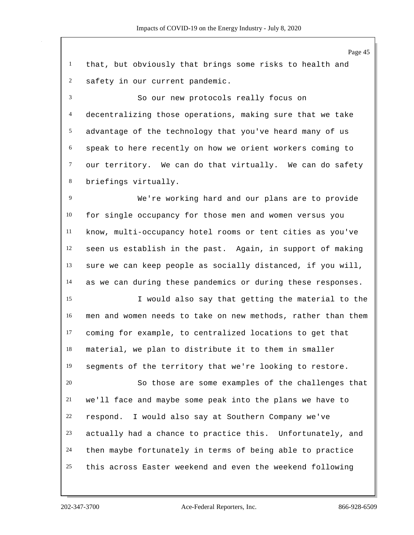Page 45 that, but obviously that brings some risks to health and safety in our current pandemic. So our new protocols really focus on decentralizing those operations, making sure that we take advantage of the technology that you've heard many of us speak to here recently on how we orient workers coming to our territory. We can do that virtually. We can do safety briefings virtually. We're working hard and our plans are to provide for single occupancy for those men and women versus you know, multi-occupancy hotel rooms or tent cities as you've seen us establish in the past. Again, in support of making sure we can keep people as socially distanced, if you will, as we can during these pandemics or during these responses. I would also say that getting the material to the men and women needs to take on new methods, rather than them coming for example, to centralized locations to get that material, we plan to distribute it to them in smaller segments of the territory that we're looking to restore. So those are some examples of the challenges that we'll face and maybe some peak into the plans we have to respond. I would also say at Southern Company we've actually had a chance to practice this. Unfortunately, and then maybe fortunately in terms of being able to practice this across Easter weekend and even the weekend following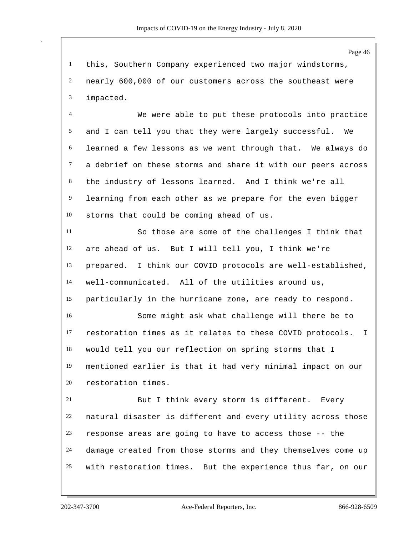this, Southern Company experienced two major windstorms, nearly 600,000 of our customers across the southeast were impacted.

 We were able to put these protocols into practice and I can tell you that they were largely successful. We learned a few lessons as we went through that. We always do a debrief on these storms and share it with our peers across the industry of lessons learned. And I think we're all learning from each other as we prepare for the even bigger storms that could be coming ahead of us.

 So those are some of the challenges I think that are ahead of us. But I will tell you, I think we're prepared. I think our COVID protocols are well-established, well-communicated. All of the utilities around us, particularly in the hurricane zone, are ready to respond. Some might ask what challenge will there be to restoration times as it relates to these COVID protocols. I would tell you our reflection on spring storms that I

 mentioned earlier is that it had very minimal impact on our restoration times.

 But I think every storm is different. Every natural disaster is different and every utility across those response areas are going to have to access those -- the damage created from those storms and they themselves come up with restoration times. But the experience thus far, on our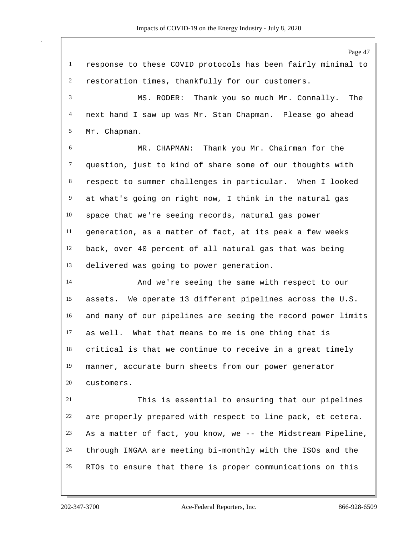Page 47 response to these COVID protocols has been fairly minimal to restoration times, thankfully for our customers. MS. RODER: Thank you so much Mr. Connally. The next hand I saw up was Mr. Stan Chapman. Please go ahead Mr. Chapman. MR. CHAPMAN: Thank you Mr. Chairman for the question, just to kind of share some of our thoughts with respect to summer challenges in particular. When I looked at what's going on right now, I think in the natural gas space that we're seeing records, natural gas power generation, as a matter of fact, at its peak a few weeks back, over 40 percent of all natural gas that was being delivered was going to power generation. And we're seeing the same with respect to our assets. We operate 13 different pipelines across the U.S. and many of our pipelines are seeing the record power limits as well. What that means to me is one thing that is critical is that we continue to receive in a great timely manner, accurate burn sheets from our power generator customers. This is essential to ensuring that our pipelines are properly prepared with respect to line pack, et cetera. As a matter of fact, you know, we -- the Midstream Pipeline, through INGAA are meeting bi-monthly with the ISOs and the RTOs to ensure that there is proper communications on this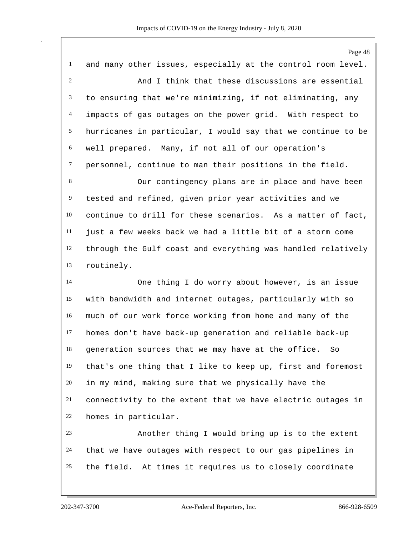Page 48 and many other issues, especially at the control room level. And I think that these discussions are essential to ensuring that we're minimizing, if not eliminating, any impacts of gas outages on the power grid. With respect to hurricanes in particular, I would say that we continue to be well prepared. Many, if not all of our operation's personnel, continue to man their positions in the field. Our contingency plans are in place and have been tested and refined, given prior year activities and we continue to drill for these scenarios. As a matter of fact, just a few weeks back we had a little bit of a storm come through the Gulf coast and everything was handled relatively routinely. One thing I do worry about however, is an issue with bandwidth and internet outages, particularly with so much of our work force working from home and many of the homes don't have back-up generation and reliable back-up generation sources that we may have at the office. So that's one thing that I like to keep up, first and foremost in my mind, making sure that we physically have the connectivity to the extent that we have electric outages in homes in particular. Another thing I would bring up is to the extent that we have outages with respect to our gas pipelines in

the field. At times it requires us to closely coordinate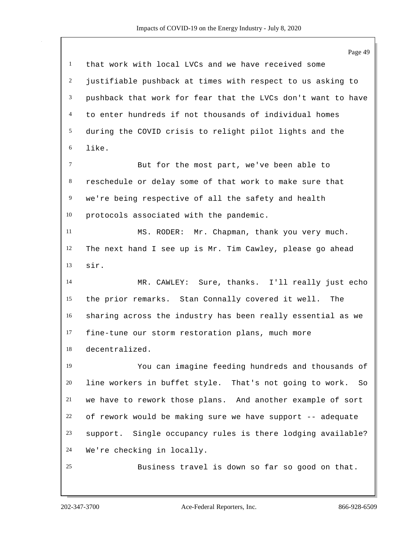|                | Page 49                                                       |
|----------------|---------------------------------------------------------------|
| $\mathbf{1}$   | that work with local LVCs and we have received some           |
| $\overline{2}$ | justifiable pushback at times with respect to us asking to    |
| 3              | pushback that work for fear that the LVCs don't want to have  |
| $\overline{4}$ | to enter hundreds if not thousands of individual homes        |
| 5              | during the COVID crisis to relight pilot lights and the       |
| 6              | like.                                                         |
| $\tau$         | But for the most part, we've been able to                     |
| $\,8\,$        | reschedule or delay some of that work to make sure that       |
| $\overline{9}$ | we're being respective of all the safety and health           |
| 10             | protocols associated with the pandemic.                       |
| 11             | MS. RODER: Mr. Chapman, thank you very much.                  |
| 12             | The next hand I see up is Mr. Tim Cawley, please go ahead     |
| 13             | sir.                                                          |
| 14             | MR. CAWLEY: Sure, thanks. I'll really just echo               |
| 15             | the prior remarks. Stan Connally covered it well.<br>The      |
| 16             | sharing across the industry has been really essential as we   |
| 17             | fine-tune our storm restoration plans, much more              |
| 18             | decentralized.                                                |
| 19             | You can imagine feeding hundreds and thousands of             |
| 20             | line workers in buffet style. That's not going to work.<br>So |
| 21             | we have to rework those plans. And another example of sort    |
| 22             | of rework would be making sure we have support -- adequate    |
| 23             | support. Single occupancy rules is there lodging available?   |
| 24             | We're checking in locally.                                    |
| 25             | Business travel is down so far so good on that.               |
|                |                                                               |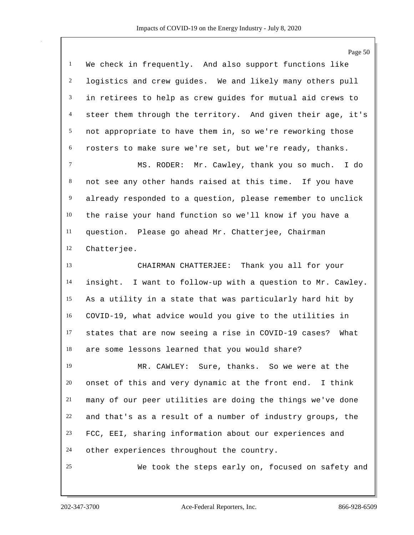|                | Page 50                                                      |
|----------------|--------------------------------------------------------------|
| $\mathbf{1}$   | We check in frequently. And also support functions like      |
| $\overline{c}$ | logistics and crew guides. We and likely many others pull    |
| 3              | in retirees to help as crew guides for mutual aid crews to   |
| $\overline{4}$ | steer them through the territory. And given their age, it's  |
| 5              | not appropriate to have them in, so we're reworking those    |
| 6              | rosters to make sure we're set, but we're ready, thanks.     |
| $\tau$         | MS. RODER: Mr. Cawley, thank you so much. I do               |
| 8              | not see any other hands raised at this time. If you have     |
| $\overline{9}$ | already responded to a question, please remember to unclick  |
| 10             | the raise your hand function so we'll know if you have a     |
| 11             | question. Please go ahead Mr. Chatterjee, Chairman           |
| 12             | Chatterjee.                                                  |
| 13             | CHAIRMAN CHATTERJEE: Thank you all for your                  |
| 14             | insight. I want to follow-up with a question to Mr. Cawley.  |
| 15             | As a utility in a state that was particularly hard hit by    |
| 16             | COVID-19, what advice would you give to the utilities in     |
| 17             | states that are now seeing a rise in COVID-19 cases?<br>What |
| 18             | are some lessons learned that you would share?               |
| 19             | MR. CAWLEY: Sure, thanks. So we were at the                  |
| 20             | onset of this and very dynamic at the front end. I think     |
| 21             | many of our peer utilities are doing the things we've done   |
| 22             | and that's as a result of a number of industry groups, the   |
| 23             | FCC, EEI, sharing information about our experiences and      |
| 24             | other experiences throughout the country.                    |
| 25             | We took the steps early on, focused on safety and            |
|                |                                                              |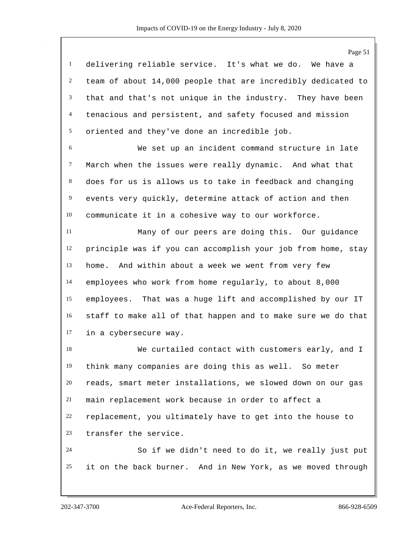Page 51 delivering reliable service. It's what we do. We have a team of about 14,000 people that are incredibly dedicated to that and that's not unique in the industry. They have been tenacious and persistent, and safety focused and mission oriented and they've done an incredible job. We set up an incident command structure in late March when the issues were really dynamic. And what that does for us is allows us to take in feedback and changing events very quickly, determine attack of action and then communicate it in a cohesive way to our workforce. Many of our peers are doing this. Our guidance principle was if you can accomplish your job from home, stay home. And within about a week we went from very few employees who work from home regularly, to about 8,000 employees. That was a huge lift and accomplished by our IT staff to make all of that happen and to make sure we do that in a cybersecure way. We curtailed contact with customers early, and I think many companies are doing this as well. So meter reads, smart meter installations, we slowed down on our gas main replacement work because in order to affect a replacement, you ultimately have to get into the house to transfer the service. So if we didn't need to do it, we really just put it on the back burner. And in New York, as we moved through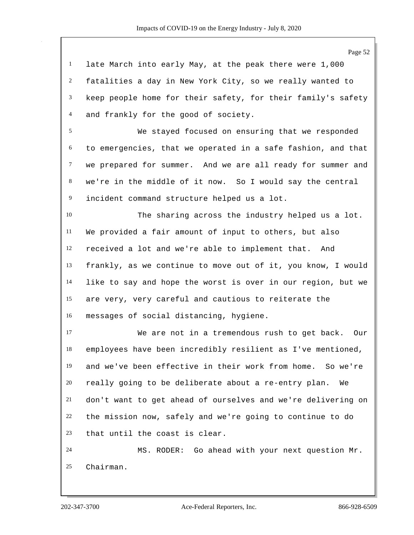late March into early May, at the peak there were 1,000 fatalities a day in New York City, so we really wanted to keep people home for their safety, for their family's safety and frankly for the good of society.

 We stayed focused on ensuring that we responded to emergencies, that we operated in a safe fashion, and that we prepared for summer. And we are all ready for summer and we're in the middle of it now. So I would say the central incident command structure helped us a lot.

 The sharing across the industry helped us a lot. We provided a fair amount of input to others, but also received a lot and we're able to implement that. And frankly, as we continue to move out of it, you know, I would like to say and hope the worst is over in our region, but we are very, very careful and cautious to reiterate the messages of social distancing, hygiene.

 We are not in a tremendous rush to get back. Our employees have been incredibly resilient as I've mentioned, and we've been effective in their work from home. So we're really going to be deliberate about a re-entry plan. We don't want to get ahead of ourselves and we're delivering on the mission now, safely and we're going to continue to do that until the coast is clear.

 MS. RODER: Go ahead with your next question Mr. Chairman.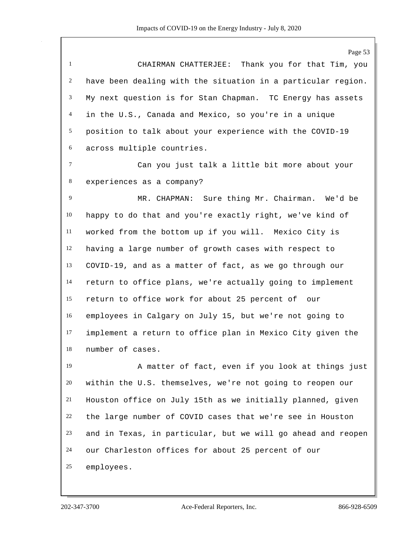Page 53 CHAIRMAN CHATTERJEE: Thank you for that Tim, you have been dealing with the situation in a particular region. My next question is for Stan Chapman. TC Energy has assets in the U.S., Canada and Mexico, so you're in a unique position to talk about your experience with the COVID-19 across multiple countries. Can you just talk a little bit more about your experiences as a company? MR. CHAPMAN: Sure thing Mr. Chairman. We'd be happy to do that and you're exactly right, we've kind of worked from the bottom up if you will. Mexico City is having a large number of growth cases with respect to COVID-19, and as a matter of fact, as we go through our return to office plans, we're actually going to implement return to office work for about 25 percent of our employees in Calgary on July 15, but we're not going to implement a return to office plan in Mexico City given the number of cases. A matter of fact, even if you look at things just within the U.S. themselves, we're not going to reopen our

 Houston office on July 15th as we initially planned, given the large number of COVID cases that we're see in Houston and in Texas, in particular, but we will go ahead and reopen our Charleston offices for about 25 percent of our employees.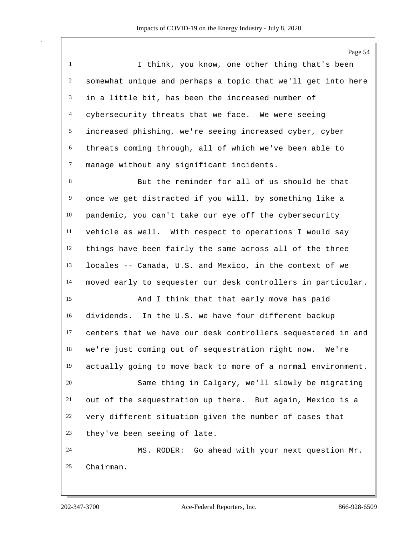Page 54 I think, you know, one other thing that's been somewhat unique and perhaps a topic that we'll get into here in a little bit, has been the increased number of cybersecurity threats that we face. We were seeing increased phishing, we're seeing increased cyber, cyber threats coming through, all of which we've been able to manage without any significant incidents. But the reminder for all of us should be that once we get distracted if you will, by something like a pandemic, you can't take our eye off the cybersecurity vehicle as well. With respect to operations I would say things have been fairly the same across all of the three locales -- Canada, U.S. and Mexico, in the context of we moved early to sequester our desk controllers in particular. And I think that that early move has paid dividends. In the U.S. we have four different backup centers that we have our desk controllers sequestered in and we're just coming out of sequestration right now. We're actually going to move back to more of a normal environment. Same thing in Calgary, we'll slowly be migrating out of the sequestration up there. But again, Mexico is a very different situation given the number of cases that they've been seeing of late. MS. RODER: Go ahead with your next question Mr. Chairman.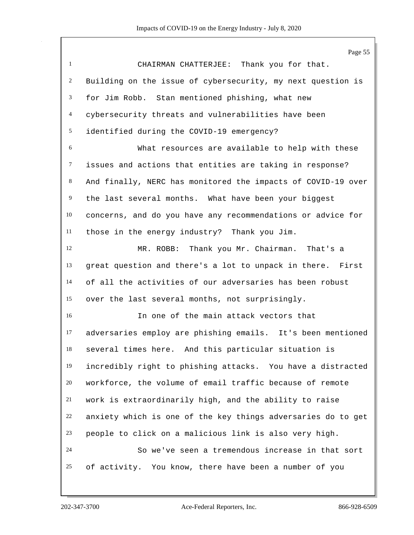Page 55 CHAIRMAN CHATTERJEE: Thank you for that. Building on the issue of cybersecurity, my next question is for Jim Robb. Stan mentioned phishing, what new cybersecurity threats and vulnerabilities have been identified during the COVID-19 emergency? What resources are available to help with these issues and actions that entities are taking in response? And finally, NERC has monitored the impacts of COVID-19 over the last several months. What have been your biggest concerns, and do you have any recommendations or advice for those in the energy industry? Thank you Jim. MR. ROBB: Thank you Mr. Chairman. That's a great question and there's a lot to unpack in there. First of all the activities of our adversaries has been robust over the last several months, not surprisingly. In one of the main attack vectors that adversaries employ are phishing emails. It's been mentioned several times here. And this particular situation is incredibly right to phishing attacks. You have a distracted workforce, the volume of email traffic because of remote work is extraordinarily high, and the ability to raise anxiety which is one of the key things adversaries do to get people to click on a malicious link is also very high. So we've seen a tremendous increase in that sort of activity. You know, there have been a number of you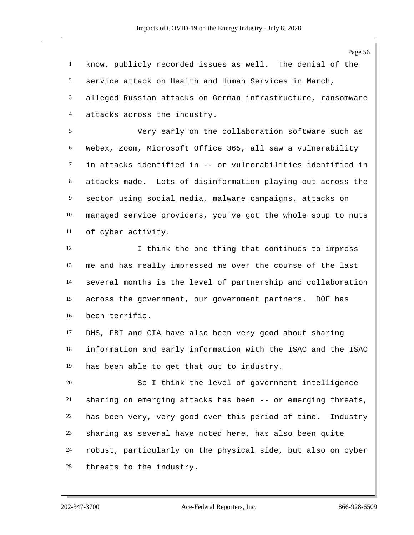know, publicly recorded issues as well. The denial of the service attack on Health and Human Services in March, alleged Russian attacks on German infrastructure, ransomware attacks across the industry.

 Very early on the collaboration software such as Webex, Zoom, Microsoft Office 365, all saw a vulnerability in attacks identified in -- or vulnerabilities identified in attacks made. Lots of disinformation playing out across the sector using social media, malware campaigns, attacks on managed service providers, you've got the whole soup to nuts of cyber activity.

 I think the one thing that continues to impress me and has really impressed me over the course of the last several months is the level of partnership and collaboration across the government, our government partners. DOE has been terrific.

 DHS, FBI and CIA have also been very good about sharing information and early information with the ISAC and the ISAC has been able to get that out to industry.

 So I think the level of government intelligence sharing on emerging attacks has been -- or emerging threats, has been very, very good over this period of time. Industry sharing as several have noted here, has also been quite robust, particularly on the physical side, but also on cyber threats to the industry.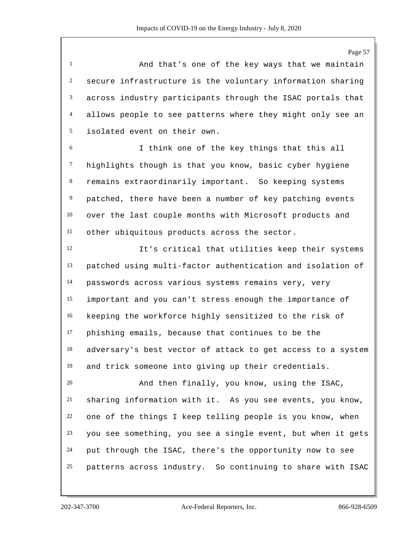Page 57

 And that's one of the key ways that we maintain secure infrastructure is the voluntary information sharing across industry participants through the ISAC portals that allows people to see patterns where they might only see an isolated event on their own.

 I think one of the key things that this all highlights though is that you know, basic cyber hygiene remains extraordinarily important. So keeping systems patched, there have been a number of key patching events over the last couple months with Microsoft products and other ubiquitous products across the sector.

 It's critical that utilities keep their systems patched using multi-factor authentication and isolation of passwords across various systems remains very, very important and you can't stress enough the importance of keeping the workforce highly sensitized to the risk of phishing emails, because that continues to be the adversary's best vector of attack to get access to a system and trick someone into giving up their credentials.

 And then finally, you know, using the ISAC, sharing information with it. As you see events, you know, one of the things I keep telling people is you know, when you see something, you see a single event, but when it gets put through the ISAC, there's the opportunity now to see patterns across industry. So continuing to share with ISAC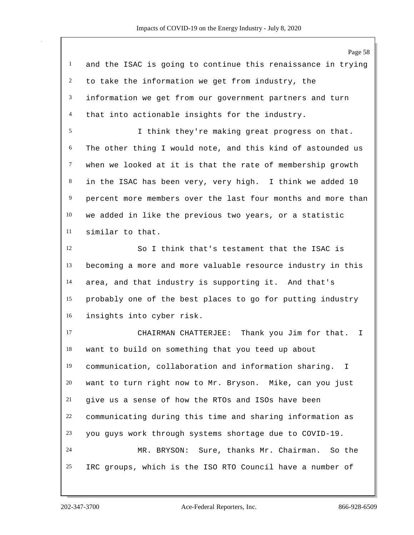Page 58 and the ISAC is going to continue this renaissance in trying to take the information we get from industry, the information we get from our government partners and turn that into actionable insights for the industry. I think they're making great progress on that. The other thing I would note, and this kind of astounded us when we looked at it is that the rate of membership growth in the ISAC has been very, very high. I think we added 10 percent more members over the last four months and more than we added in like the previous two years, or a statistic similar to that. So I think that's testament that the ISAC is becoming a more and more valuable resource industry in this area, and that industry is supporting it. And that's probably one of the best places to go for putting industry insights into cyber risk. CHAIRMAN CHATTERJEE: Thank you Jim for that. I want to build on something that you teed up about communication, collaboration and information sharing. I want to turn right now to Mr. Bryson. Mike, can you just give us a sense of how the RTOs and ISOs have been communicating during this time and sharing information as you guys work through systems shortage due to COVID-19.

 MR. BRYSON: Sure, thanks Mr. Chairman. So the IRC groups, which is the ISO RTO Council have a number of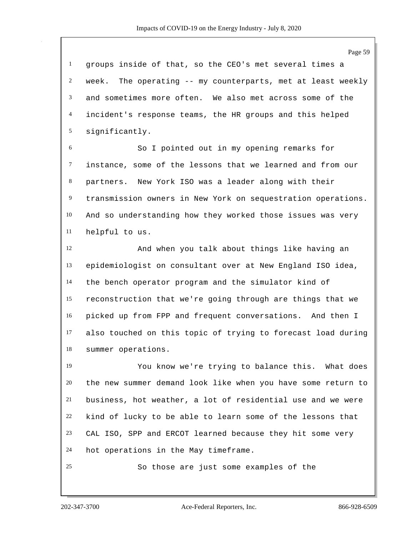groups inside of that, so the CEO's met several times a week. The operating -- my counterparts, met at least weekly and sometimes more often. We also met across some of the incident's response teams, the HR groups and this helped significantly.

 So I pointed out in my opening remarks for instance, some of the lessons that we learned and from our partners. New York ISO was a leader along with their transmission owners in New York on sequestration operations. And so understanding how they worked those issues was very helpful to us.

 And when you talk about things like having an epidemiologist on consultant over at New England ISO idea, the bench operator program and the simulator kind of reconstruction that we're going through are things that we picked up from FPP and frequent conversations. And then I also touched on this topic of trying to forecast load during summer operations.

 You know we're trying to balance this. What does the new summer demand look like when you have some return to business, hot weather, a lot of residential use and we were kind of lucky to be able to learn some of the lessons that CAL ISO, SPP and ERCOT learned because they hit some very hot operations in the May timeframe.

So those are just some examples of the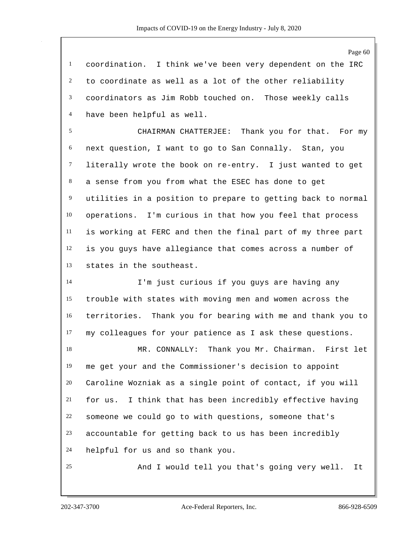coordination. I think we've been very dependent on the IRC to coordinate as well as a lot of the other reliability coordinators as Jim Robb touched on. Those weekly calls have been helpful as well.

 CHAIRMAN CHATTERJEE: Thank you for that. For my next question, I want to go to San Connally. Stan, you literally wrote the book on re-entry. I just wanted to get a sense from you from what the ESEC has done to get utilities in a position to prepare to getting back to normal operations. I'm curious in that how you feel that process is working at FERC and then the final part of my three part is you guys have allegiance that comes across a number of states in the southeast.

 I'm just curious if you guys are having any trouble with states with moving men and women across the territories. Thank you for bearing with me and thank you to my colleagues for your patience as I ask these questions.

 MR. CONNALLY: Thank you Mr. Chairman. First let me get your and the Commissioner's decision to appoint Caroline Wozniak as a single point of contact, if you will for us. I think that has been incredibly effective having someone we could go to with questions, someone that's accountable for getting back to us has been incredibly helpful for us and so thank you.

And I would tell you that's going very well. It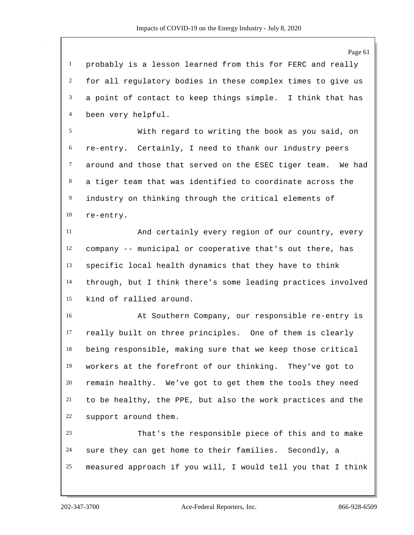probably is a lesson learned from this for FERC and really for all regulatory bodies in these complex times to give us a point of contact to keep things simple. I think that has been very helpful.

 With regard to writing the book as you said, on re-entry. Certainly, I need to thank our industry peers around and those that served on the ESEC tiger team. We had a tiger team that was identified to coordinate across the industry on thinking through the critical elements of re-entry.

 And certainly every region of our country, every company -- municipal or cooperative that's out there, has specific local health dynamics that they have to think through, but I think there's some leading practices involved kind of rallied around.

 At Southern Company, our responsible re-entry is really built on three principles. One of them is clearly being responsible, making sure that we keep those critical workers at the forefront of our thinking. They've got to remain healthy. We've got to get them the tools they need to be healthy, the PPE, but also the work practices and the support around them.

 That's the responsible piece of this and to make sure they can get home to their families. Secondly, a measured approach if you will, I would tell you that I think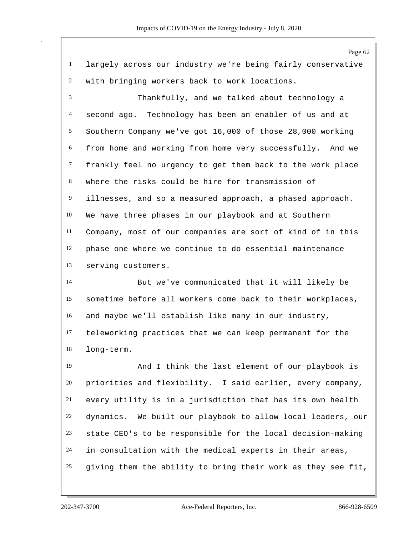Page 62 largely across our industry we're being fairly conservative with bringing workers back to work locations. Thankfully, and we talked about technology a second ago. Technology has been an enabler of us and at Southern Company we've got 16,000 of those 28,000 working from home and working from home very successfully. And we frankly feel no urgency to get them back to the work place where the risks could be hire for transmission of illnesses, and so a measured approach, a phased approach. We have three phases in our playbook and at Southern Company, most of our companies are sort of kind of in this phase one where we continue to do essential maintenance serving customers. But we've communicated that it will likely be sometime before all workers come back to their workplaces, and maybe we'll establish like many in our industry, teleworking practices that we can keep permanent for the long-term. And I think the last element of our playbook is priorities and flexibility. I said earlier, every company, every utility is in a jurisdiction that has its own health dynamics. We built our playbook to allow local leaders, our state CEO's to be responsible for the local decision-making in consultation with the medical experts in their areas, giving them the ability to bring their work as they see fit,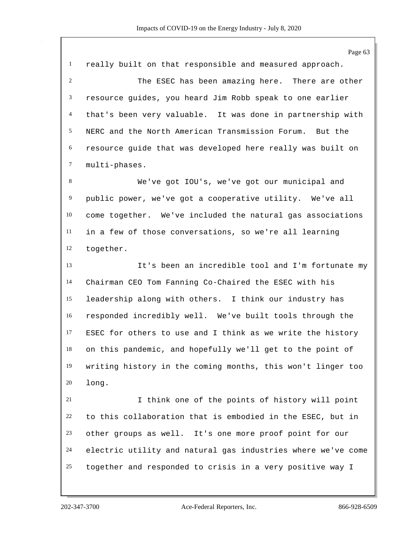Page 63 really built on that responsible and measured approach. The ESEC has been amazing here. There are other resource guides, you heard Jim Robb speak to one earlier that's been very valuable. It was done in partnership with NERC and the North American Transmission Forum. But the resource guide that was developed here really was built on multi-phases. We've got IOU's, we've got our municipal and public power, we've got a cooperative utility. We've all come together. We've included the natural gas associations in a few of those conversations, so we're all learning together. It's been an incredible tool and I'm fortunate my Chairman CEO Tom Fanning Co-Chaired the ESEC with his leadership along with others. I think our industry has responded incredibly well. We've built tools through the ESEC for others to use and I think as we write the history on this pandemic, and hopefully we'll get to the point of writing history in the coming months, this won't linger too long. I think one of the points of history will point to this collaboration that is embodied in the ESEC, but in other groups as well. It's one more proof point for our electric utility and natural gas industries where we've come together and responded to crisis in a very positive way I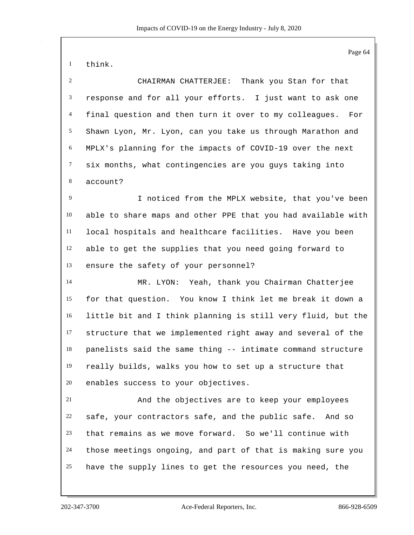think.

 CHAIRMAN CHATTERJEE: Thank you Stan for that response and for all your efforts. I just want to ask one final question and then turn it over to my colleagues. For Shawn Lyon, Mr. Lyon, can you take us through Marathon and MPLX's planning for the impacts of COVID-19 over the next six months, what contingencies are you guys taking into account?

 I noticed from the MPLX website, that you've been able to share maps and other PPE that you had available with local hospitals and healthcare facilities. Have you been able to get the supplies that you need going forward to ensure the safety of your personnel?

 MR. LYON: Yeah, thank you Chairman Chatterjee for that question. You know I think let me break it down a little bit and I think planning is still very fluid, but the structure that we implemented right away and several of the panelists said the same thing -- intimate command structure really builds, walks you how to set up a structure that enables success to your objectives.

 And the objectives are to keep your employees safe, your contractors safe, and the public safe. And so that remains as we move forward. So we'll continue with those meetings ongoing, and part of that is making sure you have the supply lines to get the resources you need, the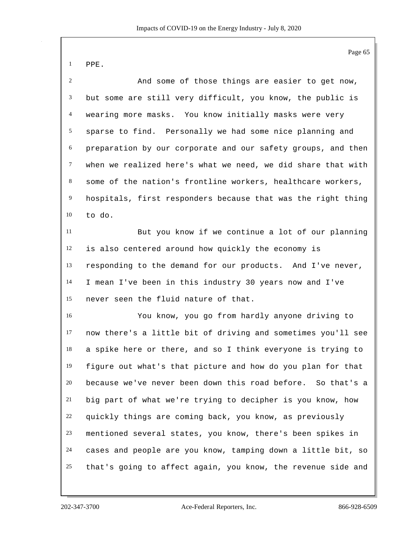|--|--|

 And some of those things are easier to get now, but some are still very difficult, you know, the public is wearing more masks. You know initially masks were very sparse to find. Personally we had some nice planning and preparation by our corporate and our safety groups, and then when we realized here's what we need, we did share that with some of the nation's frontline workers, healthcare workers, hospitals, first responders because that was the right thing to do. But you know if we continue a lot of our planning

 is also centered around how quickly the economy is responding to the demand for our products. And I've never, I mean I've been in this industry 30 years now and I've never seen the fluid nature of that.

 You know, you go from hardly anyone driving to now there's a little bit of driving and sometimes you'll see a spike here or there, and so I think everyone is trying to figure out what's that picture and how do you plan for that because we've never been down this road before. So that's a big part of what we're trying to decipher is you know, how quickly things are coming back, you know, as previously mentioned several states, you know, there's been spikes in cases and people are you know, tamping down a little bit, so that's going to affect again, you know, the revenue side and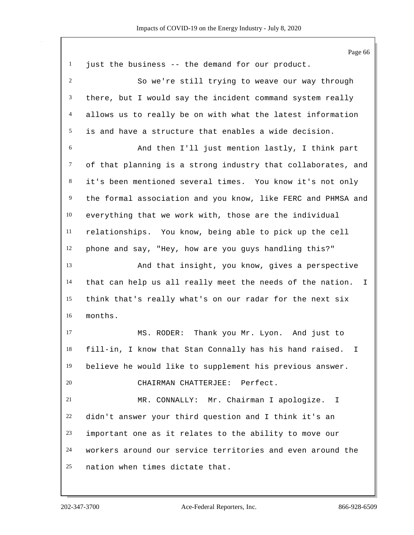Page 66 just the business -- the demand for our product. So we're still trying to weave our way through there, but I would say the incident command system really allows us to really be on with what the latest information is and have a structure that enables a wide decision. And then I'll just mention lastly, I think part of that planning is a strong industry that collaborates, and it's been mentioned several times. You know it's not only the formal association and you know, like FERC and PHMSA and everything that we work with, those are the individual relationships. You know, being able to pick up the cell phone and say, "Hey, how are you guys handling this?" And that insight, you know, gives a perspective that can help us all really meet the needs of the nation. I think that's really what's on our radar for the next six months. MS. RODER: Thank you Mr. Lyon. And just to fill-in, I know that Stan Connally has his hand raised. I believe he would like to supplement his previous answer. CHAIRMAN CHATTERJEE: Perfect. MR. CONNALLY: Mr. Chairman I apologize. I didn't answer your third question and I think it's an important one as it relates to the ability to move our workers around our service territories and even around the nation when times dictate that.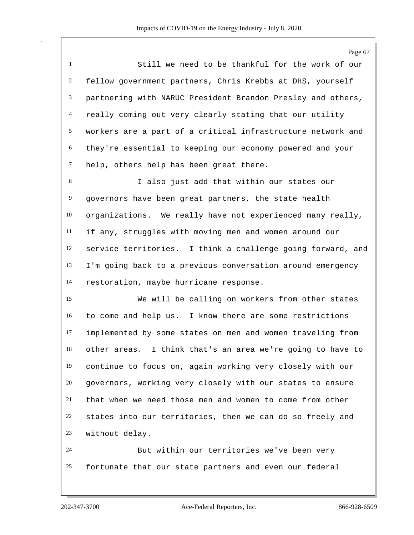Page 67 Still we need to be thankful for the work of our fellow government partners, Chris Krebbs at DHS, yourself partnering with NARUC President Brandon Presley and others, really coming out very clearly stating that our utility workers are a part of a critical infrastructure network and they're essential to keeping our economy powered and your 7 help, others help has been great there.

 I also just add that within our states our governors have been great partners, the state health organizations. We really have not experienced many really, if any, struggles with moving men and women around our service territories. I think a challenge going forward, and I'm going back to a previous conversation around emergency restoration, maybe hurricane response.

 We will be calling on workers from other states to come and help us. I know there are some restrictions implemented by some states on men and women traveling from other areas. I think that's an area we're going to have to continue to focus on, again working very closely with our governors, working very closely with our states to ensure that when we need those men and women to come from other states into our territories, then we can do so freely and without delay.

 But within our territories we've been very fortunate that our state partners and even our federal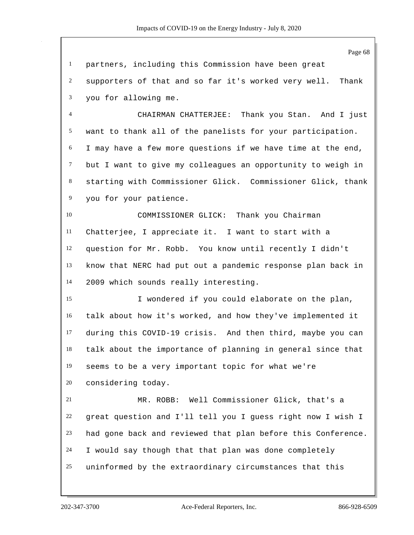Page 68 partners, including this Commission have been great supporters of that and so far it's worked very well. Thank you for allowing me. CHAIRMAN CHATTERJEE: Thank you Stan. And I just want to thank all of the panelists for your participation. I may have a few more questions if we have time at the end, but I want to give my colleagues an opportunity to weigh in starting with Commissioner Glick. Commissioner Glick, thank you for your patience. COMMISSIONER GLICK: Thank you Chairman Chatterjee, I appreciate it. I want to start with a question for Mr. Robb. You know until recently I didn't know that NERC had put out a pandemic response plan back in 2009 which sounds really interesting. I wondered if you could elaborate on the plan, talk about how it's worked, and how they've implemented it during this COVID-19 crisis. And then third, maybe you can talk about the importance of planning in general since that seems to be a very important topic for what we're considering today. MR. ROBB: Well Commissioner Glick, that's a great question and I'll tell you I guess right now I wish I had gone back and reviewed that plan before this Conference. I would say though that that plan was done completely uninformed by the extraordinary circumstances that this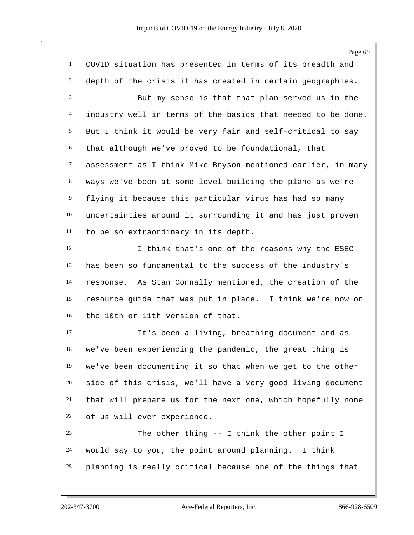Page 69 COVID situation has presented in terms of its breadth and depth of the crisis it has created in certain geographies. But my sense is that that plan served us in the industry well in terms of the basics that needed to be done. But I think it would be very fair and self-critical to say that although we've proved to be foundational, that assessment as I think Mike Bryson mentioned earlier, in many ways we've been at some level building the plane as we're flying it because this particular virus has had so many uncertainties around it surrounding it and has just proven to be so extraordinary in its depth. 12 I think that's one of the reasons why the ESEC has been so fundamental to the success of the industry's response. As Stan Connally mentioned, the creation of the resource guide that was put in place. I think we're now on the 10th or 11th version of that. It's been a living, breathing document and as we've been experiencing the pandemic, the great thing is we've been documenting it so that when we get to the other side of this crisis, we'll have a very good living document that will prepare us for the next one, which hopefully none of us will ever experience. The other thing -- I think the other point I would say to you, the point around planning. I think planning is really critical because one of the things that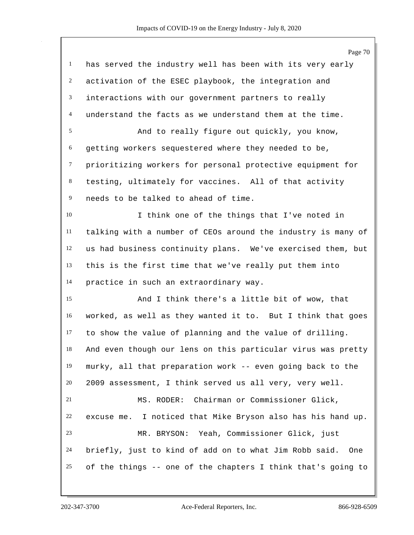|                | Page 70                                                       |
|----------------|---------------------------------------------------------------|
| $\mathbf{1}$   | has served the industry well has been with its very early     |
| $\overline{c}$ | activation of the ESEC playbook, the integration and          |
| 3              | interactions with our government partners to really           |
| $\overline{4}$ | understand the facts as we understand them at the time.       |
| 5              | And to really figure out quickly, you know,                   |
| 6              | getting workers sequestered where they needed to be,          |
| $\tau$         | prioritizing workers for personal protective equipment for    |
| 8              | testing, ultimately for vaccines. All of that activity        |
| 9              | needs to be talked to ahead of time.                          |
| 10             | I think one of the things that I've noted in                  |
| 11             | talking with a number of CEOs around the industry is many of  |
| 12             | us had business continuity plans. We've exercised them, but   |
| 13             | this is the first time that we've really put them into        |
| 14             | practice in such an extraordinary way.                        |
| 15             | And I think there's a little bit of wow, that                 |
| 16             | worked, as well as they wanted it to. But I think that goes   |
| 17             | to show the value of planning and the value of drilling.      |
| 18             | And even though our lens on this particular virus was pretty  |
| 19             | murky, all that preparation work -- even going back to the    |
| 20             | 2009 assessment, I think served us all very, very well.       |
| 21             | MS. RODER: Chairman or Commissioner Glick,                    |
| 22             | excuse me. I noticed that Mike Bryson also has his hand up.   |
| 23             | MR. BRYSON: Yeah, Commissioner Glick, just                    |
| 24             | briefly, just to kind of add on to what Jim Robb said.<br>One |
| 25             | of the things -- one of the chapters I think that's going to  |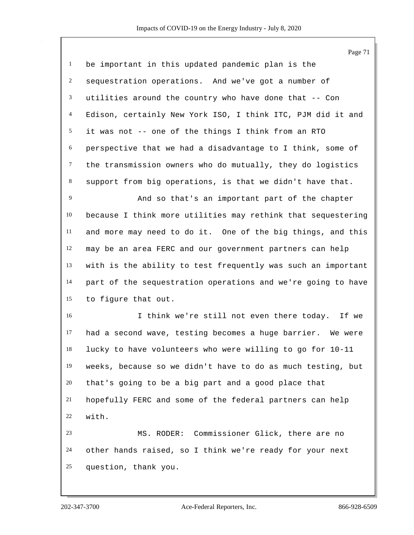Page 71 be important in this updated pandemic plan is the sequestration operations. And we've got a number of utilities around the country who have done that -- Con Edison, certainly New York ISO, I think ITC, PJM did it and it was not -- one of the things I think from an RTO perspective that we had a disadvantage to I think, some of the transmission owners who do mutually, they do logistics support from big operations, is that we didn't have that. And so that's an important part of the chapter because I think more utilities may rethink that sequestering and more may need to do it. One of the big things, and this may be an area FERC and our government partners can help with is the ability to test frequently was such an important part of the sequestration operations and we're going to have to figure that out. I think we're still not even there today. If we had a second wave, testing becomes a huge barrier. We were lucky to have volunteers who were willing to go for 10-11 weeks, because so we didn't have to do as much testing, but that's going to be a big part and a good place that hopefully FERC and some of the federal partners can help with. MS. RODER: Commissioner Glick, there are no other hands raised, so I think we're ready for your next question, thank you.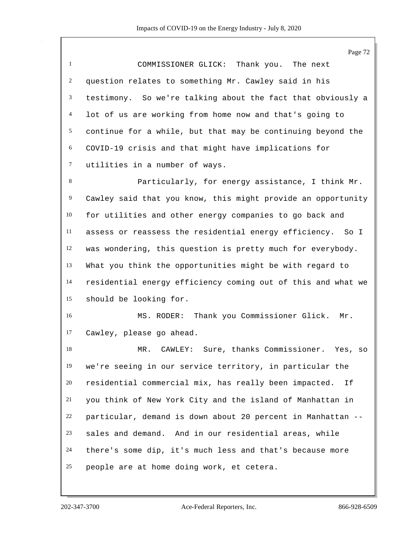Page 72 COMMISSIONER GLICK: Thank you. The next question relates to something Mr. Cawley said in his testimony. So we're talking about the fact that obviously a lot of us are working from home now and that's going to continue for a while, but that may be continuing beyond the COVID-19 crisis and that might have implications for utilities in a number of ways. Particularly, for energy assistance, I think Mr. Cawley said that you know, this might provide an opportunity for utilities and other energy companies to go back and assess or reassess the residential energy efficiency. So I was wondering, this question is pretty much for everybody. What you think the opportunities might be with regard to residential energy efficiency coming out of this and what we should be looking for. MS. RODER: Thank you Commissioner Glick. Mr. Cawley, please go ahead. MR. CAWLEY: Sure, thanks Commissioner. Yes, so we're seeing in our service territory, in particular the residential commercial mix, has really been impacted. If you think of New York City and the island of Manhattan in particular, demand is down about 20 percent in Manhattan -- sales and demand. And in our residential areas, while there's some dip, it's much less and that's because more people are at home doing work, et cetera.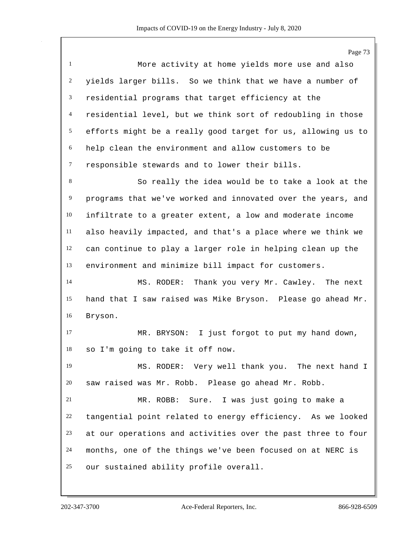Page 73 More activity at home yields more use and also yields larger bills. So we think that we have a number of residential programs that target efficiency at the residential level, but we think sort of redoubling in those efforts might be a really good target for us, allowing us to help clean the environment and allow customers to be responsible stewards and to lower their bills. So really the idea would be to take a look at the programs that we've worked and innovated over the years, and infiltrate to a greater extent, a low and moderate income also heavily impacted, and that's a place where we think we can continue to play a larger role in helping clean up the environment and minimize bill impact for customers. MS. RODER: Thank you very Mr. Cawley. The next hand that I saw raised was Mike Bryson. Please go ahead Mr. Bryson. MR. BRYSON: I just forgot to put my hand down, so I'm going to take it off now. MS. RODER: Very well thank you. The next hand I saw raised was Mr. Robb. Please go ahead Mr. Robb. MR. ROBB: Sure. I was just going to make a tangential point related to energy efficiency. As we looked at our operations and activities over the past three to four months, one of the things we've been focused on at NERC is our sustained ability profile overall.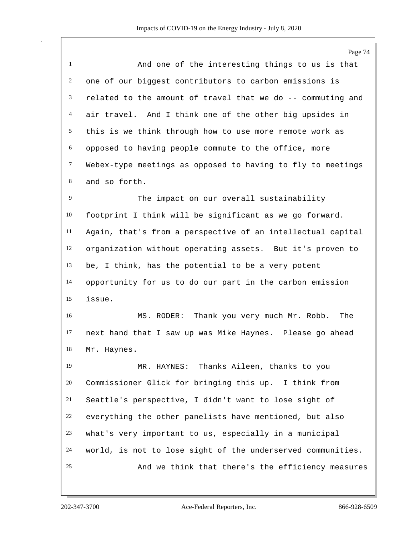Page 74 And one of the interesting things to us is that one of our biggest contributors to carbon emissions is related to the amount of travel that we do -- commuting and air travel. And I think one of the other big upsides in this is we think through how to use more remote work as opposed to having people commute to the office, more Webex-type meetings as opposed to having to fly to meetings and so forth. 9 The impact on our overall sustainability footprint I think will be significant as we go forward. Again, that's from a perspective of an intellectual capital organization without operating assets. But it's proven to be, I think, has the potential to be a very potent opportunity for us to do our part in the carbon emission issue. MS. RODER: Thank you very much Mr. Robb. The next hand that I saw up was Mike Haynes. Please go ahead Mr. Haynes. MR. HAYNES: Thanks Aileen, thanks to you Commissioner Glick for bringing this up. I think from Seattle's perspective, I didn't want to lose sight of everything the other panelists have mentioned, but also what's very important to us, especially in a municipal world, is not to lose sight of the underserved communities. And we think that there's the efficiency measures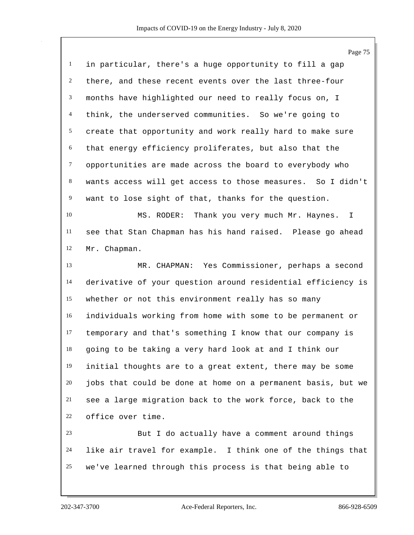|                | Page 75                                                      |
|----------------|--------------------------------------------------------------|
| $\mathbf{1}$   | in particular, there's a huge opportunity to fill a gap      |
| $\overline{2}$ | there, and these recent events over the last three-four      |
| 3              | months have highlighted our need to really focus on, I       |
| $\overline{4}$ | think, the underserved communities. So we're going to        |
| 5              | create that opportunity and work really hard to make sure    |
| 6              | that energy efficiency proliferates, but also that the       |
| $\tau$         | opportunities are made across the board to everybody who     |
| 8              | wants access will get access to those measures. So I didn't  |
| $\overline{9}$ | want to lose sight of that, thanks for the question.         |
| 10             | Thank you very much Mr. Haynes.<br>MS. RODER:<br>T.          |
| 11             | see that Stan Chapman has his hand raised. Please go ahead   |
| 12             | Mr. Chapman.                                                 |
| 13             | MR. CHAPMAN: Yes Commissioner, perhaps a second              |
| 14             | derivative of your question around residential efficiency is |
| 15             | whether or not this environment really has so many           |
| 16             | individuals working from home with some to be permanent or   |
| 17             | temporary and that's something I know that our company is    |
| 18             | going to be taking a very hard look at and I think our       |
| 19             | initial thoughts are to a great extent, there may be some    |
| 20             | jobs that could be done at home on a permanent basis, but we |
| 21             | see a large migration back to the work force, back to the    |
| 22             | office over time.                                            |
| 23             | But I do actually have a comment around things               |
| 24             | like air travel for example. I think one of the things that  |
| 25             | we've learned through this process is that being able to     |
|                |                                                              |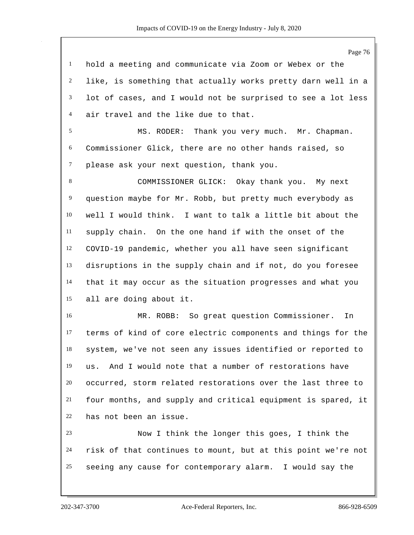Page 76 hold a meeting and communicate via Zoom or Webex or the like, is something that actually works pretty darn well in a lot of cases, and I would not be surprised to see a lot less air travel and the like due to that. MS. RODER: Thank you very much. Mr. Chapman. Commissioner Glick, there are no other hands raised, so please ask your next question, thank you. COMMISSIONER GLICK: Okay thank you. My next question maybe for Mr. Robb, but pretty much everybody as well I would think. I want to talk a little bit about the supply chain. On the one hand if with the onset of the COVID-19 pandemic, whether you all have seen significant disruptions in the supply chain and if not, do you foresee that it may occur as the situation progresses and what you all are doing about it. MR. ROBB: So great question Commissioner. In terms of kind of core electric components and things for the system, we've not seen any issues identified or reported to us. And I would note that a number of restorations have occurred, storm related restorations over the last three to four months, and supply and critical equipment is spared, it has not been an issue. Now I think the longer this goes, I think the risk of that continues to mount, but at this point we're not seeing any cause for contemporary alarm. I would say the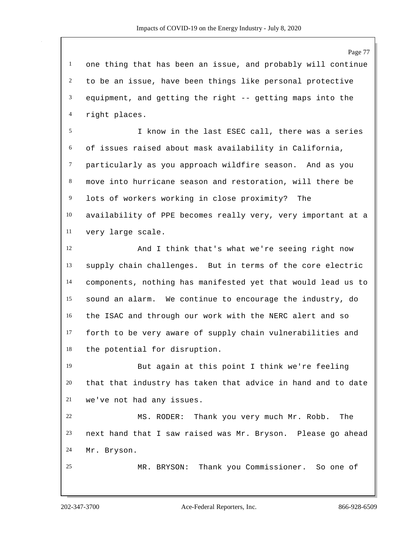one thing that has been an issue, and probably will continue to be an issue, have been things like personal protective equipment, and getting the right -- getting maps into the right places.

 I know in the last ESEC call, there was a series of issues raised about mask availability in California, particularly as you approach wildfire season. And as you move into hurricane season and restoration, will there be lots of workers working in close proximity? The availability of PPE becomes really very, very important at a very large scale.

 And I think that's what we're seeing right now supply chain challenges. But in terms of the core electric components, nothing has manifested yet that would lead us to sound an alarm. We continue to encourage the industry, do the ISAC and through our work with the NERC alert and so forth to be very aware of supply chain vulnerabilities and the potential for disruption.

 But again at this point I think we're feeling that that industry has taken that advice in hand and to date we've not had any issues.

 MS. RODER: Thank you very much Mr. Robb. The next hand that I saw raised was Mr. Bryson. Please go ahead Mr. Bryson.

MR. BRYSON: Thank you Commissioner. So one of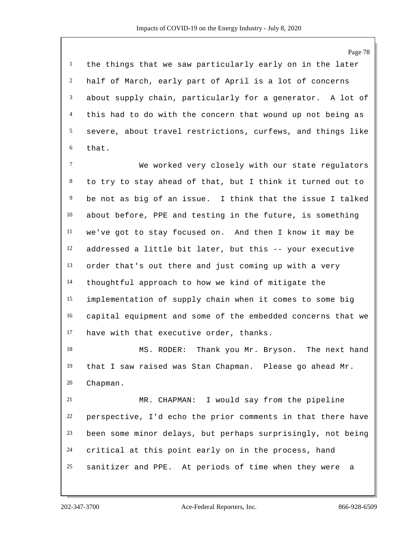the things that we saw particularly early on in the later half of March, early part of April is a lot of concerns about supply chain, particularly for a generator. A lot of this had to do with the concern that wound up not being as severe, about travel restrictions, curfews, and things like that.

 We worked very closely with our state regulators to try to stay ahead of that, but I think it turned out to be not as big of an issue. I think that the issue I talked about before, PPE and testing in the future, is something we've got to stay focused on. And then I know it may be addressed a little bit later, but this -- your executive order that's out there and just coming up with a very thoughtful approach to how we kind of mitigate the implementation of supply chain when it comes to some big capital equipment and some of the embedded concerns that we have with that executive order, thanks.

 MS. RODER: Thank you Mr. Bryson. The next hand that I saw raised was Stan Chapman. Please go ahead Mr. Chapman.

 MR. CHAPMAN: I would say from the pipeline perspective, I'd echo the prior comments in that there have been some minor delays, but perhaps surprisingly, not being critical at this point early on in the process, hand sanitizer and PPE. At periods of time when they were a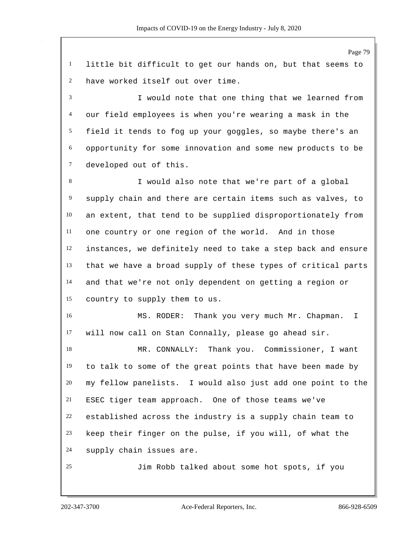Page 79 little bit difficult to get our hands on, but that seems to have worked itself out over time. I would note that one thing that we learned from our field employees is when you're wearing a mask in the field it tends to fog up your goggles, so maybe there's an opportunity for some innovation and some new products to be developed out of this. I would also note that we're part of a global supply chain and there are certain items such as valves, to an extent, that tend to be supplied disproportionately from one country or one region of the world. And in those instances, we definitely need to take a step back and ensure that we have a broad supply of these types of critical parts and that we're not only dependent on getting a region or country to supply them to us. MS. RODER: Thank you very much Mr. Chapman. I will now call on Stan Connally, please go ahead sir. MR. CONNALLY: Thank you. Commissioner, I want to talk to some of the great points that have been made by my fellow panelists. I would also just add one point to the ESEC tiger team approach. One of those teams we've established across the industry is a supply chain team to keep their finger on the pulse, if you will, of what the supply chain issues are. Jim Robb talked about some hot spots, if you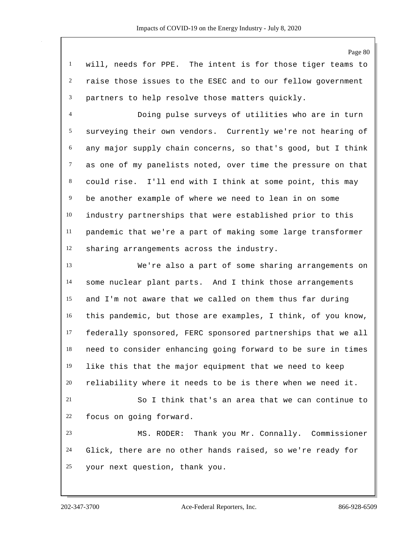will, needs for PPE. The intent is for those tiger teams to raise those issues to the ESEC and to our fellow government partners to help resolve those matters quickly.

 Doing pulse surveys of utilities who are in turn surveying their own vendors. Currently we're not hearing of any major supply chain concerns, so that's good, but I think as one of my panelists noted, over time the pressure on that could rise. I'll end with I think at some point, this may be another example of where we need to lean in on some industry partnerships that were established prior to this pandemic that we're a part of making some large transformer sharing arrangements across the industry.

 We're also a part of some sharing arrangements on some nuclear plant parts. And I think those arrangements and I'm not aware that we called on them thus far during this pandemic, but those are examples, I think, of you know, federally sponsored, FERC sponsored partnerships that we all need to consider enhancing going forward to be sure in times like this that the major equipment that we need to keep reliability where it needs to be is there when we need it.

 So I think that's an area that we can continue to focus on going forward.

 MS. RODER: Thank you Mr. Connally. Commissioner Glick, there are no other hands raised, so we're ready for your next question, thank you.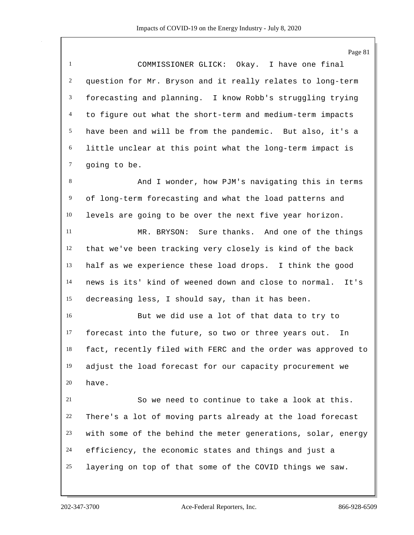Page 81

 COMMISSIONER GLICK: Okay. I have one final question for Mr. Bryson and it really relates to long-term forecasting and planning. I know Robb's struggling trying to figure out what the short-term and medium-term impacts have been and will be from the pandemic. But also, it's a little unclear at this point what the long-term impact is going to be.

 And I wonder, how PJM's navigating this in terms of long-term forecasting and what the load patterns and levels are going to be over the next five year horizon.

 MR. BRYSON: Sure thanks. And one of the things that we've been tracking very closely is kind of the back half as we experience these load drops. I think the good news is its' kind of weened down and close to normal. It's decreasing less, I should say, than it has been.

 But we did use a lot of that data to try to forecast into the future, so two or three years out. In fact, recently filed with FERC and the order was approved to adjust the load forecast for our capacity procurement we have.

 So we need to continue to take a look at this. There's a lot of moving parts already at the load forecast with some of the behind the meter generations, solar, energy efficiency, the economic states and things and just a layering on top of that some of the COVID things we saw.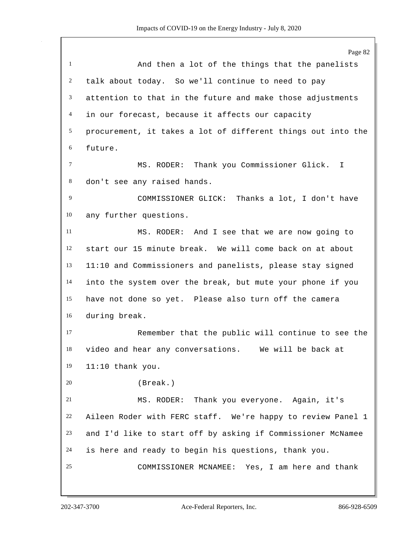|                | Page 82                                                      |
|----------------|--------------------------------------------------------------|
| $\mathbf{1}$   | And then a lot of the things that the panelists              |
| 2              | talk about today. So we'll continue to need to pay           |
| 3              | attention to that in the future and make those adjustments   |
| $\overline{4}$ | in our forecast, because it affects our capacity             |
| 5              | procurement, it takes a lot of different things out into the |
| 6              | future.                                                      |
| $\tau$         | MS. RODER: Thank you Commissioner Glick. I                   |
| 8              | don't see any raised hands.                                  |
| 9              | Thanks a lot, I don't have<br>COMMISSIONER GLICK:            |
| 10             | any further questions.                                       |
| 11             | MS. RODER: And I see that we are now going to                |
| 12             | start our 15 minute break. We will come back on at about     |
| 13             | 11:10 and Commissioners and panelists, please stay signed    |
| 14             | into the system over the break, but mute your phone if you   |
| 15             | have not done so yet. Please also turn off the camera        |
| 16             | during break.                                                |
| 17             | Remember that the public will continue to see the            |
| 18             | video and hear any conversations. We will be back at         |
| 19             | $11:10$ thank you.                                           |
| 20             | (Break.)                                                     |
| 21             | MS. RODER: Thank you everyone. Again, it's                   |
| 22             | Aileen Roder with FERC staff. We're happy to review Panel 1  |
| 23             | and I'd like to start off by asking if Commissioner McNamee  |
| 24             | is here and ready to begin his questions, thank you.         |
| 25             | COMMISSIONER MCNAMEE: Yes, I am here and thank               |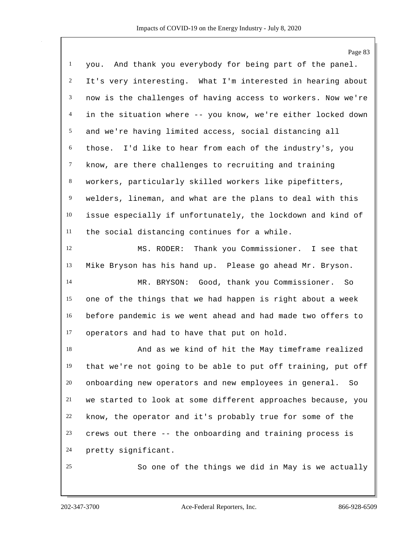|                | Page 83                                                      |
|----------------|--------------------------------------------------------------|
| $\mathbf{1}$   | you. And thank you everybody for being part of the panel.    |
| $\overline{c}$ | It's very interesting. What I'm interested in hearing about  |
| 3              | now is the challenges of having access to workers. Now we're |
| 4              | in the situation where -- you know, we're either locked down |
| 5              | and we're having limited access, social distancing all       |
| 6              | those. I'd like to hear from each of the industry's, you     |
| $\tau$         | know, are there challenges to recruiting and training        |
| $8\,$          | workers, particularly skilled workers like pipefitters,      |
| 9              | welders, lineman, and what are the plans to deal with this   |
| 10             | issue especially if unfortunately, the lockdown and kind of  |
| 11             | the social distancing continues for a while.                 |
| 12             | MS. RODER: Thank you Commissioner. I see that                |
| 13             | Mike Bryson has his hand up. Please go ahead Mr. Bryson.     |
| 14             | MR. BRYSON: Good, thank you Commissioner. So                 |
| 15             | one of the things that we had happen is right about a week   |
| 16             | before pandemic is we went ahead and had made two offers to  |
| 17             | operators and had to have that put on hold.                  |
| 18             | And as we kind of hit the May timeframe realized             |
| 19             | that we're not going to be able to put off training, put off |
| 20             | onboarding new operators and new employees in general. So    |
| 21             | we started to look at some different approaches because, you |
| 22             | know, the operator and it's probably true for some of the    |
| 23             | crews out there -- the onboarding and training process is    |
| 24             | pretty significant.                                          |
| 25             | So one of the things we did in May is we actually            |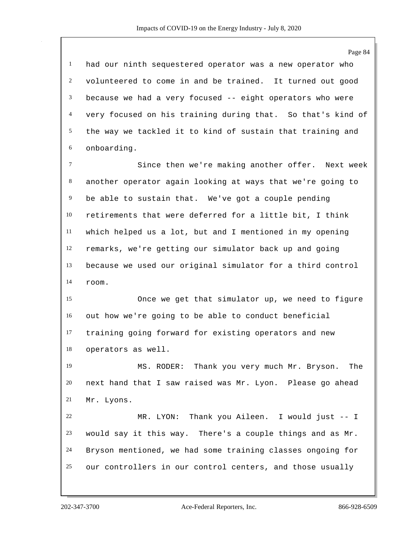Page 84 had our ninth sequestered operator was a new operator who volunteered to come in and be trained. It turned out good because we had a very focused -- eight operators who were very focused on his training during that. So that's kind of the way we tackled it to kind of sustain that training and onboarding. Since then we're making another offer. Next week another operator again looking at ways that we're going to be able to sustain that. We've got a couple pending retirements that were deferred for a little bit, I think which helped us a lot, but and I mentioned in my opening remarks, we're getting our simulator back up and going because we used our original simulator for a third control room. Once we get that simulator up, we need to figure out how we're going to be able to conduct beneficial training going forward for existing operators and new operators as well. MS. RODER: Thank you very much Mr. Bryson. The next hand that I saw raised was Mr. Lyon. Please go ahead Mr. Lyons. MR. LYON: Thank you Aileen. I would just -- I would say it this way. There's a couple things and as Mr. Bryson mentioned, we had some training classes ongoing for our controllers in our control centers, and those usually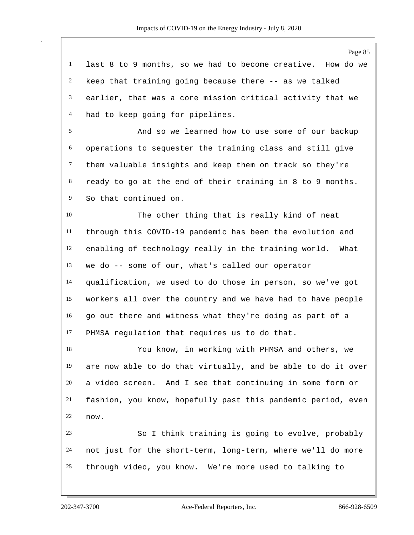last 8 to 9 months, so we had to become creative. How do we keep that training going because there -- as we talked earlier, that was a core mission critical activity that we had to keep going for pipelines.

 And so we learned how to use some of our backup operations to sequester the training class and still give them valuable insights and keep them on track so they're ready to go at the end of their training in 8 to 9 months. So that continued on.

 The other thing that is really kind of neat through this COVID-19 pandemic has been the evolution and enabling of technology really in the training world. What we do -- some of our, what's called our operator qualification, we used to do those in person, so we've got workers all over the country and we have had to have people go out there and witness what they're doing as part of a PHMSA regulation that requires us to do that.

 You know, in working with PHMSA and others, we are now able to do that virtually, and be able to do it over a video screen. And I see that continuing in some form or fashion, you know, hopefully past this pandemic period, even now.

 So I think training is going to evolve, probably not just for the short-term, long-term, where we'll do more through video, you know. We're more used to talking to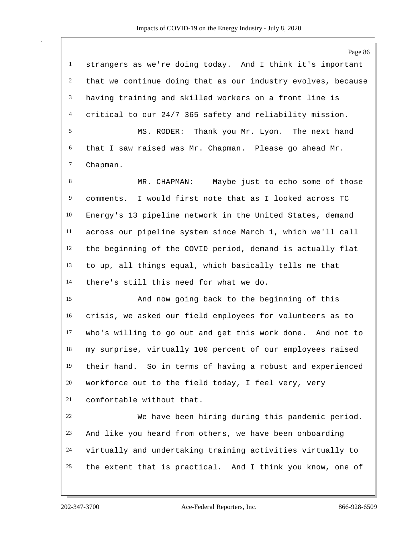Page 86 strangers as we're doing today. And I think it's important that we continue doing that as our industry evolves, because having training and skilled workers on a front line is critical to our 24/7 365 safety and reliability mission. MS. RODER: Thank you Mr. Lyon. The next hand that I saw raised was Mr. Chapman. Please go ahead Mr. Chapman. MR. CHAPMAN: Maybe just to echo some of those comments. I would first note that as I looked across TC Energy's 13 pipeline network in the United States, demand across our pipeline system since March 1, which we'll call the beginning of the COVID period, demand is actually flat to up, all things equal, which basically tells me that there's still this need for what we do. And now going back to the beginning of this crisis, we asked our field employees for volunteers as to who's willing to go out and get this work done. And not to my surprise, virtually 100 percent of our employees raised their hand. So in terms of having a robust and experienced workforce out to the field today, I feel very, very comfortable without that. We have been hiring during this pandemic period. And like you heard from others, we have been onboarding virtually and undertaking training activities virtually to the extent that is practical. And I think you know, one of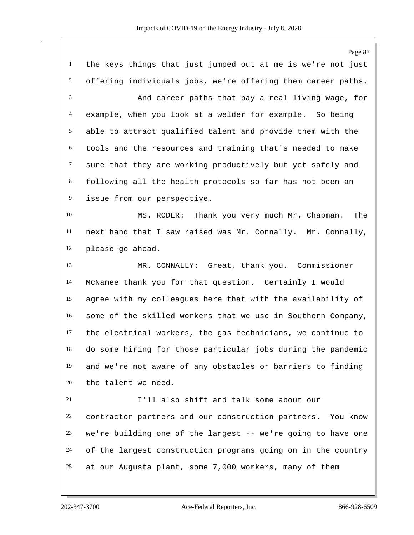Page 87 the keys things that just jumped out at me is we're not just offering individuals jobs, we're offering them career paths. And career paths that pay a real living wage, for example, when you look at a welder for example. So being able to attract qualified talent and provide them with the tools and the resources and training that's needed to make sure that they are working productively but yet safely and following all the health protocols so far has not been an issue from our perspective. MS. RODER: Thank you very much Mr. Chapman. The next hand that I saw raised was Mr. Connally. Mr. Connally, please go ahead. MR. CONNALLY: Great, thank you. Commissioner McNamee thank you for that question. Certainly I would agree with my colleagues here that with the availability of some of the skilled workers that we use in Southern Company, the electrical workers, the gas technicians, we continue to do some hiring for those particular jobs during the pandemic and we're not aware of any obstacles or barriers to finding the talent we need. I'll also shift and talk some about our contractor partners and our construction partners. You know we're building one of the largest -- we're going to have one of the largest construction programs going on in the country at our Augusta plant, some 7,000 workers, many of them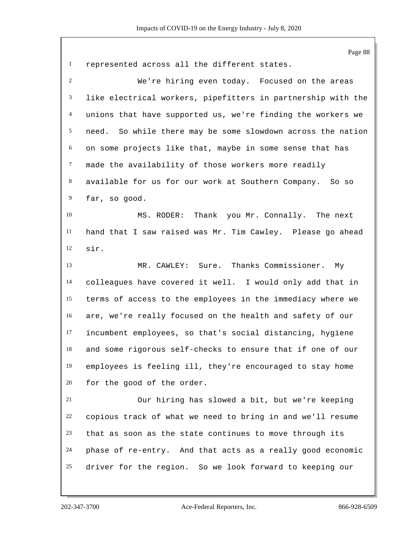represented across all the different states. We're hiring even today. Focused on the areas like electrical workers, pipefitters in partnership with the unions that have supported us, we're finding the workers we need. So while there may be some slowdown across the nation on some projects like that, maybe in some sense that has made the availability of those workers more readily available for us for our work at Southern Company. So so far, so good. MS. RODER: Thank you Mr. Connally. The next hand that I saw raised was Mr. Tim Cawley. Please go ahead sir. MR. CAWLEY: Sure. Thanks Commissioner. My colleagues have covered it well. I would only add that in terms of access to the employees in the immediacy where we are, we're really focused on the health and safety of our incumbent employees, so that's social distancing, hygiene and some rigorous self-checks to ensure that if one of our employees is feeling ill, they're encouraged to stay home for the good of the order. Our hiring has slowed a bit, but we're keeping copious track of what we need to bring in and we'll resume that as soon as the state continues to move through its phase of re-entry. And that acts as a really good economic driver for the region. So we look forward to keeping our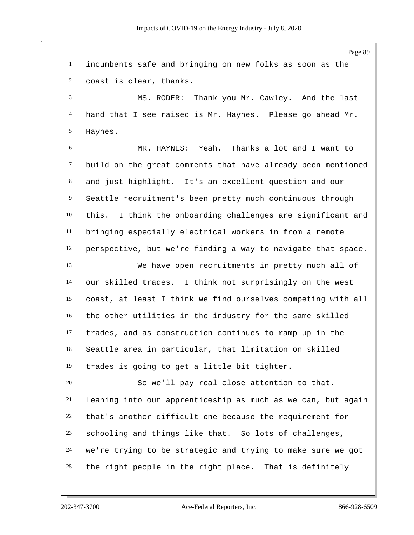Page 89 incumbents safe and bringing on new folks as soon as the coast is clear, thanks. MS. RODER: Thank you Mr. Cawley. And the last hand that I see raised is Mr. Haynes. Please go ahead Mr. Haynes. MR. HAYNES: Yeah. Thanks a lot and I want to build on the great comments that have already been mentioned and just highlight. It's an excellent question and our Seattle recruitment's been pretty much continuous through this. I think the onboarding challenges are significant and bringing especially electrical workers in from a remote perspective, but we're finding a way to navigate that space. We have open recruitments in pretty much all of our skilled trades. I think not surprisingly on the west coast, at least I think we find ourselves competing with all the other utilities in the industry for the same skilled trades, and as construction continues to ramp up in the Seattle area in particular, that limitation on skilled trades is going to get a little bit tighter. So we'll pay real close attention to that. Leaning into our apprenticeship as much as we can, but again that's another difficult one because the requirement for schooling and things like that. So lots of challenges, we're trying to be strategic and trying to make sure we got the right people in the right place. That is definitely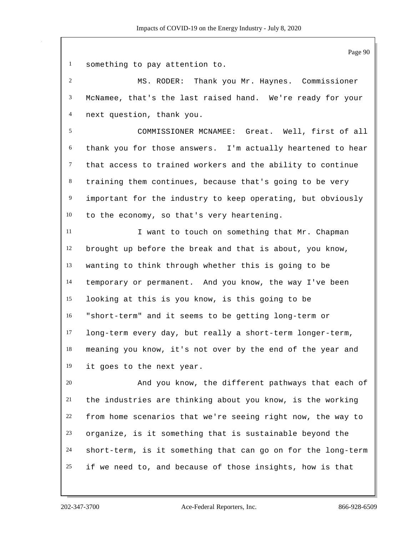Page 90

something to pay attention to.

 MS. RODER: Thank you Mr. Haynes. Commissioner McNamee, that's the last raised hand. We're ready for your next question, thank you.

 COMMISSIONER MCNAMEE: Great. Well, first of all thank you for those answers. I'm actually heartened to hear that access to trained workers and the ability to continue training them continues, because that's going to be very important for the industry to keep operating, but obviously to the economy, so that's very heartening.

11 I want to touch on something that Mr. Chapman brought up before the break and that is about, you know, wanting to think through whether this is going to be temporary or permanent. And you know, the way I've been looking at this is you know, is this going to be "short-term" and it seems to be getting long-term or long-term every day, but really a short-term longer-term, meaning you know, it's not over by the end of the year and it goes to the next year.

 And you know, the different pathways that each of the industries are thinking about you know, is the working from home scenarios that we're seeing right now, the way to organize, is it something that is sustainable beyond the short-term, is it something that can go on for the long-term if we need to, and because of those insights, how is that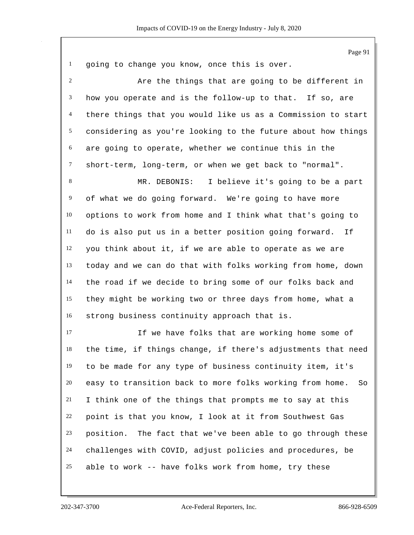Page 91

|  |  |  | going to change you know, once this is over. |  |  |  |  |  |  |
|--|--|--|----------------------------------------------|--|--|--|--|--|--|
|--|--|--|----------------------------------------------|--|--|--|--|--|--|

 Are the things that are going to be different in how you operate and is the follow-up to that. If so, are there things that you would like us as a Commission to start considering as you're looking to the future about how things are going to operate, whether we continue this in the short-term, long-term, or when we get back to "normal".

 MR. DEBONIS: I believe it's going to be a part of what we do going forward. We're going to have more options to work from home and I think what that's going to do is also put us in a better position going forward. If you think about it, if we are able to operate as we are today and we can do that with folks working from home, down the road if we decide to bring some of our folks back and they might be working two or three days from home, what a strong business continuity approach that is.

 If we have folks that are working home some of the time, if things change, if there's adjustments that need to be made for any type of business continuity item, it's easy to transition back to more folks working from home. So I think one of the things that prompts me to say at this point is that you know, I look at it from Southwest Gas position. The fact that we've been able to go through these challenges with COVID, adjust policies and procedures, be able to work -- have folks work from home, try these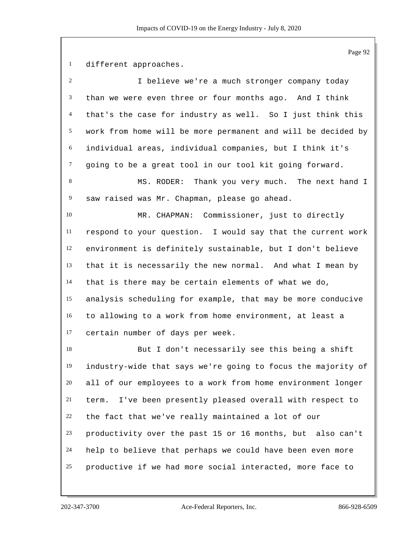different approaches.

| 2      | I believe we're a much stronger company today                |
|--------|--------------------------------------------------------------|
| 3      | than we were even three or four months ago. And I think      |
| 4      | that's the case for industry as well. So I just think this   |
| 5      | work from home will be more permanent and will be decided by |
| 6      | individual areas, individual companies, but I think it's     |
| $\tau$ | going to be a great tool in our tool kit going forward.      |
| 8      | MS. RODER: Thank you very much. The next hand I              |
| 9      | saw raised was Mr. Chapman, please go ahead.                 |
| 10     | MR. CHAPMAN: Commissioner, just to directly                  |
| 11     | respond to your question. I would say that the current work  |
| 12     | environment is definitely sustainable, but I don't believe   |
| 13     | that it is necessarily the new normal. And what I mean by    |
| 14     | that is there may be certain elements of what we do,         |
| 15     | analysis scheduling for example, that may be more conducive  |
| 16     | to allowing to a work from home environment, at least a      |
| 17     | certain number of days per week.                             |
| 18     | But I don't necessarily see this being a shift               |
| 19     | industry-wide that says we're going to focus the majority of |
| 20     | all of our employees to a work from home environment longer  |
| 21     | I've been presently pleased overall with respect to<br>term. |
| 22     | the fact that we've really maintained a lot of our           |
| 23     | productivity over the past 15 or 16 months, but also can't   |
| 24     | help to believe that perhaps we could have been even more    |
| 25     | productive if we had more social interacted, more face to    |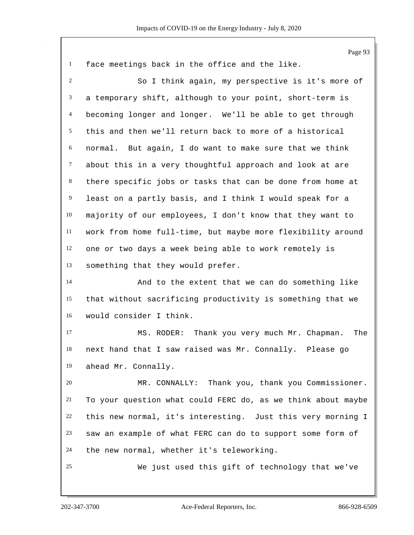|                | Page 93                                                      |
|----------------|--------------------------------------------------------------|
| $\mathbf{1}$   | face meetings back in the office and the like.               |
| $\overline{2}$ | So I think again, my perspective is it's more of             |
| 3              | a temporary shift, although to your point, short-term is     |
| 4              | becoming longer and longer. We'll be able to get through     |
| 5              | this and then we'll return back to more of a historical      |
| 6              | normal. But again, I do want to make sure that we think      |
| $\tau$         | about this in a very thoughtful approach and look at are     |
| $\,8\,$        | there specific jobs or tasks that can be done from home at   |
| $\overline{9}$ | least on a partly basis, and I think I would speak for a     |
| 10             | majority of our employees, I don't know that they want to    |
| $11\,$         | work from home full-time, but maybe more flexibility around  |
| 12             | one or two days a week being able to work remotely is        |
| 13             | something that they would prefer.                            |
| 14             | And to the extent that we can do something like              |
| 15             | that without sacrificing productivity is something that we   |
| 16             | would consider I think.                                      |
| 17             | Thank you very much Mr. Chapman.<br>The<br>MS. RODER:        |
| 18             | next hand that I saw raised was Mr. Connally. Please go      |
| 19             | ahead Mr. Connally.                                          |
| 20             | MR. CONNALLY: Thank you, thank you Commissioner.             |
| 21             | To your question what could FERC do, as we think about maybe |
| 22             | this new normal, it's interesting. Just this very morning I  |
| 23             | saw an example of what FERC can do to support some form of   |
| 24             | the new normal, whether it's teleworking.                    |
| 25             | We just used this gift of technology that we've              |
|                |                                                              |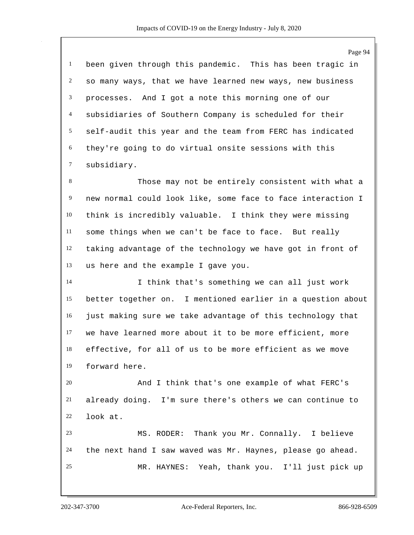Page 94 been given through this pandemic. This has been tragic in so many ways, that we have learned new ways, new business processes. And I got a note this morning one of our subsidiaries of Southern Company is scheduled for their self-audit this year and the team from FERC has indicated they're going to do virtual onsite sessions with this subsidiary. Those may not be entirely consistent with what a new normal could look like, some face to face interaction I think is incredibly valuable. I think they were missing some things when we can't be face to face. But really taking advantage of the technology we have got in front of us here and the example I gave you. I think that's something we can all just work better together on. I mentioned earlier in a question about just making sure we take advantage of this technology that we have learned more about it to be more efficient, more effective, for all of us to be more efficient as we move forward here. And I think that's one example of what FERC's already doing. I'm sure there's others we can continue to look at. MS. RODER: Thank you Mr. Connally. I believe the next hand I saw waved was Mr. Haynes, please go ahead. MR. HAYNES: Yeah, thank you. I'll just pick up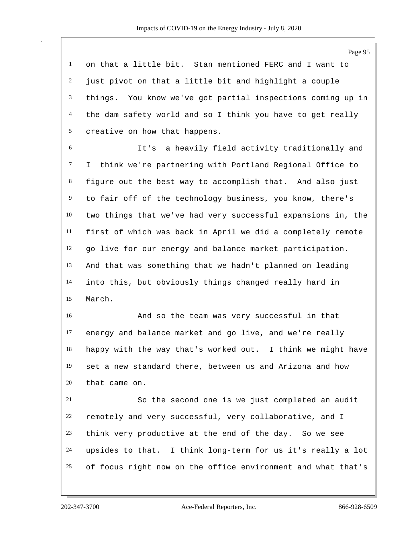on that a little bit. Stan mentioned FERC and I want to just pivot on that a little bit and highlight a couple things. You know we've got partial inspections coming up in the dam safety world and so I think you have to get really creative on how that happens.

 It's a heavily field activity traditionally and I think we're partnering with Portland Regional Office to figure out the best way to accomplish that. And also just to fair off of the technology business, you know, there's two things that we've had very successful expansions in, the first of which was back in April we did a completely remote go live for our energy and balance market participation. And that was something that we hadn't planned on leading into this, but obviously things changed really hard in March.

 And so the team was very successful in that energy and balance market and go live, and we're really happy with the way that's worked out. I think we might have set a new standard there, between us and Arizona and how that came on.

 So the second one is we just completed an audit remotely and very successful, very collaborative, and I think very productive at the end of the day. So we see upsides to that. I think long-term for us it's really a lot of focus right now on the office environment and what that's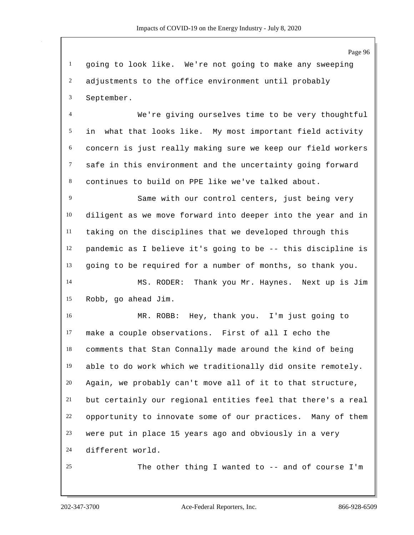Page 96 going to look like. We're not going to make any sweeping adjustments to the office environment until probably September. We're giving ourselves time to be very thoughtful in what that looks like. My most important field activity concern is just really making sure we keep our field workers safe in this environment and the uncertainty going forward continues to build on PPE like we've talked about. Same with our control centers, just being very diligent as we move forward into deeper into the year and in taking on the disciplines that we developed through this pandemic as I believe it's going to be -- this discipline is going to be required for a number of months, so thank you. MS. RODER: Thank you Mr. Haynes. Next up is Jim Robb, go ahead Jim. MR. ROBB: Hey, thank you. I'm just going to make a couple observations. First of all I echo the comments that Stan Connally made around the kind of being able to do work which we traditionally did onsite remotely. Again, we probably can't move all of it to that structure, but certainly our regional entities feel that there's a real opportunity to innovate some of our practices. Many of them were put in place 15 years ago and obviously in a very different world. The other thing I wanted to -- and of course I'm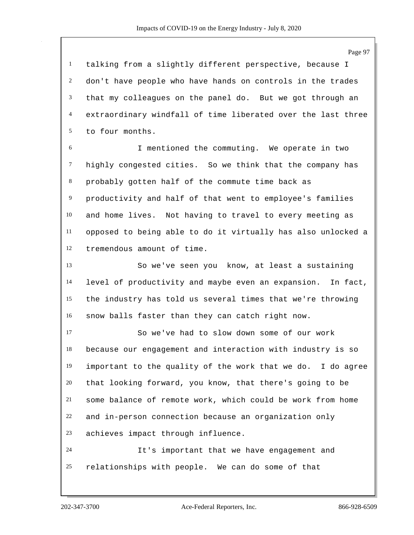talking from a slightly different perspective, because I don't have people who have hands on controls in the trades that my colleagues on the panel do. But we got through an extraordinary windfall of time liberated over the last three to four months.

 I mentioned the commuting. We operate in two highly congested cities. So we think that the company has probably gotten half of the commute time back as productivity and half of that went to employee's families and home lives. Not having to travel to every meeting as opposed to being able to do it virtually has also unlocked a tremendous amount of time.

 So we've seen you know, at least a sustaining level of productivity and maybe even an expansion. In fact, the industry has told us several times that we're throwing snow balls faster than they can catch right now.

 So we've had to slow down some of our work because our engagement and interaction with industry is so important to the quality of the work that we do. I do agree that looking forward, you know, that there's going to be some balance of remote work, which could be work from home and in-person connection because an organization only achieves impact through influence.

 It's important that we have engagement and relationships with people. We can do some of that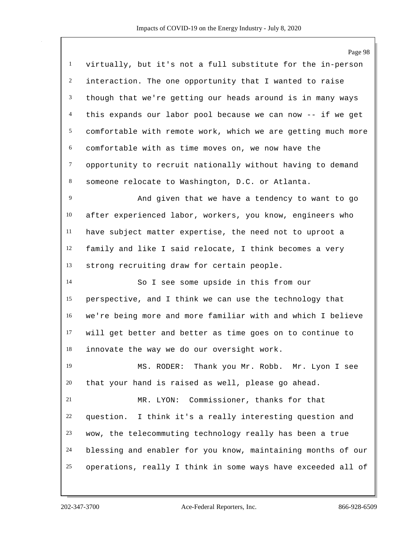Page 98 virtually, but it's not a full substitute for the in-person interaction. The one opportunity that I wanted to raise though that we're getting our heads around is in many ways this expands our labor pool because we can now -- if we get comfortable with remote work, which we are getting much more comfortable with as time moves on, we now have the opportunity to recruit nationally without having to demand someone relocate to Washington, D.C. or Atlanta. And given that we have a tendency to want to go after experienced labor, workers, you know, engineers who have subject matter expertise, the need not to uproot a family and like I said relocate, I think becomes a very strong recruiting draw for certain people. So I see some upside in this from our perspective, and I think we can use the technology that we're being more and more familiar with and which I believe will get better and better as time goes on to continue to innovate the way we do our oversight work. MS. RODER: Thank you Mr. Robb. Mr. Lyon I see that your hand is raised as well, please go ahead. MR. LYON: Commissioner, thanks for that question. I think it's a really interesting question and wow, the telecommuting technology really has been a true blessing and enabler for you know, maintaining months of our operations, really I think in some ways have exceeded all of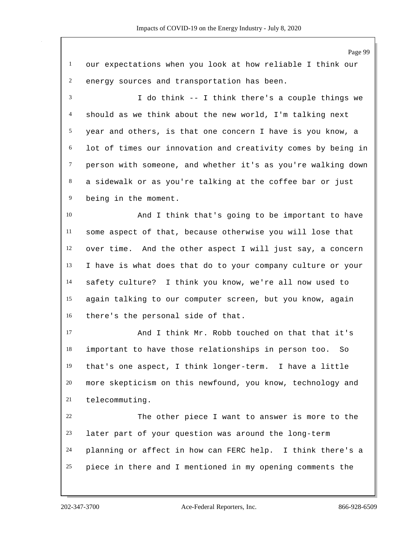Page 99 our expectations when you look at how reliable I think our energy sources and transportation has been. I do think -- I think there's a couple things we should as we think about the new world, I'm talking next year and others, is that one concern I have is you know, a lot of times our innovation and creativity comes by being in person with someone, and whether it's as you're walking down a sidewalk or as you're talking at the coffee bar or just being in the moment. And I think that's going to be important to have some aspect of that, because otherwise you will lose that over time. And the other aspect I will just say, a concern I have is what does that do to your company culture or your safety culture? I think you know, we're all now used to again talking to our computer screen, but you know, again there's the personal side of that. And I think Mr. Robb touched on that that it's important to have those relationships in person too. So that's one aspect, I think longer-term. I have a little more skepticism on this newfound, you know, technology and telecommuting. The other piece I want to answer is more to the later part of your question was around the long-term planning or affect in how can FERC help. I think there's a piece in there and I mentioned in my opening comments the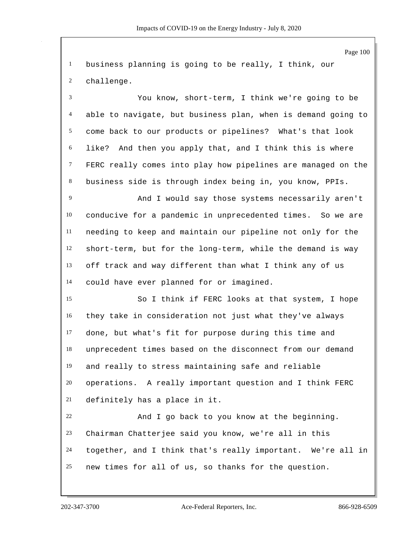business planning is going to be really, I think, our challenge.

 You know, short-term, I think we're going to be able to navigate, but business plan, when is demand going to come back to our products or pipelines? What's that look like? And then you apply that, and I think this is where FERC really comes into play how pipelines are managed on the business side is through index being in, you know, PPIs.

 And I would say those systems necessarily aren't conducive for a pandemic in unprecedented times. So we are needing to keep and maintain our pipeline not only for the short-term, but for the long-term, while the demand is way off track and way different than what I think any of us could have ever planned for or imagined.

 So I think if FERC looks at that system, I hope they take in consideration not just what they've always done, but what's fit for purpose during this time and unprecedent times based on the disconnect from our demand and really to stress maintaining safe and reliable operations. A really important question and I think FERC definitely has a place in it.

 And I go back to you know at the beginning. Chairman Chatterjee said you know, we're all in this together, and I think that's really important. We're all in new times for all of us, so thanks for the question.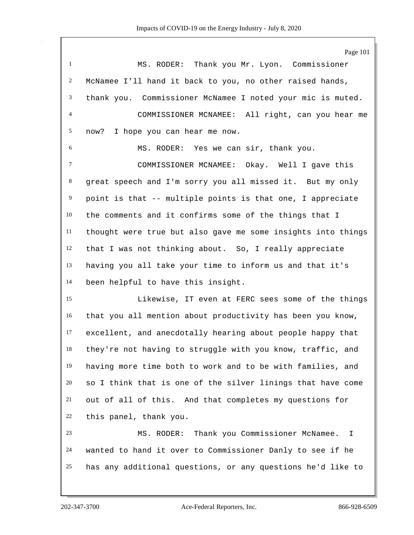Page 101 MS. RODER: Thank you Mr. Lyon. Commissioner McNamee I'll hand it back to you, no other raised hands, thank you. Commissioner McNamee I noted your mic is muted. COMMISSIONER MCNAMEE: All right, can you hear me now? I hope you can hear me now. MS. RODER: Yes we can sir, thank you. COMMISSIONER MCNAMEE: Okay. Well I gave this great speech and I'm sorry you all missed it. But my only point is that -- multiple points is that one, I appreciate the comments and it confirms some of the things that I thought were true but also gave me some insights into things that I was not thinking about. So, I really appreciate having you all take your time to inform us and that it's been helpful to have this insight. Likewise, IT even at FERC sees some of the things that you all mention about productivity has been you know, excellent, and anecdotally hearing about people happy that they're not having to struggle with you know, traffic, and having more time both to work and to be with families, and so I think that is one of the silver linings that have come out of all of this. And that completes my questions for this panel, thank you. MS. RODER: Thank you Commissioner McNamee. I wanted to hand it over to Commissioner Danly to see if he has any additional questions, or any questions he'd like to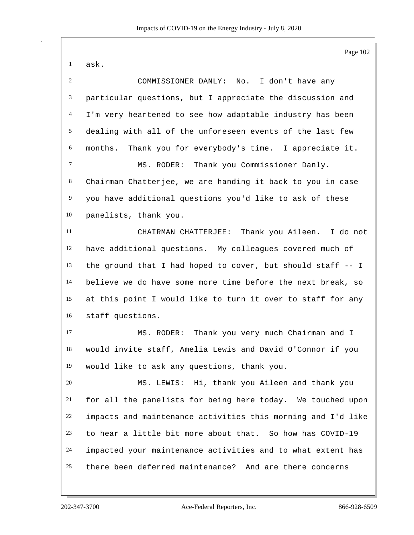Page 102 ask. COMMISSIONER DANLY: No. I don't have any particular questions, but I appreciate the discussion and I'm very heartened to see how adaptable industry has been dealing with all of the unforeseen events of the last few months. Thank you for everybody's time. I appreciate it. MS. RODER: Thank you Commissioner Danly. Chairman Chatterjee, we are handing it back to you in case you have additional questions you'd like to ask of these panelists, thank you. CHAIRMAN CHATTERJEE: Thank you Aileen. I do not have additional questions. My colleagues covered much of the ground that I had hoped to cover, but should staff -- I believe we do have some more time before the next break, so at this point I would like to turn it over to staff for any staff questions. MS. RODER: Thank you very much Chairman and I would invite staff, Amelia Lewis and David O'Connor if you would like to ask any questions, thank you. MS. LEWIS: Hi, thank you Aileen and thank you for all the panelists for being here today. We touched upon impacts and maintenance activities this morning and I'd like to hear a little bit more about that. So how has COVID-19 impacted your maintenance activities and to what extent has there been deferred maintenance? And are there concerns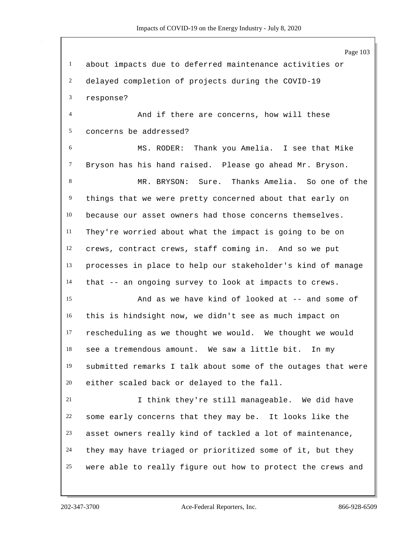Page 103 about impacts due to deferred maintenance activities or delayed completion of projects during the COVID-19 response? And if there are concerns, how will these concerns be addressed? MS. RODER: Thank you Amelia. I see that Mike Bryson has his hand raised. Please go ahead Mr. Bryson. MR. BRYSON: Sure. Thanks Amelia. So one of the things that we were pretty concerned about that early on because our asset owners had those concerns themselves. They're worried about what the impact is going to be on crews, contract crews, staff coming in. And so we put processes in place to help our stakeholder's kind of manage that -- an ongoing survey to look at impacts to crews. And as we have kind of looked at -- and some of this is hindsight now, we didn't see as much impact on rescheduling as we thought we would. We thought we would see a tremendous amount. We saw a little bit. In my submitted remarks I talk about some of the outages that were either scaled back or delayed to the fall. I think they're still manageable. We did have some early concerns that they may be. It looks like the asset owners really kind of tackled a lot of maintenance, they may have triaged or prioritized some of it, but they were able to really figure out how to protect the crews and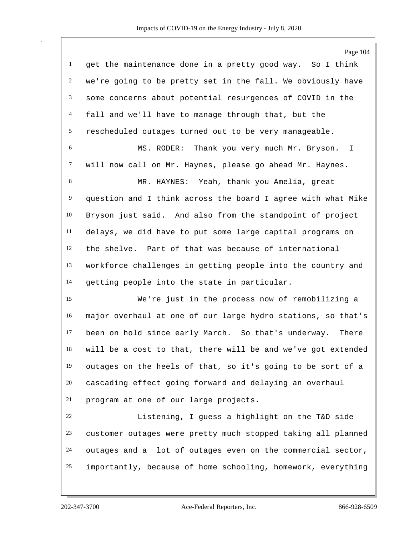Page 104 get the maintenance done in a pretty good way. So I think we're going to be pretty set in the fall. We obviously have some concerns about potential resurgences of COVID in the fall and we'll have to manage through that, but the rescheduled outages turned out to be very manageable. MS. RODER: Thank you very much Mr. Bryson. I will now call on Mr. Haynes, please go ahead Mr. Haynes. MR. HAYNES: Yeah, thank you Amelia, great question and I think across the board I agree with what Mike Bryson just said. And also from the standpoint of project delays, we did have to put some large capital programs on the shelve. Part of that was because of international workforce challenges in getting people into the country and getting people into the state in particular. We're just in the process now of remobilizing a major overhaul at one of our large hydro stations, so that's been on hold since early March. So that's underway. There will be a cost to that, there will be and we've got extended outages on the heels of that, so it's going to be sort of a cascading effect going forward and delaying an overhaul program at one of our large projects. Listening, I guess a highlight on the T&D side customer outages were pretty much stopped taking all planned outages and a lot of outages even on the commercial sector, importantly, because of home schooling, homework, everything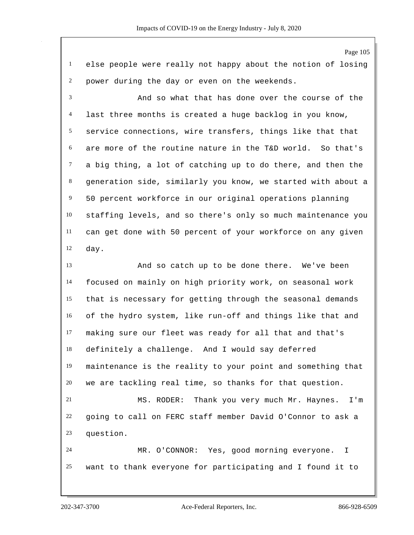Page 105 else people were really not happy about the notion of losing power during the day or even on the weekends. And so what that has done over the course of the last three months is created a huge backlog in you know, service connections, wire transfers, things like that that are more of the routine nature in the T&D world. So that's a big thing, a lot of catching up to do there, and then the generation side, similarly you know, we started with about a 50 percent workforce in our original operations planning staffing levels, and so there's only so much maintenance you can get done with 50 percent of your workforce on any given day. And so catch up to be done there. We've been focused on mainly on high priority work, on seasonal work that is necessary for getting through the seasonal demands of the hydro system, like run-off and things like that and making sure our fleet was ready for all that and that's definitely a challenge. And I would say deferred maintenance is the reality to your point and something that we are tackling real time, so thanks for that question. MS. RODER: Thank you very much Mr. Haynes. I'm going to call on FERC staff member David O'Connor to ask a question. MR. O'CONNOR: Yes, good morning everyone. I want to thank everyone for participating and I found it to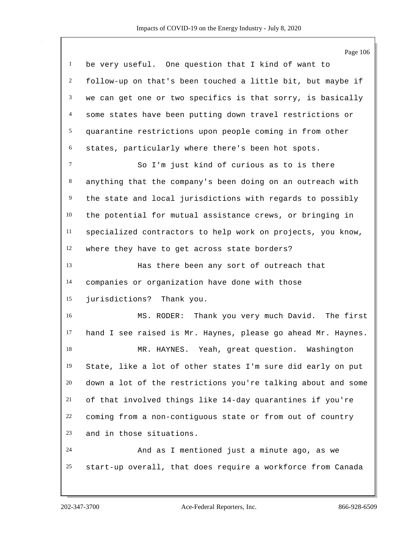|                | Page 106                                                     |
|----------------|--------------------------------------------------------------|
| $\mathbf{1}$   | be very useful. One question that I kind of want to          |
| 2              | follow-up on that's been touched a little bit, but maybe if  |
| 3              | we can get one or two specifics is that sorry, is basically  |
| $\overline{4}$ | some states have been putting down travel restrictions or    |
| 5              | quarantine restrictions upon people coming in from other     |
| 6              | states, particularly where there's been hot spots.           |
| $\tau$         | So I'm just kind of curious as to is there                   |
| 8              | anything that the company's been doing on an outreach with   |
| 9              | the state and local jurisdictions with regards to possibly   |
| 10             | the potential for mutual assistance crews, or bringing in    |
| $11\,$         | specialized contractors to help work on projects, you know,  |
| 12             | where they have to get across state borders?                 |
| 13             | Has there been any sort of outreach that                     |
| 14             | companies or organization have done with those               |
| 15             | jurisdictions? Thank you.                                    |
| 16             | MS. RODER: Thank you very much David. The first              |
| 17             | hand I see raised is Mr. Haynes, please go ahead Mr. Haynes. |
| 18             | MR. HAYNES.<br>Yeah, great question. Washington              |
| 19             | State, like a lot of other states I'm sure did early on put  |
| 20             | down a lot of the restrictions you're talking about and some |
| 21             | of that involved things like 14-day quarantines if you're    |
| 22             | coming from a non-contiguous state or from out of country    |
| 23             | and in those situations.                                     |
| 24             | And as I mentioned just a minute ago, as we                  |
| 25             | start-up overall, that does require a workforce from Canada  |
|                |                                                              |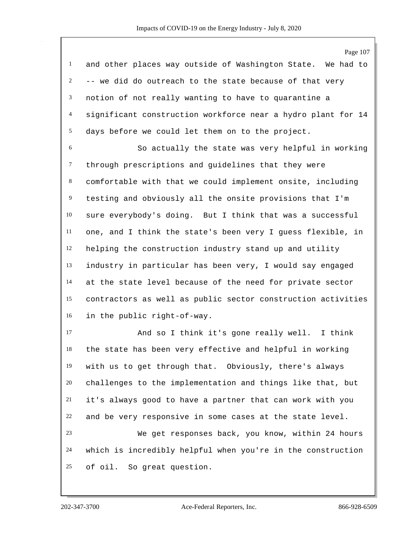Page 107 and other places way outside of Washington State. We had to -- we did do outreach to the state because of that very notion of not really wanting to have to quarantine a significant construction workforce near a hydro plant for 14 days before we could let them on to the project. So actually the state was very helpful in working through prescriptions and guidelines that they were

 comfortable with that we could implement onsite, including testing and obviously all the onsite provisions that I'm sure everybody's doing. But I think that was a successful one, and I think the state's been very I guess flexible, in helping the construction industry stand up and utility industry in particular has been very, I would say engaged at the state level because of the need for private sector contractors as well as public sector construction activities in the public right-of-way.

 And so I think it's gone really well. I think the state has been very effective and helpful in working with us to get through that. Obviously, there's always challenges to the implementation and things like that, but it's always good to have a partner that can work with you and be very responsive in some cases at the state level. We get responses back, you know, within 24 hours which is incredibly helpful when you're in the construction of oil. So great question.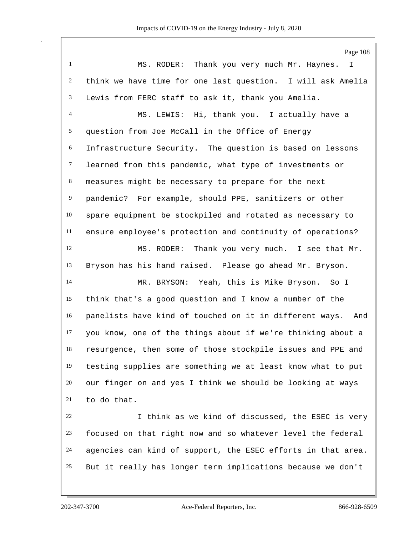Page 108 MS. RODER: Thank you very much Mr. Haynes. I think we have time for one last question. I will ask Amelia Lewis from FERC staff to ask it, thank you Amelia. MS. LEWIS: Hi, thank you. I actually have a question from Joe McCall in the Office of Energy Infrastructure Security. The question is based on lessons learned from this pandemic, what type of investments or measures might be necessary to prepare for the next pandemic? For example, should PPE, sanitizers or other spare equipment be stockpiled and rotated as necessary to ensure employee's protection and continuity of operations? MS. RODER: Thank you very much. I see that Mr. Bryson has his hand raised. Please go ahead Mr. Bryson. MR. BRYSON: Yeah, this is Mike Bryson. So I think that's a good question and I know a number of the panelists have kind of touched on it in different ways. And you know, one of the things about if we're thinking about a resurgence, then some of those stockpile issues and PPE and testing supplies are something we at least know what to put our finger on and yes I think we should be looking at ways to do that. I think as we kind of discussed, the ESEC is very focused on that right now and so whatever level the federal agencies can kind of support, the ESEC efforts in that area.

But it really has longer term implications because we don't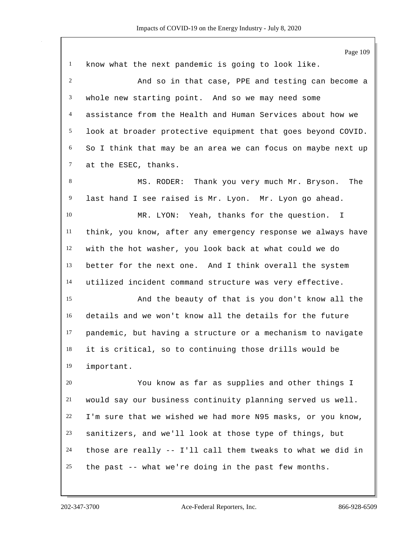|              | Page 109                                                     |
|--------------|--------------------------------------------------------------|
| $\mathbf{1}$ | know what the next pandemic is going to look like.           |
| 2            | And so in that case, PPE and testing can become a            |
| 3            | whole new starting point. And so we may need some            |
| 4            | assistance from the Health and Human Services about how we   |
| 5            | look at broader protective equipment that goes beyond COVID. |
| 6            | So I think that may be an area we can focus on maybe next up |
| $\tau$       | at the ESEC, thanks.                                         |
| 8            | Thank you very much Mr. Bryson.<br>MS. RODER:<br>The         |
| 9            | last hand I see raised is Mr. Lyon. Mr. Lyon go ahead.       |
| 10           | MR. LYON: Yeah, thanks for the question.<br>$\mathbf{I}$     |
| 11           | think, you know, after any emergency response we always have |
| 12           | with the hot washer, you look back at what could we do       |
| 13           | better for the next one. And I think overall the system      |
| 14           | utilized incident command structure was very effective.      |
| 15           | And the beauty of that is you don't know all the             |
| 16           | details and we won't know all the details for the future     |
| 17           | pandemic, but having a structure or a mechanism to navigate  |
| 18           | it is critical, so to continuing those drills would be       |
| 19           | important.                                                   |
| 20           | You know as far as supplies and other things I               |
| 21           | would say our business continuity planning served us well.   |
| 22           | I'm sure that we wished we had more N95 masks, or you know,  |
| 23           | sanitizers, and we'll look at those type of things, but      |
| 24           | those are really -- I'll call them tweaks to what we did in  |
| 25           | the past -- what we're doing in the past few months.         |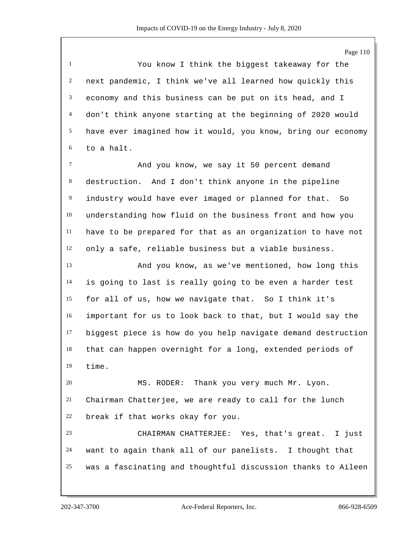You know I think the biggest takeaway for the next pandemic, I think we've all learned how quickly this economy and this business can be put on its head, and I don't think anyone starting at the beginning of 2020 would have ever imagined how it would, you know, bring our economy to a halt. And you know, we say it 50 percent demand

 destruction. And I don't think anyone in the pipeline industry would have ever imaged or planned for that. So understanding how fluid on the business front and how you have to be prepared for that as an organization to have not only a safe, reliable business but a viable business.

 And you know, as we've mentioned, how long this is going to last is really going to be even a harder test for all of us, how we navigate that. So I think it's important for us to look back to that, but I would say the biggest piece is how do you help navigate demand destruction that can happen overnight for a long, extended periods of time.

 MS. RODER: Thank you very much Mr. Lyon. Chairman Chatterjee, we are ready to call for the lunch break if that works okay for you.

 CHAIRMAN CHATTERJEE: Yes, that's great. I just want to again thank all of our panelists. I thought that was a fascinating and thoughtful discussion thanks to Aileen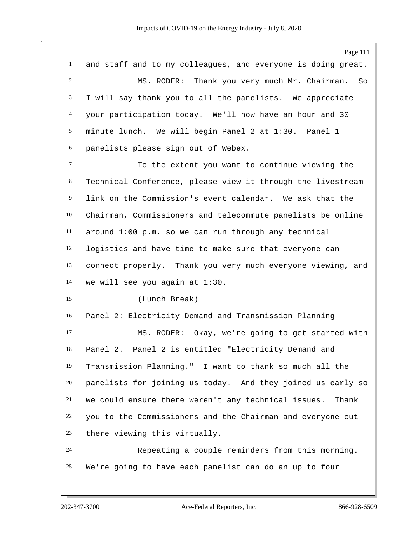Page 111 and staff and to my colleagues, and everyone is doing great. MS. RODER: Thank you very much Mr. Chairman. So I will say thank you to all the panelists. We appreciate your participation today. We'll now have an hour and 30 minute lunch. We will begin Panel 2 at 1:30. Panel 1 panelists please sign out of Webex. To the extent you want to continue viewing the Technical Conference, please view it through the livestream link on the Commission's event calendar. We ask that the Chairman, Commissioners and telecommute panelists be online around 1:00 p.m. so we can run through any technical logistics and have time to make sure that everyone can connect properly. Thank you very much everyone viewing, and we will see you again at 1:30. (Lunch Break) Panel 2: Electricity Demand and Transmission Planning MS. RODER: Okay, we're going to get started with Panel 2. Panel 2 is entitled "Electricity Demand and Transmission Planning." I want to thank so much all the panelists for joining us today. And they joined us early so we could ensure there weren't any technical issues. Thank you to the Commissioners and the Chairman and everyone out there viewing this virtually. Repeating a couple reminders from this morning. We're going to have each panelist can do an up to four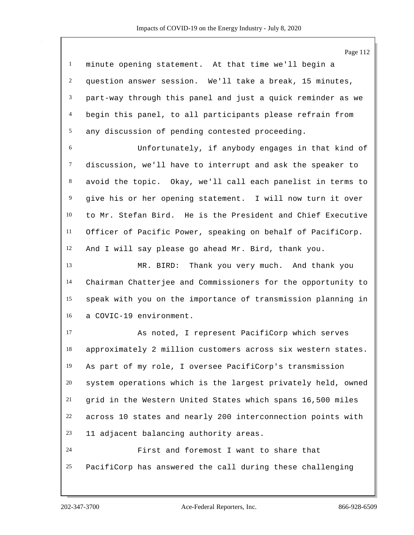|                | Page 112                                                     |
|----------------|--------------------------------------------------------------|
| $\mathbf{1}$   | minute opening statement. At that time we'll begin a         |
| $\overline{c}$ | question answer session. We'll take a break, 15 minutes,     |
| 3              | part-way through this panel and just a quick reminder as we  |
| 4              | begin this panel, to all participants please refrain from    |
| 5              | any discussion of pending contested proceeding.              |
| $\sqrt{6}$     | Unfortunately, if anybody engages in that kind of            |
| $\tau$         | discussion, we'll have to interrupt and ask the speaker to   |
| 8              | avoid the topic. Okay, we'll call each panelist in terms to  |
| 9              | give his or her opening statement. I will now turn it over   |
| 10             | to Mr. Stefan Bird. He is the President and Chief Executive  |
| 11             | Officer of Pacific Power, speaking on behalf of PacifiCorp.  |
| 12             | And I will say please go ahead Mr. Bird, thank you.          |
| 13             | MR. BIRD: Thank you very much. And thank you                 |
| 14             | Chairman Chatterjee and Commissioners for the opportunity to |
| 15             | speak with you on the importance of transmission planning in |
| 16             | a COVIC-19 environment.                                      |
| 17             | As noted, I represent PacifiCorp which serves                |
| 18             | approximately 2 million customers across six western states. |
| 19             | As part of my role, I oversee PacifiCorp's transmission      |
| 20             | system operations which is the largest privately held, owned |
| 21             | grid in the Western United States which spans 16,500 miles   |
| 22             | across 10 states and nearly 200 interconnection points with  |
| 23             | 11 adjacent balancing authority areas.                       |
| 24             | First and foremost I want to share that                      |
| 25             | PacifiCorp has answered the call during these challenging    |
|                |                                                              |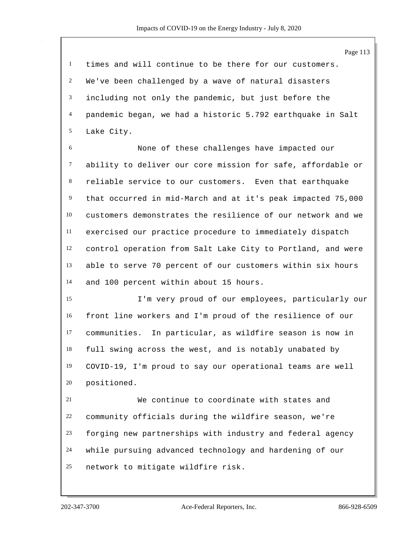times and will continue to be there for our customers. We've been challenged by a wave of natural disasters including not only the pandemic, but just before the pandemic began, we had a historic 5.792 earthquake in Salt Lake City.

 None of these challenges have impacted our ability to deliver our core mission for safe, affordable or reliable service to our customers. Even that earthquake that occurred in mid-March and at it's peak impacted 75,000 customers demonstrates the resilience of our network and we exercised our practice procedure to immediately dispatch control operation from Salt Lake City to Portland, and were able to serve 70 percent of our customers within six hours and 100 percent within about 15 hours.

 I'm very proud of our employees, particularly our front line workers and I'm proud of the resilience of our communities. In particular, as wildfire season is now in full swing across the west, and is notably unabated by COVID-19, I'm proud to say our operational teams are well positioned.

 We continue to coordinate with states and community officials during the wildfire season, we're forging new partnerships with industry and federal agency while pursuing advanced technology and hardening of our network to mitigate wildfire risk.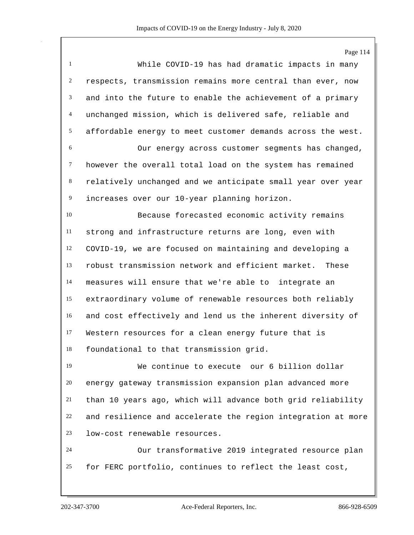Page 114 While COVID-19 has had dramatic impacts in many respects, transmission remains more central than ever, now and into the future to enable the achievement of a primary unchanged mission, which is delivered safe, reliable and affordable energy to meet customer demands across the west. Our energy across customer segments has changed, however the overall total load on the system has remained relatively unchanged and we anticipate small year over year increases over our 10-year planning horizon. Because forecasted economic activity remains strong and infrastructure returns are long, even with COVID-19, we are focused on maintaining and developing a robust transmission network and efficient market. These measures will ensure that we're able to integrate an extraordinary volume of renewable resources both reliably and cost effectively and lend us the inherent diversity of Western resources for a clean energy future that is foundational to that transmission grid. We continue to execute our 6 billion dollar energy gateway transmission expansion plan advanced more than 10 years ago, which will advance both grid reliability and resilience and accelerate the region integration at more low-cost renewable resources. Our transformative 2019 integrated resource plan for FERC portfolio, continues to reflect the least cost,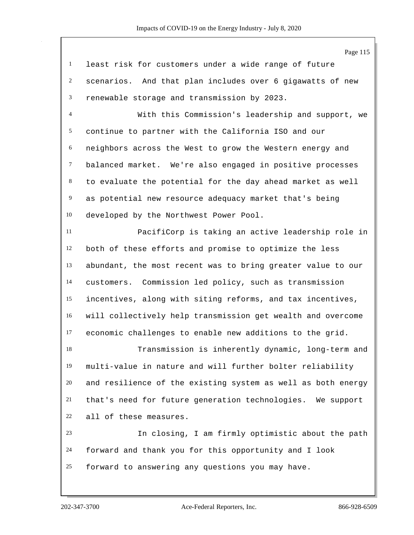Page 115 least risk for customers under a wide range of future scenarios. And that plan includes over 6 gigawatts of new renewable storage and transmission by 2023. With this Commission's leadership and support, we continue to partner with the California ISO and our neighbors across the West to grow the Western energy and balanced market. We're also engaged in positive processes to evaluate the potential for the day ahead market as well as potential new resource adequacy market that's being developed by the Northwest Power Pool. PacifiCorp is taking an active leadership role in both of these efforts and promise to optimize the less abundant, the most recent was to bring greater value to our customers. Commission led policy, such as transmission incentives, along with siting reforms, and tax incentives, will collectively help transmission get wealth and overcome economic challenges to enable new additions to the grid. Transmission is inherently dynamic, long-term and multi-value in nature and will further bolter reliability and resilience of the existing system as well as both energy that's need for future generation technologies. We support all of these measures. In closing, I am firmly optimistic about the path forward and thank you for this opportunity and I look forward to answering any questions you may have.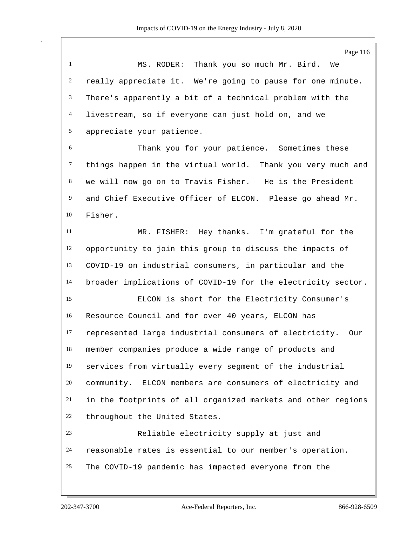Page 116 MS. RODER: Thank you so much Mr. Bird. We really appreciate it. We're going to pause for one minute. There's apparently a bit of a technical problem with the livestream, so if everyone can just hold on, and we appreciate your patience. Thank you for your patience. Sometimes these things happen in the virtual world. Thank you very much and we will now go on to Travis Fisher. He is the President and Chief Executive Officer of ELCON. Please go ahead Mr. Fisher. MR. FISHER: Hey thanks. I'm grateful for the opportunity to join this group to discuss the impacts of COVID-19 on industrial consumers, in particular and the broader implications of COVID-19 for the electricity sector. ELCON is short for the Electricity Consumer's Resource Council and for over 40 years, ELCON has represented large industrial consumers of electricity. Our member companies produce a wide range of products and services from virtually every segment of the industrial community. ELCON members are consumers of electricity and in the footprints of all organized markets and other regions throughout the United States. Reliable electricity supply at just and reasonable rates is essential to our member's operation. The COVID-19 pandemic has impacted everyone from the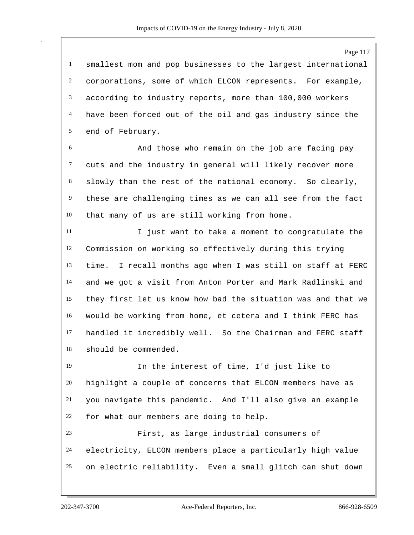smallest mom and pop businesses to the largest international corporations, some of which ELCON represents. For example, according to industry reports, more than 100,000 workers have been forced out of the oil and gas industry since the end of February.

 And those who remain on the job are facing pay cuts and the industry in general will likely recover more slowly than the rest of the national economy. So clearly, these are challenging times as we can all see from the fact that many of us are still working from home.

 I just want to take a moment to congratulate the Commission on working so effectively during this trying time. I recall months ago when I was still on staff at FERC and we got a visit from Anton Porter and Mark Radlinski and they first let us know how bad the situation was and that we would be working from home, et cetera and I think FERC has handled it incredibly well. So the Chairman and FERC staff should be commended.

 In the interest of time, I'd just like to highlight a couple of concerns that ELCON members have as you navigate this pandemic. And I'll also give an example for what our members are doing to help.

 First, as large industrial consumers of electricity, ELCON members place a particularly high value on electric reliability. Even a small glitch can shut down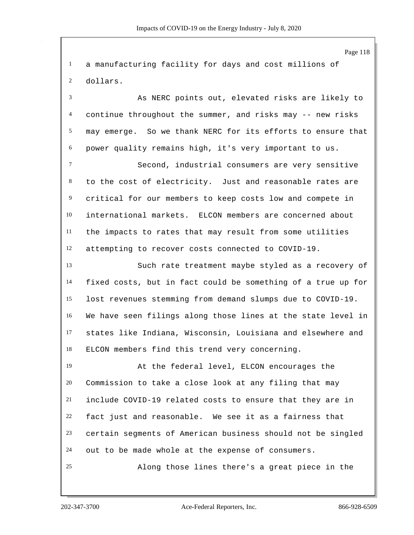a manufacturing facility for days and cost millions of dollars.

 As NERC points out, elevated risks are likely to continue throughout the summer, and risks may -- new risks may emerge. So we thank NERC for its efforts to ensure that power quality remains high, it's very important to us.

 Second, industrial consumers are very sensitive to the cost of electricity. Just and reasonable rates are critical for our members to keep costs low and compete in international markets. ELCON members are concerned about the impacts to rates that may result from some utilities attempting to recover costs connected to COVID-19.

 Such rate treatment maybe styled as a recovery of fixed costs, but in fact could be something of a true up for lost revenues stemming from demand slumps due to COVID-19. We have seen filings along those lines at the state level in states like Indiana, Wisconsin, Louisiana and elsewhere and ELCON members find this trend very concerning.

 At the federal level, ELCON encourages the Commission to take a close look at any filing that may include COVID-19 related costs to ensure that they are in fact just and reasonable. We see it as a fairness that certain segments of American business should not be singled out to be made whole at the expense of consumers. Along those lines there's a great piece in the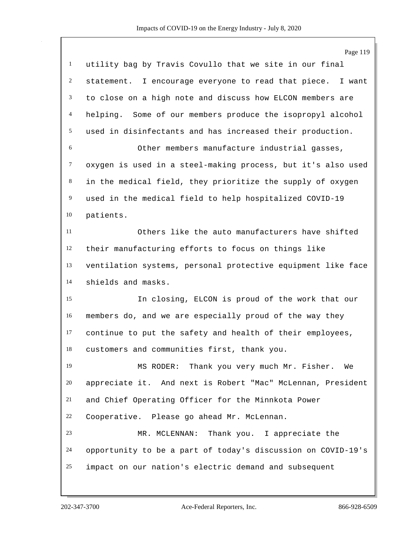|                | Page 119                                                     |
|----------------|--------------------------------------------------------------|
| $\mathbf{1}$   | utility bag by Travis Covullo that we site in our final      |
| $\overline{c}$ | statement. I encourage everyone to read that piece. I want   |
| 3              | to close on a high note and discuss how ELCON members are    |
| $\overline{4}$ | helping. Some of our members produce the isopropyl alcohol   |
| 5              | used in disinfectants and has increased their production.    |
| 6              | Other members manufacture industrial gasses,                 |
| $\tau$         | oxygen is used in a steel-making process, but it's also used |
| 8              | in the medical field, they prioritize the supply of oxygen   |
| $\overline{9}$ | used in the medical field to help hospitalized COVID-19      |
| 10             | patients.                                                    |
| 11             | Others like the auto manufacturers have shifted              |
| 12             | their manufacturing efforts to focus on things like          |
| 13             | ventilation systems, personal protective equipment like face |
| 14             | shields and masks.                                           |
| 15             | In closing, ELCON is proud of the work that our              |
| 16             | members do, and we are especially proud of the way they      |
| 17             | continue to put the safety and health of their employees,    |
| 18             | customers and communities first, thank you.                  |
| 19             | MS RODER: Thank you very much Mr. Fisher.<br>We              |
| 20             | appreciate it. And next is Robert "Mac" McLennan, President  |
| 21             | and Chief Operating Officer for the Minnkota Power           |
| 22             | Cooperative. Please go ahead Mr. McLennan.                   |
| 23             | MR. MCLENNAN: Thank you. I appreciate the                    |
| 24             | opportunity to be a part of today's discussion on COVID-19's |
| 25             | impact on our nation's electric demand and subsequent        |
|                |                                                              |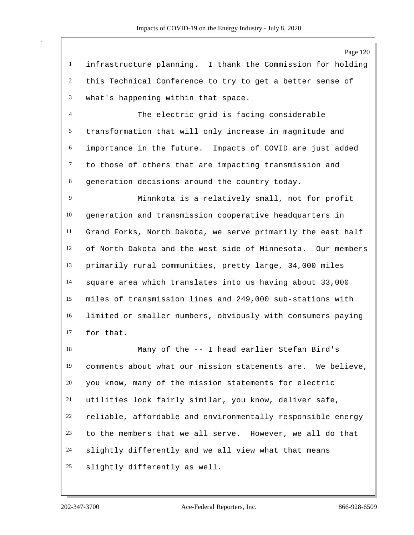infrastructure planning. I thank the Commission for holding this Technical Conference to try to get a better sense of what's happening within that space.

 The electric grid is facing considerable transformation that will only increase in magnitude and importance in the future. Impacts of COVID are just added to those of others that are impacting transmission and generation decisions around the country today.

 Minnkota is a relatively small, not for profit generation and transmission cooperative headquarters in Grand Forks, North Dakota, we serve primarily the east half of North Dakota and the west side of Minnesota. Our members primarily rural communities, pretty large, 34,000 miles square area which translates into us having about 33,000 miles of transmission lines and 249,000 sub-stations with limited or smaller numbers, obviously with consumers paying for that.

 Many of the -- I head earlier Stefan Bird's comments about what our mission statements are. We believe, you know, many of the mission statements for electric utilities look fairly similar, you know, deliver safe, reliable, affordable and environmentally responsible energy to the members that we all serve. However, we all do that slightly differently and we all view what that means slightly differently as well.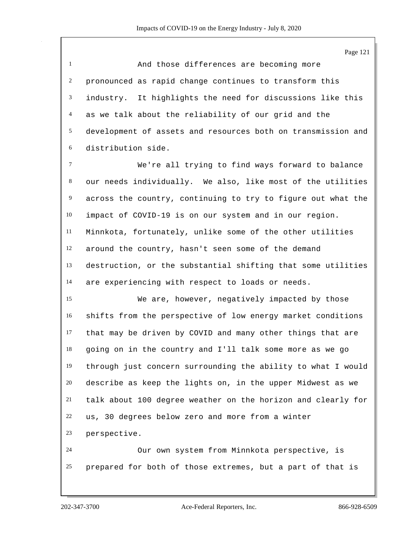Page 121 And those differences are becoming more pronounced as rapid change continues to transform this industry. It highlights the need for discussions like this as we talk about the reliability of our grid and the development of assets and resources both on transmission and distribution side. We're all trying to find ways forward to balance our needs individually. We also, like most of the utilities across the country, continuing to try to figure out what the impact of COVID-19 is on our system and in our region. Minnkota, fortunately, unlike some of the other utilities around the country, hasn't seen some of the demand destruction, or the substantial shifting that some utilities are experiencing with respect to loads or needs. We are, however, negatively impacted by those shifts from the perspective of low energy market conditions that may be driven by COVID and many other things that are going on in the country and I'll talk some more as we go through just concern surrounding the ability to what I would describe as keep the lights on, in the upper Midwest as we talk about 100 degree weather on the horizon and clearly for

us, 30 degrees below zero and more from a winter

perspective.

 Our own system from Minnkota perspective, is prepared for both of those extremes, but a part of that is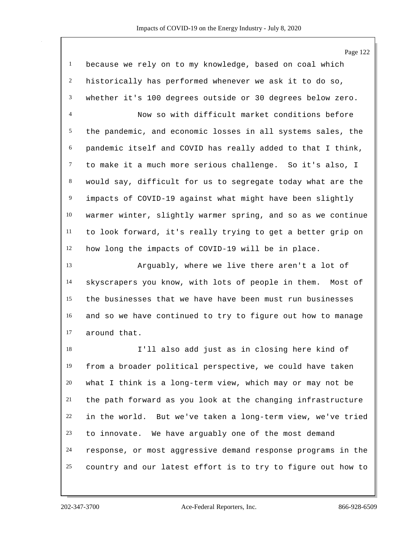|                | Page 122                                                     |
|----------------|--------------------------------------------------------------|
| $\mathbf{1}$   | because we rely on to my knowledge, based on coal which      |
| $\overline{c}$ | historically has performed whenever we ask it to do so,      |
| 3              | whether it's 100 degrees outside or 30 degrees below zero.   |
| 4              | Now so with difficult market conditions before               |
| 5              | the pandemic, and economic losses in all systems sales, the  |
| 6              | pandemic itself and COVID has really added to that I think,  |
| $\tau$         | to make it a much more serious challenge. So it's also, I    |
| 8              | would say, difficult for us to segregate today what are the  |
| $\overline{9}$ | impacts of COVID-19 against what might have been slightly    |
| 10             | warmer winter, slightly warmer spring, and so as we continue |
| 11             | to look forward, it's really trying to get a better grip on  |
| 12             | how long the impacts of COVID-19 will be in place.           |
| 13             | Arguably, where we live there aren't a lot of                |
| 14             | skyscrapers you know, with lots of people in them. Most of   |
| 15             | the businesses that we have have been must run businesses    |
| 16             | and so we have continued to try to figure out how to manage  |
| 17             | around that.                                                 |
| 18             | I'll also add just as in closing here kind of                |
| 19             | from a broader political perspective, we could have taken    |
| 20             | what I think is a long-term view, which may or may not be    |
| 21             | the path forward as you look at the changing infrastructure  |
| 22             | in the world. But we've taken a long-term view, we've tried  |
| 23             | to innovate. We have arguably one of the most demand         |
| 24             | response, or most aggressive demand response programs in the |
| 25             | country and our latest effort is to try to figure out how to |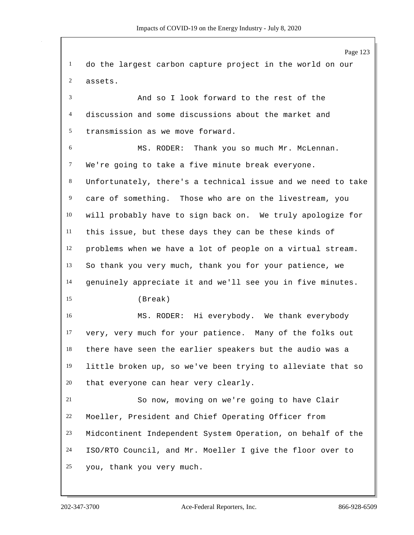Page 123 do the largest carbon capture project in the world on our assets. And so I look forward to the rest of the discussion and some discussions about the market and transmission as we move forward. MS. RODER: Thank you so much Mr. McLennan. We're going to take a five minute break everyone. Unfortunately, there's a technical issue and we need to take care of something. Those who are on the livestream, you will probably have to sign back on. We truly apologize for this issue, but these days they can be these kinds of problems when we have a lot of people on a virtual stream. So thank you very much, thank you for your patience, we genuinely appreciate it and we'll see you in five minutes. (Break) MS. RODER: Hi everybody. We thank everybody very, very much for your patience. Many of the folks out there have seen the earlier speakers but the audio was a little broken up, so we've been trying to alleviate that so that everyone can hear very clearly. So now, moving on we're going to have Clair Moeller, President and Chief Operating Officer from Midcontinent Independent System Operation, on behalf of the ISO/RTO Council, and Mr. Moeller I give the floor over to you, thank you very much.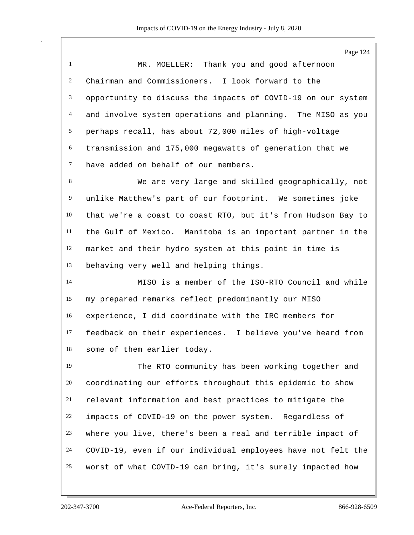| $\mathbf{1}$    | MR. MOELLER: Thank you and good afternoon                    |
|-----------------|--------------------------------------------------------------|
| $\overline{c}$  | Chairman and Commissioners. I look forward to the            |
| 3               | opportunity to discuss the impacts of COVID-19 on our system |
| $\overline{4}$  | and involve system operations and planning. The MISO as you  |
| $5\overline{)}$ | perhaps recall, has about 72,000 miles of high-voltage       |
| 6               | transmission and 175,000 megawatts of generation that we     |
| $\tau$          | have added on behalf of our members.                         |
| 8               | We are very large and skilled geographically, not            |
| $\overline{9}$  | unlike Matthew's part of our footprint. We sometimes joke    |
| 10              | that we're a coast to coast RTO, but it's from Hudson Bay to |
| 11              | the Gulf of Mexico. Manitoba is an important partner in the  |
| 12              | market and their hydro system at this point in time is       |
| 13              | behaving very well and helping things.                       |
| 14              | MISO is a member of the ISO-RTO Council and while            |
| 15              | my prepared remarks reflect predominantly our MISO           |
| 16              | experience, I did coordinate with the IRC members for        |
| 17              | feedback on their experiences. I believe you've heard from   |
| 18              | some of them earlier today.                                  |
| 19              | The RTO community has been working together and              |
| 20              | coordinating our efforts throughout this epidemic to show    |
| 21              | relevant information and best practices to mitigate the      |
| 22              | impacts of COVID-19 on the power system. Regardless of       |
| 23              | where you live, there's been a real and terrible impact of   |
| 24              | COVID-19, even if our individual employees have not felt the |
| 25              | worst of what COVID-19 can bring, it's surely impacted how   |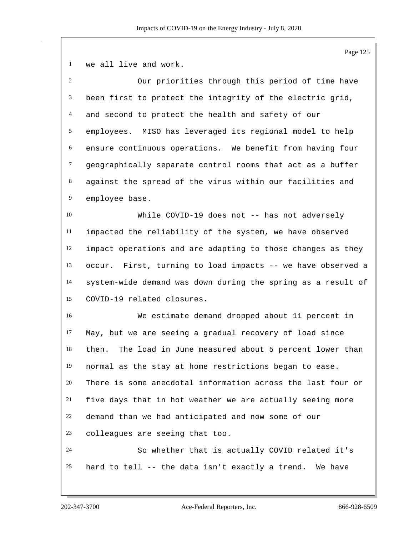we all live and work.

| 2              | Our priorities through this period of time have               |
|----------------|---------------------------------------------------------------|
| 3              | been first to protect the integrity of the electric grid,     |
| $\overline{4}$ | and second to protect the health and safety of our            |
| 5              | employees. MISO has leveraged its regional model to help      |
| 6              | ensure continuous operations. We benefit from having four     |
| $\tau$         | geographically separate control rooms that act as a buffer    |
| $8\,$          | against the spread of the virus within our facilities and     |
| $\overline{9}$ | employee base.                                                |
| 10             | While COVID-19 does not -- has not adversely                  |
| 11             | impacted the reliability of the system, we have observed      |
| 12             | impact operations and are adapting to those changes as they   |
| 13             | occur. First, turning to load impacts -- we have observed a   |
| 14             | system-wide demand was down during the spring as a result of  |
| 15             | COVID-19 related closures.                                    |
| 16             | We estimate demand dropped about 11 percent in                |
| 17             | May, but we are seeing a gradual recovery of load since       |
| 18             | The load in June measured about 5 percent lower than<br>then. |
| 19             | normal as the stay at home restrictions began to ease.        |
| 20             | There is some anecdotal information across the last four or   |
| 21             | five days that in hot weather we are actually seeing more     |
| 22             | demand than we had anticipated and now some of our            |
| 23             | colleagues are seeing that too.                               |
| 24             | So whether that is actually COVID related it's                |
| 25             | hard to tell -- the data isn't exactly a trend. We have       |
|                |                                                               |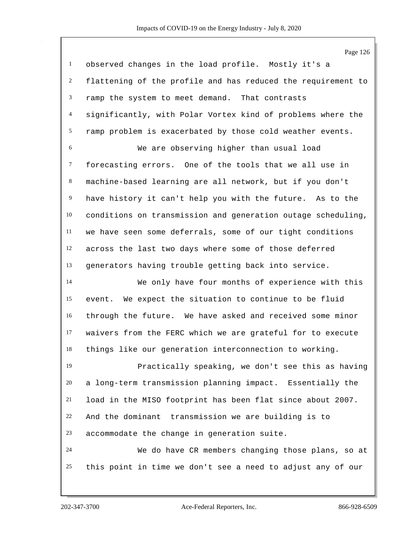|                  | Page 126                                                     |
|------------------|--------------------------------------------------------------|
| $\mathbf{1}$     | observed changes in the load profile. Mostly it's a          |
| $\overline{c}$   | flattening of the profile and has reduced the requirement to |
| $\mathfrak{Z}$   | ramp the system to meet demand. That contrasts               |
| $\overline{4}$   | significantly, with Polar Vortex kind of problems where the  |
| $\mathfrak{S}$   | ramp problem is exacerbated by those cold weather events.    |
| 6                | We are observing higher than usual load                      |
| $\tau$           | forecasting errors. One of the tools that we all use in      |
| 8                | machine-based learning are all network, but if you don't     |
| $\boldsymbol{9}$ | have history it can't help you with the future. As to the    |
| $10\,$           | conditions on transmission and generation outage scheduling, |
| 11               | we have seen some deferrals, some of our tight conditions    |
| 12               | across the last two days where some of those deferred        |
| 13               | generators having trouble getting back into service.         |
| 14               | We only have four months of experience with this             |
| 15               | event. We expect the situation to continue to be fluid       |
| 16               | through the future. We have asked and received some minor    |
| 17               | waivers from the FERC which we are grateful for to execute   |
| 18               | things like our generation interconnection to working.       |
| 19               | Practically speaking, we don't see this as having            |
| 20               | a long-term transmission planning impact. Essentially the    |
| 21               | load in the MISO footprint has been flat since about 2007.   |
| 22               | And the dominant transmission we are building is to          |
| 23               | accommodate the change in generation suite.                  |
| 24               | We do have CR members changing those plans, so at            |
| 25               | this point in time we don't see a need to adjust any of our  |
|                  |                                                              |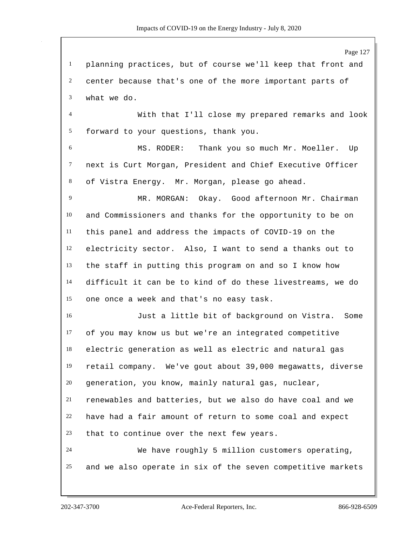planning practices, but of course we'll keep that front and center because that's one of the more important parts of what we do.

 With that I'll close my prepared remarks and look forward to your questions, thank you.

 MS. RODER: Thank you so much Mr. Moeller. Up next is Curt Morgan, President and Chief Executive Officer of Vistra Energy. Mr. Morgan, please go ahead.

 MR. MORGAN: Okay. Good afternoon Mr. Chairman and Commissioners and thanks for the opportunity to be on this panel and address the impacts of COVID-19 on the electricity sector. Also, I want to send a thanks out to the staff in putting this program on and so I know how difficult it can be to kind of do these livestreams, we do one once a week and that's no easy task.

 Just a little bit of background on Vistra. Some of you may know us but we're an integrated competitive electric generation as well as electric and natural gas retail company. We've gout about 39,000 megawatts, diverse generation, you know, mainly natural gas, nuclear, renewables and batteries, but we also do have coal and we have had a fair amount of return to some coal and expect that to continue over the next few years. We have roughly 5 million customers operating,

and we also operate in six of the seven competitive markets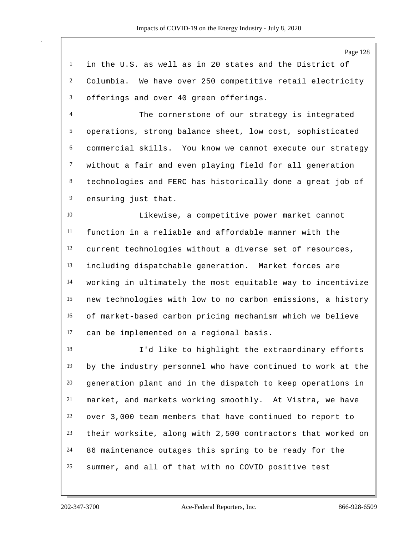Page 128 in the U.S. as well as in 20 states and the District of Columbia. We have over 250 competitive retail electricity offerings and over 40 green offerings. The cornerstone of our strategy is integrated operations, strong balance sheet, low cost, sophisticated commercial skills. You know we cannot execute our strategy

 technologies and FERC has historically done a great job of ensuring just that.

without a fair and even playing field for all generation

 Likewise, a competitive power market cannot function in a reliable and affordable manner with the current technologies without a diverse set of resources, including dispatchable generation. Market forces are working in ultimately the most equitable way to incentivize new technologies with low to no carbon emissions, a history of market-based carbon pricing mechanism which we believe can be implemented on a regional basis.

 I'd like to highlight the extraordinary efforts by the industry personnel who have continued to work at the generation plant and in the dispatch to keep operations in market, and markets working smoothly. At Vistra, we have over 3,000 team members that have continued to report to their worksite, along with 2,500 contractors that worked on 86 maintenance outages this spring to be ready for the summer, and all of that with no COVID positive test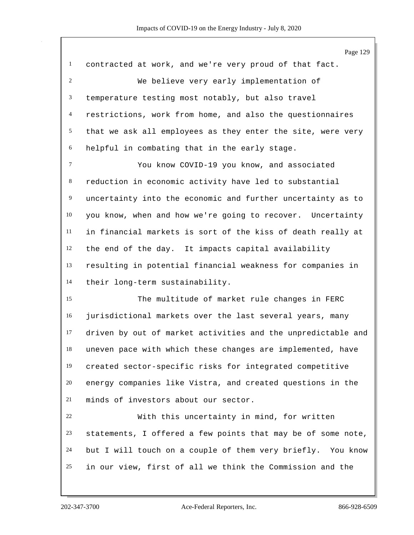contracted at work, and we're very proud of that fact. We believe very early implementation of temperature testing most notably, but also travel restrictions, work from home, and also the questionnaires that we ask all employees as they enter the site, were very helpful in combating that in the early stage. You know COVID-19 you know, and associated reduction in economic activity have led to substantial uncertainty into the economic and further uncertainty as to you know, when and how we're going to recover. Uncertainty in financial markets is sort of the kiss of death really at the end of the day. It impacts capital availability resulting in potential financial weakness for companies in their long-term sustainability. The multitude of market rule changes in FERC jurisdictional markets over the last several years, many driven by out of market activities and the unpredictable and uneven pace with which these changes are implemented, have created sector-specific risks for integrated competitive energy companies like Vistra, and created questions in the minds of investors about our sector. With this uncertainty in mind, for written statements, I offered a few points that may be of some note, but I will touch on a couple of them very briefly. You know

in our view, first of all we think the Commission and the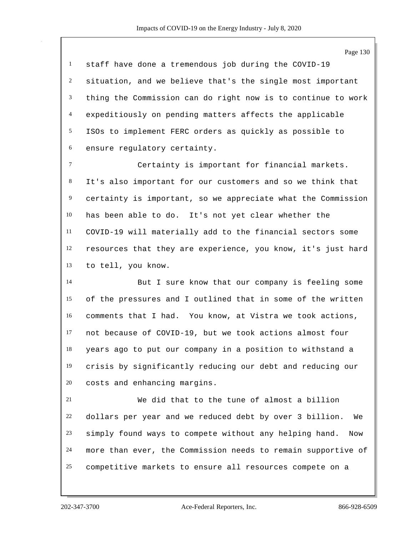staff have done a tremendous job during the COVID-19 situation, and we believe that's the single most important thing the Commission can do right now is to continue to work expeditiously on pending matters affects the applicable ISOs to implement FERC orders as quickly as possible to ensure regulatory certainty.

 Certainty is important for financial markets. It's also important for our customers and so we think that certainty is important, so we appreciate what the Commission has been able to do. It's not yet clear whether the COVID-19 will materially add to the financial sectors some resources that they are experience, you know, it's just hard to tell, you know.

 But I sure know that our company is feeling some of the pressures and I outlined that in some of the written comments that I had. You know, at Vistra we took actions, not because of COVID-19, but we took actions almost four years ago to put our company in a position to withstand a crisis by significantly reducing our debt and reducing our costs and enhancing margins.

 We did that to the tune of almost a billion dollars per year and we reduced debt by over 3 billion. We simply found ways to compete without any helping hand. Now more than ever, the Commission needs to remain supportive of competitive markets to ensure all resources compete on a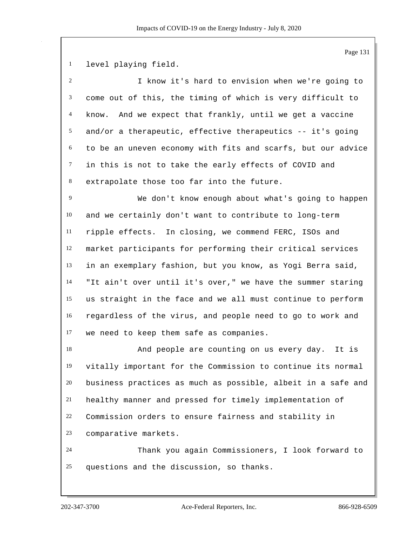level playing field.

| 2               | I know it's hard to envision when we're going to                                                                                                                                                                                  |
|-----------------|-----------------------------------------------------------------------------------------------------------------------------------------------------------------------------------------------------------------------------------|
| $\mathfrak{Z}$  | come out of this, the timing of which is very difficult to                                                                                                                                                                        |
| $\overline{4}$  | And we expect that frankly, until we get a vaccine<br>know.                                                                                                                                                                       |
| 5               | and/or a therapeutic, effective therapeutics -- it's going                                                                                                                                                                        |
| 6               | to be an uneven economy with fits and scarfs, but our advice                                                                                                                                                                      |
| $\tau$          | in this is not to take the early effects of COVID and                                                                                                                                                                             |
| 8               | extrapolate those too far into the future.                                                                                                                                                                                        |
| 9               | We don't know enough about what's going to happen                                                                                                                                                                                 |
| 10              | and we certainly don't want to contribute to long-term                                                                                                                                                                            |
| 11              | ripple effects. In closing, we commend FERC, ISOs and                                                                                                                                                                             |
| 12              | market participants for performing their critical services                                                                                                                                                                        |
| 13              | in an exemplary fashion, but you know, as Yogi Berra said,                                                                                                                                                                        |
| 14              | "It ain't over until it's over," we have the summer staring                                                                                                                                                                       |
| 15              | us straight in the face and we all must continue to perform                                                                                                                                                                       |
| 16              | regardless of the virus, and people need to go to work and                                                                                                                                                                        |
| 17              | we need to keep them safe as companies.                                                                                                                                                                                           |
| 18              | And people are counting on us every day.<br>It is                                                                                                                                                                                 |
| $\overline{10}$ | $\mathbf{r}$ . The contract of the contract of the contract of the contract of the contract of the contract of the contract of the contract of the contract of the contract of the contract of the contract of the contract of th |

 vitally important for the Commission to continue its normal business practices as much as possible, albeit in a safe and healthy manner and pressed for timely implementation of Commission orders to ensure fairness and stability in comparative markets.

 Thank you again Commissioners, I look forward to questions and the discussion, so thanks.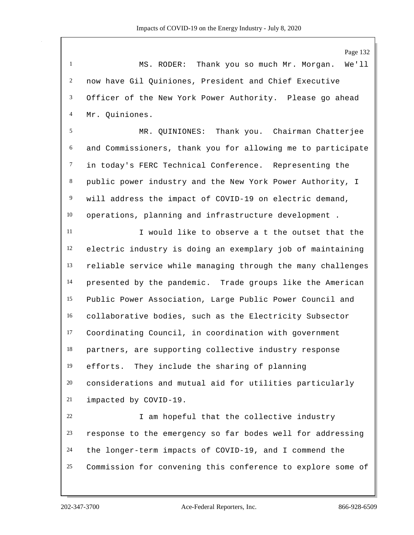|                | $1 \, \text{age} \, 132$                                    |
|----------------|-------------------------------------------------------------|
| $\mathbf{1}$   | Thank you so much Mr. Morgan.<br>MS. RODER:<br>We'll        |
| $\overline{c}$ | now have Gil Quiniones, President and Chief Executive       |
| 3              | Officer of the New York Power Authority. Please go ahead    |
| $\overline{4}$ | Mr. Quiniones.                                              |
| $\sqrt{5}$     | MR. QUINIONES: Thank you. Chairman Chatterjee               |
| 6              | and Commissioners, thank you for allowing me to participate |
| $\tau$         | in today's FERC Technical Conference. Representing the      |
| 8              | public power industry and the New York Power Authority, I   |
| 9              | will address the impact of COVID-19 on electric demand,     |
| 10             | operations, planning and infrastructure development.        |
| 11             | I would like to observe a t the outset that the             |
| 12             | electric industry is doing an exemplary job of maintaining  |
| 13             | reliable service while managing through the many challenges |
| 14             | presented by the pandemic. Trade groups like the American   |
| 15             | Public Power Association, Large Public Power Council and    |
| 16             | collaborative bodies, such as the Electricity Subsector     |
| 17             | Coordinating Council, in coordination with government       |
| 18             | partners, are supporting collective industry response       |
| 19             | efforts. They include the sharing of planning               |
| 20             | considerations and mutual aid for utilities particularly    |
| 21             | impacted by COVID-19.                                       |
| 22             | I am hopeful that the collective industry                   |
| 23             | response to the emergency so far bodes well for addressing  |
| 24             | the longer-term impacts of COVID-19, and I commend the      |
| 25             | Commission for convening this conference to explore some of |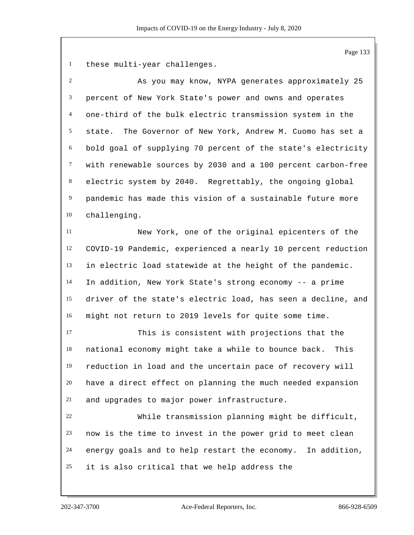these multi-year challenges.

 As you may know, NYPA generates approximately 25 percent of New York State's power and owns and operates one-third of the bulk electric transmission system in the state. The Governor of New York, Andrew M. Cuomo has set a bold goal of supplying 70 percent of the state's electricity with renewable sources by 2030 and a 100 percent carbon-free electric system by 2040. Regrettably, the ongoing global pandemic has made this vision of a sustainable future more challenging. New York, one of the original epicenters of the COVID-19 Pandemic, experienced a nearly 10 percent reduction in electric load statewide at the height of the pandemic. In addition, New York State's strong economy -- a prime driver of the state's electric load, has seen a decline, and might not return to 2019 levels for quite some time. This is consistent with projections that the

 national economy might take a while to bounce back. This reduction in load and the uncertain pace of recovery will have a direct effect on planning the much needed expansion and upgrades to major power infrastructure.

 While transmission planning might be difficult, now is the time to invest in the power grid to meet clean energy goals and to help restart the economy. In addition, it is also critical that we help address the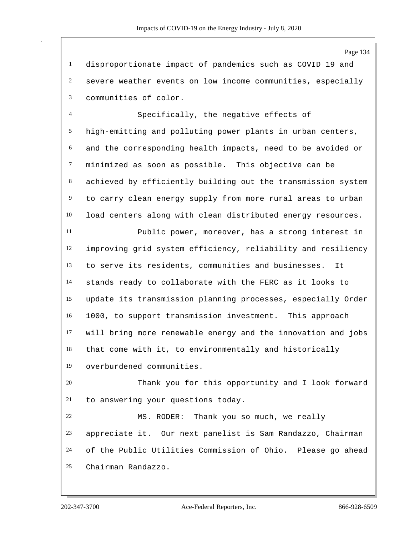disproportionate impact of pandemics such as COVID 19 and severe weather events on low income communities, especially communities of color.

 Specifically, the negative effects of high-emitting and polluting power plants in urban centers, and the corresponding health impacts, need to be avoided or minimized as soon as possible. This objective can be achieved by efficiently building out the transmission system to carry clean energy supply from more rural areas to urban load centers along with clean distributed energy resources.

 Public power, moreover, has a strong interest in improving grid system efficiency, reliability and resiliency to serve its residents, communities and businesses. It stands ready to collaborate with the FERC as it looks to update its transmission planning processes, especially Order 1000, to support transmission investment. This approach will bring more renewable energy and the innovation and jobs that come with it, to environmentally and historically overburdened communities.

 Thank you for this opportunity and I look forward to answering your questions today.

 MS. RODER: Thank you so much, we really appreciate it. Our next panelist is Sam Randazzo, Chairman of the Public Utilities Commission of Ohio. Please go ahead Chairman Randazzo.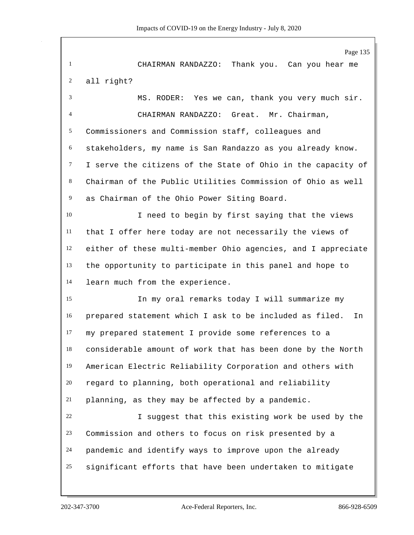Page 135 CHAIRMAN RANDAZZO: Thank you. Can you hear me all right? MS. RODER: Yes we can, thank you very much sir. CHAIRMAN RANDAZZO: Great. Mr. Chairman, Commissioners and Commission staff, colleagues and stakeholders, my name is San Randazzo as you already know. I serve the citizens of the State of Ohio in the capacity of Chairman of the Public Utilities Commission of Ohio as well as Chairman of the Ohio Power Siting Board. I need to begin by first saying that the views that I offer here today are not necessarily the views of either of these multi-member Ohio agencies, and I appreciate the opportunity to participate in this panel and hope to learn much from the experience. In my oral remarks today I will summarize my prepared statement which I ask to be included as filed. In my prepared statement I provide some references to a considerable amount of work that has been done by the North American Electric Reliability Corporation and others with regard to planning, both operational and reliability planning, as they may be affected by a pandemic. I suggest that this existing work be used by the Commission and others to focus on risk presented by a pandemic and identify ways to improve upon the already significant efforts that have been undertaken to mitigate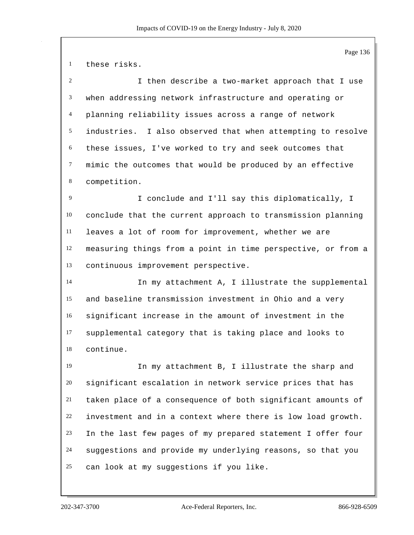these risks. I then describe a two-market approach that I use when addressing network infrastructure and operating or planning reliability issues across a range of network industries. I also observed that when attempting to resolve these issues, I've worked to try and seek outcomes that mimic the outcomes that would be produced by an effective competition. I conclude and I'll say this diplomatically, I conclude that the current approach to transmission planning leaves a lot of room for improvement, whether we are measuring things from a point in time perspective, or from a continuous improvement perspective. In my attachment A, I illustrate the supplemental and baseline transmission investment in Ohio and a very significant increase in the amount of investment in the supplemental category that is taking place and looks to continue. In my attachment B, I illustrate the sharp and significant escalation in network service prices that has taken place of a consequence of both significant amounts of investment and in a context where there is low load growth. In the last few pages of my prepared statement I offer four suggestions and provide my underlying reasons, so that you can look at my suggestions if you like.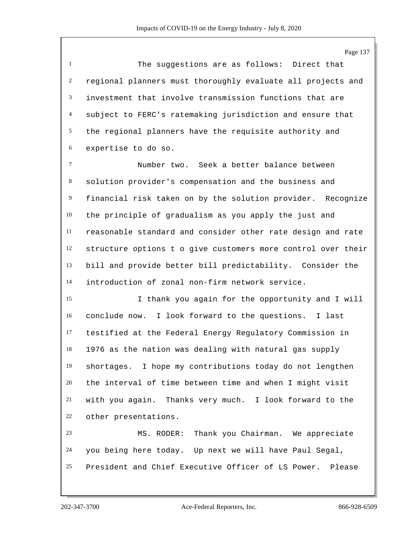The suggestions are as follows: Direct that regional planners must thoroughly evaluate all projects and investment that involve transmission functions that are subject to FERC's ratemaking jurisdiction and ensure that the regional planners have the requisite authority and expertise to do so.

 Number two. Seek a better balance between solution provider's compensation and the business and financial risk taken on by the solution provider. Recognize the principle of gradualism as you apply the just and reasonable standard and consider other rate design and rate structure options t o give customers more control over their bill and provide better bill predictability. Consider the introduction of zonal non-firm network service.

 I thank you again for the opportunity and I will conclude now. I look forward to the questions. I last testified at the Federal Energy Regulatory Commission in 1976 as the nation was dealing with natural gas supply shortages. I hope my contributions today do not lengthen the interval of time between time and when I might visit with you again. Thanks very much. I look forward to the other presentations.

 MS. RODER: Thank you Chairman. We appreciate you being here today. Up next we will have Paul Segal, President and Chief Executive Officer of LS Power. Please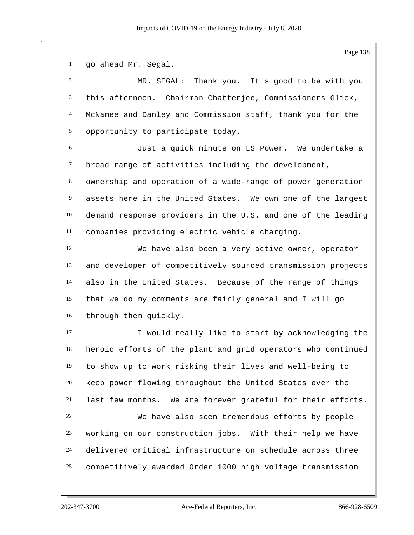go ahead Mr. Segal. MR. SEGAL: Thank you. It's good to be with you this afternoon. Chairman Chatterjee, Commissioners Glick, McNamee and Danley and Commission staff, thank you for the opportunity to participate today. Just a quick minute on LS Power. We undertake a broad range of activities including the development, ownership and operation of a wide-range of power generation assets here in the United States. We own one of the largest demand response providers in the U.S. and one of the leading companies providing electric vehicle charging. We have also been a very active owner, operator and developer of competitively sourced transmission projects also in the United States. Because of the range of things that we do my comments are fairly general and I will go through them quickly. I would really like to start by acknowledging the heroic efforts of the plant and grid operators who continued to show up to work risking their lives and well-being to keep power flowing throughout the United States over the last few months. We are forever grateful for their efforts. We have also seen tremendous efforts by people working on our construction jobs. With their help we have delivered critical infrastructure on schedule across three competitively awarded Order 1000 high voltage transmission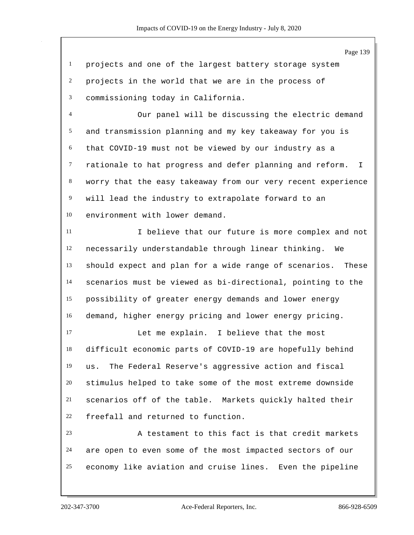projects and one of the largest battery storage system projects in the world that we are in the process of commissioning today in California.

 Our panel will be discussing the electric demand and transmission planning and my key takeaway for you is that COVID-19 must not be viewed by our industry as a rationale to hat progress and defer planning and reform. I worry that the easy takeaway from our very recent experience will lead the industry to extrapolate forward to an environment with lower demand.

 I believe that our future is more complex and not necessarily understandable through linear thinking. We should expect and plan for a wide range of scenarios. These scenarios must be viewed as bi-directional, pointing to the possibility of greater energy demands and lower energy demand, higher energy pricing and lower energy pricing.

 Let me explain. I believe that the most difficult economic parts of COVID-19 are hopefully behind us. The Federal Reserve's aggressive action and fiscal stimulus helped to take some of the most extreme downside scenarios off of the table. Markets quickly halted their freefall and returned to function.

 A testament to this fact is that credit markets are open to even some of the most impacted sectors of our economy like aviation and cruise lines. Even the pipeline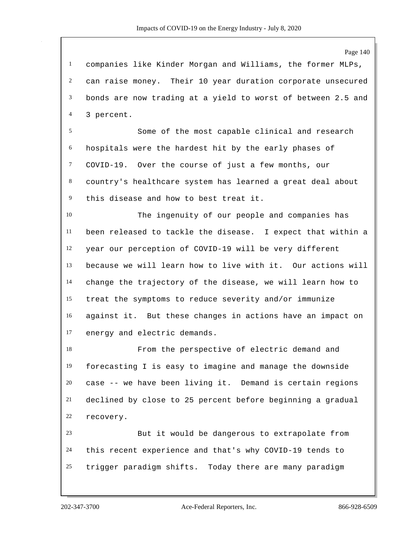companies like Kinder Morgan and Williams, the former MLPs, can raise money. Their 10 year duration corporate unsecured bonds are now trading at a yield to worst of between 2.5 and 3 percent.

 Some of the most capable clinical and research hospitals were the hardest hit by the early phases of COVID-19. Over the course of just a few months, our country's healthcare system has learned a great deal about this disease and how to best treat it.

 The ingenuity of our people and companies has been released to tackle the disease. I expect that within a year our perception of COVID-19 will be very different because we will learn how to live with it. Our actions will change the trajectory of the disease, we will learn how to treat the symptoms to reduce severity and/or immunize against it. But these changes in actions have an impact on energy and electric demands.

 From the perspective of electric demand and forecasting I is easy to imagine and manage the downside case -- we have been living it. Demand is certain regions declined by close to 25 percent before beginning a gradual recovery.

 But it would be dangerous to extrapolate from this recent experience and that's why COVID-19 tends to trigger paradigm shifts. Today there are many paradigm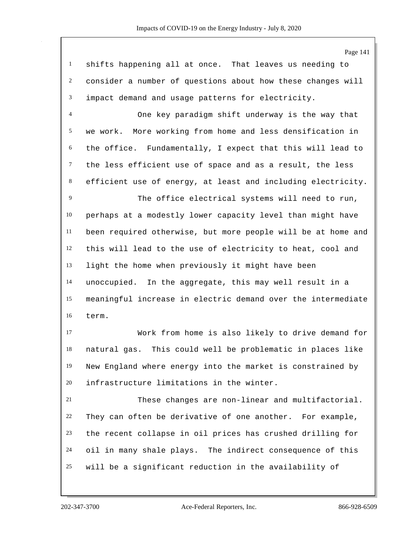shifts happening all at once. That leaves us needing to consider a number of questions about how these changes will impact demand and usage patterns for electricity.

 One key paradigm shift underway is the way that we work. More working from home and less densification in the office. Fundamentally, I expect that this will lead to the less efficient use of space and as a result, the less efficient use of energy, at least and including electricity.

 The office electrical systems will need to run, perhaps at a modestly lower capacity level than might have been required otherwise, but more people will be at home and this will lead to the use of electricity to heat, cool and light the home when previously it might have been unoccupied. In the aggregate, this may well result in a meaningful increase in electric demand over the intermediate term.

 Work from home is also likely to drive demand for natural gas. This could well be problematic in places like New England where energy into the market is constrained by infrastructure limitations in the winter.

 These changes are non-linear and multifactorial. They can often be derivative of one another. For example, the recent collapse in oil prices has crushed drilling for oil in many shale plays. The indirect consequence of this will be a significant reduction in the availability of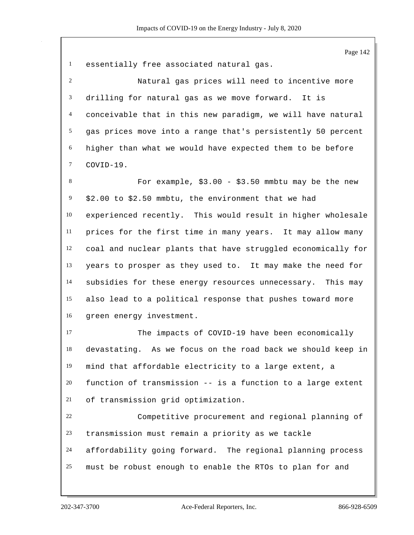essentially free associated natural gas. Natural gas prices will need to incentive more drilling for natural gas as we move forward. It is conceivable that in this new paradigm, we will have natural gas prices move into a range that's persistently 50 percent higher than what we would have expected them to be before For example, \$3.00 - \$3.50 mmbtu may be the new \$2.00 to \$2.50 mmbtu, the environment that we had experienced recently. This would result in higher wholesale prices for the first time in many years. It may allow many coal and nuclear plants that have struggled economically for years to prosper as they used to. It may make the need for subsidies for these energy resources unnecessary. This may also lead to a political response that pushes toward more green energy investment.

17 The impacts of COVID-19 have been economically devastating. As we focus on the road back we should keep in mind that affordable electricity to a large extent, a function of transmission -- is a function to a large extent of transmission grid optimization.

 Competitive procurement and regional planning of transmission must remain a priority as we tackle affordability going forward. The regional planning process must be robust enough to enable the RTOs to plan for and

COVID-19.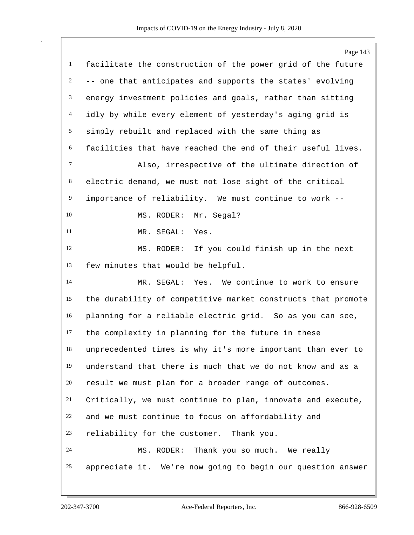| $\mathbf{1}$   | Page 143                                                     |
|----------------|--------------------------------------------------------------|
|                | facilitate the construction of the power grid of the future  |
| $\overline{c}$ | -- one that anticipates and supports the states' evolving    |
| 3              | energy investment policies and goals, rather than sitting    |
| $\overline{4}$ | idly by while every element of yesterday's aging grid is     |
| 5              | simply rebuilt and replaced with the same thing as           |
| 6              | facilities that have reached the end of their useful lives.  |
| $\tau$         | Also, irrespective of the ultimate direction of              |
| 8              | electric demand, we must not lose sight of the critical      |
| $\overline{9}$ | importance of reliability. We must continue to work --       |
| 10             | Mr. Segal?<br>MS. RODER:                                     |
| 11             | MR. SEGAL:<br>Yes.                                           |
| 12             | MS. RODER: If you could finish up in the next                |
| 13             | few minutes that would be helpful.                           |
| 14             | MR. SEGAL: Yes. We continue to work to ensure                |
| 15             | the durability of competitive market constructs that promote |
| 16             | planning for a reliable electric grid. So as you can see,    |
| 17             | the complexity in planning for the future in these           |
| 18             | unprecedented times is why it's more important than ever to  |
| 19             | understand that there is much that we do not know and as a   |
| 20             | result we must plan for a broader range of outcomes.         |
| 21             | Critically, we must continue to plan, innovate and execute,  |
| 22             | and we must continue to focus on affordability and           |
| 23             | reliability for the customer. Thank you.                     |
| 24             | MS. RODER: Thank you so much. We really                      |
| 25             | appreciate it. We're now going to begin our question answer  |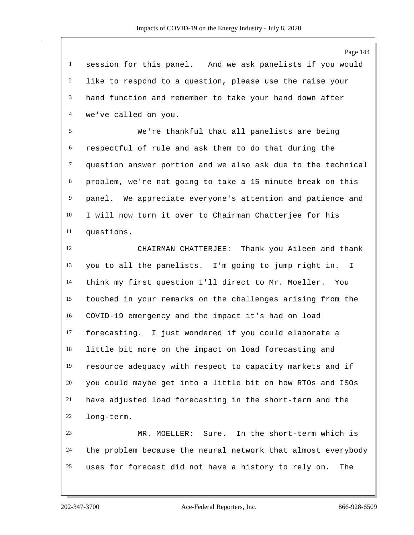session for this panel. And we ask panelists if you would like to respond to a question, please use the raise your hand function and remember to take your hand down after we've called on you.

 We're thankful that all panelists are being respectful of rule and ask them to do that during the question answer portion and we also ask due to the technical problem, we're not going to take a 15 minute break on this panel. We appreciate everyone's attention and patience and I will now turn it over to Chairman Chatterjee for his questions.

 CHAIRMAN CHATTERJEE: Thank you Aileen and thank you to all the panelists. I'm going to jump right in. I think my first question I'll direct to Mr. Moeller. You touched in your remarks on the challenges arising from the COVID-19 emergency and the impact it's had on load forecasting. I just wondered if you could elaborate a little bit more on the impact on load forecasting and resource adequacy with respect to capacity markets and if you could maybe get into a little bit on how RTOs and ISOs have adjusted load forecasting in the short-term and the long-term.

 MR. MOELLER: Sure. In the short-term which is the problem because the neural network that almost everybody uses for forecast did not have a history to rely on. The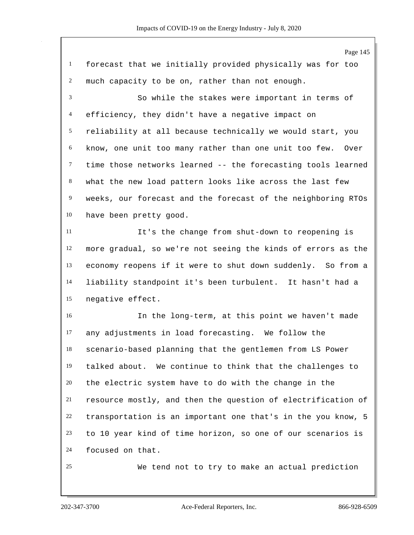Page 145 forecast that we initially provided physically was for too much capacity to be on, rather than not enough. So while the stakes were important in terms of efficiency, they didn't have a negative impact on reliability at all because technically we would start, you know, one unit too many rather than one unit too few. Over time those networks learned -- the forecasting tools learned what the new load pattern looks like across the last few weeks, our forecast and the forecast of the neighboring RTOs have been pretty good. It's the change from shut-down to reopening is more gradual, so we're not seeing the kinds of errors as the economy reopens if it were to shut down suddenly. So from a liability standpoint it's been turbulent. It hasn't had a negative effect. In the long-term, at this point we haven't made any adjustments in load forecasting. We follow the scenario-based planning that the gentlemen from LS Power talked about. We continue to think that the challenges to the electric system have to do with the change in the resource mostly, and then the question of electrification of transportation is an important one that's in the you know, 5 to 10 year kind of time horizon, so one of our scenarios is focused on that. We tend not to try to make an actual prediction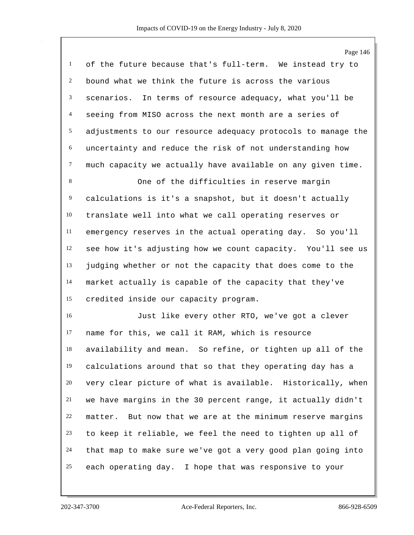of the future because that's full-term. We instead try to bound what we think the future is across the various scenarios. In terms of resource adequacy, what you'll be seeing from MISO across the next month are a series of adjustments to our resource adequacy protocols to manage the uncertainty and reduce the risk of not understanding how much capacity we actually have available on any given time.

 One of the difficulties in reserve margin calculations is it's a snapshot, but it doesn't actually translate well into what we call operating reserves or emergency reserves in the actual operating day. So you'll see how it's adjusting how we count capacity. You'll see us judging whether or not the capacity that does come to the market actually is capable of the capacity that they've credited inside our capacity program.

 Just like every other RTO, we've got a clever name for this, we call it RAM, which is resource availability and mean. So refine, or tighten up all of the calculations around that so that they operating day has a very clear picture of what is available. Historically, when we have margins in the 30 percent range, it actually didn't matter. But now that we are at the minimum reserve margins to keep it reliable, we feel the need to tighten up all of that map to make sure we've got a very good plan going into each operating day. I hope that was responsive to your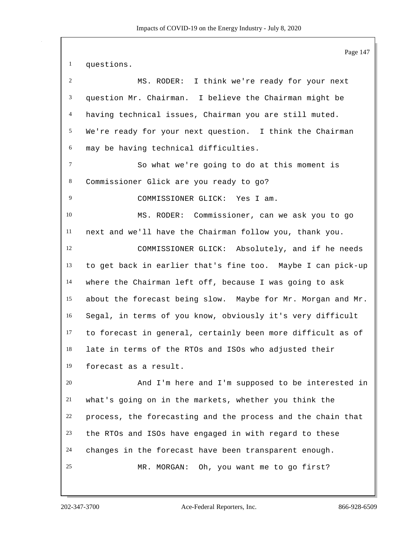Page 147 questions. MS. RODER: I think we're ready for your next question Mr. Chairman. I believe the Chairman might be having technical issues, Chairman you are still muted. We're ready for your next question. I think the Chairman may be having technical difficulties. So what we're going to do at this moment is Commissioner Glick are you ready to go? COMMISSIONER GLICK: Yes I am. MS. RODER: Commissioner, can we ask you to go next and we'll have the Chairman follow you, thank you. COMMISSIONER GLICK: Absolutely, and if he needs to get back in earlier that's fine too. Maybe I can pick-up where the Chairman left off, because I was going to ask about the forecast being slow. Maybe for Mr. Morgan and Mr. Segal, in terms of you know, obviously it's very difficult to forecast in general, certainly been more difficult as of late in terms of the RTOs and ISOs who adjusted their forecast as a result. And I'm here and I'm supposed to be interested in what's going on in the markets, whether you think the process, the forecasting and the process and the chain that the RTOs and ISOs have engaged in with regard to these changes in the forecast have been transparent enough. MR. MORGAN: Oh, you want me to go first?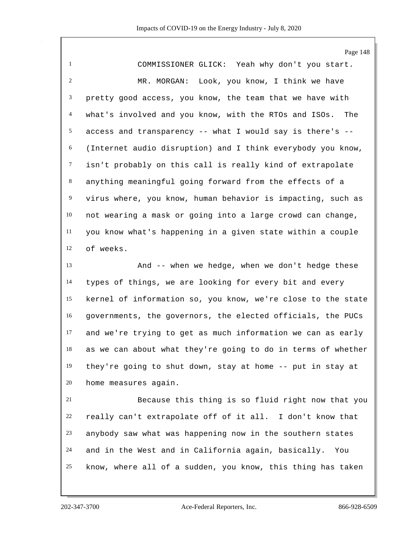Page 148 COMMISSIONER GLICK: Yeah why don't you start. MR. MORGAN: Look, you know, I think we have pretty good access, you know, the team that we have with what's involved and you know, with the RTOs and ISOs. The 5 access and transparency  $--$  what I would say is there's  $--$  (Internet audio disruption) and I think everybody you know, isn't probably on this call is really kind of extrapolate anything meaningful going forward from the effects of a virus where, you know, human behavior is impacting, such as not wearing a mask or going into a large crowd can change, you know what's happening in a given state within a couple of weeks. And -- when we hedge, when we don't hedge these types of things, we are looking for every bit and every kernel of information so, you know, we're close to the state governments, the governors, the elected officials, the PUCs and we're trying to get as much information we can as early as we can about what they're going to do in terms of whether they're going to shut down, stay at home -- put in stay at

home measures again.

 Because this thing is so fluid right now that you really can't extrapolate off of it all. I don't know that anybody saw what was happening now in the southern states and in the West and in California again, basically. You know, where all of a sudden, you know, this thing has taken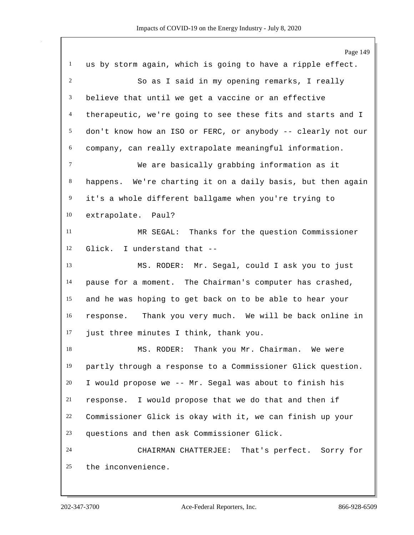|                | Page 149                                                     |
|----------------|--------------------------------------------------------------|
| $\mathbf{1}$   | us by storm again, which is going to have a ripple effect.   |
| $\overline{c}$ | So as I said in my opening remarks, I really                 |
| 3              | believe that until we get a vaccine or an effective          |
| 4              | therapeutic, we're going to see these fits and starts and I  |
| 5              | don't know how an ISO or FERC, or anybody -- clearly not our |
| 6              | company, can really extrapolate meaningful information.      |
| $\tau$         | We are basically grabbing information as it                  |
| 8              | happens. We're charting it on a daily basis, but then again  |
| 9              | it's a whole different ballgame when you're trying to        |
| 10             | extrapolate. Paul?                                           |
| 11             | MR SEGAL: Thanks for the question Commissioner               |
| 12             | I understand that --<br>Glick.                               |
| 13             | MS. RODER: Mr. Segal, could I ask you to just                |
| 14             | pause for a moment. The Chairman's computer has crashed,     |
| 15             | and he was hoping to get back on to be able to hear your     |
| 16             | response. Thank you very much. We will be back online in     |
| 17             | just three minutes I think, thank you.                       |
| 18             | RODER: Thank you Mr. Chairman. We were<br>MS.                |
| 19             | partly through a response to a Commissioner Glick question.  |
| 20             | I would propose we -- Mr. Segal was about to finish his      |
| 21             | response. I would propose that we do that and then if        |
| 22             | Commissioner Glick is okay with it, we can finish up your    |
| 23             | questions and then ask Commissioner Glick.                   |
| 24             | CHAIRMAN CHATTERJEE: That's perfect. Sorry for               |
| 25             | the inconvenience.                                           |
|                |                                                              |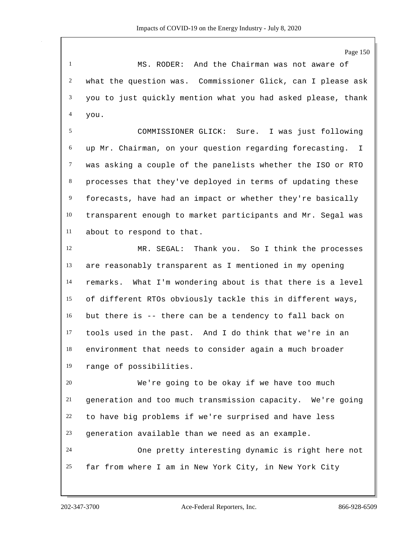Page 150

 MS. RODER: And the Chairman was not aware of what the question was. Commissioner Glick, can I please ask you to just quickly mention what you had asked please, thank you.

 COMMISSIONER GLICK: Sure. I was just following up Mr. Chairman, on your question regarding forecasting. I was asking a couple of the panelists whether the ISO or RTO processes that they've deployed in terms of updating these forecasts, have had an impact or whether they're basically transparent enough to market participants and Mr. Segal was about to respond to that.

 MR. SEGAL: Thank you. So I think the processes are reasonably transparent as I mentioned in my opening remarks. What I'm wondering about is that there is a level of different RTOs obviously tackle this in different ways, but there is -- there can be a tendency to fall back on tools used in the past. And I do think that we're in an environment that needs to consider again a much broader range of possibilities.

 We're going to be okay if we have too much generation and too much transmission capacity. We're going to have big problems if we're surprised and have less generation available than we need as an example. One pretty interesting dynamic is right here not far from where I am in New York City, in New York City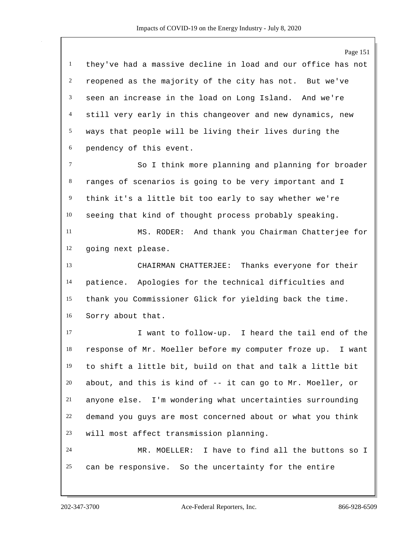Page 151 they've had a massive decline in load and our office has not reopened as the majority of the city has not. But we've seen an increase in the load on Long Island. And we're still very early in this changeover and new dynamics, new ways that people will be living their lives during the pendency of this event. So I think more planning and planning for broader ranges of scenarios is going to be very important and I think it's a little bit too early to say whether we're seeing that kind of thought process probably speaking. MS. RODER: And thank you Chairman Chatterjee for going next please. CHAIRMAN CHATTERJEE: Thanks everyone for their patience. Apologies for the technical difficulties and thank you Commissioner Glick for yielding back the time. Sorry about that. I want to follow-up. I heard the tail end of the response of Mr. Moeller before my computer froze up. I want to shift a little bit, build on that and talk a little bit about, and this is kind of -- it can go to Mr. Moeller, or anyone else. I'm wondering what uncertainties surrounding demand you guys are most concerned about or what you think will most affect transmission planning. MR. MOELLER: I have to find all the buttons so I can be responsive. So the uncertainty for the entire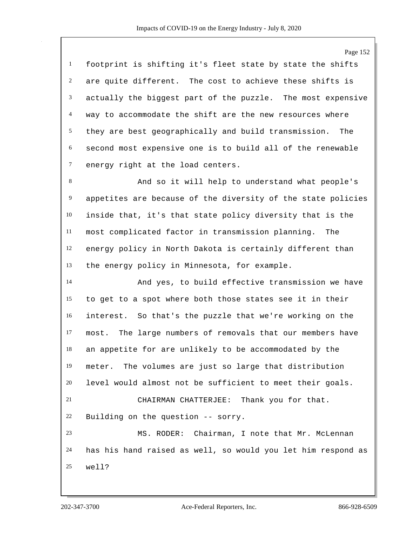Page 152 footprint is shifting it's fleet state by state the shifts are quite different. The cost to achieve these shifts is actually the biggest part of the puzzle. The most expensive way to accommodate the shift are the new resources where they are best geographically and build transmission. The second most expensive one is to build all of the renewable energy right at the load centers. 8 And so it will help to understand what people's appetites are because of the diversity of the state policies inside that, it's that state policy diversity that is the most complicated factor in transmission planning. The energy policy in North Dakota is certainly different than the energy policy in Minnesota, for example. And yes, to build effective transmission we have to get to a spot where both those states see it in their interest. So that's the puzzle that we're working on the most. The large numbers of removals that our members have an appetite for are unlikely to be accommodated by the meter. The volumes are just so large that distribution level would almost not be sufficient to meet their goals. CHAIRMAN CHATTERJEE: Thank you for that. Building on the question -- sorry. MS. RODER: Chairman, I note that Mr. McLennan has his hand raised as well, so would you let him respond as well?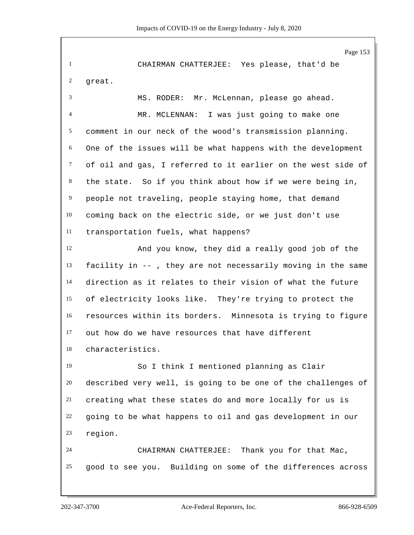Page 153 CHAIRMAN CHATTERJEE: Yes please, that'd be great. MS. RODER: Mr. McLennan, please go ahead. MR. MCLENNAN: I was just going to make one comment in our neck of the wood's transmission planning. One of the issues will be what happens with the development of oil and gas, I referred to it earlier on the west side of the state. So if you think about how if we were being in, people not traveling, people staying home, that demand coming back on the electric side, or we just don't use transportation fuels, what happens? And you know, they did a really good job of the facility in -- , they are not necessarily moving in the same direction as it relates to their vision of what the future of electricity looks like. They're trying to protect the resources within its borders. Minnesota is trying to figure out how do we have resources that have different characteristics. So I think I mentioned planning as Clair described very well, is going to be one of the challenges of creating what these states do and more locally for us is going to be what happens to oil and gas development in our region. CHAIRMAN CHATTERJEE: Thank you for that Mac, good to see you. Building on some of the differences across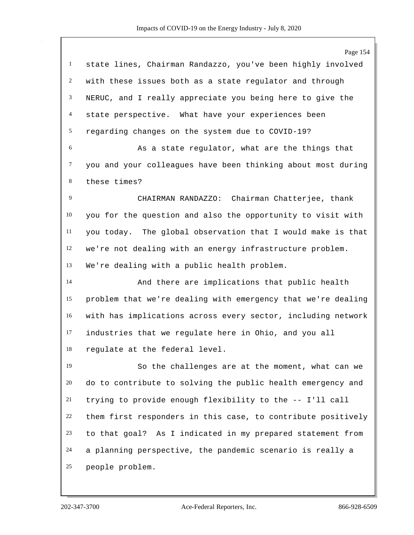|                | Page 154                                                     |
|----------------|--------------------------------------------------------------|
| $\mathbf{1}$   | state lines, Chairman Randazzo, you've been highly involved  |
| $\overline{c}$ | with these issues both as a state regulator and through      |
| 3              | NERUC, and I really appreciate you being here to give the    |
| $\overline{4}$ | state perspective. What have your experiences been           |
| 5              | regarding changes on the system due to COVID-19?             |
| 6              | As a state regulator, what are the things that               |
| 7              | you and your colleagues have been thinking about most during |
| 8              | these times?                                                 |
| 9              | CHAIRMAN RANDAZZO: Chairman Chatterjee, thank                |
| 10             | you for the question and also the opportunity to visit with  |
| 11             | you today. The global observation that I would make is that  |
| 12             | we're not dealing with an energy infrastructure problem.     |
| 13             | We're dealing with a public health problem.                  |
| 14             | And there are implications that public health                |
| 15             | problem that we're dealing with emergency that we're dealing |
| 16             | with has implications across every sector, including network |
| 17             | industries that we regulate here in Ohio, and you all        |
| 18             | regulate at the federal level.                               |
| 19             | So the challenges are at the moment, what can we             |
| 20             | do to contribute to solving the public health emergency and  |
| 21             | trying to provide enough flexibility to the -- I'll call     |
| 22             | them first responders in this case, to contribute positively |
| 23             | to that goal? As I indicated in my prepared statement from   |
| 24             | a planning perspective, the pandemic scenario is really a    |
| 25             | people problem.                                              |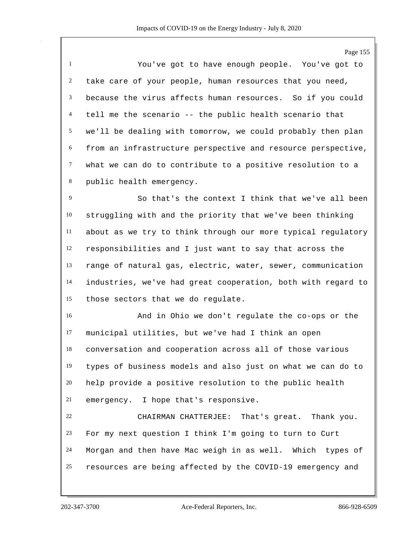Page 155

 You've got to have enough people. You've got to take care of your people, human resources that you need, because the virus affects human resources. So if you could tell me the scenario -- the public health scenario that we'll be dealing with tomorrow, we could probably then plan from an infrastructure perspective and resource perspective, what we can do to contribute to a positive resolution to a public health emergency.

 So that's the context I think that we've all been struggling with and the priority that we've been thinking about as we try to think through our more typical regulatory responsibilities and I just want to say that across the range of natural gas, electric, water, sewer, communication industries, we've had great cooperation, both with regard to those sectors that we do regulate.

 And in Ohio we don't regulate the co-ops or the municipal utilities, but we've had I think an open conversation and cooperation across all of those various types of business models and also just on what we can do to help provide a positive resolution to the public health emergency. I hope that's responsive.

 CHAIRMAN CHATTERJEE: That's great. Thank you. For my next question I think I'm going to turn to Curt Morgan and then have Mac weigh in as well. Which types of resources are being affected by the COVID-19 emergency and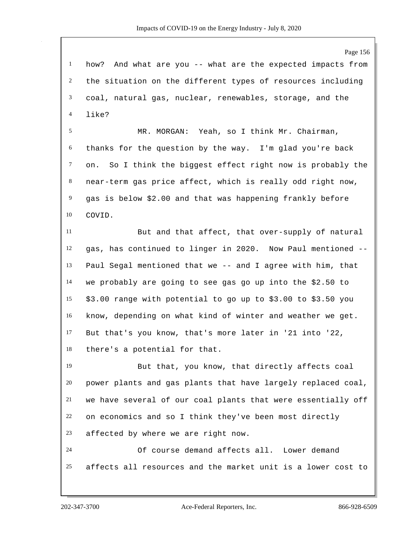how? And what are you -- what are the expected impacts from the situation on the different types of resources including coal, natural gas, nuclear, renewables, storage, and the like?

 MR. MORGAN: Yeah, so I think Mr. Chairman, thanks for the question by the way. I'm glad you're back on. So I think the biggest effect right now is probably the near-term gas price affect, which is really odd right now, gas is below \$2.00 and that was happening frankly before COVID.

 But and that affect, that over-supply of natural gas, has continued to linger in 2020. Now Paul mentioned -- Paul Segal mentioned that we -- and I agree with him, that we probably are going to see gas go up into the \$2.50 to \$3.00 range with potential to go up to \$3.00 to \$3.50 you know, depending on what kind of winter and weather we get. But that's you know, that's more later in '21 into '22, there's a potential for that.

 But that, you know, that directly affects coal power plants and gas plants that have largely replaced coal, we have several of our coal plants that were essentially off on economics and so I think they've been most directly affected by where we are right now.

 Of course demand affects all. Lower demand affects all resources and the market unit is a lower cost to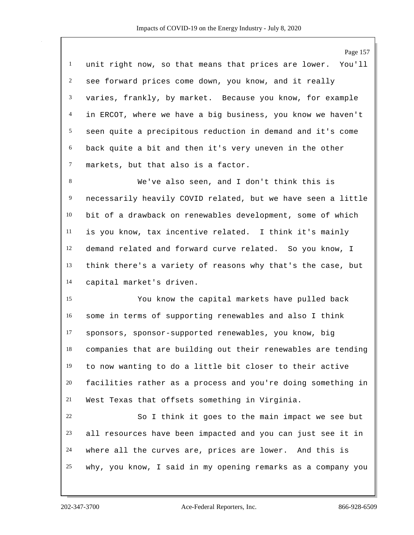Page 157 unit right now, so that means that prices are lower. You'll see forward prices come down, you know, and it really varies, frankly, by market. Because you know, for example in ERCOT, where we have a big business, you know we haven't seen quite a precipitous reduction in demand and it's come back quite a bit and then it's very uneven in the other markets, but that also is a factor. We've also seen, and I don't think this is necessarily heavily COVID related, but we have seen a little bit of a drawback on renewables development, some of which is you know, tax incentive related. I think it's mainly demand related and forward curve related. So you know, I think there's a variety of reasons why that's the case, but capital market's driven. You know the capital markets have pulled back some in terms of supporting renewables and also I think sponsors, sponsor-supported renewables, you know, big companies that are building out their renewables are tending to now wanting to do a little bit closer to their active facilities rather as a process and you're doing something in West Texas that offsets something in Virginia. So I think it goes to the main impact we see but all resources have been impacted and you can just see it in where all the curves are, prices are lower. And this is why, you know, I said in my opening remarks as a company you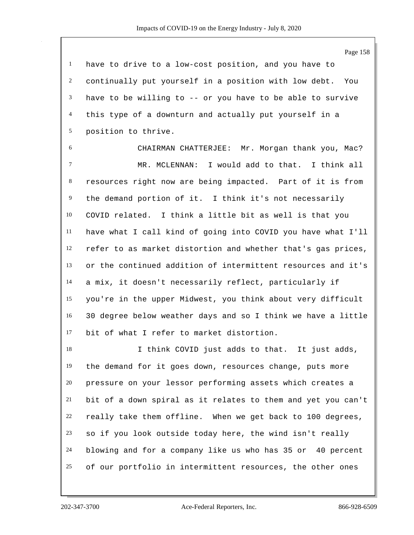have to drive to a low-cost position, and you have to continually put yourself in a position with low debt. You have to be willing to -- or you have to be able to survive this type of a downturn and actually put yourself in a position to thrive.

 CHAIRMAN CHATTERJEE: Mr. Morgan thank you, Mac? MR. MCLENNAN: I would add to that. I think all resources right now are being impacted. Part of it is from the demand portion of it. I think it's not necessarily COVID related. I think a little bit as well is that you have what I call kind of going into COVID you have what I'll refer to as market distortion and whether that's gas prices, or the continued addition of intermittent resources and it's a mix, it doesn't necessarily reflect, particularly if you're in the upper Midwest, you think about very difficult 30 degree below weather days and so I think we have a little bit of what I refer to market distortion.

 I think COVID just adds to that. It just adds, the demand for it goes down, resources change, puts more pressure on your lessor performing assets which creates a bit of a down spiral as it relates to them and yet you can't really take them offline. When we get back to 100 degrees, so if you look outside today here, the wind isn't really blowing and for a company like us who has 35 or 40 percent of our portfolio in intermittent resources, the other ones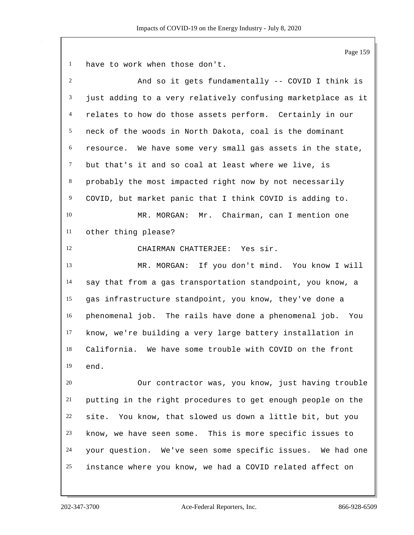have to work when those don't.

| $\overline{c}$ | And so it gets fundamentally -- COVID I think is             |
|----------------|--------------------------------------------------------------|
| 3              | just adding to a very relatively confusing marketplace as it |
| $\overline{4}$ | relates to how do those assets perform. Certainly in our     |
| 5              | neck of the woods in North Dakota, coal is the dominant      |
| 6              | resource. We have some very small gas assets in the state,   |
| $\tau$         | but that's it and so coal at least where we live, is         |
| 8              | probably the most impacted right now by not necessarily      |
| $\overline{9}$ | COVID, but market panic that I think COVID is adding to.     |
| 10             | Mr. Chairman, can I mention one<br>MR. MORGAN:               |
| 11             | other thing please?                                          |
| 12             | CHAIRMAN CHATTERJEE: Yes sir.                                |
| 13             | MR. MORGAN: If you don't mind. You know I will               |
| 14             | say that from a gas transportation standpoint, you know, a   |
| 15             | gas infrastructure standpoint, you know, they've done a      |
| 16             | phenomenal job. The rails have done a phenomenal job.<br>You |
| 17             | know, we're building a very large battery installation in    |
| 18             | California. We have some trouble with COVID on the front     |
| 19             | end.                                                         |
| 20             | Our contractor was, you know, just having trouble            |
| 21             | putting in the right procedures to get enough people on the  |
| 22             | site. You know, that slowed us down a little bit, but you    |
| 23             | know, we have seen some. This is more specific issues to     |
| 24             | your question. We've seen some specific issues. We had one   |
| 25             | instance where you know, we had a COVID related affect on    |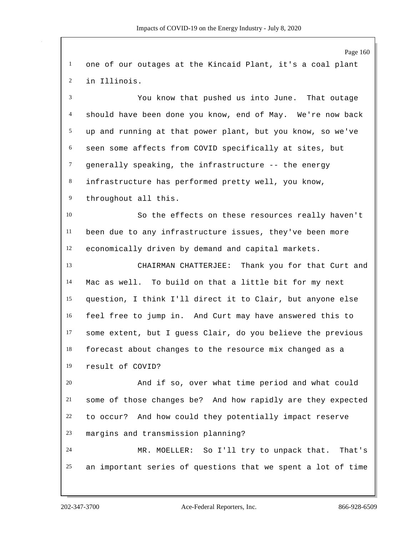Page 160 one of our outages at the Kincaid Plant, it's a coal plant in Illinois. You know that pushed us into June. That outage should have been done you know, end of May. We're now back up and running at that power plant, but you know, so we've seen some affects from COVID specifically at sites, but generally speaking, the infrastructure -- the energy infrastructure has performed pretty well, you know, throughout all this. So the effects on these resources really haven't been due to any infrastructure issues, they've been more economically driven by demand and capital markets. CHAIRMAN CHATTERJEE: Thank you for that Curt and Mac as well. To build on that a little bit for my next question, I think I'll direct it to Clair, but anyone else feel free to jump in. And Curt may have answered this to some extent, but I guess Clair, do you believe the previous forecast about changes to the resource mix changed as a result of COVID? And if so, over what time period and what could some of those changes be? And how rapidly are they expected to occur? And how could they potentially impact reserve margins and transmission planning? MR. MOELLER: So I'll try to unpack that. That's an important series of questions that we spent a lot of time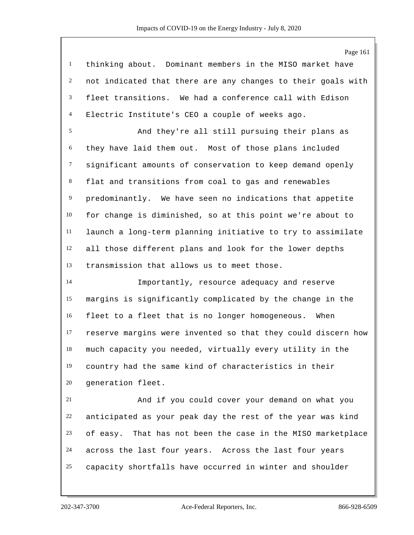|                | Page 161                                                     |
|----------------|--------------------------------------------------------------|
| $\mathbf{1}$   | thinking about. Dominant members in the MISO market have     |
| 2              | not indicated that there are any changes to their goals with |
| 3              | fleet transitions. We had a conference call with Edison      |
| $\overline{4}$ | Electric Institute's CEO a couple of weeks ago.              |
| 5              | And they're all still pursuing their plans as                |
| 6              | they have laid them out. Most of those plans included        |
| $\tau$         | significant amounts of conservation to keep demand openly    |
| 8              | flat and transitions from coal to gas and renewables         |
| $\overline{9}$ | predominantly. We have seen no indications that appetite     |
| 10             | for change is diminished, so at this point we're about to    |
| 11             | launch a long-term planning initiative to try to assimilate  |
| 12             | all those different plans and look for the lower depths      |
| 13             | transmission that allows us to meet those.                   |
| 14             | Importantly, resource adequacy and reserve                   |
| 15             | margins is significantly complicated by the change in the    |
| 16             | fleet to a fleet that is no longer homogeneous. When         |
| 17             | reserve margins were invented so that they could discern how |
| 18             | much capacity you needed, virtually every utility in the     |
| 19             | country had the same kind of characteristics in their        |
| 20             | generation fleet.                                            |
| 21             | And if you could cover your demand on what you               |
| 22             | anticipated as your peak day the rest of the year was kind   |
|                |                                                              |

of easy. That has not been the case in the MISO marketplace

across the last four years. Across the last four years

capacity shortfalls have occurred in winter and shoulder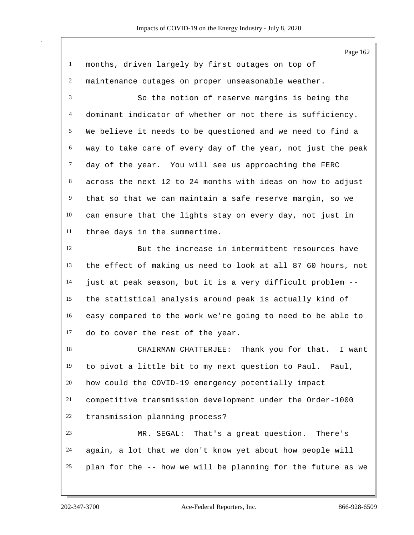Page 162 months, driven largely by first outages on top of maintenance outages on proper unseasonable weather. So the notion of reserve margins is being the dominant indicator of whether or not there is sufficiency. We believe it needs to be questioned and we need to find a way to take care of every day of the year, not just the peak 7 day of the year. You will see us approaching the FERC across the next 12 to 24 months with ideas on how to adjust that so that we can maintain a safe reserve margin, so we can ensure that the lights stay on every day, not just in three days in the summertime. But the increase in intermittent resources have the effect of making us need to look at all 87 60 hours, not just at peak season, but it is a very difficult problem -- the statistical analysis around peak is actually kind of easy compared to the work we're going to need to be able to do to cover the rest of the year. CHAIRMAN CHATTERJEE: Thank you for that. I want to pivot a little bit to my next question to Paul. Paul, how could the COVID-19 emergency potentially impact competitive transmission development under the Order-1000 transmission planning process? MR. SEGAL: That's a great question. There's again, a lot that we don't know yet about how people will plan for the -- how we will be planning for the future as we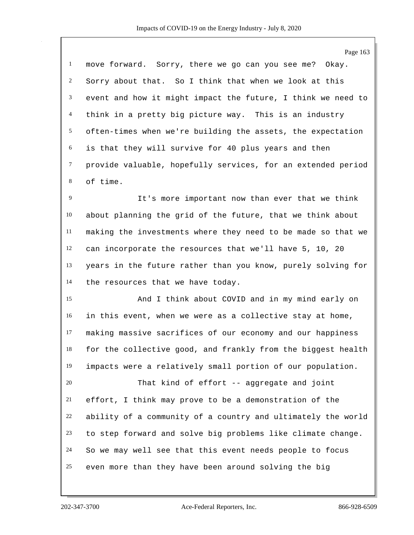|                | Page 163                                                     |
|----------------|--------------------------------------------------------------|
| $\mathbf{1}$   | move forward. Sorry, there we go can you see me? Okay.       |
| $\overline{c}$ | Sorry about that. So I think that when we look at this       |
| 3              | event and how it might impact the future, I think we need to |
| $\overline{4}$ | think in a pretty big picture way. This is an industry       |
| 5              | often-times when we're building the assets, the expectation  |
| 6              | is that they will survive for 40 plus years and then         |
| $\tau$         | provide valuable, hopefully services, for an extended period |
| 8              | of time.                                                     |
| 9              | It's more important now than ever that we think              |
| 10             | about planning the grid of the future, that we think about   |
| 11             | making the investments where they need to be made so that we |
| 12             | can incorporate the resources that we'll have 5, 10, 20      |
| 13             | years in the future rather than you know, purely solving for |
| 14             | the resources that we have today.                            |
| 15             | And I think about COVID and in my mind early on              |
| 16             | in this event, when we were as a collective stay at home,    |
| 17             | making massive sacrifices of our economy and our happiness   |
| 18             | for the collective good, and frankly from the biggest health |
| 19             | impacts were a relatively small portion of our population.   |
| 20             | That kind of effort -- aggregate and joint                   |
| 21             | effort, I think may prove to be a demonstration of the       |
| 22             | ability of a community of a country and ultimately the world |
| 23             | to step forward and solve big problems like climate change.  |
| 24             | So we may well see that this event needs people to focus     |
|                |                                                              |

even more than they have been around solving the big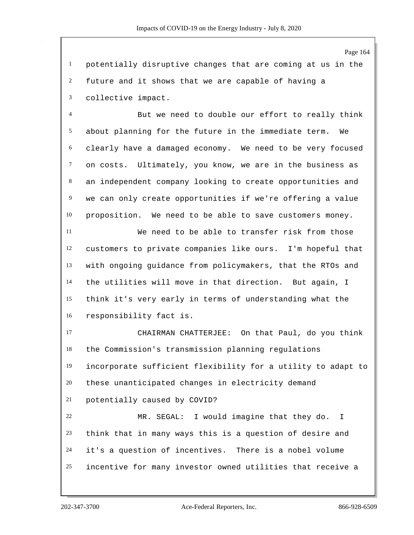potentially disruptive changes that are coming at us in the future and it shows that we are capable of having a collective impact.

 But we need to double our effort to really think about planning for the future in the immediate term. We clearly have a damaged economy. We need to be very focused on costs. Ultimately, you know, we are in the business as an independent company looking to create opportunities and we can only create opportunities if we're offering a value proposition. We need to be able to save customers money.

 We need to be able to transfer risk from those customers to private companies like ours. I'm hopeful that with ongoing guidance from policymakers, that the RTOs and the utilities will move in that direction. But again, I think it's very early in terms of understanding what the responsibility fact is.

 CHAIRMAN CHATTERJEE: On that Paul, do you think the Commission's transmission planning regulations incorporate sufficient flexibility for a utility to adapt to these unanticipated changes in electricity demand potentially caused by COVID?

 MR. SEGAL: I would imagine that they do. I think that in many ways this is a question of desire and it's a question of incentives. There is a nobel volume incentive for many investor owned utilities that receive a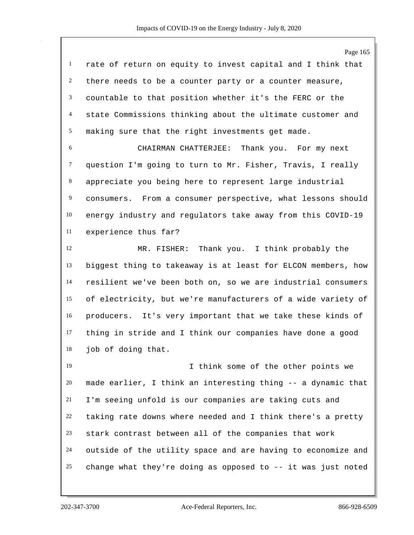Page 165 rate of return on equity to invest capital and I think that there needs to be a counter party or a counter measure, countable to that position whether it's the FERC or the state Commissions thinking about the ultimate customer and making sure that the right investments get made. CHAIRMAN CHATTERJEE: Thank you. For my next question I'm going to turn to Mr. Fisher, Travis, I really appreciate you being here to represent large industrial consumers. From a consumer perspective, what lessons should energy industry and regulators take away from this COVID-19 experience thus far? MR. FISHER: Thank you. I think probably the biggest thing to takeaway is at least for ELCON members, how resilient we've been both on, so we are industrial consumers of electricity, but we're manufacturers of a wide variety of producers. It's very important that we take these kinds of thing in stride and I think our companies have done a good job of doing that. I think some of the other points we made earlier, I think an interesting thing -- a dynamic that I'm seeing unfold is our companies are taking cuts and taking rate downs where needed and I think there's a pretty stark contrast between all of the companies that work outside of the utility space and are having to economize and change what they're doing as opposed to -- it was just noted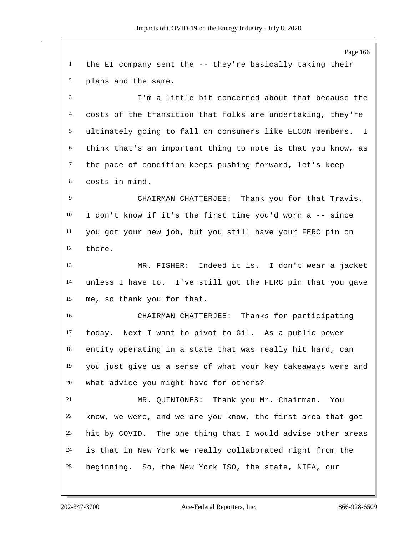Page 166 the EI company sent the -- they're basically taking their plans and the same. I'm a little bit concerned about that because the costs of the transition that folks are undertaking, they're ultimately going to fall on consumers like ELCON members. I think that's an important thing to note is that you know, as the pace of condition keeps pushing forward, let's keep costs in mind. CHAIRMAN CHATTERJEE: Thank you for that Travis. I don't know if it's the first time you'd worn a -- since you got your new job, but you still have your FERC pin on there. MR. FISHER: Indeed it is. I don't wear a jacket unless I have to. I've still got the FERC pin that you gave me, so thank you for that. CHAIRMAN CHATTERJEE: Thanks for participating today. Next I want to pivot to Gil. As a public power entity operating in a state that was really hit hard, can you just give us a sense of what your key takeaways were and what advice you might have for others? MR. QUINIONES: Thank you Mr. Chairman. You know, we were, and we are you know, the first area that got hit by COVID. The one thing that I would advise other areas is that in New York we really collaborated right from the beginning. So, the New York ISO, the state, NIFA, our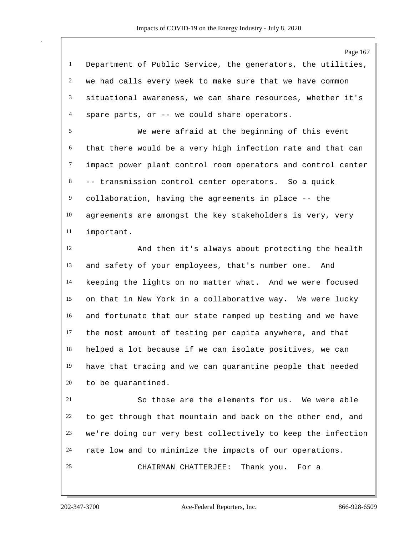Page 167 Department of Public Service, the generators, the utilities, we had calls every week to make sure that we have common situational awareness, we can share resources, whether it's spare parts, or -- we could share operators. We were afraid at the beginning of this event

 that there would be a very high infection rate and that can impact power plant control room operators and control center -- transmission control center operators. So a quick collaboration, having the agreements in place -- the agreements are amongst the key stakeholders is very, very important.

 And then it's always about protecting the health and safety of your employees, that's number one. And keeping the lights on no matter what. And we were focused on that in New York in a collaborative way. We were lucky and fortunate that our state ramped up testing and we have the most amount of testing per capita anywhere, and that helped a lot because if we can isolate positives, we can have that tracing and we can quarantine people that needed to be quarantined.

 So those are the elements for us. We were able to get through that mountain and back on the other end, and we're doing our very best collectively to keep the infection rate low and to minimize the impacts of our operations. CHAIRMAN CHATTERJEE: Thank you. For a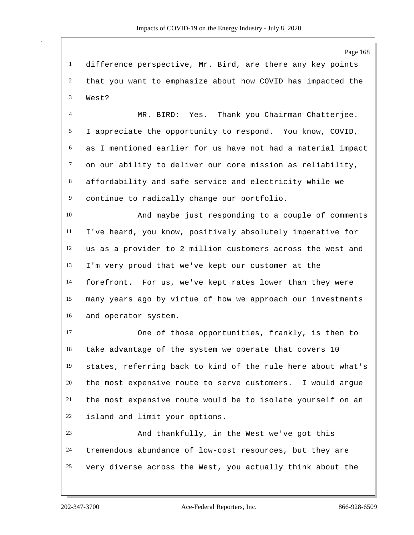difference perspective, Mr. Bird, are there any key points that you want to emphasize about how COVID has impacted the West?

 MR. BIRD: Yes. Thank you Chairman Chatterjee. I appreciate the opportunity to respond. You know, COVID, as I mentioned earlier for us have not had a material impact on our ability to deliver our core mission as reliability, affordability and safe service and electricity while we continue to radically change our portfolio.

 And maybe just responding to a couple of comments I've heard, you know, positively absolutely imperative for us as a provider to 2 million customers across the west and I'm very proud that we've kept our customer at the forefront. For us, we've kept rates lower than they were many years ago by virtue of how we approach our investments and operator system.

 One of those opportunities, frankly, is then to take advantage of the system we operate that covers 10 states, referring back to kind of the rule here about what's the most expensive route to serve customers. I would argue the most expensive route would be to isolate yourself on an island and limit your options.

 And thankfully, in the West we've got this tremendous abundance of low-cost resources, but they are very diverse across the West, you actually think about the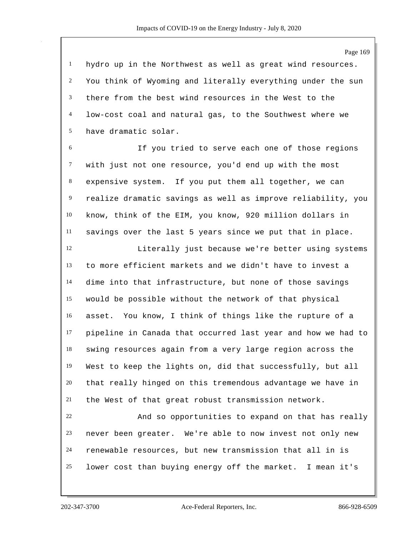hydro up in the Northwest as well as great wind resources. You think of Wyoming and literally everything under the sun there from the best wind resources in the West to the low-cost coal and natural gas, to the Southwest where we have dramatic solar.

 If you tried to serve each one of those regions with just not one resource, you'd end up with the most expensive system. If you put them all together, we can realize dramatic savings as well as improve reliability, you know, think of the EIM, you know, 920 million dollars in savings over the last 5 years since we put that in place.

 Literally just because we're better using systems to more efficient markets and we didn't have to invest a dime into that infrastructure, but none of those savings would be possible without the network of that physical asset. You know, I think of things like the rupture of a pipeline in Canada that occurred last year and how we had to swing resources again from a very large region across the West to keep the lights on, did that successfully, but all that really hinged on this tremendous advantage we have in the West of that great robust transmission network.

 And so opportunities to expand on that has really never been greater. We're able to now invest not only new renewable resources, but new transmission that all in is lower cost than buying energy off the market. I mean it's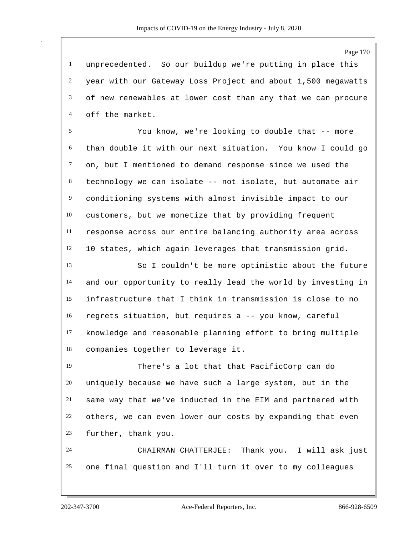unprecedented. So our buildup we're putting in place this year with our Gateway Loss Project and about 1,500 megawatts of new renewables at lower cost than any that we can procure off the market.

 You know, we're looking to double that -- more than double it with our next situation. You know I could go on, but I mentioned to demand response since we used the technology we can isolate -- not isolate, but automate air conditioning systems with almost invisible impact to our customers, but we monetize that by providing frequent response across our entire balancing authority area across 10 states, which again leverages that transmission grid.

 So I couldn't be more optimistic about the future and our opportunity to really lead the world by investing in infrastructure that I think in transmission is close to no regrets situation, but requires a -- you know, careful knowledge and reasonable planning effort to bring multiple companies together to leverage it.

 There's a lot that that PacificCorp can do uniquely because we have such a large system, but in the same way that we've inducted in the EIM and partnered with others, we can even lower our costs by expanding that even further, thank you.

 CHAIRMAN CHATTERJEE: Thank you. I will ask just one final question and I'll turn it over to my colleagues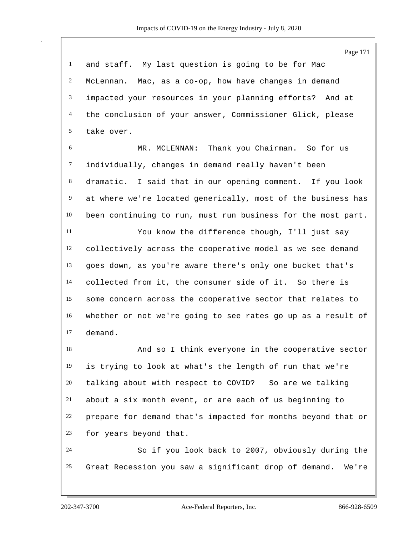and staff. My last question is going to be for Mac McLennan. Mac, as a co-op, how have changes in demand impacted your resources in your planning efforts? And at the conclusion of your answer, Commissioner Glick, please take over.

 MR. MCLENNAN: Thank you Chairman. So for us individually, changes in demand really haven't been dramatic. I said that in our opening comment. If you look at where we're located generically, most of the business has been continuing to run, must run business for the most part.

 You know the difference though, I'll just say collectively across the cooperative model as we see demand goes down, as you're aware there's only one bucket that's collected from it, the consumer side of it. So there is some concern across the cooperative sector that relates to whether or not we're going to see rates go up as a result of demand.

 And so I think everyone in the cooperative sector is trying to look at what's the length of run that we're talking about with respect to COVID? So are we talking about a six month event, or are each of us beginning to prepare for demand that's impacted for months beyond that or for years beyond that.

 So if you look back to 2007, obviously during the Great Recession you saw a significant drop of demand. We're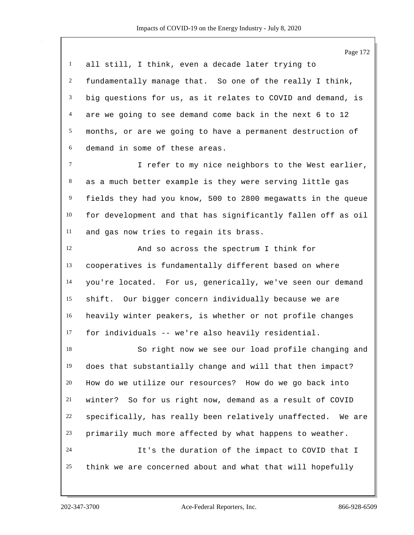Page 172 all still, I think, even a decade later trying to fundamentally manage that. So one of the really I think, big questions for us, as it relates to COVID and demand, is are we going to see demand come back in the next 6 to 12 months, or are we going to have a permanent destruction of demand in some of these areas. I refer to my nice neighbors to the West earlier, as a much better example is they were serving little gas fields they had you know, 500 to 2800 megawatts in the queue for development and that has significantly fallen off as oil and gas now tries to regain its brass. And so across the spectrum I think for cooperatives is fundamentally different based on where you're located. For us, generically, we've seen our demand shift. Our bigger concern individually because we are heavily winter peakers, is whether or not profile changes for individuals -- we're also heavily residential. So right now we see our load profile changing and does that substantially change and will that then impact? How do we utilize our resources? How do we go back into winter? So for us right now, demand as a result of COVID specifically, has really been relatively unaffected. We are primarily much more affected by what happens to weather. It's the duration of the impact to COVID that I think we are concerned about and what that will hopefully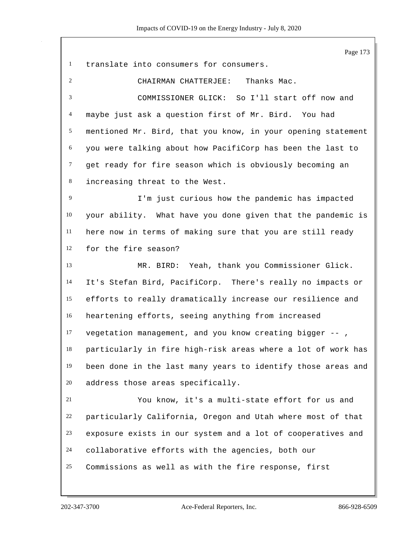Page 173 translate into consumers for consumers. CHAIRMAN CHATTERJEE: Thanks Mac. COMMISSIONER GLICK: So I'll start off now and maybe just ask a question first of Mr. Bird. You had mentioned Mr. Bird, that you know, in your opening statement you were talking about how PacifiCorp has been the last to get ready for fire season which is obviously becoming an increasing threat to the West. I'm just curious how the pandemic has impacted your ability. What have you done given that the pandemic is here now in terms of making sure that you are still ready for the fire season? MR. BIRD: Yeah, thank you Commissioner Glick. It's Stefan Bird, PacifiCorp. There's really no impacts or efforts to really dramatically increase our resilience and heartening efforts, seeing anything from increased vegetation management, and you know creating bigger -- , particularly in fire high-risk areas where a lot of work has been done in the last many years to identify those areas and address those areas specifically. You know, it's a multi-state effort for us and particularly California, Oregon and Utah where most of that exposure exists in our system and a lot of cooperatives and collaborative efforts with the agencies, both our Commissions as well as with the fire response, first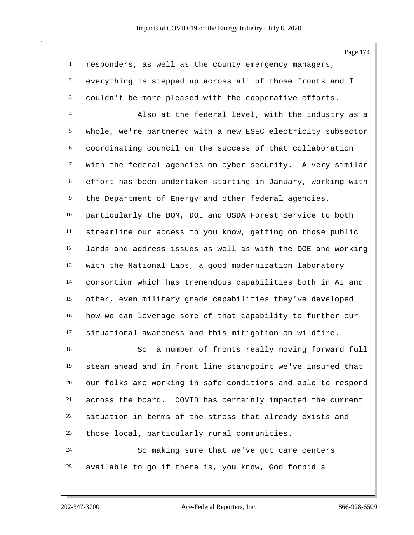responders, as well as the county emergency managers, everything is stepped up across all of those fronts and I couldn't be more pleased with the cooperative efforts.

 Also at the federal level, with the industry as a whole, we're partnered with a new ESEC electricity subsector coordinating council on the success of that collaboration with the federal agencies on cyber security. A very similar effort has been undertaken starting in January, working with the Department of Energy and other federal agencies, particularly the BOM, DOI and USDA Forest Service to both streamline our access to you know, getting on those public lands and address issues as well as with the DOE and working with the National Labs, a good modernization laboratory consortium which has tremendous capabilities both in AI and other, even military grade capabilities they've developed how we can leverage some of that capability to further our situational awareness and this mitigation on wildfire.

 So a number of fronts really moving forward full steam ahead and in front line standpoint we've insured that our folks are working in safe conditions and able to respond across the board. COVID has certainly impacted the current situation in terms of the stress that already exists and those local, particularly rural communities. So making sure that we've got care centers

available to go if there is, you know, God forbid a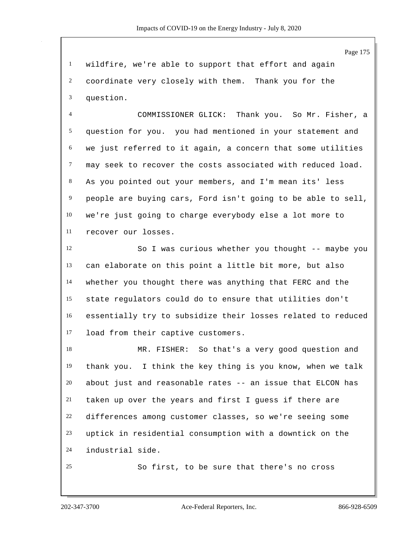wildfire, we're able to support that effort and again coordinate very closely with them. Thank you for the question.

 COMMISSIONER GLICK: Thank you. So Mr. Fisher, a question for you. you had mentioned in your statement and we just referred to it again, a concern that some utilities may seek to recover the costs associated with reduced load. As you pointed out your members, and I'm mean its' less people are buying cars, Ford isn't going to be able to sell, we're just going to charge everybody else a lot more to recover our losses.

 So I was curious whether you thought -- maybe you can elaborate on this point a little bit more, but also whether you thought there was anything that FERC and the state regulators could do to ensure that utilities don't essentially try to subsidize their losses related to reduced load from their captive customers.

 MR. FISHER: So that's a very good question and thank you. I think the key thing is you know, when we talk about just and reasonable rates -- an issue that ELCON has taken up over the years and first I guess if there are differences among customer classes, so we're seeing some uptick in residential consumption with a downtick on the industrial side.

So first, to be sure that there's no cross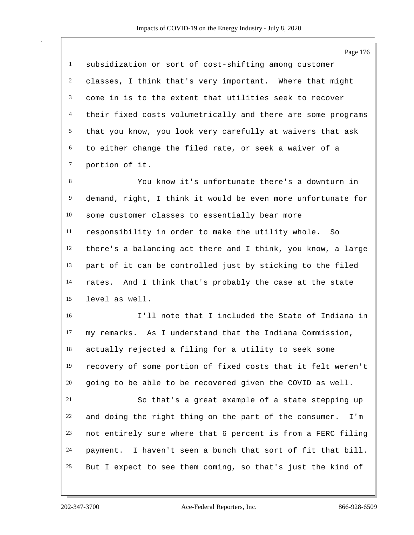Page 176 subsidization or sort of cost-shifting among customer classes, I think that's very important. Where that might come in is to the extent that utilities seek to recover their fixed costs volumetrically and there are some programs that you know, you look very carefully at waivers that ask to either change the filed rate, or seek a waiver of a portion of it. You know it's unfortunate there's a downturn in demand, right, I think it would be even more unfortunate for some customer classes to essentially bear more responsibility in order to make the utility whole. So there's a balancing act there and I think, you know, a large part of it can be controlled just by sticking to the filed rates. And I think that's probably the case at the state level as well. I'll note that I included the State of Indiana in my remarks. As I understand that the Indiana Commission, actually rejected a filing for a utility to seek some recovery of some portion of fixed costs that it felt weren't going to be able to be recovered given the COVID as well. So that's a great example of a state stepping up and doing the right thing on the part of the consumer. I'm not entirely sure where that 6 percent is from a FERC filing payment. I haven't seen a bunch that sort of fit that bill. But I expect to see them coming, so that's just the kind of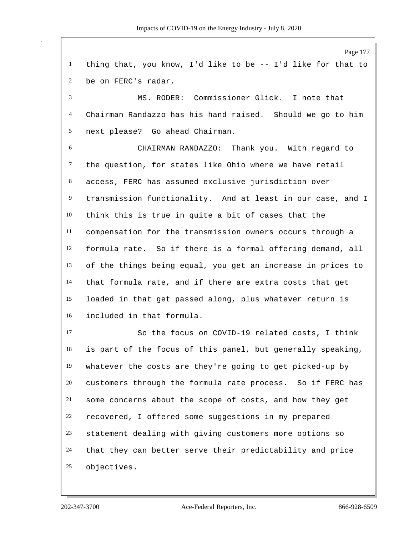Page 177 thing that, you know, I'd like to be -- I'd like for that to be on FERC's radar. MS. RODER: Commissioner Glick. I note that Chairman Randazzo has his hand raised. Should we go to him next please? Go ahead Chairman. CHAIRMAN RANDAZZO: Thank you. With regard to the question, for states like Ohio where we have retail access, FERC has assumed exclusive jurisdiction over transmission functionality. And at least in our case, and I think this is true in quite a bit of cases that the compensation for the transmission owners occurs through a formula rate. So if there is a formal offering demand, all of the things being equal, you get an increase in prices to that formula rate, and if there are extra costs that get loaded in that get passed along, plus whatever return is included in that formula. So the focus on COVID-19 related costs, I think is part of the focus of this panel, but generally speaking, whatever the costs are they're going to get picked-up by customers through the formula rate process. So if FERC has some concerns about the scope of costs, and how they get recovered, I offered some suggestions in my prepared statement dealing with giving customers more options so that they can better serve their predictability and price objectives.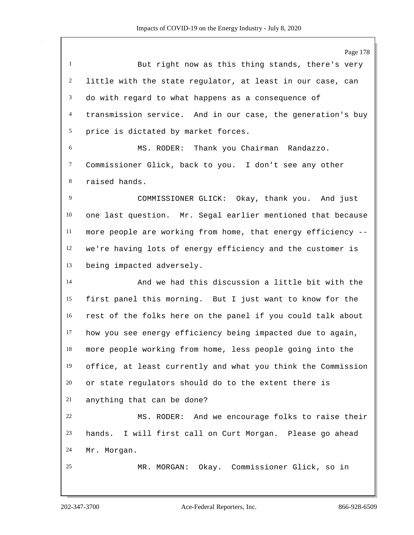But right now as this thing stands, there's very little with the state regulator, at least in our case, can do with regard to what happens as a consequence of transmission service. And in our case, the generation's buy price is dictated by market forces. MS. RODER: Thank you Chairman Randazzo. Commissioner Glick, back to you. I don't see any other raised hands. COMMISSIONER GLICK: Okay, thank you. And just one last question. Mr. Segal earlier mentioned that because more people are working from home, that energy efficiency -- we're having lots of energy efficiency and the customer is being impacted adversely. And we had this discussion a little bit with the first panel this morning. But I just want to know for the rest of the folks here on the panel if you could talk about how you see energy efficiency being impacted due to again, more people working from home, less people going into the office, at least currently and what you think the Commission or state regulators should do to the extent there is anything that can be done? MS. RODER: And we encourage folks to raise their hands. I will first call on Curt Morgan. Please go ahead Mr. Morgan.

MR. MORGAN: Okay. Commissioner Glick, so in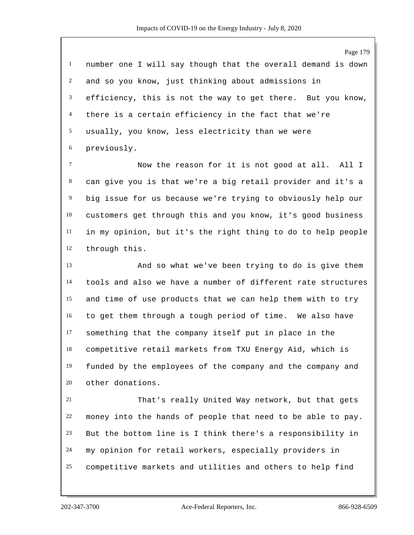number one I will say though that the overall demand is down and so you know, just thinking about admissions in efficiency, this is not the way to get there. But you know, there is a certain efficiency in the fact that we're usually, you know, less electricity than we were previously. Now the reason for it is not good at all. All I

 can give you is that we're a big retail provider and it's a big issue for us because we're trying to obviously help our customers get through this and you know, it's good business in my opinion, but it's the right thing to do to help people through this.

 And so what we've been trying to do is give them tools and also we have a number of different rate structures and time of use products that we can help them with to try to get them through a tough period of time. We also have something that the company itself put in place in the competitive retail markets from TXU Energy Aid, which is funded by the employees of the company and the company and other donations.

 That's really United Way network, but that gets money into the hands of people that need to be able to pay. But the bottom line is I think there's a responsibility in my opinion for retail workers, especially providers in competitive markets and utilities and others to help find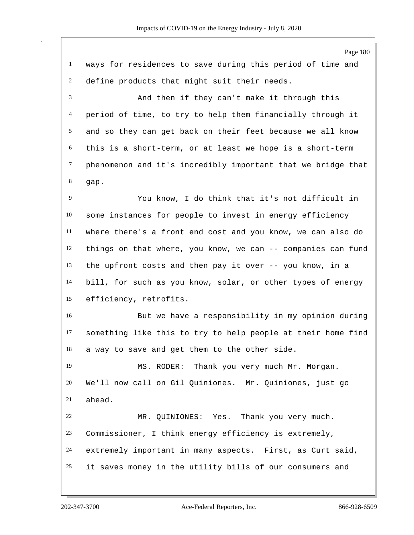Page 180 ways for residences to save during this period of time and define products that might suit their needs. And then if they can't make it through this period of time, to try to help them financially through it and so they can get back on their feet because we all know this is a short-term, or at least we hope is a short-term phenomenon and it's incredibly important that we bridge that gap. You know, I do think that it's not difficult in some instances for people to invest in energy efficiency where there's a front end cost and you know, we can also do things on that where, you know, we can -- companies can fund the upfront costs and then pay it over -- you know, in a bill, for such as you know, solar, or other types of energy efficiency, retrofits. But we have a responsibility in my opinion during something like this to try to help people at their home find a way to save and get them to the other side. MS. RODER: Thank you very much Mr. Morgan. We'll now call on Gil Quiniones. Mr. Quiniones, just go ahead. MR. QUINIONES: Yes. Thank you very much. Commissioner, I think energy efficiency is extremely, extremely important in many aspects. First, as Curt said, it saves money in the utility bills of our consumers and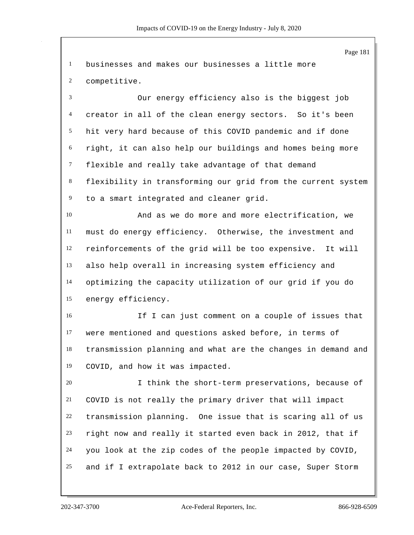Page 181 businesses and makes our businesses a little more competitive. Our energy efficiency also is the biggest job creator in all of the clean energy sectors. So it's been hit very hard because of this COVID pandemic and if done right, it can also help our buildings and homes being more flexible and really take advantage of that demand flexibility in transforming our grid from the current system to a smart integrated and cleaner grid. And as we do more and more electrification, we must do energy efficiency. Otherwise, the investment and reinforcements of the grid will be too expensive. It will also help overall in increasing system efficiency and optimizing the capacity utilization of our grid if you do energy efficiency. If I can just comment on a couple of issues that were mentioned and questions asked before, in terms of transmission planning and what are the changes in demand and COVID, and how it was impacted. I think the short-term preservations, because of COVID is not really the primary driver that will impact transmission planning. One issue that is scaring all of us right now and really it started even back in 2012, that if you look at the zip codes of the people impacted by COVID, and if I extrapolate back to 2012 in our case, Super Storm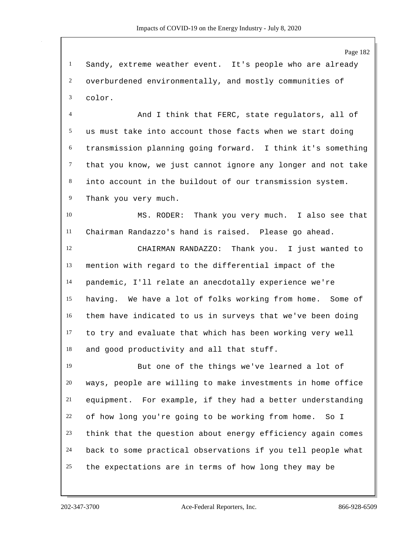Sandy, extreme weather event. It's people who are already overburdened environmentally, and mostly communities of color.

 And I think that FERC, state regulators, all of us must take into account those facts when we start doing transmission planning going forward. I think it's something that you know, we just cannot ignore any longer and not take into account in the buildout of our transmission system. Thank you very much.

 MS. RODER: Thank you very much. I also see that Chairman Randazzo's hand is raised. Please go ahead.

 CHAIRMAN RANDAZZO: Thank you. I just wanted to mention with regard to the differential impact of the pandemic, I'll relate an anecdotally experience we're having. We have a lot of folks working from home. Some of them have indicated to us in surveys that we've been doing to try and evaluate that which has been working very well and good productivity and all that stuff.

 But one of the things we've learned a lot of ways, people are willing to make investments in home office equipment. For example, if they had a better understanding of how long you're going to be working from home. So I think that the question about energy efficiency again comes back to some practical observations if you tell people what the expectations are in terms of how long they may be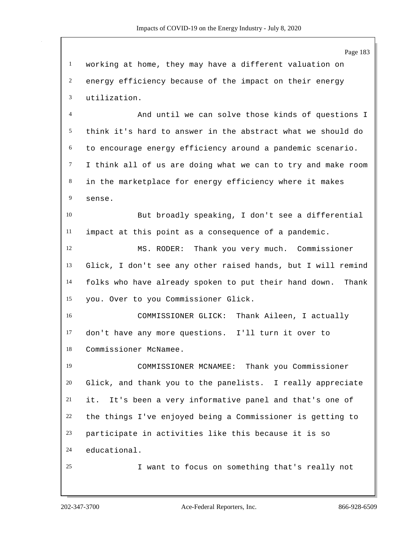Page 183 working at home, they may have a different valuation on energy efficiency because of the impact on their energy utilization. And until we can solve those kinds of questions I think it's hard to answer in the abstract what we should do to encourage energy efficiency around a pandemic scenario. I think all of us are doing what we can to try and make room in the marketplace for energy efficiency where it makes sense. But broadly speaking, I don't see a differential impact at this point as a consequence of a pandemic. MS. RODER: Thank you very much. Commissioner Glick, I don't see any other raised hands, but I will remind folks who have already spoken to put their hand down. Thank you. Over to you Commissioner Glick. COMMISSIONER GLICK: Thank Aileen, I actually don't have any more questions. I'll turn it over to Commissioner McNamee. COMMISSIONER MCNAMEE: Thank you Commissioner Glick, and thank you to the panelists. I really appreciate it. It's been a very informative panel and that's one of the things I've enjoyed being a Commissioner is getting to participate in activities like this because it is so educational. I want to focus on something that's really not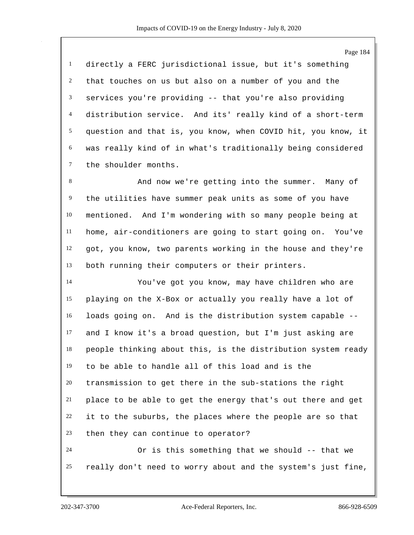directly a FERC jurisdictional issue, but it's something that touches on us but also on a number of you and the services you're providing -- that you're also providing distribution service. And its' really kind of a short-term question and that is, you know, when COVID hit, you know, it was really kind of in what's traditionally being considered the shoulder months.

 And now we're getting into the summer. Many of the utilities have summer peak units as some of you have mentioned. And I'm wondering with so many people being at home, air-conditioners are going to start going on. You've got, you know, two parents working in the house and they're both running their computers or their printers.

 You've got you know, may have children who are playing on the X-Box or actually you really have a lot of loads going on. And is the distribution system capable -- and I know it's a broad question, but I'm just asking are people thinking about this, is the distribution system ready to be able to handle all of this load and is the transmission to get there in the sub-stations the right place to be able to get the energy that's out there and get it to the suburbs, the places where the people are so that then they can continue to operator? Or is this something that we should -- that we

really don't need to worry about and the system's just fine,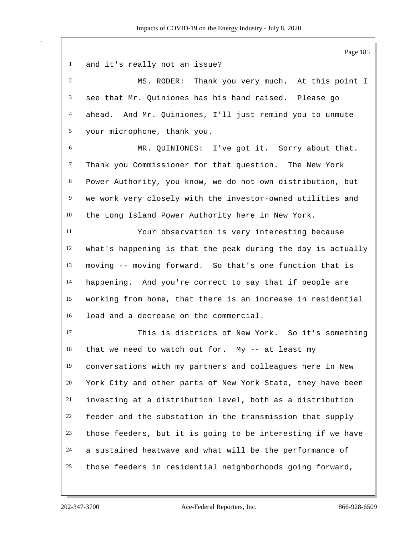Page 185 and it's really not an issue? MS. RODER: Thank you very much. At this point I see that Mr. Quiniones has his hand raised. Please go ahead. And Mr. Quiniones, I'll just remind you to unmute your microphone, thank you. MR. QUINIONES: I've got it. Sorry about that. Thank you Commissioner for that question. The New York Power Authority, you know, we do not own distribution, but we work very closely with the investor-owned utilities and the Long Island Power Authority here in New York. Your observation is very interesting because what's happening is that the peak during the day is actually moving -- moving forward. So that's one function that is happening. And you're correct to say that if people are working from home, that there is an increase in residential load and a decrease on the commercial. This is districts of New York. So it's something that we need to watch out for. My -- at least my conversations with my partners and colleagues here in New York City and other parts of New York State, they have been investing at a distribution level, both as a distribution feeder and the substation in the transmission that supply those feeders, but it is going to be interesting if we have a sustained heatwave and what will be the performance of those feeders in residential neighborhoods going forward,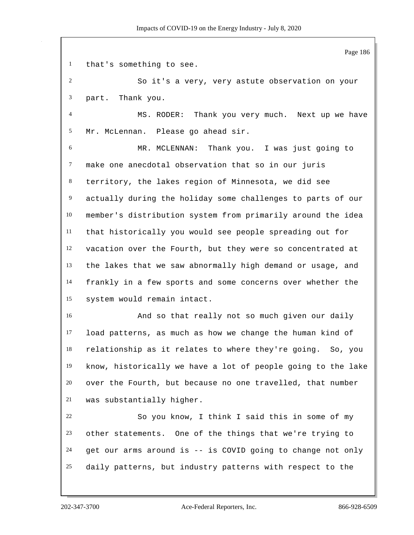Page 186 that's something to see. So it's a very, very astute observation on your part. Thank you. MS. RODER: Thank you very much. Next up we have Mr. McLennan. Please go ahead sir. MR. MCLENNAN: Thank you. I was just going to make one anecdotal observation that so in our juris territory, the lakes region of Minnesota, we did see actually during the holiday some challenges to parts of our member's distribution system from primarily around the idea that historically you would see people spreading out for vacation over the Fourth, but they were so concentrated at the lakes that we saw abnormally high demand or usage, and frankly in a few sports and some concerns over whether the system would remain intact. And so that really not so much given our daily load patterns, as much as how we change the human kind of relationship as it relates to where they're going. So, you know, historically we have a lot of people going to the lake over the Fourth, but because no one travelled, that number was substantially higher. So you know, I think I said this in some of my other statements. One of the things that we're trying to get our arms around is -- is COVID going to change not only daily patterns, but industry patterns with respect to the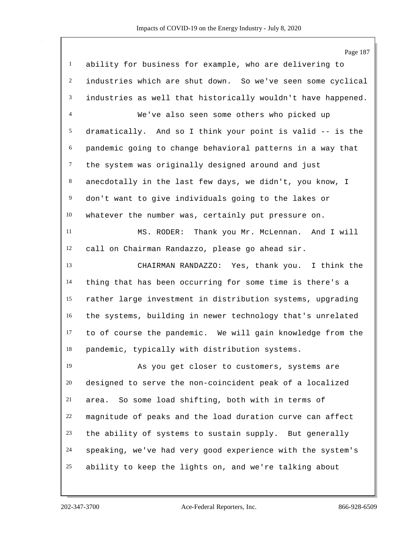|                | Page 187                                                     |
|----------------|--------------------------------------------------------------|
| $\mathbf{1}$   | ability for business for example, who are delivering to      |
| $\overline{c}$ | industries which are shut down. So we've seen some cyclical  |
| 3              | industries as well that historically wouldn't have happened. |
| 4              | We've also seen some others who picked up                    |
| 5              | dramatically. And so I think your point is valid -- is the   |
| 6              | pandemic going to change behavioral patterns in a way that   |
| $\tau$         | the system was originally designed around and just           |
| 8              | anecdotally in the last few days, we didn't, you know, I     |
| $\overline{9}$ | don't want to give individuals going to the lakes or         |
| 10             | whatever the number was, certainly put pressure on.          |
| 11             | MS. RODER:<br>Thank you Mr. McLennan. And I will             |
| 12             | call on Chairman Randazzo, please go ahead sir.              |
| 13             | CHAIRMAN RANDAZZO: Yes, thank you. I think the               |
| 14             | thing that has been occurring for some time is there's a     |
| 15             | rather large investment in distribution systems, upgrading   |
| 16             | the systems, building in newer technology that's unrelated   |
| 17             | to of course the pandemic. We will gain knowledge from the   |
| 18             | pandemic, typically with distribution systems.               |
| 19             | As you get closer to customers, systems are                  |
| 20             | designed to serve the non-coincident peak of a localized     |
| 21             | So some load shifting, both with in terms of<br>area.        |
| 22             | magnitude of peaks and the load duration curve can affect    |
| 23             | the ability of systems to sustain supply. But generally      |
| 24             | speaking, we've had very good experience with the system's   |
| 25             | ability to keep the lights on, and we're talking about       |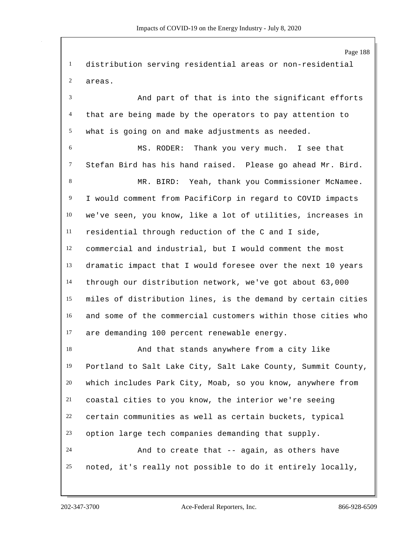Page 188 distribution serving residential areas or non-residential areas. And part of that is into the significant efforts that are being made by the operators to pay attention to what is going on and make adjustments as needed. MS. RODER: Thank you very much. I see that Stefan Bird has his hand raised. Please go ahead Mr. Bird. MR. BIRD: Yeah, thank you Commissioner McNamee. I would comment from PacifiCorp in regard to COVID impacts we've seen, you know, like a lot of utilities, increases in residential through reduction of the C and I side, commercial and industrial, but I would comment the most dramatic impact that I would foresee over the next 10 years through our distribution network, we've got about 63,000 miles of distribution lines, is the demand by certain cities and some of the commercial customers within those cities who are demanding 100 percent renewable energy. And that stands anywhere from a city like Portland to Salt Lake City, Salt Lake County, Summit County, which includes Park City, Moab, so you know, anywhere from coastal cities to you know, the interior we're seeing certain communities as well as certain buckets, typical option large tech companies demanding that supply. And to create that -- again, as others have noted, it's really not possible to do it entirely locally,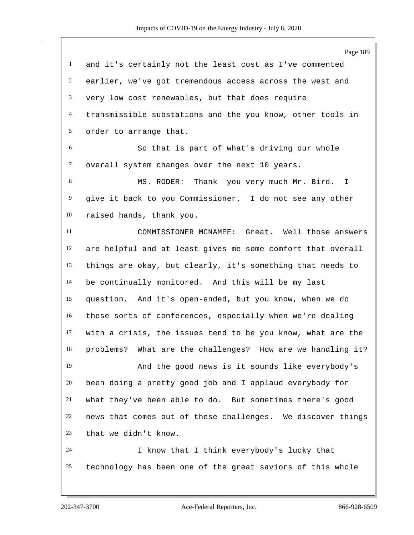|                | Page 189                                                      |
|----------------|---------------------------------------------------------------|
| $\mathbf{1}$   | and it's certainly not the least cost as I've commented       |
| $\overline{c}$ | earlier, we've got tremendous access across the west and      |
| 3              | very low cost renewables, but that does require               |
| $\overline{4}$ | transmissible substations and the you know, other tools in    |
| 5              | order to arrange that.                                        |
| 6              | So that is part of what's driving our whole                   |
| $\tau$         | overall system changes over the next 10 years.                |
| 8              | MS. RODER: Thank you very much Mr. Bird.<br>Ι.                |
| 9              | give it back to you Commissioner. I do not see any other      |
| 10             | raised hands, thank you.                                      |
| 11             | COMMISSIONER MCNAMEE: Great. Well those answers               |
| 12             | are helpful and at least gives me some comfort that overall   |
| 13             | things are okay, but clearly, it's something that needs to    |
| 14             | be continually monitored. And this will be my last            |
| 15             | question. And it's open-ended, but you know, when we do       |
| 16             | these sorts of conferences, especially when we're dealing     |
| 17             | with a crisis, the issues tend to be you know, what are the   |
| 18             | What are the challenges? How are we handling it?<br>problems? |
| 19             | And the good news is it sounds like everybody's               |
| 20             | been doing a pretty good job and I applaud everybody for      |
| 21             | what they've been able to do. But sometimes there's good      |
| 22             | news that comes out of these challenges. We discover things   |
| 23             | that we didn't know.                                          |
| 24             | I know that I think everybody's lucky that                    |
| 25             | technology has been one of the great saviors of this whole    |
|                |                                                               |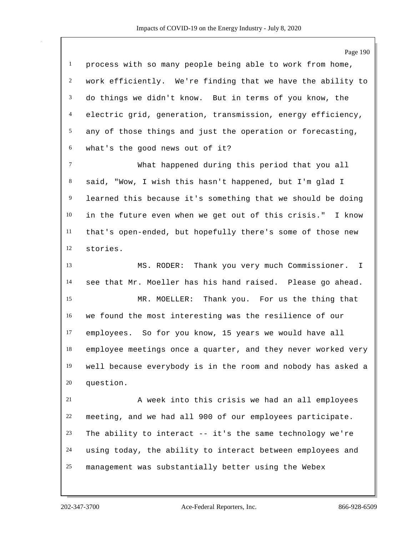|                 | Page 190                                                     |
|-----------------|--------------------------------------------------------------|
| $\mathbf{1}$    | process with so many people being able to work from home,    |
| $\overline{c}$  | work efficiently. We're finding that we have the ability to  |
| $\mathfrak{Z}$  | do things we didn't know. But in terms of you know, the      |
| $\overline{4}$  | electric grid, generation, transmission, energy efficiency,  |
| $5\overline{)}$ | any of those things and just the operation or forecasting,   |
| 6               | what's the good news out of it?                              |
| $\tau$          | What happened during this period that you all                |
| 8               | said, "Wow, I wish this hasn't happened, but I'm glad I      |
| 9               | learned this because it's something that we should be doing  |
| 10              | in the future even when we get out of this crisis." I know   |
| 11              | that's open-ended, but hopefully there's some of those new   |
| 12              | stories.                                                     |
| 13              | Thank you very much Commissioner. I<br>MS. RODER:            |
| 14              | see that Mr. Moeller has his hand raised. Please go ahead.   |
| 15              | MR. MOELLER: Thank you. For us the thing that                |
| 16              | we found the most interesting was the resilience of our      |
| 17              | employees. So for you know, 15 years we would have all       |
| 18              | employee meetings once a quarter, and they never worked very |
| 19              | well because everybody is in the room and nobody has asked a |
| 20              | question.                                                    |
| 21              | A week into this crisis we had an all employees              |
| 22              | meeting, and we had all 900 of our employees participate.    |
| 23              | The ability to interact -- it's the same technology we're    |
| 24              | using today, the ability to interact between employees and   |
| 25              | management was substantially better using the Webex          |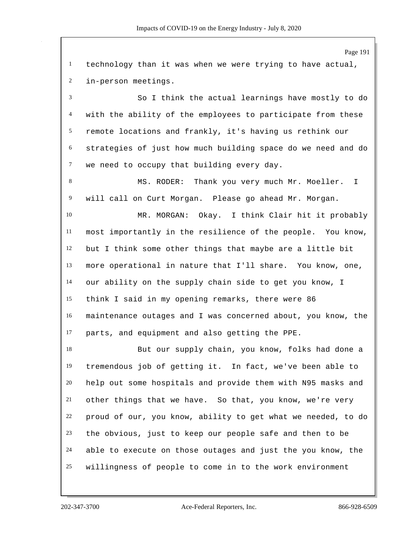Page 191 technology than it was when we were trying to have actual, in-person meetings. So I think the actual learnings have mostly to do with the ability of the employees to participate from these remote locations and frankly, it's having us rethink our strategies of just how much building space do we need and do 7 we need to occupy that building every day. 8 MS. RODER: Thank you very much Mr. Moeller. I will call on Curt Morgan. Please go ahead Mr. Morgan. MR. MORGAN: Okay. I think Clair hit it probably most importantly in the resilience of the people. You know, but I think some other things that maybe are a little bit more operational in nature that I'll share. You know, one, our ability on the supply chain side to get you know, I think I said in my opening remarks, there were 86 maintenance outages and I was concerned about, you know, the parts, and equipment and also getting the PPE. But our supply chain, you know, folks had done a tremendous job of getting it. In fact, we've been able to help out some hospitals and provide them with N95 masks and other things that we have. So that, you know, we're very proud of our, you know, ability to get what we needed, to do the obvious, just to keep our people safe and then to be able to execute on those outages and just the you know, the willingness of people to come in to the work environment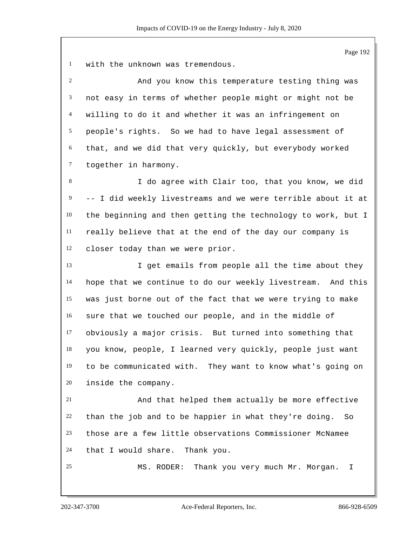with the unknown was tremendous.

 And you know this temperature testing thing was not easy in terms of whether people might or might not be willing to do it and whether it was an infringement on people's rights. So we had to have legal assessment of that, and we did that very quickly, but everybody worked together in harmony.

 I do agree with Clair too, that you know, we did -- I did weekly livestreams and we were terrible about it at the beginning and then getting the technology to work, but I really believe that at the end of the day our company is closer today than we were prior.

13 I get emails from people all the time about they hope that we continue to do our weekly livestream. And this was just borne out of the fact that we were trying to make sure that we touched our people, and in the middle of obviously a major crisis. But turned into something that you know, people, I learned very quickly, people just want to be communicated with. They want to know what's going on inside the company.

 And that helped them actually be more effective than the job and to be happier in what they're doing. So those are a few little observations Commissioner McNamee that I would share. Thank you.

MS. RODER: Thank you very much Mr. Morgan. I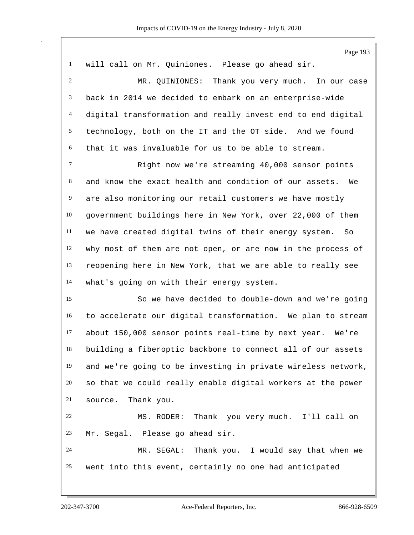|                | Page 193                                                     |
|----------------|--------------------------------------------------------------|
| $\mathbf{1}$   | will call on Mr. Quiniones. Please go ahead sir.             |
| $\overline{2}$ | MR. QUINIONES: Thank you very much. In our case              |
| 3              | back in 2014 we decided to embark on an enterprise-wide      |
| $\overline{4}$ | digital transformation and really invest end to end digital  |
| 5              | technology, both on the IT and the OT side. And we found     |
| 6              | that it was invaluable for us to be able to stream.          |
| $\tau$         | Right now we're streaming 40,000 sensor points               |
| 8              | and know the exact health and condition of our assets.<br>We |
| 9              | are also monitoring our retail customers we have mostly      |
| 10             | government buildings here in New York, over 22,000 of them   |
| $11\,$         | we have created digital twins of their energy system. So     |
| 12             | why most of them are not open, or are now in the process of  |
| 13             | reopening here in New York, that we are able to really see   |
| 14             | what's going on with their energy system.                    |
| 15             | So we have decided to double-down and we're going            |
| 16             | to accelerate our digital transformation. We plan to stream  |
| 17             | about 150,000 sensor points real-time by next year. We're    |
| 18             | building a fiberoptic backbone to connect all of our assets  |
| 19             | and we're going to be investing in private wireless network, |
| 20             | so that we could really enable digital workers at the power  |
| 21             | Thank you.<br>source.                                        |
| 22             | Thank you very much. I'll call on<br>MS. RODER:              |
| 23             | Mr. Segal. Please go ahead sir.                              |
| 24             | MR. SEGAL: Thank you. I would say that when we               |
| 25             | went into this event, certainly no one had anticipated       |
|                |                                                              |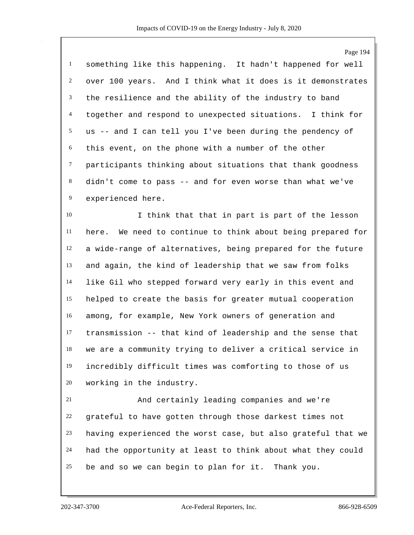something like this happening. It hadn't happened for well over 100 years. And I think what it does is it demonstrates the resilience and the ability of the industry to band together and respond to unexpected situations. I think for us -- and I can tell you I've been during the pendency of this event, on the phone with a number of the other participants thinking about situations that thank goodness didn't come to pass -- and for even worse than what we've experienced here.

 I think that that in part is part of the lesson here. We need to continue to think about being prepared for a wide-range of alternatives, being prepared for the future and again, the kind of leadership that we saw from folks like Gil who stepped forward very early in this event and helped to create the basis for greater mutual cooperation among, for example, New York owners of generation and transmission -- that kind of leadership and the sense that we are a community trying to deliver a critical service in incredibly difficult times was comforting to those of us working in the industry.

 And certainly leading companies and we're grateful to have gotten through those darkest times not having experienced the worst case, but also grateful that we had the opportunity at least to think about what they could be and so we can begin to plan for it. Thank you.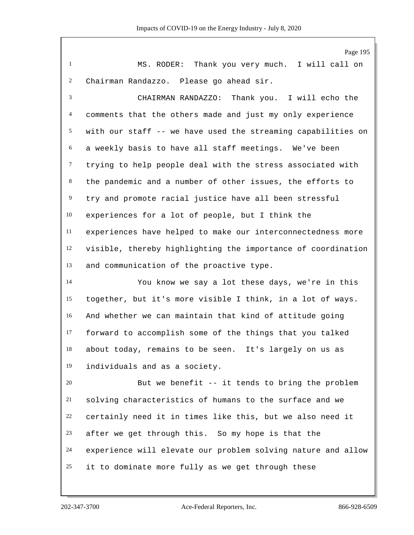MS. RODER: Thank you very much. I will call on Chairman Randazzo. Please go ahead sir.

 CHAIRMAN RANDAZZO: Thank you. I will echo the comments that the others made and just my only experience with our staff -- we have used the streaming capabilities on a weekly basis to have all staff meetings. We've been trying to help people deal with the stress associated with the pandemic and a number of other issues, the efforts to try and promote racial justice have all been stressful experiences for a lot of people, but I think the experiences have helped to make our interconnectedness more visible, thereby highlighting the importance of coordination and communication of the proactive type.

 You know we say a lot these days, we're in this together, but it's more visible I think, in a lot of ways. And whether we can maintain that kind of attitude going forward to accomplish some of the things that you talked about today, remains to be seen. It's largely on us as individuals and as a society.

 But we benefit -- it tends to bring the problem solving characteristics of humans to the surface and we certainly need it in times like this, but we also need it after we get through this. So my hope is that the experience will elevate our problem solving nature and allow it to dominate more fully as we get through these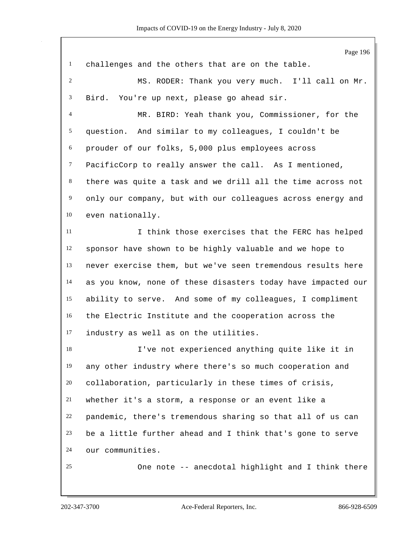|                | Page 196                                                     |
|----------------|--------------------------------------------------------------|
| $\mathbf{1}$   | challenges and the others that are on the table.             |
| $\overline{2}$ | MS. RODER: Thank you very much. I'll call on Mr.             |
| 3              | Bird. You're up next, please go ahead sir.                   |
| 4              | MR. BIRD: Yeah thank you, Commissioner, for the              |
| 5              | question. And similar to my colleagues, I couldn't be        |
| 6              | prouder of our folks, 5,000 plus employees across            |
| $\tau$         | PacificCorp to really answer the call. As I mentioned,       |
| $\,8$          | there was quite a task and we drill all the time across not  |
| 9              | only our company, but with our colleagues across energy and  |
| 10             | even nationally.                                             |
| 11             | I think those exercises that the FERC has helped             |
| 12             | sponsor have shown to be highly valuable and we hope to      |
| 13             | never exercise them, but we've seen tremendous results here  |
| 14             | as you know, none of these disasters today have impacted our |
| 15             | ability to serve. And some of my colleagues, I compliment    |
| 16             | the Electric Institute and the cooperation across the        |
| 17             | industry as well as on the utilities.                        |
| 18             | I've not experienced anything quite like it in               |
| 19             | any other industry where there's so much cooperation and     |
| 20             | collaboration, particularly in these times of crisis,        |
| 21             | whether it's a storm, a response or an event like a          |
| 22             | pandemic, there's tremendous sharing so that all of us can   |
| 23             | be a little further ahead and I think that's gone to serve   |
| 24             | our communities.                                             |
| 25             | One note -- anecdotal highlight and I think there            |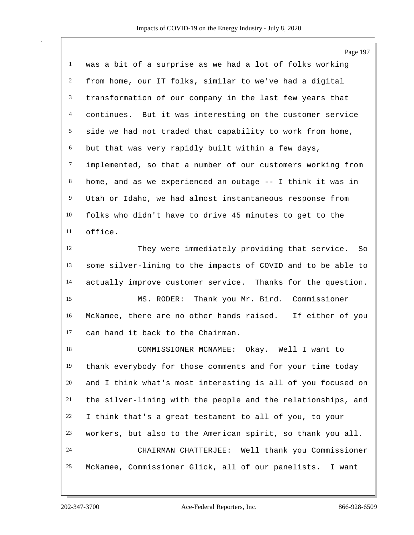|                | Page 197                                                     |
|----------------|--------------------------------------------------------------|
| $\mathbf{1}$   | was a bit of a surprise as we had a lot of folks working     |
| $\overline{c}$ | from home, our IT folks, similar to we've had a digital      |
| 3              | transformation of our company in the last few years that     |
| $\overline{4}$ | continues. But it was interesting on the customer service    |
| 5              | side we had not traded that capability to work from home,    |
| 6              | but that was very rapidly built within a few days,           |
| $\tau$         | implemented, so that a number of our customers working from  |
| 8              | home, and as we experienced an outage -- I think it was in   |
| 9              | Utah or Idaho, we had almost instantaneous response from     |
| 10             | folks who didn't have to drive 45 minutes to get to the      |
| 11             | office.                                                      |
| 12             | They were immediately providing that service. So             |
| 13             | some silver-lining to the impacts of COVID and to be able to |
| 14             | actually improve customer service. Thanks for the question.  |
| 15             | MS. RODER: Thank you Mr. Bird. Commissioner                  |
| 16             | McNamee, there are no other hands raised. If either of you   |
| 17             | can hand it back to the Chairman.                            |
| 18             | COMMISSIONER MCNAMEE:<br>Okay.<br>Well I want to             |
| 19             | thank everybody for those comments and for your time today   |
| 20             | and I think what's most interesting is all of you focused on |
| 21             | the silver-lining with the people and the relationships, and |
| 22             | I think that's a great testament to all of you, to your      |
| 23             | workers, but also to the American spirit, so thank you all.  |
| 24             | CHAIRMAN CHATTERJEE: Well thank you Commissioner             |
| 25             | McNamee, Commissioner Glick, all of our panelists. I want    |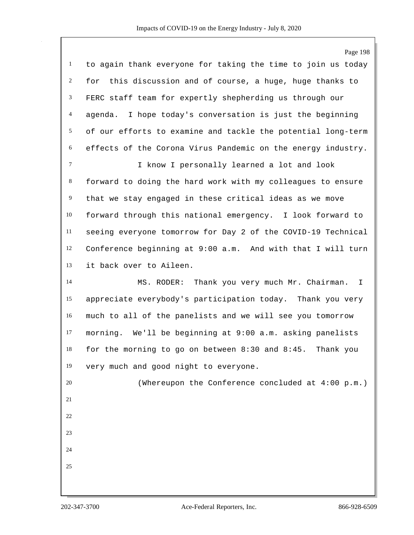|                | Page 198                                                          |
|----------------|-------------------------------------------------------------------|
| $\mathbf{1}$   | to again thank everyone for taking the time to join us today      |
| $\overline{2}$ | for this discussion and of course, a huge, huge thanks to         |
| 3              | FERC staff team for expertly shepherding us through our           |
| $\overline{4}$ | I hope today's conversation is just the beginning<br>agenda.      |
| 5              | of our efforts to examine and tackle the potential long-term      |
| $6\,$          | effects of the Corona Virus Pandemic on the energy industry.      |
| $\tau$         | I know I personally learned a lot and look                        |
| 8              | forward to doing the hard work with my colleagues to ensure       |
| $\overline{9}$ | that we stay engaged in these critical ideas as we move           |
| 10             | forward through this national emergency. I look forward to        |
| 11             | seeing everyone tomorrow for Day 2 of the COVID-19 Technical      |
| 12             | Conference beginning at 9:00 a.m. And with that I will turn       |
| 13             | it back over to Aileen.                                           |
| 14             | Thank you very much Mr. Chairman. I<br>MS. RODER:                 |
| 15             | appreciate everybody's participation today. Thank you very        |
| 16             | much to all of the panelists and we will see you tomorrow         |
| 17             | morning. We'll be beginning at 9:00 a.m. asking panelists         |
| 18             | for the morning to go on between $8:30$ and $8:45$ .<br>Thank you |
| 19             | very much and good night to everyone.                             |
| 20             | (Whereupon the Conference concluded at 4:00 p.m.)                 |
| 21             |                                                                   |
| 22             |                                                                   |
| 23             |                                                                   |
| 24             |                                                                   |
| 25             |                                                                   |
|                |                                                                   |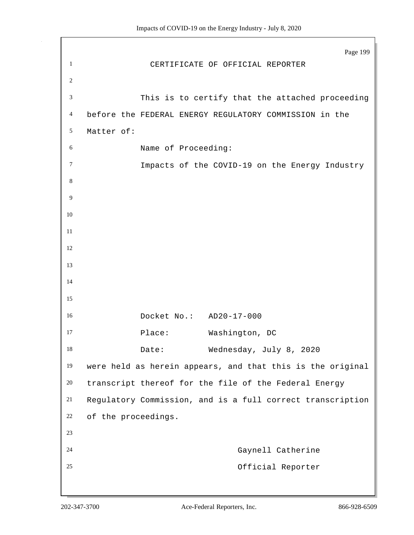Page 199 CERTIFICATE OF OFFICIAL REPORTER This is to certify that the attached proceeding before the FEDERAL ENERGY REGULATORY COMMISSION in the Matter of: Name of Proceeding: Impacts of the COVID-19 on the Energy Industry Docket No.: AD20-17-000 17 Place: Washington, DC 18 Date: Wednesday, July 8, 2020 were held as herein appears, and that this is the original transcript thereof for the file of the Federal Energy Regulatory Commission, and is a full correct transcription of the proceedings. Gaynell Catherine Official Reporter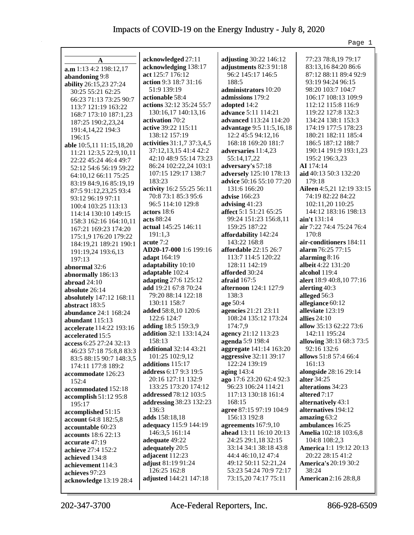|                              |                                            |                                           | Page 1                           |
|------------------------------|--------------------------------------------|-------------------------------------------|----------------------------------|
|                              |                                            |                                           |                                  |
| A                            | acknowledged 27:11                         | adjusting 30:22 146:12                    | 77:23 78:8,19 79:17              |
| a.m 1:13 4:2 198:12,17       | acknowledging 138:17                       | adjustments 82:3 91:18                    | 83:13,16 84:20 86:6              |
| abandoning 9:8               | act 125:7 176:12                           | 96:2 145:17 146:5                         | 87:12 88:11 89:4 92:9            |
| ability 26:15,23 27:24       | action 9:3 18:7 31:16                      | 188:5                                     | 93:19 94:24 96:15                |
| 30:25 55:21 62:25            | 51:9 139:19                                | administrators 10:20                      | 98:20 103:7 104:7                |
| 66:23 71:13 73:25 90:7       | actionable 58:4                            | admissions 179:2                          | 106:17 108:13 109:9              |
| 113:7 121:19 163:22          | actions 32:12 35:24 55:7                   | adopted 14:2                              | 112:12 115:8 116:9               |
| 168:7 173:10 187:1,23        | 130:16,17 140:13,16                        | <b>advance</b> 5:11 114:21                | 119:22 127:8 132:3               |
| 187:25 190:2,23,24           | activation 70:2                            | advanced 113:24 114:20                    | 134:24 138:1 153:3               |
| 191:4,14,22 194:3            | active 39:22 115:11                        | advantage 9:5 11:5,16,18                  | 174:19 177:5 178:23              |
| 196:15                       | 138:12 157:19                              | 12:2 45:5 94:12,16                        | 180:21 182:11 185:4              |
| able 10:5,11 11:15,18,20     | activities 31:1,7 37:3,4,5                 | 168:18 169:20 181:7                       | 186:5 187:12 188:7               |
| 11:21 12:3,5 22:9,10,11      | 37:12,13,15 41:4 42:2                      | adversaries 11:4,23                       | 190:14 191:9 193:1,23            |
| 22:22 45:24 46:4 49:7        | 42:10 48:9 55:14 73:23                     | 55:14,17,22                               | 195:2 196:3,23                   |
| 52:12 54:6 56:19 59:22       | 86:24 102:22,24 103:1                      | adversary's 57:18                         | AI 174:14                        |
| 64:10,12 66:11 75:25         | 107:15 129:17 138:7                        | adversely 125:10 178:13                   | aid 40:13 50:3 132:20            |
| 83:19 84:9,16 85:19,19       | 183:23                                     | advice 50:16 55:10 77:20                  | 179:18                           |
| 87:5 91:12,23,25 93:4        | activity 16:2 55:25 56:11                  | 131:6 166:20                              | Aileen 4:5,21 12:19 33:15        |
| 93:12 96:19 97:11            | 70:8 73:1 85:3 95:6                        | <b>advise</b> 166:23                      | 74:19 82:22 84:22                |
| 100:4 103:25 113:13          | 96:5 114:10 129:8                          | advising 41:23                            | 102:11,20 110:25                 |
| 114:14 130:10 149:15         | actors 18:6                                | affect 5:1 51:21 65:25                    | 144:12 183:16 198:13             |
| 158:3 162:16 164:10,11       | acts 88:24                                 | 99:24 151:23 156:8,11                     | ain't 131:14                     |
| 167:21 169:23 174:20         | actual 145:25 146:11                       | 159:25 187:22                             | air 7:22 74:4 75:24 76:4         |
| 175:1,9 176:20 179:22        | 191:1,3                                    | affordability 142:24                      | 170:8                            |
| 184:19,21 189:21 190:1       | acute 7:2                                  | 143:22 168:8                              | air-conditioners 184:11          |
| 191:19,24 193:6,13           | AD20-17-000 1:6 199:16                     | <b>affordable</b> 22:15 26:7              | alarm 76:25 77:15                |
| 197:13                       | adapt 164:19                               | 113:7 114:5 120:22                        | alarming 8:16                    |
| abnormal 32:6                | adaptability 10:10                         | 128:11 142:19                             | albeit 4:22 131:20               |
| abnormally 186:13            | adaptable 102:4                            | afforded 30:24                            | alcohol 119:4                    |
| abroad 24:10                 | adapting 27:6 125:12                       | afraid $167:5$                            | alert 18:9 40:8,10 77:16         |
| absolute 26:14               | add 19:21 67:8 70:24                       | <b>afternoon</b> 124:1 127:9              | alerting $40:3$                  |
| absolutely 147:12 168:11     | 79:20 88:14 122:18                         | 138:3                                     | alleged 56:3                     |
| abstract 183:5               | 130:11 158:7                               | age 50:4                                  | allegiance 60:12                 |
| <b>abundance</b> 24:1 168:24 | added 58:8,10 120:6                        | agencies 21:21 23:11                      | alleviate 123:19                 |
| abundant 115:13              | 122:6 124:7                                | 108:24 135:12 173:24                      | allies $24:10$                   |
| accelerate 114:22 193:16     | adding 18:5 159:3,9                        | 174:7,9                                   | allow 35:13 62:22 73:6           |
| accelerated 15:5             | addition 32:1 133:14,24                    | agency 21:12 113:23                       | 142:11 195:24                    |
| access $6:25\,27:24\,32:13$  | 158:13                                     | agenda 5:9 198:4                          | allowing 38:13 68:3 73:5         |
| 46:23 57:18 75:8,8 83:3      | <b>additional</b> 32:14 43:21              | aggregate 141:14 163:20                   | 92:16 132:6                      |
| 83:5 88:15 90:7 148:3,5      | 101:25 102:9,12                            | aggressive 32:11 39:17<br>122:24 139:19   | allows 51:8 57:4 66:4            |
| 174:11 177:8 189:2           | additions 115:17                           |                                           | 161:13                           |
| accommodate 126:23           | address 6:17 9:3 19:5                      | aging $143:4$<br>ago 17:6 23:20 62:4 92:3 | alongside 28:16 29:14            |
| 152:4                        | 20:16 127:11 132:9<br>133:25 173:20 174:12 | 96:23 106:24 114:21                       | alter 34:25<br>alterations 34:23 |
| accommodated 152:18          | addressed 78:12 103:5                      | 117:13 130:18 161:4                       | altered 7:17                     |
| accomplish 51:12 95:8        |                                            | 168:15                                    | alternatively 43:1               |
| 195:17                       | addressing 38:23 132:23<br>136:3           | agree 87:15 97:19 104:9                   | alternatives 194:12              |
| accomplished 51:15           | adds 158:18,18                             | 156:13 192:8                              | amazing 63:2                     |
| account 64:8 182:5,8         | adequacy 115:9 144:19                      | agreements 167:9,10                       | ambulances 16:25                 |
| accountable 60:23            | 146:3,5 161:14                             | ahead 13:11 16:10 20:13                   | Amelia 102:18 103:6,8            |
| <b>accounts</b> 18:6 22:13   | adequate 49:22                             | 24:25 29:1,18 32:15                       | 104:8 108:2,3                    |
| accurate 47:19               | adequately 20:5                            | 33:14 34:1 38:18 43:8                     | America 1:1 19:12 20:13          |
| achieve 27:4 152:2           | adjacent 112:23                            | 44:4 46:10,12 47:4                        | 20:22 28:15 41:2                 |
| achieved 134:8               | adjust 81:19 91:24                         | 49:12 50:11 52:21,24                      | <b>America's 20:19 30:2</b>      |
| achievement 114:3            | 126:25 162:8                               | 53:23 54:24 70:9 72:17                    | 38:24                            |
| achieves 97:23               | adjusted 144:21 147:18                     | 73:15,20 74:17 75:11                      | <b>American</b> 2:16 28:8,8      |
| acknowledge 13:19 28:4       |                                            |                                           |                                  |
|                              |                                            |                                           |                                  |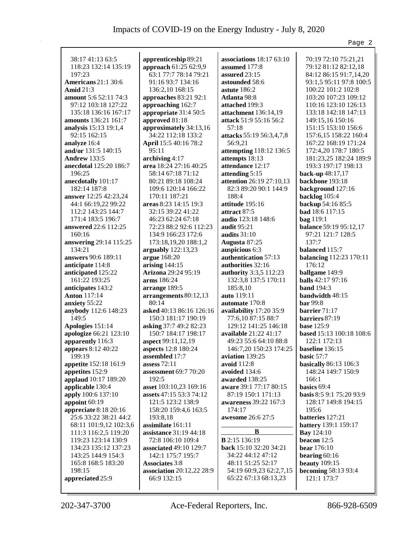|                            |                            |                               | Page 2                   |
|----------------------------|----------------------------|-------------------------------|--------------------------|
|                            |                            |                               |                          |
| 38:17 41:13 63:5           | apprenticeship 89:21       | associations $18:1763:10$     | 70:19 72:10 75:21,21     |
| 118:23 132:14 135:19       | approach 61:25 62:9,9      | assumed 177:8                 | 79:12 81:12 82:12,18     |
| 197:23                     | 63:1 77:7 78:14 79:21      | assured 23:15                 | 84:12 86:15 91:7,14,20   |
| <b>Americans</b> 21:1 30:6 | 91:16 93:7 134:16          | astounded 58:6                | 93:1,5 95:11 97:8 100:5  |
| <b>Amid</b> 21:3           | 136:2,10 168:15            | astute $186:2$                | 100:22 101:2 102:8       |
| amount 5:6 52:11 74:3      | approaches 83:21 92:1      | <b>Atlanta 98:8</b>           | 103:20 107:23 109:12     |
| 97:12 103:18 127:22        | approaching 162:7          | attached 199:3                | 110:16 123:10 126:13     |
| 135:18 136:16 167:17       | appropriate 31:4 50:5      | attachment 136:14,19          | 133:18 142:18 147:13     |
| amounts 136:21 161:7       | approved 81:18             | attack 51:9 55:16 56:2        | 149:15,16 150:16         |
| analysis 15:13 19:1,4      | approximately 34:13,16     | 57:18                         | 151:15 153:10 156:6      |
| 92:15 162:15               | 34:22 112:18 133:2         | attacks 55:19 56:3,4,7,8      | 157:6, 15 158:22 160:4   |
| analyze 16:4               | April 15:5 40:16 78:2      | 56:9,21                       | 167:22 168:19 171:24     |
| and/or 131:5 140:15        | 95:11                      | attempting 118:12 136:5       | 172:4,20 178:7 180:5     |
| <b>Andrew 133:5</b>        | archiving 4:17             | attempts 18:13                | 181:23,25 182:24 189:9   |
| anecdotal 125:20 186:7     | area 18:24 27:16 40:25     | attendance 12:17              | 193:3 197:17 198:13      |
| 196:25                     | 58:14 67:18 71:12          | attending 5:15                | back-up 48:17,17         |
| anecdotally 101:17         | 80:21 89:18 108:24         | attention 26:19 27:10,13      | backbone 193:18          |
| 182:14 187:8               | 109:6 120:14 166:22        | 82:3 89:20 90:1 144:9         | background 127:16        |
| answer 12:25 42:23,24      | 170:11 187:21              | 188:4                         | backlog 105:4            |
|                            | areas 8:23 14:15 19:3      |                               | backup 54:16 85:5        |
| 44:1 66:19,22 99:22        | 32:15 39:22 41:22          | attitude 195:16               |                          |
| 112:2 143:25 144:7         |                            | attract 87:5                  | bad 18:6 117:15          |
| 171:4 183:5 196:7          | 46:23 62:24 67:18          | audio 123:18 148:6            | bag 119:1                |
| answered 22:6 112:25       | 72:23 88:2 92:6 112:23     | <b>audit</b> 95:21            | balance 59:19 95:12,17   |
| 160:16                     | 134:9 166:23 172:6         | audits $31:10$                | 97:21 121:7 128:5        |
| answering 29:14 115:25     | 173:18,19,20 188:1,2       | Augusta 87:25                 | 137:7                    |
| 134:21                     | arguably $122:13,23$       | auspicious 6:3                | balanced 115:7           |
| answers 90:6 189:11        | argue 168:20               | authentication 57:13          | balancing 112:23 170:11  |
| anticipate 114:8           | arising $144:15$           | authorities 32:16             | 176:12                   |
| anticipated 125:22         | <b>Arizona</b> 29:24 95:19 | <b>authority</b> 3:3,5 112:23 | ballgame 149:9           |
| 161:22 193:25              | arms 186:24                | 132:3,8 137:5 170:11          | balls 42:17 97:16        |
| anticipates 143:2          | arrange 189:5              | 185:8,10                      | <b>band</b> 194:3        |
| <b>Anton</b> 117:14        | arrangements 80:12,13      | <b>auto</b> 119:11            | bandwidth 48:15          |
| anxiety 55:22              | 80:14                      | automate 170:8                | <b>bar</b> 99:8          |
| anybody 112:6 148:23       | asked 40:13 86:16 126:16   | availability 17:20 35:9       | barrier $71:17$          |
| 149:5                      | 150:3 181:17 190:19        | 77:6,10 87:15 88:7            | barriers 87:19           |
| Apologies 151:14           | asking 37:7 49:2 82:23     | 129:12 141:25 146:18          | <b>base</b> 125:9        |
| apologize 66:21 123:10     | 150:7 184:17 198:17        | available 21:22 41:17         | based 15:13 100:18 108:6 |
| apparently 116:3           | aspect 99:11,12,19         | 49:23 55:6 64:10 88:8         | 122:1 172:13             |
| appears 8:12 40:22         | aspects 12:8 180:24        | 146:7,20 150:23 174:25        | baseline 136:15          |
| 199:19                     | assembled 17:7             | aviation 139:25               | basic $57:7$             |
| appetite 152:18 161:9      | assess $72:11$             | avoid 112:8                   | basically 86:13 106:3    |
| appetites 152:9            | assessment 69:7 70:20      | avoided 134:6                 | 148:24 149:7 150:9       |
| applaud 10:17 189:20       | 192:5                      | awarded 138:25                | 166:1                    |
| applicable 130:4           | asset 103:10,23 169:16     | aware 39:1 77:17 80:15        | basics 69:4              |
| apply 100:6 137:10         | assets 47:15 53:3 74:12    | 87:19 150:1 171:13            | basis 8:5 9:1 75:20 93:9 |
| appoint 60:19              | 121:5 123:2 138:9          | awareness 39:22 167:3         | 128:17 149:8 194:15      |
| appreciate 8:18 20:16      | 158:20 159:4,6 163:5       | 174:17                        | 195:6                    |
| 25:6 33:22 38:21 44:2      | 193:8,18                   | awesome 26:6 27:5             | batteries 127:21         |
| 68:11 101:9,12 102:3,6     | assimilate 161:11          |                               | battery 139:1 159:17     |
| 111:3 116:2,5 119:20       | assistance 31:19 44:18     | B                             | <b>Bay</b> 124:10        |
| 119:23 123:14 130:9        | 72:8 106:10 109:4          | <b>B</b> 2:15 136:19          | beacon 12:5              |
| 134:23 135:12 137:23       | associated 49:10 129:7     | back 15:10 32:20 34:21        | bear 176:10              |
| 143:25 144:9 154:3         | 142:1 175:7 195:7          | 34:22 44:12 47:12             | bearing $60:16$          |
| 165:8 168:5 183:20         | <b>Associates</b> 3:8      | 48:11 51:25 52:17             | <b>beauty</b> 109:15     |
| 198:15                     | association 20:12,22 28:9  | 54:19 60:9,23 62:2,7,15       | becoming 58:13 93:4      |
| appreciated 25:9           | 66:9 132:15                | 65:22 67:13 68:13,23          | 121:1 173:7              |
|                            |                            |                               |                          |
|                            |                            |                               |                          |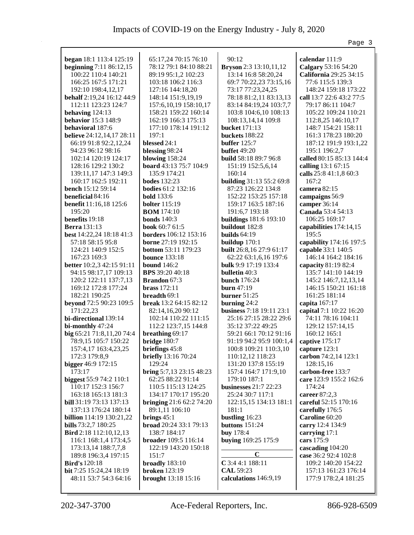|                                               |                                             |                                           | Page 3                                       |
|-----------------------------------------------|---------------------------------------------|-------------------------------------------|----------------------------------------------|
|                                               |                                             |                                           |                                              |
| <b>began</b> 18:1 113:4 125:19                | 65:17,24 70:15 76:10                        | 90:12                                     | calendar 111:9                               |
| beginning 7:11 86:12,15                       | 78:12 79:1 84:10 88:21                      | <b>Bryson</b> 2:3 13:10,11,12             | Calgary 53:16 54:20                          |
| 100:22 110:4 140:21                           | 89:19 95:1,2 102:23                         | 13:14 16:8 58:20,24                       | California 29:25 34:15                       |
| 166:25 167:5 171:21                           | 103:18 106:2 116:3                          | 69:7 70:22,23 73:15,16                    | 77:6 115:5 139:3                             |
| 192:10 198:4,12,17                            | 127:16 144:18,20                            | 73:17 77:23,24,25                         | 148:24 159:18 173:22                         |
| <b>behalf</b> 2:19,24 16:12 44:9              | 148:14 151:9,19,19                          | 78:18 81:2,11 83:13,13                    | call 13:7 22:6 43:2 77:5                     |
| 112:11 123:23 124:7                           | 157:6, 10, 19 158: 10, 17                   | 83:14 84:19,24 103:7,7                    | 79:17 86:11 104:7                            |
| behaving $124:13$<br>behavior 15:3 148:9      | 158:21 159:22 160:14<br>162:19 166:3 175:13 | 103:8 104:6,10 108:13                     | 105:22 109:24 110:21                         |
|                                               |                                             | 108:13,14,14 109:8                        | 112:8,25 146:10,17                           |
| behavioral 187:6                              | 177:10 178:14 191:12                        | <b>bucket</b> 171:13                      | 148:7 154:21 158:11                          |
| <b>believe</b> 24:12,14,17 28:11              | 197:1<br>blessed 24:1                       | buckets 188:22                            | 161:3 178:23 180:20<br>187:12 191:9 193:1,22 |
| 66:19 91:8 92:2,12,24<br>94:23 96:12 98:16    | blessing 98:24                              | buffer $125:7$<br><b>buffet</b> 49:20     | 195:1 196:2,7                                |
| 102:14 120:19 124:17                          | blowing $158:24$                            | build 58:18 89:7 96:8                     | called 80:15 85:13 144:4                     |
| 128:16 129:2 130:2                            | <b>board</b> 43:13 75:7 104:9               | 151:19 152:5,6,14                         | calling 13:1 67:15                           |
| 139:11,17 147:3 149:3                         | 135:9 174:21                                | 160:14                                    | calls 25:8 41:1,8 60:3                       |
| 160:17 162:5 192:11                           | <b>bodes</b> 132:23                         | building 31:13 55:2 69:8                  | 167:2                                        |
| <b>bench</b> 15:12 59:14                      | <b>bodies</b> 61:2 132:16                   | 87:23 126:22 134:8                        | camera 82:15                                 |
| beneficial 84:16                              | <b>bold</b> 133:6                           | 152:22 153:25 157:18                      | campaigns 56:9                               |
| benefit 11:16,18 125:6                        | <b>bolter</b> 115:19                        | 159:17 163:5 187:16                       | camper 36:14                                 |
| 195:20                                        | <b>BOM</b> 174:10                           | 191:6,7 193:18                            | Canada 53:4 54:13                            |
| benefits 19:18                                | bonds $140:3$                               | <b>buildings</b> 181:6 193:10             | 106:25 169:17                                |
| <b>Berra</b> 131:13                           | <b>book</b> 60:7 61:5                       | buildout 182:8                            | capabilities 174:14,15                       |
| best 14:22,24 18:18 41:3                      | <b>borders</b> 106:12 153:16                | builds $64:19$                            | 195:5                                        |
| 57:18 58:15 95:8                              | borne 27:19 192:15                          | buildup $170:1$                           | capability 174:16 197:5                      |
| 124:21 140:9 152:5                            | <b>bottom 53:11 179:23</b>                  | built 26:8,16 27:9 61:17                  | capable 33:1 140:5                           |
| 167:23 169:3                                  | <b>bounce</b> 133:18                        | 62:22 63:1,6,16 197:6                     | 146:14 164:2 184:16                          |
| <b>better</b> 10:2,3 42:15 91:11              | <b>bound</b> 146:2                          | bulk 9:9 17:19 133:4                      | capacity 81:19 82:4                          |
| 94:15 98:17,17 109:13                         | <b>BPS</b> 39:20 40:18                      | <b>bulletin</b> 40:3                      | 135:7 141:10 144:19                          |
| 120:2 122:11 137:7,13                         | <b>Brandon</b> 67:3                         | bunch $176:24$                            | 145:2 146:7, 12, 13, 14                      |
| 169:12 172:8 177:24                           | <b>brass</b> 172:11                         | burn $47:19$                              | 146:15 150:21 161:18                         |
| 182:21 190:25                                 | breadth 69:1                                | burner $51:25$                            | 161:25 181:14                                |
| beyond 72:5 90:23 109:5                       | <b>break</b> $13:264:1582:12$               | burning $24:2$                            | capita 167:17                                |
| 171:22,23                                     | 82:14,16,20 90:12                           | <b>business</b> 7:18 19:11 23:1           | capital 7:1 10:22 16:20                      |
| bi-directional 139:14                         | 102:14 110:22 111:15                        | 25:16 27:15 28:22 29:6                    | 74:11 78:16 104:11                           |
| bi-monthly 47:24                              | 112:2 123:7,15 144:8                        | 35:12 37:22 49:25                         | 129:12 157:14,15                             |
| big 65:21 71:8,11,20 74:4                     | breathing 69:17                             | 59:21 66:1 70:12 91:16                    | 160:12 165:1                                 |
| 78:9,15 105:7 150:22                          | bridge $180:7$                              | 91:19 94:2 95:9 100:1,4   captive 175:17  |                                              |
| 157:4,17 163:4,23,25                          | briefings 45:8                              | 100:8 109:21 110:3,10                     | capture 123:1                                |
| 172:3 179:8,9                                 | briefly 13:16 70:24                         | 110:12,12 118:23                          | carbon 74:2,14 123:1                         |
| bigger 46:9 172:15                            | 129:24                                      | 131:20 137:8 155:19                       | 128:15,16                                    |
| 173:17                                        | bring 5:7,13 23:15 48:23                    | 157:4 164:7 171:9,10                      | carbon-free 133:7                            |
| biggest 55:9 74:2 110:1<br>110:17 152:3 156:7 | 62:25 88:22 91:14                           | 179:10 187:1                              | care 123:9 155:2 162:6                       |
| 163:18 165:13 181:3                           | 110:5 115:13 124:25<br>134:17 170:17 195:20 | businesses 21:7 22:23<br>25:24 30:7 117:1 | 174:24<br>career 87:2,3                      |
| bill 31:19 73:13 137:13                       | bringing $21:662:274:20$                    | 122:15,15 134:13 181:1                    | careful 52:15 170:16                         |
| 137:13 176:24 180:14                          | 89:1,11 106:10                              | 181:1                                     | carefully 176:5                              |
| <b>billion</b> 114:19 130:21,22               | brings $45:1$                               | bustling 16:23                            | Caroline 60:20                               |
| bills 73:2,7 180:25                           | broad 20:24 33:1 79:13                      | buttons 151:24                            | carry 12:4 134:9                             |
| Bird 2:18 112:10,12,13                        | 138:7 184:17                                | buy 178:4                                 | carrying $17:1$                              |
| 116:1 168:1,4 173:4,5                         | <b>broader</b> 109:5 116:14                 | buying 169:25 175:9                       | cars 175:9                                   |
| 173:13,14 188:7,7,8                           | 122:19 143:20 150:18                        |                                           | cascading 104:20                             |
| 189:8 196:3,4 197:15                          | 151:7                                       | $\mathbf C$                               | case 36:2 92:4 102:8                         |
| <b>Bird's</b> 120:18                          | broadly 183:10                              | $C$ 3:4 4:1 188:11                        | 109:2 140:20 154:22                          |
| bit 7:25 15:24,24 18:19                       | <b>broken</b> 123:19                        | <b>CAL 59:23</b>                          | 157:13 161:23 176:14                         |
| 48:11 53:7 54:3 64:16                         | brought 13:18 15:16                         | calculations 146:9,19                     | 177:9 178:2,4 181:25                         |
|                                               |                                             |                                           |                                              |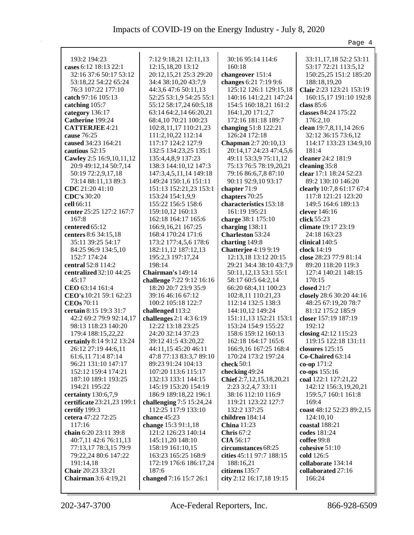|                                     |                                                   |                                           | Page 4                                 |
|-------------------------------------|---------------------------------------------------|-------------------------------------------|----------------------------------------|
|                                     |                                                   |                                           |                                        |
| 193:2 194:23                        | 7:12 9:18,21 12:11,13                             | 30:16 95:14 114:6                         | 33:11, 17, 18 52:2 53:11               |
| cases 6:12 18:13 22:1               | 12:15,18,20 13:12                                 | 160:18                                    | 53:17 72:21 113:5,12                   |
| 32:16 37:6 50:17 53:12              | 20:12,15,21 25:3 29:20                            | changeover 151:4                          | 150:25,25 151:2 185:20                 |
| 53:18,22 54:22 65:24                | 34:4 38:10,20 43:7,9                              | changes 6:21 7:19 9:6                     | 188:18,19,20                           |
| 76:3 107:22 177:10                  | 44:3,6 47:6 50:11,13                              | 125:12 126:1 129:15,18                    | Clair 2:23 123:21 153:19               |
| catch 97:16 105:13                  | 52:25 53:1,9 54:25 55:1<br>55:12 58:17,24 60:5,18 | 140:16 141:2,21 147:24                    | 160:15,17 191:10 192:8<br>class $85:6$ |
| catching 105:7                      | 63:14 64:2,14 66:20,21                            | 154:5 160:18,21 161:2<br>164:1,20 171:2,7 | classes 84:24 175:22                   |
| category 136:17<br>Catherine 199:24 | 68:4, 10 70:21 100:23                             | 172:16 181:18 189:7                       | 176:2,10                               |
| <b>CATTERJEE 4:21</b>               | 102:8,11,17 110:21,23                             | changing 51:8 122:21                      | clean 19:7,8,11,14 26:6                |
| cause 76:25                         | 111:2,10,22 112:14                                | 126:24 172:18                             | 32:12 36:15 73:6,12                    |
| caused 34:23 164:21                 | 117:17 124:2 127:9                                | <b>Chapman</b> 2:7 20:10,13               | 114:17 133:23 134:9,10                 |
| cautious 52:15                      | 132:5 134:23,25 135:1                             | 20:14,17 24:23 47:4,5,6                   | 181:4                                  |
| Cawley 2:5 16:9,10,11,12            | 135:4,4,8,9 137:23                                | 49:11 53:3,9 75:11,12                     | cleaner 24:2 181:9                     |
| 20:9 49:12,14 50:7,14               | 138:3 144:10,12 147:3                             | 75:13 76:5 78:19,20,21                    | cleaning 35:8                          |
| 50:19 72:2,9,17,18                  | 147:3,4,5,11,14 149:18                            | 79:16 86:6,7,8 87:10                      | clear 17:1 18:24 52:23                 |
| 73:14 88:11,13 89:3                 | 149:24 150:1,6 151:11                             | 90:11 92:9,10 93:17                       | 89:2 130:10 146:20                     |
| CDC 21:20 41:10                     | 151:13 152:21,23 153:1                            | chapter 71:9                              | clearly 10:7,8 61:17 67:4              |
| <b>CDC's</b> 30:20                  | 153:24 154:1,9,9                                  | chapters 70:25                            | 117:8 121:21 123:20                    |
| cell 66:11                          | 155:22 156:5 158:6                                | characteristics 153:18                    | 149:5 164:6 189:13                     |
| center 25:25 127:2 167:7            | 159:10,12 160:13                                  | 161:19 195:21                             | clever 146:16                          |
| 167:8                               | 162:18 164:17 165:6                               | charge 38:1 175:10                        | click $55:23$                          |
| centered 65:12                      | 166:9, 16, 21 167: 25                             | charging 138:11                           | climate 19:17 23:19                    |
| centers 8:6 34:15,18                | 168:4 170:24 171:6                                | <b>Charleston 53:24</b>                   | 24:18 163:23                           |
| 35:11 39:25 54:17                   | 173:2 177:4,5,6 178:6                             | charting 149:8                            | clinical 140:5                         |
| 84:25 96:9 134:5,10                 | 182:11,12 187:12,13                               | <b>Chatterjee</b> 4:19 9:19               | clock $14:19$                          |
| 152:7 174:24                        | 195:2,3 197:17,24                                 | 12:13,18 13:12 20:15                      | close 28:23 77:9 81:14                 |
| central 52:8 114:2                  | 198:14                                            | 29:21 34:4 38:10 43:7,9                   | 89:20 118:20 119:3                     |
| centralized 32:10 44:25             | Chairman's 149:14                                 | 50:11, 12, 13 53:1 55:1                   | 127:4 140:21 148:15                    |
| 45:17                               | challenge 7:22 9:12 16:16                         | 58:17 60:5 64:2,14                        | 170:15                                 |
| CEO 63:14 161:4                     | 18:20 20:7 23:9 35:9                              | 66:20 68:4,11 100:23                      | closed $21:7$                          |
| CEO's 10:21 59:1 62:23              | 39:16 46:16 67:12                                 | 102:8,11 110:21,23                        | closely 28:6 30:20 44:16               |
| <b>CEOs</b> 70:11                   | 100:2 105:18 122:7                                | 112:14 132:5 138:3                        | 48:25 67:19,20 78:7                    |
| certain 8:15 19:3 31:7              | challenged 113:2                                  | 144:10,12 149:24                          | 81:12 175:2 185:9                      |
| 42:2 69:2 79:9 92:14,17             | challenges 2:1 4:3 6:19                           | 151:11,13 152:21 153:1                    | closer 157:19 187:19                   |
| 98:13 118:23 140:20                 | 12:22 13:18 23:25                                 | 153:24 154:9 155:22                       | 192:12                                 |
| 179:4 188:15,22,22                  | 24:20 32:14 37:23                                 | 158:6 159:12 160:13                       | closing 42:12 115:23                   |
| certainly 8:14 9:12 13:24           | 39:12 41:5 43:20,22                               | 162:18 164:17 165:6                       | 119:15 122:18 131:11                   |
| 26:12 27:19 44:6,11                 | 44:11,15 45:20 46:11                              | 166:9,16 167:25 168:4                     | closures 125:15                        |
| 61:6,11 71:4 87:14                  | 47:8 77:13 83:3,7 89:10                           | 170:24 173:2 197:24                       | Co-Chaired 63:14                       |
| 96:21 131:10 147:17                 | 89:23 91:24 104:13                                | check $50:1$                              | co-op 171:2                            |
| 152:12 159:4 174:21                 | 107:20 113:6 115:17                               | checking 49:24                            | co-ops $155:16$                        |
| 187:10 189:1 193:25                 | 132:13 133:1 144:15                               | Chief 2:7,12,15,18,20,21                  | coal 122:1 127:21,22                   |
| 194:21 195:22                       | 145:19 153:20 154:19                              | 2:23 3:2,4,7 33:11                        | 142:12 156:3,19,20,21                  |
| certainty 130:6,7,9                 | 186:9 189:18,22 196:1                             | 38:16 112:10 116:9                        | 159:5,7 160:1 161:8                    |
| certificate 23:21,23 199:1          | challenging 7:5 15:24,24                          | 119:21 123:22 127:7                       | 169:4<br>coast 48:12 52:23 89:2,15     |
| certify 199:3<br>cetera 47:22 72:25 | 112:25 117:9 133:10<br>chance 45:23               | 132:2 137:25                              |                                        |
| 117:16                              | change 15:3 91:1,18                               | children 184:14<br><b>China</b> 11:23     | 124:10,10<br>coastal $188:21$          |
| chain 6:20 23:11 39:8               | 121:2 126:23 140:14                               | Chris $67:2$                              | codes 181:24                           |
| 40:7,11 42:6 76:11,13               | 145:11,20 148:10                                  | <b>CIA</b> 56:17                          | coffee 99:8                            |
| 77:13,17 78:3,15 79:9               | 158:19 161:10,15                                  | circumstances 68:25                       | cohesive 51:10                         |
| 79:22,24 80:6 147:22                | 163:23 165:25 168:9                               | cities 45:11 97:7 188:15                  | cold 126:5                             |
| 191:14,18                           | 172:19 176:6 186:17,24                            | 188:16,21                                 | collaborate 134:14                     |
| Chair 20:23 33:21                   | 187:6                                             | citizens 135:7                            | collaborated 27:16                     |
| Chairman 3:6 4:19,21                | changed 7:16 15:7 26:1                            | city 2:12 16:17,18 19:15                  | 166:24                                 |
|                                     |                                                   |                                           |                                        |
|                                     |                                                   |                                           |                                        |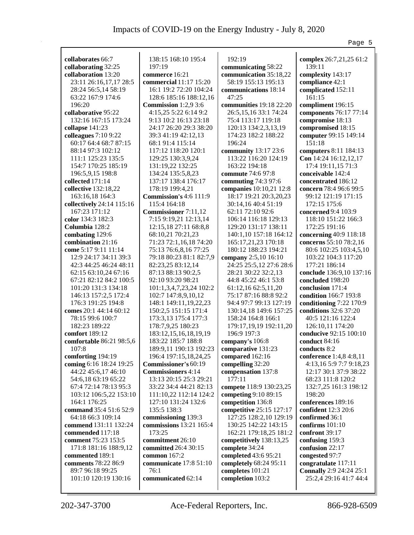|                                          |                                               |                                               | Page 5                                         |
|------------------------------------------|-----------------------------------------------|-----------------------------------------------|------------------------------------------------|
|                                          |                                               |                                               |                                                |
| collaborates 66:7                        | 138:15 168:10 195:4                           | 192:19                                        | complex 26:7,21,25 61:2<br>139:11              |
| collaborating 32:25                      | 197:19                                        | communicating 58:22                           |                                                |
| collaboration 13:20                      | commerce 16:21<br>commercial 11:17 15:20      | communication 35:18,22<br>58:19 155:13 195:13 | complexity 143:17                              |
| 23:11 26:16,17,17 28:5                   | 16:1 19:2 72:20 104:24                        |                                               | compliance 42:1                                |
| 28:24 56:5,14 58:19                      | 128:6 185:16 188:12,16                        | communications 18:14<br>47:25                 | complicated 152:11<br>161:15                   |
| 63:22 167:9 174:6<br>196:20              |                                               | communities 19:18 22:20                       |                                                |
| collaborative 95:22                      | Commission 1:2,9 3:6<br>4:15,25 5:22 6:14 9:2 |                                               | compliment 196:15<br>components 76:17 77:14    |
| 132:16 167:15 173:24                     | 9:13 10:2 16:13 23:18                         | 26:5, 15, 16 33:1 74:24<br>75:4 113:17 119:18 |                                                |
|                                          | 24:17 26:20 29:3 38:20                        |                                               | compromise 18:13                               |
| collapse 141:23<br>colleagues $7:109:22$ |                                               | 120:13 134:2,3,13,19<br>174:23 182:2 188:22   | compromised 18:15                              |
| 60:17 64:4 68:7 87:15                    | 39:3 41:19 42:12,13<br>68:1 91:4 115:14       | 196:24                                        | computer 99:15 149:14<br>151:18                |
|                                          |                                               |                                               |                                                |
| 88:14 97:3 102:12<br>111:1 125:23 135:5  | 117:12 118:20 120:1<br>129:25 130:3,9,24      | community 13:17 23:6<br>113:22 116:20 124:19  | computers 8:11 184:13<br>Con 14:24 16:12,12,17 |
| 154:7 170:25 185:19                      | 131:19,22 132:25                              | 163:22 194:18                                 | 17:4 19:11,15 71:3                             |
| 196:5,9,15 198:8                         | 134:24 135:5,8,23                             | commute 74:6 97:8                             | conceivable 142:4                              |
| collected 171:14                         | 137:17 138:4 176:17                           | commuting 74:3 97:6                           | concentrated 186:12                            |
| collective 132:18,22                     | 178:19 199:4,21                               | companies 10:10,21 12:8                       | concern 78:4 96:6 99:5                         |
| 163:16,18 164:3                          | <b>Commission's 4:6 111:9</b>                 | 18:17 19:21 20:3,20,23                        | 99:12 121:19 171:15                            |
| collectively 24:14 115:16                | 115:4 164:18                                  | 30:14,16 40:4 51:19                           | 172:15 175:6                                   |
| 167:23 171:12                            | <b>Commissioner</b> 7:11,12                   | 62:11 72:10 92:6                              | concerned 9:4 103:9                            |
| color 134:3 182:3                        | 7:15 9:19,21 12:13,14                         | 106:14 116:18 129:13                          | 118:10 151:22 166:3                            |
| Columbia 128:2                           | 12:15,18 27:11 68:8,8                         | 129:20 131:17 138:11                          | 172:25 191:16                                  |
| combating 129:6                          | 68:10,21 70:21,23                             | 140:1,10 157:18 164:12                        | concerning 40:9 118:18                         |
| combination 21:16                        | 71:23 72:1,16,18 74:20                        | 165:17,21,23 170:18                           | concerns 55:10 78:2,16                         |
| come 5:17 9:11 11:14                     | 75:13 76:6,8,16 77:25                         | 180:12 188:23 194:21                          | 80:6 102:25 103:4,5,10                         |
| 12:9 24:17 34:11 39:3                    | 79:18 80:23 81:1 82:7,9                       | company 2:5,10 16:10                          | 103:22 104:3 117:20                            |
| 42:3 44:25 46:24 48:11                   | 82:23,25 83:12,14                             | 24:25 25:5,12 27:6 28:6                       | 177:21 186:14                                  |
| 62:15 63:10,24 67:16                     | 87:13 88:13 90:2,5                            | 28:21 30:22 32:2,13                           | conclude 136:9,10 137:16                       |
| 67:21 82:12 84:2 100:5                   | 92:10 93:20 98:21                             | 44:8 45:22 46:1 53:8                          | concluded 198:20                               |
| 101:20 131:3 134:18                      | 101:1,3,4,7,23,24 102:2                       | 61:12,16 62:5,11,20                           | conclusion 171:4                               |
| 146:13 157:2,5 172:4                     | 102:7 147:8,9,10,12                           | 75:17 87:16 88:8 92:2                         | condition 166:7 193:8                          |
| 176:3 191:25 194:8                       | 148:1 149:11, 19, 22, 23                      | 94:4 97:7 99:13 127:19                        | conditioning 7:22 170:9                        |
| comes 20:1 44:14 60:12                   | 150:2,5 151:15 171:4                          | 130:14,18 149:6 157:25                        | conditions 32:6 37:20                          |
| 78:15 99:6 100:7                         | 173:3,13 175:4 177:3                          | 158:24 164:8 166:1                            | 40:5 121:16 122:4                              |
| 182:23 189:22                            | 178:7,9,25 180:23                             | 179:17,19,19 192:11,20                        | 126:10,11 174:20                               |
| comfort 189:12                           | 183:12,15,16,18,19,19                         | 196:9 197:3                                   | conducive 92:15 100:10                         |
| comfortable 86:21 98:5,6                 | 183:22 185:7 188:8                            | company's 106:8                               | conduct 84:16                                  |
| 107:8                                    | 189:9,11 190:13 192:23                        | comparative 131:23                            | conducts 8:2                                   |
| comforting 194:19                        | 196:4 197:15,18,24,25                         | compared 162:16                               | conference 1:4,8 4:8,11                        |
| coming 6:16 18:24 19:25                  | <b>Commissioner's 60:19</b>                   | compelling 32:20                              | 4:13,16 5:9 7:7 9:18,23                        |
| 44:22 45:6,17 46:10                      | <b>Commissioners</b> 4:14                     | compensation 137:8                            | 12:17 30:1 37:9 38:22                          |
| 54:6,18 63:19 65:22                      | 13:13 20:15 25:3 29:21                        | 177:11                                        | 68:23 111:8 120:2                              |
| 67:4 72:14 78:13 95:3                    | 33:22 34:4 44:21 82:13                        | compete 118:9 130:23,25                       | 132:7,25 161:3 198:12                          |
| 103:12 106:5,22 153:10                   | 111:10,22 112:14 124:2                        | competing 9:10 89:15                          | 198:20                                         |
| 164:1 176:25                             | 127:10 131:24 132:6                           | competition 136:8                             | conferences 189:16                             |
| command 35:4 51:6 52:9                   | 135:5 138:3                                   | competitive 25:15 127:17                      | confident 12:3 20:6                            |
| 64:18 66:3 109:14                        | commissioning 139:3                           | 127:25 128:2,10 129:19                        | confirmed 36:1                                 |
| commend 131:11 132:24                    | commissions 13:21 165:4                       | 130:25 142:22 143:15                          | confirms $101:10$                              |
| commended 117:18                         | 173:25                                        | 162:21 179:18,25 181:2                        | confront 39:17                                 |
| comment 75:23 153:5                      | commitment 26:10                              | competitively 138:13,25                       | confusing 159:3                                |
| 171:8 181:16 188:9,12                    | committed 26:4 30:15                          | complete 34:24                                | confusion 22:17                                |
| commented 189:1                          | common 167:2                                  | completed 43:6 95:21                          | congested 97:7                                 |
| comments 78:22 86:9                      | communicate 17:8 51:10                        | completely 68:24 95:11                        | congratulate 117:11                            |
| 89:7 96:18 99:25                         | 76:1                                          | completes 101:21                              | <b>Connally</b> 2:9 24:24 25:1                 |
| 101:10 120:19 130:16                     | communicated 62:14                            | completion 103:2                              | 25:2,4 29:16 41:7 44:4                         |
|                                          |                                               |                                               |                                                |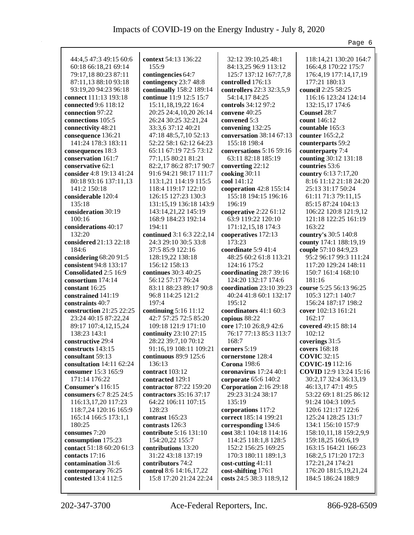|                             |                           |                           | Page 6                        |
|-----------------------------|---------------------------|---------------------------|-------------------------------|
|                             |                           |                           |                               |
| 44:4,5 47:3 49:15 60:6      | context 54:13 136:22      | 32:12 39:10,25 48:1       | 118:14,21 130:20 164:7        |
| 60:18 66:18,21 69:14        | 155:9                     | 84:13,25 96:9 113:12      | 166:4,8 170:22 175:7          |
| 79:17,18 80:23 87:11        | contingencies 64:7        | 125:7 137:12 167:7,7,8    | 176:4,19 177:14,17,19         |
| 87:11,13 88:10 93:18        | contingency 23:7 48:8     | controlled 176:13         | 177:21 180:13                 |
| 93:19,20 94:23 96:18        | continually 158:2 189:14  | controllers 22:3 32:3,5,9 | council 2:25 58:25            |
| connect 111:13 193:18       | continue 11:9 12:5 15:7   | 54:14,17 84:25            | 116:16 123:24 124:14          |
| connected 9:6 118:12        | 15:11, 18, 19, 22 16:4    | controls 34:12 97:2       | 132:15,17 174:6               |
| connection 97:22            | 20:25 24:4,10,20 26:14    | convene 40:25             | Counsel 28:7                  |
| connections 105:5           | 26:24 30:25 32:21,24      | convened 5:3              | count 146:12                  |
| connectivity 48:21          | 33:3,6 37:12 40:21        | convening 132:25          | countable 165:3               |
| consequence 136:21          | 47:18 48:5,7,10 52:13     | conversation 38:14 67:13  | counter $165:2,2$             |
| 141:24 178:3 183:11         | 52:22 58:1 62:12 64:23    | 155:18 198:4              | counterparts 59:2             |
| consequences 18:3           | 65:11 67:19 72:5 73:12    | conversations 5:16 59:16  | counterparty 7:4              |
| conservation 161:7          | 77:1,15 80:21 81:21       | 63:11 82:18 185:19        | counting 30:12 131:18         |
| conservative 62:1           | 82:2,17 86:2 87:17 90:7   | converting 22:12          | countries 53:6                |
| consider 4:8 19:13 41:24    | 91:6 94:21 98:17 111:7    | cooking 30:11             | country 6:13 7:17,20          |
| 80:18 93:16 137:11,13       | 113:1,21 114:19 115:5     | cool 141:12               | 8:16 11:12 21:18 24:20        |
| 141:2 150:18                | 118:4 119:17 122:10       | cooperation 42:8 155:14   | 25:13 31:17 50:24             |
| considerable 120:4          | 126:15 127:23 130:3       | 155:18 194:15 196:16      | 61:11 71:3 79:11,15           |
| 135:18                      | 131:15,19 136:18 143:9    | 196:19                    | 85:15 87:24 104:13            |
| consideration 30:19         | 143:14,21,22 145:19       | cooperative 2:22 61:12    | 106:22 120:8 121:9,12         |
| 100:16                      | 168:9 184:23 192:14       | 63:9 119:22 120:10        | 121:18 122:25 161:19          |
| considerations 40:17        | 194:11                    | 171:12,15,18 174:3        | 163:22                        |
| 132:20                      | continued 3:1 6:3 22:2,14 | cooperatives 172:13       | country's 30:5 140:8          |
| considered 21:13 22:18      | 24:3 29:10 30:5 33:8      | 173:23                    | county 174:1 188:19,19        |
| 184:6                       | 37:5 85:9 122:16          | coordinate 5:9 41:4       | couple 57:10 84:9,23          |
| considering 68:20 91:5      | 128:19,22 138:18          | 48:25 60:2 61:8 113:21    | 95:2 96:17 99:3 111:24        |
| consistent 94:8 133:17      | 156:12 158:13             | 124:16 175:2              | 117:20 129:24 148:11          |
| Consolidated 2:5 16:9       | continues 30:3 40:25      | coordinating 28:7 39:16   | 150:7 161:4 168:10            |
| consortium 174:14           | 56:12 57:17 76:24         | 124:20 132:17 174:6       | 181:16                        |
| constant 16:25              | 83:11 88:23 89:17 90:8    | coordination 23:10 39:23  | course 5:25 56:13 96:25       |
| constrained 141:19          | 96:8 114:25 121:2         | 40:24 41:8 60:1 132:17    | 105:3 127:1 140:7             |
| constraints 40:7            | 197:4                     | 195:12                    | 156:24 187:17 198:2           |
| construction 21:25 22:25    | continuing 5:16 11:12     | coordinators 41:1 60:3    | cover 102:13 161:21           |
| 23:24 40:15 87:22,24        | 42:7 57:25 72:5 85:20     | copious 88:22             | 162:17                        |
| 89:17 107:4,12,15,24        | 109:18 121:9 171:10       | core 17:10 26:8,9 42:6    | covered 49:15 88:14           |
| 138:23 143:1                | continuity 23:10 27:15    | 76:17 77:13 85:3 113:7    | 102:12                        |
| constructive 29:4           | 28:22 39:7,10 70:12       | 168:7                     | coverings 31:5                |
| constructs 143:15           | 91:16,19 108:11 109:21    | corners $5:19$            | covers 168:18                 |
| consultant 59:13            | continuous 89:9 125:6     | cornerstone 128:4         | <b>COVIC</b> 32:15            |
| consultation $14:11\,62:24$ | 136:13                    | <b>Corona</b> 198:6       | <b>COVIC-19</b> 112:16        |
| consumer 15:3 165:9         | contract 103:12           | coronavirus $17:2440:1$   | <b>COVID</b> 12:9 13:24 15:16 |
| 171:14 176:22               | contracted 129:1          | corporate 65:6 140:2      | 30:2,17 32:4 36:13,19         |
| Consumer's 116:15           | contractor 87:22 159:20   | Corporation 2:16 29:18    | 46:13,17 47:1 49:5            |
| consumers 6:7 8:25 24:5     | contractors 35:16 37:17   | 29:23 31:24 38:17         | 53:22 69:1 81:25 86:12        |
| 116:13,17,20 117:23         | 64:22 106:11 107:15       | 135:19                    | 91:24 104:3 109:5             |
| 118:7,24 120:16 165:9       | 128:23                    | corporations 117:2        | 120:6 121:17 122:6            |
| 165:14 166:5 173:1,1        | contrast 165:23           | correct 185:14 199:21     | 125:24 128:25 131:7           |
| 180:25                      | contrasts 126:3           | corresponding 134:6       | 134:1 156:10 157:9            |
| consumes 7:20               | contribute 5:16 131:10    | cost 38:1 104:18 114:16   | 158:10, 11, 18 159:2, 9, 9    |
| consumption 175:23          | 154:20,22 155:7           | 114:25 118:1,8 128:5      | 159:18,25 160:6,19            |
| contact 51:18 60:20 61:3    | contributions 13:20       | 152:2 156:25 169:25       | 163:15 164:21 166:23          |
| contacts 17:16              | 31:22 43:18 137:19        | 170:3 180:11 189:1,3      | 168:2,5 171:20 172:3          |
| contamination 31:6          | contributors 74:2         | cost-cutting 41:11        | 172:21,24 174:21              |
| contemporary 76:25          | control 8:6 14:16,17,22   | cost-shifting 176:1       | 176:20 181:5,19,21,24         |
| contested 13:4 112:5        | 15:8 17:20 21:24 22:24    | costs 24:5 38:3 118:9,12  | 184:5 186:24 188:9            |
|                             |                           |                           |                               |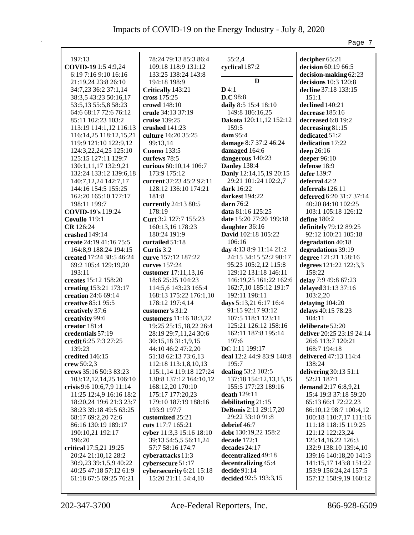|                                       |                          |                                             | Page 7                                        |
|---------------------------------------|--------------------------|---------------------------------------------|-----------------------------------------------|
|                                       |                          |                                             |                                               |
| 197:13                                | 78:24 79:13 85:3 86:4    | 55:2,4                                      | decipher 65:21                                |
| COVID-19 1:5 4:9,24                   | 109:18 118:9 131:12      | cyclical 187:2                              | decision 60:19 66:5                           |
| 6:19 7:16 9:10 16:16                  | 133:25 138:24 143:8      |                                             | decision-making 62:23                         |
| 21:19,24 23:8 26:10                   | 194:18 198:9             | D                                           | decisions 10:3 120:8                          |
| 34:7,23 36:2 37:1,14                  | Critically 143:21        | $D$ 4:1                                     | decline 37:18 133:15                          |
| 38:3,5 43:23 50:16,17                 | cross $175:25$           | D.C 98:8                                    | 151:1                                         |
| 53:5,13 55:5,8 58:23                  | crowd 148:10             | daily 8:5 15:4 18:10                        | declined 140:21                               |
| 64:6 68:17 72:6 76:12                 | crude 34:13 37:19        | 149:8 186:16,25                             | decrease 185:16                               |
| 85:11 102:23 103:2                    | cruise 139:25            | Dakota 120:11,12 152:12                     | decreased 6:8 19:2                            |
| 113:19 114:1,12 116:13                | crushed 141:23           | 159:5                                       | decreasing 81:15                              |
| 116:14,25 118:12,15,21                | culture 16:20 35:25      | dam 95:4                                    | dedicated 51:2                                |
| 119:9 121:10 122:9,12                 | 99:13,14                 | damage 8:7 37:2 46:24                       | dedication 17:22                              |
| 124:3,22,24,25 125:10                 | <b>Cuomo</b> 133:5       | damaged 164:6                               | deep 26:16                                    |
| 125:15 127:11 129:7                   | curfews 78:5             | dangerous 140:23                            | deeper 96:10                                  |
| 130:1,11,17 132:9,21                  | curious 60:10,14 106:7   | <b>Danley</b> 138:4                         | defense 18:9                                  |
| 132:24 133:12 139:6,18                | 173:9 175:12             | Danly 12:14,15,19 20:15                     | defer 139:7                                   |
| 140:7, 12, 24 142:7, 17               | current 37:23 45:2 92:11 | 29:21 101:24 102:2,7                        | deferral 42:2                                 |
| 144:16 154:5 155:25                   | 128:12 136:10 174:21     | dark 16:22                                  | deferrals 126:11                              |
| 162:20 165:10 177:17                  | 181:8                    | darkest 194:22                              | deferred 6:20 31:7 37:14                      |
| 198:11 199:7                          | currently 24:13 80:5     | darn $76:2$                                 | 40:20 84:10 102:25                            |
| <b>COVID-19's</b> 119:24              | 178:19                   | data 81:16 125:25                           | 103:1 105:18 126:12                           |
| Covullo 119:1                         | Curt 3:2 127:7 155:23    | date 15:20 77:20 199:18                     | define 180:2                                  |
| <b>CR</b> 126:24                      | 160:13,16 178:23         | daughter 36:16                              | definitely 79:12 89:25                        |
| crashed 149:14                        | 180:24 191:9             | David 102:18 105:22                         | 92:12 100:21 105:18                           |
| create 24:19 41:16 75:5               | curtailed 51:18          | 106:16                                      | degradation 40:18                             |
| 164:8,9 188:24 194:15                 | Curtis 3:2               | day 4:13 8:9 11:14 21:2                     | degradations 39:19                            |
| created 17:24 38:5 46:24              | curve 157:12 187:22      | 24:15 34:15 52:2 90:17                      | degree 121:21 158:16                          |
| 69:2 105:4 129:19,20                  | curves 157:24            | 95:23 105:2,12 115:8                        | degrees 121:22 122:3,3                        |
| 193:11                                | customer 17:11,13,16     | 129:12 131:18 146:11                        | 158:22                                        |
| creates 15:12 158:20                  | 18:6 25:25 104:23        | 146:19,25 161:22 162:6                      | delay 7:9 49:8 67:23                          |
| creating 153:21 173:17                | 114:5,6 143:23 165:4     | 162:7,10 185:12 191:7                       | delayed 31:13 37:16                           |
| creation 24:6 69:14                   | 168:13 175:22 176:1,10   | 192:11 198:11                               | 103:2,20                                      |
| creative 85:1 95:5                    | 178:12 197:4,14          | days 5:13,21 6:17 16:4                      | delaying 104:20                               |
| creatively 37:6                       | customer's 31:2          | 91:15 92:17 93:12                           | delays 40:15 78:23                            |
|                                       | customers 11:16 18:3,22  | 107:5 118:1 123:11                          | 104:11                                        |
| creativity 99:6<br>creator 181:4      |                          | 125:21 126:12 158:16                        |                                               |
|                                       | 19:25 25:15,18,22 26:4   | 162:11 187:8 195:14                         | deliberate 52:20<br>deliver 20:25 23:19 24:14 |
| credentials 57:19                     | 28:19 29:7,11,24 30:6    |                                             |                                               |
| credit 6:25 7:3 27:25                 | 30:15,18 31:1,9,15       | 197:6                                       | 26:6 113:7 120:21                             |
| 139:23                                | 44:10 46:2 47:2,20       | DC 1:11 199:17<br>deal 12:2 44:9 83:9 140:8 | 168:7 194:18                                  |
| credited 146:15                       | 51:18 62:13 73:6,13      | 195:7                                       | delivered 47:13 114:4                         |
| crew 50:2,3<br>crews 35:16 50:3 83:23 | 112:18 113:1,8,10,13     | dealing 53:2 102:5                          | 138:24                                        |
|                                       | 115:1,14 119:18 127:24   |                                             | delivering 30:13 51:1                         |
| 103:12,12,14,25 106:10                | 130:8 137:12 164:10,12   | 137:18 154:12,13,15,15                      | 52:21 187:1                                   |
| crisis 9:6 10:6,7,9 11:14             | 168:12,20 170:10         | 155:5 177:23 189:16                         | demand 2:17 6:8,9,21                          |
| 11:25 12:4,9 16:16 18:2               | 175:17 177:20,23         | death 129:11                                | 15:4 19:3 37:18 59:20                         |
| 18:20,24 19:6 21:3 23:7               | 179:10 187:19 188:16     | debilitating 21:15                          | 65:13 66:1 72:22,23                           |
| 38:23 39:18 49:5 63:25                | 193:9 197:7              | <b>DeBonis</b> 2:11 29:17,20                | 86:10,12 98:7 100:4,12                        |
| 68:17 69:2,20 72:6                    | customized 25:21         | 29:22 33:10 91:8                            | 100:18 110:7,17 111:16                        |
| 86:16 130:19 189:17                   | cuts 117:7 165:21        | debrief 46:7                                | 111:18 118:15 119:25                          |
| 190:10,21 192:17                      | cyber 11:3,3 15:16 18:10 | debt 130:19,22 158:2                        | 121:12 122:23,24                              |
| 196:20                                | 39:13 54:5,5 56:11,24    | decade $172:1$                              | 125:14,16,22 126:3                            |
| critical 17:5,21 19:25                | 57:7 58:16 174:7         | decades 24:17                               | 132:9 138:10 139:4,10                         |
| 20:24 21:10,12 28:2                   | cyberattacks 11:3        | decentralized 49:18                         | 139:16 140:18,20 141:3                        |
| 30:9,23 39:1,5,9 40:22                | cybersecure 51:17        | decentralizing 45:4                         | 141:15,17 143:8 151:22                        |
| 40:25 47:18 57:12 61:9                | cybersecurity 6:21 15:18 | decide 91:14                                | 153:9 156:24,24 157:5                         |
| 61:18 67:5 69:25 76:21                | 15:20 21:11 54:4,10      | decided 92:5 193:3,15                       | 157:12 158:9,19 160:12                        |
|                                       |                          |                                             |                                               |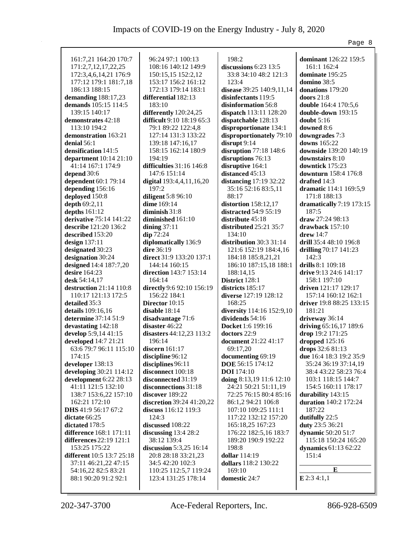|                                                                       |                                                                |                                                           | Page 8                                                  |
|-----------------------------------------------------------------------|----------------------------------------------------------------|-----------------------------------------------------------|---------------------------------------------------------|
| 161:7,21 164:20 170:7<br>171:2,7,12,17,22,25<br>172:3,4,6,14,21 176:9 | 96:24 97:1 100:13<br>108:16 140:12 149:9<br>150:15,15 152:2,12 | 198:2<br>discussions $6:23$ 13:5<br>33:8 34:10 48:2 121:3 | dominant 126:22 159:5<br>161:1 162:4<br>dominate 195:25 |
| 177:12 179:1 181:7,18                                                 | 153:17 156:2 161:12                                            | 123:4                                                     | domino 38:5                                             |
| 186:13 188:15                                                         | 172:13 179:14 183:1                                            | disease 39:25 140:9,11,14                                 | donations 179:20                                        |
| demanding 188:17,23                                                   | differential 182:13                                            | disinfectants 119:5                                       | doors $21:8$                                            |
| demands 105:15 114:5                                                  | 183:10                                                         | disinformation 56:8                                       | double 164:4 170:5,6                                    |
| 139:15 140:17                                                         | differently 120:24,25                                          | dispatch 113:11 128:20                                    | double-down 193:15                                      |
| demonstrates 42:18<br>113:10 194:2                                    | difficult 9:10 18:19 65:3<br>79:1 89:22 122:4,8                | dispatchable 128:13                                       | doubt $5:16$<br>downed 8:6                              |
| demonstration 163:21                                                  | 127:14 131:3 133:22                                            | disproportionate 134:1<br>disproportionately 79:10        | downgrades 7:3                                          |
| denial $56:1$                                                         | 139:18 147:16,17                                               | disrupt $9:14$                                            | downs 165:22                                            |
| densification 141:5                                                   | 158:15 162:14 180:9                                            | disruption 77:18 148:6                                    | downside 139:20 140:19                                  |
| department 10:14 21:10                                                | 194:19                                                         | disruptions 76:13                                         | downstairs 8:10                                         |
| 41:14 167:1 174:9                                                     | difficulties 31:16 146:8                                       | disruptive 164:1                                          | downtick 175:23                                         |
| depend 30:6                                                           | 147:6 151:14                                                   | distanced 45:13                                           | downturn 158:4 176:8                                    |
| dependent 60:1 79:14                                                  | digital 193:4,4,11,16,20                                       | distancing 17:19 32:22                                    | drafted 14:3                                            |
| depending 156:16                                                      | 197:2                                                          | 35:16 52:16 83:5,11                                       | dramatic 114:1 169:5,9                                  |
| deployed 150:8                                                        | diligent 5:8 96:10                                             | 88:17                                                     | 171:8 188:13                                            |
| depth 69:2,11                                                         | dime 169:14                                                    | distortion $158:12,17$                                    | dramatically 7:19 173:15                                |
| depths $161:12$                                                       | diminish $31:8$                                                | distracted 54:9 55:19                                     | 187:5                                                   |
| derivative 75:14 141:22                                               | diminished 161:10                                              | distribute 45:18                                          | draw 27:24 98:13                                        |
| describe 121:20 136:2                                                 | dining $37:11$                                                 | distributed 25:21 35:7                                    | drawback $157:10$                                       |
| described 153:20                                                      | $\dim 72:24$                                                   | 134:10                                                    | $d$ rew 14:7                                            |
| design $137:11$                                                       | diplomatically 136:9                                           | distribution 30:3 31:14                                   | drill 35:4 48:10 196:8                                  |
| designated 30:23                                                      | dire 36:19                                                     | 121:6 152:19 184:4,16                                     | drilling 70:17 141:23                                   |
| designation 30:24                                                     | direct 31:9 133:20 137:1                                       | 184:18 185:8,21,21                                        | 142:3                                                   |
| designed 14:4 187:7,20                                                | 144:14 160:15                                                  | 186:10 187:15,18 188:1                                    | drills 8:1 109:18                                       |
| desire 164:23<br>desk 54:14,17                                        | direction 143:7 153:14<br>164:14                               | 188:14,15                                                 | drive 9:13 24:6 141:17<br>158:1 197:10                  |
| destruction 21:14 110:8                                               | directly 9:6 92:10 156:19                                      | <b>District</b> 128:1<br>districts 185:17                 | driven 121:17 129:17                                    |
| 110:17 121:13 172:5                                                   | 156:22 184:1                                                   | diverse 127:19 128:12                                     | 157:14 160:12 162:1                                     |
| detailed 35:3                                                         | Director 10:15                                                 | 168:25                                                    | driver 19:8 88:25 133:15                                |
| details 109:16,16                                                     | disable $18:14$                                                | diversity 114:16 152:9,10                                 | 181:21                                                  |
| determine 37:14 51:9                                                  | disadvantage 71:6                                              | dividends 54:16                                           | driveway 36:14                                          |
| devastating 142:18                                                    | disaster 46:22                                                 | Docket 1:6 199:16                                         | driving 65:16,17 189:6                                  |
| develop 5:9,14 41:15                                                  | disasters 44:12,23 113:2                                       | doctors 22:9                                              | drop 19:2 171:25                                        |
| developed 14:7 21:21                                                  | 196:14                                                         | document 21:22 41:17                                      | dropped 125:16                                          |
| 63:6 79:7 96:11 115:10                                                | discern $161:17$                                               | 69:17,20                                                  | drops 32:6 81:13                                        |
| 174:15                                                                | discipline 96:12                                               | documenting 69:19                                         | due 16:4 18:3 19:2 35:9                                 |
| developer 138:13                                                      | disciplines 96:11                                              | DOE 56:15 174:12                                          | 35:24 36:19 37:14,19                                    |
| developing 30:21 114:12                                               | disconnect 100:18                                              | <b>DOI</b> 174:10                                         | 38:4 43:22 58:23 76:4                                   |
| development 6:22 28:13                                                | disconnected 31:19                                             | doing 8:13,19 11:6 12:10                                  | 103:1 118:15 144:7                                      |
| 41:11 121:5 132:10                                                    | disconnections 31:18                                           | 24:21 50:21 51:11,19                                      | 154:5 160:11 178:17                                     |
| 138:7 153:6,22 157:10                                                 | discover 189:22                                                | 72:25 76:15 80:4 85:16                                    | durability 143:15                                       |
| 162:21 172:10<br>DHS 41:9 56:17 67:2                                  | discretion 39:24 41:20,22<br>discuss 116:12 119:3              | 86:1,2 94:21 106:8<br>107:10 109:25 111:1                 | duration 140:2 172:24<br>187:22                         |
| dictate 66:25                                                         | 124:3                                                          | 117:22 132:12 157:20                                      | dutifully 22:5                                          |
| dictated 178:5                                                        | discussed 108:22                                               | 165:18,25 167:23                                          | duty 23:5 36:21                                         |
| difference 168:1 171:11                                               | discussing $13:428:2$                                          | 176:22 182:5,16 183:7                                     | dynamic 50:20 51:7                                      |
| differences 22:19 121:1                                               | 38:12 139:4                                                    | 189:20 190:9 192:22                                       | 115:18 150:24 165:20                                    |
| 153:25 175:22                                                         | discussion 5:3,25 16:14                                        | 198:8                                                     | dynamics 61:13 62:22                                    |
| different 10:5 13:7 25:18                                             | 20:8 28:18 33:21,23                                            | dollar 114:19                                             | 151:4                                                   |
| 37:11 46:21,22 47:15                                                  | 34:5 42:20 102:3                                               | dollars 118:2 130:22                                      |                                                         |
| 54:16,22 82:5 83:21                                                   | 110:25 112:5,7 119:24                                          | 169:10                                                    | E                                                       |
| 88:1 90:20 91:2 92:1                                                  | 123:4 131:25 178:14                                            | domestic 24:7                                             | $E$ 2:3 4:1,1                                           |
|                                                                       |                                                                |                                                           |                                                         |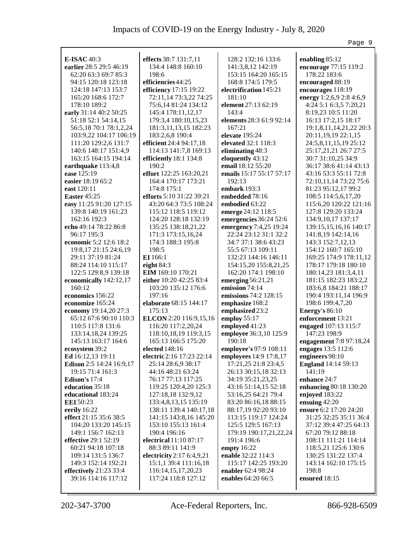|                                                |                                             |                              | Page 9                                          |
|------------------------------------------------|---------------------------------------------|------------------------------|-------------------------------------------------|
|                                                |                                             |                              |                                                 |
| <b>E-ISAC 40:3</b>                             | effects 38:7 131:7,11                       | 128:2 132:16 133:6           | enabling 85:12                                  |
| earlier 28:5 29:5 46:19                        | 134:4 148:8 160:10                          | 141:3,8,12 142:19            | encourage 77:15 119:2                           |
| 62:20 63:3 69:7 85:3                           | 198:6                                       | 153:15 164:20 165:15         | 178:22 183:6                                    |
| 94:15 120:18 123:18                            | efficiencies 44:25                          | 168:8 174:5 179:5            | encouraged 88:19                                |
| 124:18 147:13 153:7                            | efficiency 17:15 19:22                      | electrification 145:21       | encourages 118:19                               |
| 165:20 168:6 172:7                             | 72:11,14 73:3,22 74:25                      | 181:10                       | energy 1:2,6,9 2:8 4:6,9                        |
| 178:10 189:2                                   | 75:6,14 81:24 134:12                        | element 27:13 62:19<br>143:4 | 4:24 5:1 6:3,5 7:20,21                          |
| early 31:14 40:2 50:25                         | 145:4 178:11,12,17                          | elements 28:3 61:9 92:14     | 8:19,23 10:5 11:20<br>16:13 17:2,15 18:17       |
| 51:18 52:1 54:14,15                            | 179:3,4 180:10,15,23                        | 167:21                       | 19:1,8,11,14,21,22 20:3                         |
| 56:5,18 70:1 78:1,2,24                         | 181:3, 11, 13, 15 182: 23                   | elevate $195:24$             |                                                 |
| 103:9,22 104:17 106:19<br>111:20 129:2,6 131:7 | 183:2,6,8 190:4<br>efficient $24:494:17,18$ | elevated 32:1 118:3          | 20:11, 19, 19 22:1, 15<br>24:5,8,11,15,19 25:12 |
| 140:6 148:17 151:4,9                           | 114:13 141:7,8 169:13                       | eliminating 48:3             | 25:17,21,21 26:7 27:5                           |
| 163:15 164:15 194:14                           | efficiently 18:1 134:8                      | eloquently 43:12             | 30:7 31:10,25 34:9                              |
| earthquake 113:4,8                             | 190:2                                       | email 18:12 55:20            | 36:17 38:6 41:14 43:13                          |
| ease 125:19                                    | effort 122:25 163:20,21                     | emails 15:17 55:17 57:17     | 43:16 53:3 55:11 72:8                           |
| easier 18:19 65:2                              | 164:4 170:17 173:21                         | 192:13                       | 72:10,11,14 73:22 75:6                          |
| east 120:11                                    | 174:8 175:1                                 | embark 193:3                 | 81:23 95:12,17 99:2                             |
| <b>Easter 45:25</b>                            | efforts 5:10 31:22 39:21                    | embedded 78:16               | 108:5 114:5,6,17,20                             |
| easy 11:25 91:20 127:15                        | 43:20 64:3 73:5 108:24                      | embodied 63:22               | 115:6,20 120:22 121:16                          |
| 139:8 140:19 161:23                            | 115:12 118:5 119:12                         | emerge 24:12 118:5           | 127:8 129:20 133:24                             |
| 162:16 192:3                                   | 124:20 128:18 132:19                        | emergencies 36:24 52:6       | 134:9, 10, 17 137: 17                           |
| echo 49:14 78:22 86:8                          | 135:25 138:18,21,22                         | emergency 7:4,25 19:24       | 139:15,15,16,16 140:17                          |
| 96:17 195:3                                    | 171:3 173:15,16,24                          | 22:24 23:12 31:1 32:2        | 141:8,19 142:14,16                              |
| economic 5:2 12:6 18:2                         | 174:3 188:3 195:8                           | 34:7 37:1 38:6 43:23         | 143:3 152:7,12,13                               |
| 19:8, 17 21:15 24:6, 19                        | 198:5                                       | 55:5 67:13 109:11            | 154:12 160:7 165:10                             |
| 29:11 37:19 81:24                              | EI 166:1                                    | 132:23 144:16 146:11         | 169:25 174:9 178:11,12                          |
| 88:24 114:10 115:17                            | eight $84:3$                                | 154:15,20 155:8,21,25        | 178:17 179:18 180:10                            |
| 122:5 129:8,9 139:18                           | <b>EIM</b> 169:10 170:21                    | 162:20 174:1 198:10          | 180:14,23 181:3,4,11                            |
| economically 142:12,17                         | either 10:20 42:25 83:4                     | emerging $56:21,21$          | 181:15 182:23 183:2,2                           |
| 160:12                                         | 103:20 135:12 176:6                         | emission 74:14               | 183:6,8 184:21 188:17                           |
| economics 156:22                               | 197:16                                      | emissions 74:2 128:15        | 190:4 193:11,14 196:9                           |
| economize 165:24                               | elaborate 68:15 144:17                      | emphasize 168:2              | 198:6 199:4,7,20                                |
| economy 19:14,20 27:3                          | 175:13                                      | emphasized 23:2              | <b>Energy's 86:10</b>                           |
| 65:12 67:6 90:10 110:3                         | ELCON 2:20 116:9,15,16                      | employ 55:17                 | enforcement 13:21                               |
| 110:5 117:8 131:6                              | 116:20 117:2,20,24                          | employed 41:23               | engaged 107:13 115:7                            |
| 133:14,18,24 139:25                            | 118:10,18,19 119:3,15                       | employee 36:3,10 125:9       | 147:23 198:9                                    |
| 145:13 163:17 164:6                            | 165:13 166:5 175:20                         | 190:18                       | engagement 7:8 97:18,24                         |
| ecosystem 39:2                                 | elected 148:16                              | employee's 97:9 108:11       | engages 13:5 112:6                              |
| Ed 16:12,13 19:11                              | electric 2:16 17:23 22:14                   | employees 14:9 17:8,17       | engineers 98:10                                 |
| Edison 2:5 14:24 16:9,17                       | 25:14 28:6,9 38:17                          | 17:21,25 21:8 23:4,5         | <b>England</b> 14:14 59:13                      |
| 19:15 71:4 161:3                               | 44:16 48:21 63:24                           | 26:13 30:15,18 32:13         | 141:19                                          |
| Edison's $17:4$                                | 76:17 77:13 117:25                          | 34:19 35:21,23,25            | enhance 24:7                                    |
| education 35:18                                | 119:25 120:4,20 125:3                       | 43:16 51:14,15 52:18         | enhancing 80:18 130:20                          |
| educational 183:24                             | 127:18,18 132:9,12                          | 53:16,25 64:21 79:4          | enjoyed 183:22                                  |
| <b>EEI</b> 50:23                               | 133:4,8,13,15 135:19                        | 83:20 86:16,18 88:15         | ensuing $42:20$                                 |
| eerily 16:22                                   | 138:11 139:4 140:17,18                      | 88:17,19 92:20 93:10         | ensure 6:2 17:20 24:20                          |
| effect 21:15 35:6 38:5                         | 141:15 143:8,16 145:20                      | 113:15 119:17 124:24         | 31:25 32:25 35:11 36:4                          |
| 104:20 133:20 145:15                           | 153:10 155:13 161:4                         | 125:5 129:5 167:13           | 37:12 39:4 47:25 64:13                          |
| 149:1 156:7 162:13                             | 190:4 196:16                                | 179:19 190:17,21,22,24       | 67:20 79:12 88:18                               |
| <b>effective</b> 29:1 52:19                    | electrical 11:10 87:17                      | 191:4 196:6                  | 108:11 111:21 114:14                            |
| 60:21 94:18 107:18                             | 88:3 89:11 141:9                            | empty $16:22$                | 118:5,21 125:6 130:6                            |
| 109:14 131:5 136:7                             | electricity 2:17 6:4,9,21                   | enable 32:22 114:3           | 130:25 131:22 137:4                             |
| 149:3 152:14 192:21                            | 15:1,1 39:4 111:16,18                       | 115:17 142:25 193:20         | 143:14 162:10 175:15                            |
| effectively 21:23 33:4                         | 116:14,15,17,20,23                          | enabler 62:4 98:24           | 198:8                                           |
| 39:16 114:16 117:12                            | 117:24 118:8 127:12                         | enables 64:20 66:5           | ensured 18:15                                   |
|                                                |                                             |                              |                                                 |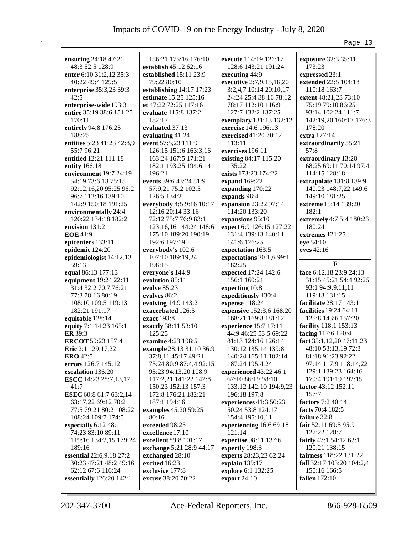|                                  |                            |                                    | Page 10                       |
|----------------------------------|----------------------------|------------------------------------|-------------------------------|
|                                  |                            |                                    |                               |
| ensuring 24:18 47:21             | 156:21 175:16 176:10       | execute 114:19 126:17              | exposure 32:3 35:11           |
| 48:3 52:5 128:9                  | establish 45:12 62:16      | 128:6 143:21 191:24                | 173:23                        |
| enter 6:10 31:2,12 35:3          | established 15:11 23:9     | executing 44:9                     | expressed 23:1                |
| 40:22 49:4 129:5                 | 79:22 80:10                | executive 2:7,9,15,18,20           | extended 22:5 104:18          |
| enterprise 35:3,23 39:3          | establishing 14:17 17:23   | 3:2,4,7 10:14 20:10,17             | 110:18 163:7                  |
| 42:5                             | estimate 15:25 125:16      | 24:24 25:4 38:16 78:12             | extent 48:21,23 73:10         |
| enterprise-wide 193:3            | et 47:22 72:25 117:16      | 78:17 112:10 116:9                 | 75:19 79:10 86:25             |
| entire 35:19 38:6 151:25         | evaluate 115:8 137:2       | 127:7 132:2 137:25                 | 93:14 102:24 111:7            |
| 170:11                           | 182:17                     | exemplary 131:13 132:12            | 142:19,20 160:17 176:3        |
| entirely 94:8 176:23             | evaluated 37:13            | exercise 14:6 196:13               | 178:20                        |
| 188:25                           | evaluating 41:24           | <b>exercised</b> 41:20 70:12       | extra 177:14                  |
| entities 5:23 41:23 42:8,9       | event 57:5,23 111:9        | 113:11                             | extraordinarily 55:21         |
| 55:796:21                        | 126:15 151:6 163:3,16      | exercises 196:11                   | 57:8                          |
| entitled 12:21 111:18            | 163:24 167:5 171:21        | existing 84:17 115:20              | extraordinary 13:20           |
| entity 166:18                    | 182:1 193:25 194:6,14      | 135:22                             | 68:25 69:11 70:14 97:4        |
| environment $19:724:19$          | 196:21                     | exists 173:23 174:22               | 114:15 128:18                 |
| 54:19 73:6,13 75:15              | events 39:6 43:24 51:9     | expand 169:22                      | extrapolate 131:8 139:9       |
| 92:12,16,20 95:25 96:2           | 57:9,21 75:2 102:5         | expanding 170:22                   | 140:23 148:7,22 149:6         |
| 96:7 112:16 139:10               | 126:5 134:2                | expands 98:4                       | 149:10 181:25                 |
| 142:9 150:18 191:25              | everybody 4:5 9:16 10:17   | expansion 23:22 97:14              | extreme 15:14 139:20          |
| environmentally 24:4             | 12:16 20:14 33:16          | 114:20 133:20                      | 182:1                         |
| 120:22 134:18 182:2              | 72:12 75:7 76:9 83:1       | expansions 95:10                   | extremely 4:7 5:4 180:23      |
| envision 131:2                   | 123:16,16 144:24 148:6     | expect 6:9 126:15 127:22           | 180:24                        |
| <b>EOE</b> 41:9                  | 175:10 189:20 190:19       | 131:4 139:13 140:11                | extremes 121:25               |
|                                  | 192:6 197:19               | 141:6 176:25                       |                               |
| epicenters 133:11                |                            |                                    | eye 54:10                     |
| epidemic 124:20                  | everybody's 102:6          | expectation 163:5                  | eyes 42:16                    |
| epidemiologist 14:12,13<br>59:13 | 107:10 189:19,24<br>198:15 | expectations 20:1,6 99:1<br>182:25 | F                             |
|                                  |                            |                                    | face 6:12,18 23:9 24:13       |
| equal 86:13 177:13               | everyone's 144:9           | expected 17:24 142:6               |                               |
| equipment 19:24 22:11            | evolution 85:11            | 156:1 160:21                       | 31:15 45:21 54:4 92:25        |
| 31:4 32:2 70:7 76:21             | evolve $85:23$             | expecting 10:8                     | 93:1 94:9,9,11,11             |
| 77:3 78:16 80:19                 | evolves 86:2               | expeditiously 130:4                | 119:13 131:15                 |
| 108:10 109:5 119:13              | evolving 14:9 143:2        | expense 118:24                     | facilitate 28:17 143:1        |
| 182:21 191:17                    | exacerbated 126:5          | expensive 152:3,6 168:20           | <b>facilities</b> 19:24 64:11 |
| equitable 128:14                 | exact 193:8                | 168:21 169:8 181:12                | 125:8 143:6 157:20            |
| equity 7:1 14:23 165:1           | exactly 38:11 53:10        | experience 15:7 17:11              | facility 118:1 153:13         |
| <b>ER</b> 39:3                   | 125:25                     | 44:9 46:25 53:5 69:22              | facing 117:6 120:4            |
| ERCOT 59:23 157:4                | examine 4:23 198:5         | 81:13 124:16 126:14                | fact 35:1,12,20 47:11,23      |
| Eric 2:11 29:17,22               | example 28:13 31:10 36:9   | 130:12 135:14 139:8                | 48:10 53:13,19 72:3           |
| <b>ERO</b> 42:5                  | 37:8,11 45:17 49:21        | 140:24 165:11 182:14               | 81:18 91:23 92:22             |
| errors 126:7 145:12              | 75:24 80:9 87:4,4 92:15    | 187:24 195:4,24                    | 97:14 117:9 118:14,22         |
| escalation 136:20                | 93:23 94:13,20 108:9       | experienced 43:22 46:1             | 129:1 139:23 164:16           |
| <b>ESCC</b> 14:23 28:7,13,17     | 117:2,21 141:22 142:8      | 67:10 86:19 98:10                  | 179:4 191:19 192:15           |
| 41:7                             | 150:23 152:13 157:3        | 133:12 142:10 194:9,23             | factor 43:12 152:11           |
| <b>ESEC</b> 60:8 61:7 63:2,14    | 172:8 176:21 182:21        | 196:18 197:8                       | 157:7                         |
| 63:17,22 69:12 70:2              | 187:1 194:16               | experiences 41:3 50:23             | factors 7:2 40:14             |
| 77:5 79:21 80:2 108:22           | examples 45:20 59:25       | 50:24 53:8 124:17                  | facts 70:4 182:5              |
| 108:24 109:7 174:5               | 80:16                      | 154:4 195:10,11                    | failure 32:8                  |
| especially 6:12 48:1             | exceeded 98:25             | experiencing 16:6 69:18            | fair 52:11 69:5 95:9          |
| 74:23 83:10 89:11                | excellence 17:10           | 121:14                             | 127:22 128:7                  |
| 119:16 134:2,15 179:24           | excellent 89:8 101:17      | expertise 98:11 137:6              | fairly $47:154:1262:1$        |
| 189:16                           | exchange 5:21 28:9 44:17   | expertly 198:3                     | 120:21 138:15                 |
| <b>essential</b> 22:6,9,18 27:2  | exchanged 28:10            | experts 28:23,23 62:24             | fairness 118:22 131:22        |
| 30:23 47:21 48:2 49:16           | excited 16:23              | explain 139:17                     | fall 32:17 103:20 104:2,4     |
| 62:12 67:6 116:24                | exclusive 177:8            | explore 6:1 132:25                 | 150:16 166:5                  |
| essentially 126:20 142:1         | excuse 38:20 70:22         | export 24:10                       | <b>fallen</b> 172:10          |
|                                  |                            |                                    |                               |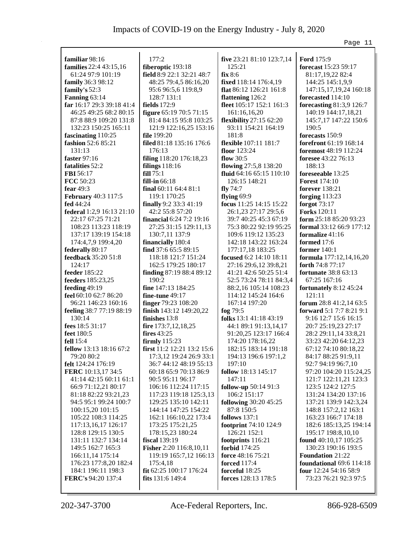| familiar 98:16            | 177:2                      | five 23:21 81:10 123:7,14      | <b>Ford 175:9</b>               |
|---------------------------|----------------------------|--------------------------------|---------------------------------|
| families 22:4 43:15,16    | fiberoptic 193:18          | 125:21                         | forecast 15:23 59:17            |
| 61:24 97:9 101:19         | field 8:9 22:1 32:21 48:7  | fix 8:6                        | 81:17,19,22 82:4                |
| family 36:3 98:12         | 48:25 79:4,5 86:16,20      | fixed 118:14 176:4,19          | 144:25 145:1,9,9                |
| family's $52:3$           | 95:6 96:5,6 119:8,9        | flat 86:12 126:21 161:8        | 147:15,17,19,24 160:18          |
| Fanning 63:14             | 128:7 131:1                | flattening 126:2               | forecasted 114:10               |
| far 16:17 29:3 39:18 41:4 | fields 172:9               | fleet 105:17 152:1 161:3       | forecasting 81:3,9 126:7        |
| 46:25 49:25 68:2 80:15    | figure 65:19 70:5 71:15    | 161:16,16,20                   | 140:19 144:17,18,21             |
| 87:8 88:9 109:20 131:8    | 81:4 84:15 95:8 103:25     | <b>flexibility</b> 27:15 62:20 | 145:7,17 147:22 150:6           |
| 132:23 150:25 165:11      | 121:9 122:16,25 153:16     | 93:11 154:21 164:19            | 190:5                           |
| fascinating 110:25        | file 199:20                | 181:8                          | forecasts 150:9                 |
| fashion 52:6 85:21        | filed 81:18 135:16 176:6   | flexible 107:11 181:7          | forefront 61:19 168:14          |
| 131:13                    | 176:13                     | floor 123:24                   | foremost 48:19 112:24           |
| faster 97:16              | filing 118:20 176:18,23    | flow $30:5$                    | foresee 43:22 76:13             |
| fatalities 52:2           | filings $118:16$           | flowing 27:5,8 138:20          | 188:13                          |
| FBI 56:17                 | fill 75:1                  | fluid $64:1665:15110:10$       | foreseeable 13:25               |
| FCC 50:23                 | fill-in 66:18              | 126:15 148:21                  | <b>Forest</b> 174:10            |
| fear 49:3                 | final 60:11 64:4 81:1      | fly $74:7$                     | forever 138:21                  |
| February 40:3 117:5       | 119:1 170:25               | flying $69:9$                  | forging $113:23$                |
| fed 44:24                 | finally 9:2 33:3 41:19     | focus 11:25 14:15 15:22        | forgot 73:17                    |
| federal 1:2,9 16:13 21:10 | 42:2 55:8 57:20            | 26:1,23 27:17 29:5,6           | <b>Forks</b> 120:11             |
| 22:17 67:25 71:21         | financial 6:24 7:2 19:16   | 39:7 40:25 45:3 67:19          | form 25:18 85:20 93:23          |
| 108:23 113:23 118:19      | 27:25 31:15 129:11,13      | 75:3 80:22 92:19 95:25         | formal 33:12 66:9 177:12        |
| 137:17 139:19 154:18      | 130:7,11 137:9             | 109:6 119:12 135:23            | formalize 41:16                 |
| 174:4,7,9 199:4,20        | financially 180:4          | 142:18 143:22 163:24           | formed 17:6                     |
| federally 80:17           | find 37:6 65:5 89:15       | 177:17,18 183:25               | former 140:1                    |
| feedback 35:20 51:8       | 118:18 121:7 151:24        | focused 6:2 14:10 18:11        | formula 177:12,14,16,20         |
| 124:17                    | 162:5 179:25 180:17        | 27:16 29:6,12 39:8,21          | forth 74:8 77:17                |
| feeder 185:22             | finding 87:19 88:4 89:12   | 41:21 42:6 50:25 51:4          | <b>fortunate</b> 38:8 63:13     |
| feeders 185:23,25         | 190:2                      | 52:5 73:24 78:11 84:3,4        | 67:25 167:16                    |
| feeding 49:19             | fine 147:13 184:25         | 88:2,16 105:14 108:23          | fortunately 8:12 45:24          |
| feel 60:10 62:7 86:20     | fine-tune $49:17$          | 114:12 145:24 164:6            | 121:11                          |
| 96:21 146:23 160:16       | finger 79:23 108:20        | 167:14 197:20                  | forum 28:8 41:2,14 63:5         |
| feeling 38:7 77:19 88:19  | finish 143:12 149:20,22    | fog 79:5                       | <b>forward</b> 5:1 7:7 8:21 9:1 |
| 130:14                    | finishes 13:8              | folks 13:1 41:18 43:19         | 9:16 12:7 15:6 16:15            |
| fees 18:5 31:17           | fire 173:7,12,18,25        | 44:1 89:1 91:13,14,17          | 20:7 25:19,23 27:17             |
| feet 180:5                | fires 43:25                | 91:20,25 123:17 166:4          | 28:2 29:11,14 33:8,21           |
| fell 15:4                 | firmly 115:23              | 174:20 178:16,22               | 33:23 42:20 64:12,23            |
| fellow 13:13 18:16 67:2   | first 11:2 12:21 13:2 15:6 | 182:15 183:14 191:18           | 67:12 74:10 80:18,22            |
| 79:20 80:2                | 17:3,12 19:24 26:9 33:1    | 194:13 196:6 197:1,2           | 84:17 88:25 91:9,11             |
| felt 124:24 176:19        | 36:7 44:12 48:19 55:13     | 197:10                         | 92:7 94:19 96:7,10              |
| FERC 10:13,17 34:5        | 60:18 65:9 70:13 86:9      | follow 18:13 145:17            | 97:20 104:20 115:24,25          |
| 41:14 42:15 60:11 61:1    | 90:5 95:11 96:17           | 147:11                         | 121:7 122:11,21 123:3           |
| 66:9 71:12,21 80:17       | 106:16 112:24 117:15       | <b>follow-up</b> 50:14 91:3    | 123:5 124:2 127:5               |
| 81:18 82:22 93:21,23      | 117:23 119:18 125:3,13     | 106:2 151:17                   | 131:24 134:20 137:16            |
| 94:5 95:1 99:24 100:7     | 129:25 135:10 142:11       | following 30:20 45:25          | 137:21 139:9 142:3,24           |
| 100:15,20 101:15          | 144:14 147:25 154:22       | 87:8 150:5                     | 148:8 157:2,12 163:1            |
| 105:22 108:3 114:25       | 162:1 166:10,22 173:4      | follows 137:1                  | 163:23 166:7 174:18             |
| 117:13,16,17 126:17       | 173:25 175:21,25           | footprint 74:10 124:9          | 182:6 185:13,25 194:14          |
| 128:8 129:15 130:5        | 178:15,23 180:24           | 126:21 152:1                   | 195:17 198:8,10,10              |
| 131:11 132:7 134:14       | fiscal 139:19              | footprints 116:21              | found 40:10,17 105:25           |
| 149:5 162:7 165:3         | Fisher 2:20 116:8,10,11    | <b>forbid</b> 174:25           | 130:23 190:16 193:5             |
| 166:11,14 175:14          | 119:19 165:7,12 166:13     | force 48:16 75:21              | Foundation 21:22                |
| 176:23 177:8,20 182:4     | 175:4,18                   | <b>forced</b> 117:4            | foundational $69:6$ 114:18      |
| 184:1 196:11 198:3        | fit 62:25 100:17 176:24    | forceful 18:25                 | four 12:24 54:16 58:9           |
| FERC's 94:20 137:4        | fits $131:6$ 149:4         | forces 128:13 178:5            | 73:23 76:21 92:3 97:5           |
|                           |                            |                                |                                 |
|                           |                            |                                |                                 |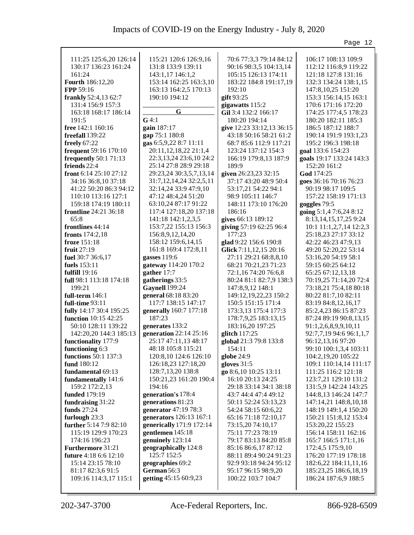|                                                 |                                            |                                              | Page 12                                         |
|-------------------------------------------------|--------------------------------------------|----------------------------------------------|-------------------------------------------------|
|                                                 |                                            |                                              |                                                 |
| 111:25 125:6,20 126:14                          | 115:21 120:6 126:9,16                      | 70:6 77:3,3 79:14 84:12                      | 106:17 108:13 109:9                             |
| 130:17 136:23 161:24                            | 131:8 133:9 139:11                         | 90:16 98:3,5 104:13,14                       | 112:12 116:8,9 119:22                           |
| 161:24                                          | 143:1,17 146:1,2                           | 105:15 126:13 174:11                         | 121:18 127:8 131:16                             |
| Fourth 186:12,20                                | 153:14 162:25 163:3,10                     | 183:22 184:8 191:17,19                       | 132:3 134:24 138:1,15                           |
| FPP 59:16                                       | 163:13 164:2,5 170:13                      | 192:10                                       | 147:8, 10, 25 151: 20                           |
| frankly 52:4,13 62:7                            | 190:10 194:12                              | gift 93:25                                   | 153:3 156:14,15 163:1                           |
| 131:4 156:9 157:3                               | G                                          | gigawatts 115:2                              | 170:6 171:16 172:20                             |
| 163:18 168:17 186:14                            |                                            | Gil 3:4 132:2 166:17                         | 174:25 177:4,5 178:23                           |
| 191:5                                           | $G$ 4:1                                    | 180:20 194:14                                | 180:20 182:11 185:3                             |
| free 142:1 160:16                               | gain 187:17                                | give 12:23 33:12,13 36:15                    | 186:5 187:12 188:7                              |
| freefall 139:22                                 | gap 75:1 180:8                             | 43:18 50:16 58:21 61:2                       | 190:14 191:9 193:1,23                           |
| freely 67:22                                    | gas 6:5,9,22 8:7 11:11                     | 68:7 85:6 112:9 117:21                       | 195:2 196:3 198:18                              |
| frequent 59:16 170:10                           | 20:11,12,18,22 21:1,4                      | 123:24 137:12 154:3                          | goal 133:6 154:23                               |
| <b>frequently</b> 50:1 71:13                    | 22:3,13,24 23:6,10 24:2                    | 166:19 179:8,13 187:9                        | goals 19:17 133:24 143:3                        |
| friends 22:4                                    | 25:14 27:8 28:9 29:18                      | 189:9                                        | 152:20 161:2                                    |
| front 6:14 $25:10\,27:12$                       | 29:23,24 30:3,5,7,13,14                    | given 26:23,23 32:15                         | God 174:25                                      |
| 34:16 36:8,10 37:18                             | 31:7, 12, 14, 24 32: 2, 5, 11              | 37:17 43:20 48:9 50:4                        | goes 36:16 70:16 76:23                          |
| 41:22 50:20 86:3 94:12                          | 32:14,24 33:9 47:9,10                      | 53:17,21 54:22 94:1                          | 90:19 98:17 109:5                               |
| 110:10 113:16 127:1                             | 47:12 48:4,24 51:20                        | 98:9 105:11 146:7                            | 157:22 158:19 171:13                            |
| 159:18 174:19 180:11                            | 63:10,24 87:17 91:22                       | 148:11 173:10 176:20                         | goggles 79:5                                    |
| frontline 24:21 36:18                           | 117:4 127:18,20 137:18                     | 186:16                                       | going 5:1,4 7:6,24 8:12                         |
| 65:8                                            | 141:18 142:1,2,3,5                         | gives 66:13 189:12                           | 8:13, 14, 15, 17, 25 9:24                       |
| frontlines 44:14                                | 153:7,22 155:13 156:3                      | giving 57:19 62:25 96:4                      | 10:1 11:1,2,7,14 12:2,3                         |
| fronts $174:2,18$                               | 156:8,9,12,14,20                           | 177:23                                       | 25:18,23 27:17 33:12                            |
| froze 151:18                                    | 158:12 159:6,14,15                         | glad 9:22 156:6 190:8                        | 42:22 46:23 47:9,13                             |
| fruit 27:19                                     | 161:8 169:4 172:8,11                       | Glick 7:11,12,15 20:16                       | 49:20 52:20,22 53:14                            |
| fuel 30:7 36:6,17                               | gasses 119:6                               | 27:11 29:21 68:8,8,10                        | 53:16,20 54:19 58:1                             |
| fuels 153:11                                    | gateway 114:20 170:2                       | 68:21 70:21,23 71:23                         | 59:15 60:25 64:12                               |
| fulfill $19:16$                                 | gather 17:7                                | 72:1,16 74:20 76:6,8                         | 65:25 67:12,13,18                               |
| full 98:1 113:18 174:18                         | gatherings 33:5                            | 80:24 81:1 82:7,9 138:3                      | 70:19,25 71:14,20 72:4                          |
| 199:21                                          | <b>Gaynell</b> 199:24                      | 147:8,9,12 148:1                             | 73:18,21 75:4,18 80:18                          |
| full-term 146:1                                 | general 68:18 83:20<br>117:7 138:15 147:17 | 149:12, 19, 22, 23 150:2                     | 80:22 81:7,10 82:11                             |
| full-time 93:11                                 |                                            | 150:5 151:15 171:4                           | 83:19 84:8,12,16,17                             |
| fully 14:17 30:4 195:25<br>function 10:15 42:25 | generally 160:7 177:18<br>187:23           | 173:3,13 175:4 177:3<br>178:7,9,25 183:13,15 | 85:2,4,23 86:15 87:23                           |
| 50:10 128:11 139:22                             |                                            | 183:16,20 197:25                             | 87:24 89:19 90:8,13,15                          |
| 142:20,20 144:3 185:13                          | generates 133:2<br>generation 22:14 25:16  | glitch $117:25$                              | 91:1,2,6,8,9,9,10,11<br>92:7,7,19 94:6 96:1,1,7 |
|                                                 | 25:17 47:11,13 48:17                       | global 21:3 79:8 133:8                       | 96:12,13,16 97:20                               |
| functionality 177:9<br>functioning 6:3          | 48:18 105:8 115:21                         | 154:11                                       | 99:10 100:1,3,4 103:11                          |
| <b>functions</b> 50:1 137:3                     | 120:8,10 124:6 126:10                      | globe 24:9                                   | 104:2,19,20 105:22                              |
| fund 180:12                                     | 126:18,23 127:18,20                        | gloves $31:5$                                | 109:1 110:14,14 111:17                          |
| fundamental 69:13                               | 128:7, 13, 20 138:8                        | go 8:6,10 10:25 13:11                        | 111:25 116:2 121:18                             |
| fundamentally 141:6                             | 150:21,23 161:20 190:4                     | 16:10 20:13 24:25                            | 123:7,21 129:10 131:2                           |
| 159:2 172:2,13                                  | 194:16                                     | 29:18 33:14 34:1 38:18                       | 131:5,9 142:24 143:25                           |
| funded 179:19                                   | generation's 178:4                         | 43:7 44:4 47:4 49:12                         | 144:8,13 146:24 147:7                           |
| fundraising 31:22                               | generations 81:23                          | 50:11 52:24 53:13,23                         | 147:14,21 148:8,10,18                           |
| funds 27:24                                     | generator 47:19 78:3                       | 54:24 58:15 60:6,22                          | 148:19 149:1,4 150:20                           |
| furlough 23:3                                   | generators 126:13 167:1                    | 65:16 71:18 72:10,17                         | 150:21 151:8,12 153:4                           |
| further $5:147:982:10$                          | generically 171:9 172:14                   | 73:15,20 74:10,17                            | 153:20,22 155:23                                |
| 115:19 129:9 170:23                             | gentlemen 145:18                           | 75:11 77:23 78:19                            | 156:14 158:11 162:16                            |
| 174:16 196:23                                   | genuinely 123:14                           | 79:17 83:13 84:20 85:8                       | 165:7 166:5 171:1,16                            |
| <b>Furthermore 31:21</b>                        | geographically 124:8                       | 85:16 86:6,17 87:12                          | 172:4,5 175:9,10                                |
| <b>future</b> 4:18 6:6 12:10                    | 125:7 152:5                                | 88:11 89:4 90:24 91:23                       | 176:20 177:19 178:18                            |
| 15:14 23:15 78:10                               | geographies 69:2                           | 92:9 93:18 94:24 95:12                       | 182:6,22 184:11,11,16                           |
| 81:17 82:3,6 91:5                               | German 56:3                                | 95:17 96:15 98:9,20                          | 185:23,25 186:6,18,19                           |
| 109:16 114:3,17 115:1                           | getting 45:15 60:9,23                      | 100:22 103:7 104:7                           | 186:24 187:6,9 188:5                            |
|                                                 |                                            |                                              |                                                 |
|                                                 |                                            |                                              |                                                 |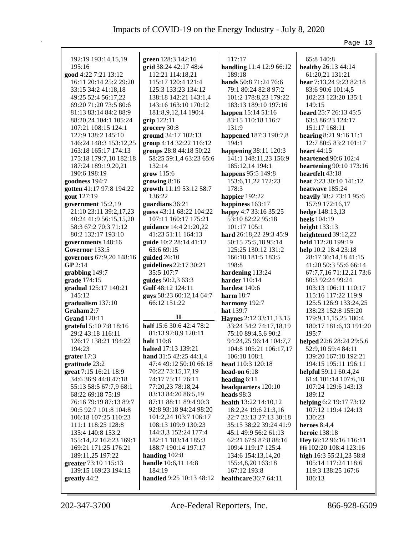|                          |                                                      |                                        | Page 13                                    |
|--------------------------|------------------------------------------------------|----------------------------------------|--------------------------------------------|
|                          |                                                      |                                        |                                            |
| 192:19 193:14,15,19      | green 128:3 142:16                                   | 117:17                                 | 65:8 140:8                                 |
| 195:16                   | grid 38:24 42:17 48:4                                | handling 11:4 12:9 66:12               | healthy 26:13 44:14                        |
| good 4:22 7:21 13:12     | 112:21 114:18,21                                     | 189:18                                 | 61:20,21 131:21                            |
| 16:11 20:14 25:2 29:20   | 115:17 120:4 121:4                                   | hands 50:8 71:24 76:6                  | hear 7:13,24 9:23 82:18                    |
| 33:15 34:2 41:18,18      | 125:3 133:23 134:12                                  | 79:1 80:24 82:8 97:2                   | 83:6 90:6 101:4,5                          |
| 49:25 52:4 56:17,22      | 138:18 142:21 143:1,4                                | 101:2 178:8,23 179:22                  | 102:23 123:20 135:1                        |
| 69:20 71:20 73:5 80:6    | 143:16 163:10 170:12                                 | 183:13 189:10 197:16                   | 149:15                                     |
| 81:13 83:14 84:2 88:9    | 181:8,9,12,14 190:4                                  | happen 15:14 51:16                     | heard 25:7 26:13 45:5                      |
| 88:20,24 104:1 105:24    | grip 122:11                                          | 83:15 110:18 116:7                     | 63:3 86:23 124:17                          |
| 107:21 108:15 124:1      | grocery 30:8                                         | 131:9                                  | 151:17 168:11                              |
| 127:9 138:2 145:10       | ground 34:17 102:13                                  | happened 187:3 190:7,8                 | hearing 8:21 9:16 11:1                     |
| 146:24 148:3 153:12,25   | group 4:14 32:22 116:12                              | 194:1                                  | 12:7 80:5 83:2 101:17                      |
| 163:18 165:17 174:13     | groups 28:8 44:18 50:22                              | happening 38:11 120:3                  | heart $44:15$                              |
| 175:18 179:7,10 182:18   | 58:25 59:1,4 63:23 65:6                              | 141:1 148:11,23 156:9                  | <b>heartened</b> 90:6 102:4                |
| 187:24 189:19,20,21      | 132:14                                               | 185:12,14 194:1                        | heartening 90:10 173:16                    |
| 190:6 198:19             | grow 115:6                                           | happens 95:5 149:8                     | heartfelt 43:18                            |
| goodness 194:7           | growing $8:16$                                       | 153:6, 11, 22 172: 23                  | heat 7:23 30:10 141:12                     |
| gotten 41:17 97:8 194:22 | growth 11:19 53:12 58:7                              | 178:3                                  | heatwave 185:24                            |
| gout 127:19              | 136:22                                               | happier 192:22                         | heavily 38:2 73:11 95:6                    |
| government 15:2,19       | guardians 36:21                                      | happiness 163:17                       | 157:9 172:16,17                            |
| 21:10 23:11 39:2,17,23   | guess 43:11 68:22 104:22                             | happy 4:7 33:16 35:25                  | hedge 148:13,13                            |
| 40:24 41:9 56:15,15,20   | 107:11 160:17 175:21                                 | 53:10 82:22 95:18                      | heels 104:19                               |
| 58:3 67:2 70:3 71:12     | guidance 14:4 21:20,22                               | 101:17 105:1                           | height $133:13$                            |
| 80:2 132:17 193:10       | 41:23 51:11 164:13                                   | hard 26:18,22 29:3 45:9                | heightened 39:12,22                        |
| governments 148:16       | guide 10:2 28:14 41:12                               | 50:15 75:5,18 95:14                    | held 112:20 199:19                         |
| Governor 133:5           | 63:6 69:15                                           | 125:25 130:12 131:2                    | help 10:2 18:4 23:18                       |
| governors 67:9,20 148:16 | guided 26:10                                         | 166:18 181:5 183:5                     | 28:17 36:14,18 41:15                       |
| GP 2:14                  | guidelines 22:17 30:21                               | 198:8                                  | 41:20 50:3 55:6 66:14                      |
| grabbing 149:7           | 35:5 107:7                                           | hardening 113:24                       | 67:7,7,16 71:12,21 73:6                    |
| grade 174:15             | guides 50:2,3 63:3                                   | harder 110:14                          | 80:3 92:24 99:24                           |
| gradual 125:17 140:21    | Gulf 48:12 124:11                                    | hardest 140:6                          | 103:13 106:11 110:17                       |
| 145:12                   | guys 58:23 60:12,14 64:7                             | harm $18:7$                            | 115:16 117:22 119:9                        |
| gradualism 137:10        | 66:12 151:22                                         | harmony 192:7                          | 125:5 126:9 133:24,25                      |
| Graham 2:7               | $\bf H$                                              | <b>hat</b> 139:7                       | 138:23 152:8 155:20                        |
| <b>Grand</b> 120:11      |                                                      | Haynes 2:12 33:11,13,15                | 179:9,11,15,25 180:4                       |
| grateful 5:10 7:8 18:16  | half 15:6 30:6 42:4 78:2                             | 33:24 34:2 74:17,18,19                 | 180:17 181:6,13 191:20                     |
| 29:2 43:18 116:11        | 81:13 97:8,9 120:11                                  | 75:10 89:4,5,6 90:2                    | 195:7                                      |
| 126:17 138:21 194:22     | <b>halt</b> 110:6                                    | 94:24,25 96:14 104:7,7                 | helped 22:6 28:24 29:5,6                   |
| 194:23<br>grater $17:3$  | halted 17:13 139:21<br><b>hand</b> $31:542:2544:1,4$ | 104:8 105:21 106:17,17<br>106:18 108:1 | 52:9,10 59:4 84:11<br>139:20 167:18 192:21 |
| gratitude 23:2           | 47:4 49:12 50:10 66:18                               | head 110:3 120:18                      | 194:15 195:11 196:11                       |
| great 7:15 16:21 18:9    | 70:22 73:15,17,19                                    | head-on 6:18                           | helpful 59:11 60:4,24                      |
| 34:6 36:9 44:8 47:18     | 74:17 75:11 76:11                                    | heading 6:11                           | 61:4 101:14 107:6,18                       |
| 55:13 58:5 67:7,9 68:1   | 77:20,23 78:18,24                                    | headquarters 120:10                    | 107:24 129:6 143:13                        |
| 68:22 69:18 75:19        | 83:13 84:20 86:5,19                                  | heads 98:3                             | 189:12                                     |
| 76:16 79:19 87:13 89:7   | 87:11 88:11 89:4 90:3                                | health 13:22 14:10,12                  | helping 6:2 19:17 73:12                    |
| 90:5 92:7 101:8 104:8    | 92:8 93:18 94:24 98:20                               | 18:2,24 19:6 21:3,16                   | 107:12 119:4 124:13                        |
| 106:18 107:25 110:23     | 101:2,24 103:7 106:17                                | 22:7 23:13 27:13 30:18                 | 130:23                                     |
| 111:1 118:25 128:8       | 108:13 109:9 130:23                                  | 35:15 38:22 39:24 41:9                 | heroes $8:4,4$                             |
| 135:4 140:8 153:2        | 144:3,3 152:24 177:4                                 | 45:1 49:9 56:2 61:13                   | heroic $138:18$                            |
| 155:14,22 162:23 169:1   | 182:11 183:14 185:3                                  | 62:21 67:9 87:8 88:16                  | Hey 66:12 96:16 116:11                     |
| 169:21 171:25 176:21     | 188:7 190:14 197:17                                  | 109:4 119:17 125:4                     | Hi 102:20 108:4 123:16                     |
| 189:11,25 197:22         | handing $102:8$                                      | 134:6 154:13,14,20                     | high 16:3 55:21,23 58:8                    |
| greater 73:10 115:13     | <b>handle</b> 10:6,11 14:8                           | 155:4,8,20 163:18                      | 105:14 117:24 118:6                        |
| 139:15 169:23 194:15     | 184:19                                               | 167:12 193:8                           | 119:3 138:25 167:6                         |
| greatly 44:2             | handled 9:25 10:13 48:12                             | healthcare 36:7 64:11                  | 186:13                                     |
|                          |                                                      |                                        |                                            |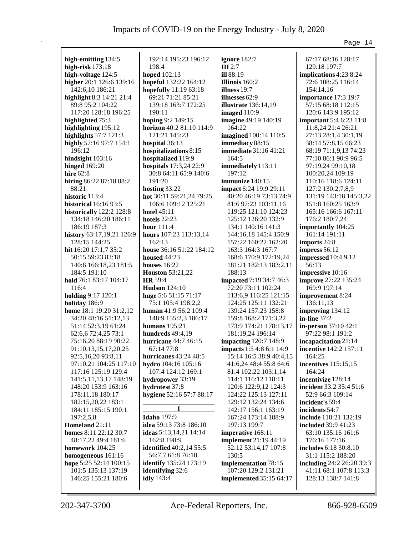|                                            |                                          |                                                          | Page 14                          |
|--------------------------------------------|------------------------------------------|----------------------------------------------------------|----------------------------------|
|                                            | 192:14 195:23 196:12                     |                                                          |                                  |
| high-emitting 134:5                        |                                          | ignore 182:7                                             | 67:17 68:16 128:17               |
| high-risk $173:18$                         | 198:4                                    | III2:7                                                   | 129:18 197:7                     |
| high-voltage 124:5                         | <b>hoped</b> 102:13                      | ill 88:19                                                | implications 4:23 8:24           |
| higher 20:1 126:6 139:16                   | hopeful 132:22 164:12                    | Illinois 160:2                                           | 72:6 108:25 116:14               |
| 142:6,10 186:21                            | hopefully 11:19 63:18                    | illness 19:7                                             | 154:14,16                        |
| highlight 8:3 14:21 21:4                   | 69:21 71:21 85:21                        | illnesses 62:9                                           | importance 17:3 19:7             |
| 89:8 95:2 104:22                           | 139:18 163:7 172:25                      | <b>illustrate</b> 136:14,19                              | 57:15 68:18 112:15               |
| 117:20 128:18 196:25                       | 190:11                                   | imaged $110:9$                                           | 120:6 143:9 195:12               |
| highlighted 75:3                           | hoping 9:2 149:15                        | imagine 49:19 140:19                                     | <b>important</b> 5:4 6:23 11:8   |
| highlighting 195:12                        | horizon 40:2 81:10 114:9                 | 164:22                                                   | 11:8,24 21:4 26:21               |
| highlights 57:7 121:3                      | 121:21 145:23                            | imagined 100:14 110:5                                    | 27:13 28:1,4 30:1,19             |
| highly 57:16 97:7 154:1                    | hospital 36:13                           | immediacy 88:15                                          | 38:14 57:8,15 66:23              |
| 196:12                                     | hospitalizations 8:15                    | immediate 31:16 41:21                                    | 68:19 71:1,9,13 74:23            |
| hindsight 103:16                           | hospitalized 119:9                       | 164:5                                                    | 77:10 86:1 90:9 96:5             |
| <b>hinged</b> 169:20                       | hospitals 17:3,24 22:9                   | immediately 113:11                                       | 97:19,24 99:10,18                |
| hire 62:8                                  | 30:8 64:11 65:9 140:6                    | 197:12                                                   | 100:20,24 109:19                 |
| hiring 86:22 87:18 88:2                    | 191:20                                   | immunize 140:15                                          | 110:16 118:6 124:11              |
| 88:21                                      | hosting $33:22$                          | impact 6:24 19:9 29:11                                   | 127:2 130:2,7,8,9                |
| historic 113:4                             | hot 30:11 59:21,24 79:25                 | 40:20 46:19 73:13 74:9                                   | 131:19 143:18 145:3,22           |
| historical $16:1693:5$                     | 106:6 109:12 125:21                      | 81:6 97:23 103:11,16                                     | 151:8 160:25 163:9               |
| historically 122:2 128:8                   | <b>hotel</b> 45:11                       | 119:25 121:10 124:23                                     | 165:16 166:6 167:11              |
| 134:18 146:20 186:11                       | hotels $22:23$                           | 125:12 126:20 132:9                                      | 176:2 180:7,24                   |
| 186:19 187:3                               | hour 111:4                               | 134:1 140:16 141:3                                       | importantly 104:25               |
| history 63:17,19,21 126:9                  | hours 107:23 113:13,14                   | 144:16,18 145:4 150:9                                    | 161:14 191:11                    |
| 128:15 144:25                              | 162:13                                   | 157:22 160:22 162:20                                     | imports 24:8                     |
| hit 16:20 17:1,7 35:2                      | house 36:16 51:22 184:12                 | 163:3 164:3 167:7                                        | impress $56:12$                  |
| 50:15 59:23 83:18                          | housed $44:23$                           | 168:6 170:9 172:19,24                                    | <b>impressed</b> 10:4,9,12       |
| 140:6 166:18,23 181:5                      | houses $16:22$                           | 181:21 182:13 183:2,11                                   | 56:13                            |
| 184:5 191:10                               | <b>Houston</b> 53:21,22                  | 188:13                                                   | impressive 10:16                 |
| hold 76:1 83:17 104:17                     | <b>HR</b> 59:4                           | <b>impacted</b> 7:19 34:7 46:3                           | <b>improve</b> 27:22 135:24      |
| 116:4                                      | <b>Hudson</b> 124:10                     | 72:20 73:11 102:24                                       | 169:9 197:14                     |
| <b>holding</b> 9:17 120:1                  | huge 5:6 51:15 71:17                     | 113:6,9 116:25 121:15                                    | improvement 8:24                 |
| holiday 186:9                              | 75:1 105:4 198:2,2                       | 124:25 125:11 132:21                                     | 136:11,13                        |
| home 18:1 19:20 31:2,12                    | human $41:956:2109:4$                    | 139:24 157:23 158:8                                      | improving 134:12                 |
| 34:20 48:16 51:12,13                       | 148:9 155:2,3 186:17                     | 159:8 168:2 171:3,22                                     | in-line $37:2$                   |
| 51:14 52:3,19 61:24<br>62:6,6 72:4,25 73:1 | humans $195:21$                          | 173:9 174:21 178:13,17<br>181:19,24 196:14               | in-person 37:10 42:1             |
| 75:16,20 88:19 90:22                       | hundreds 49:4,19<br>hurricane 44:7 46:15 |                                                          | 97:22 98:1 191:2                 |
| 91:10,13,15,17,20,25                       | 67:14 77:8                               | <b>impacting</b> 120:7 148:9<br>impacts 1:5 4:8 6:1 14:9 | incapacitation 21:14             |
| 92:5,16,20 93:8,11                         | hurricanes 43:24 48:5                    | 15:14 16:5 38:9 40:4,15                                  | incentive 142:2 157:11<br>164:25 |
| 97:10,21 104:25 117:10                     | hydro 104:16 105:16                      | 41:6,24 48:4 55:8 64:6                                   | incentives 115:15,15             |
| 117:16 125:19 129:4                        | 107:4 124:12 169:1                       | 81:4 102:22 103:1,14                                     | 164:24                           |
| 141:5, 11, 13, 17 148: 19                  | hydropower 33:19                         | 114:1 116:12 118:11                                      | incentivize 128:14               |
| 148:20 153:9 163:16                        | hydrotest 37:8                           | 120:6 122:9,12 124:3                                     | incident 33:2 35:4 51:6          |
| 178:11,18 180:17                           | hygiene 52:16 57:7 88:17                 | 124:22 125:13 127:11                                     | 52:9 66:3 109:14                 |
| 182:15,20,22 183:1                         |                                          | 129:12 132:24 134:6                                      | incident's 59:4                  |
| 184:11 185:15 190:1                        | I                                        | 142:17 156:1 163:19                                      | incidents 54:7                   |
| 197:2,5,8                                  | <b>Idaho</b> 197:9                       | 167:24 173:14 188:9                                      | include 118:21 132:19            |
| Homeland 21:11                             | idea 59:13 73:8 186:10                   | 197:13 199:7                                             | <b>included</b> 39:9 41:23       |
| homes 8:11 22:12 30:7                      | ideas 5:13,14,21 14:14                   | imperative 168:11                                        | 63:10 135:16 161:6               |
| 48:17,22 49:4 181:6                        | 162:8 198:9                              | implement 21:19 44:19                                    | 176:16 177:16                    |
| homework 104:25                            | <b>identified</b> 40:2,14 55:5           | 52:12 53:14,17 107:8                                     | includes 6:18 30:8,10            |
| homogeneous 161:16                         | 56:7,7 61:8 76:18                        | 130:5                                                    | 31:1 115:2 188:20                |
| hope 5:25 52:14 100:15                     | identify 135:24 173:19                   | implementation 78:15                                     | including 24:2 26:20 39:3        |
| 101:5 135:13 137:19                        | identifying 32:6                         | 107:20 129:2 131:21                                      | 41:11 68:1 107:8 113:3           |
| 146:25 155:21 180:6                        | idly 143:4                               | implemented 35:15 64:17                                  | 128:13 138:7 141:8               |
|                                            |                                          |                                                          |                                  |
|                                            |                                          |                                                          |                                  |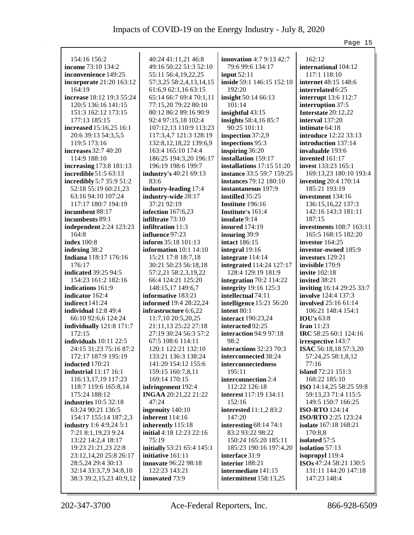| 154:16 156:2                   | 40:24 41:11,21 46:8                   | <b>innovation</b> 4:7 9:13 42:7 | 162:12                       |
|--------------------------------|---------------------------------------|---------------------------------|------------------------------|
| income 73:10 134:2             | 49:16 50:22 51:3 52:10                | 79:6 99:6 134:17                | international 104:12         |
| inconvenience 149:25           | 55:11 56:4,19,22,25                   | input $52:11$                   | 117:1 118:10                 |
| incorporate 21:20 163:12       | 57:3,25 58:2,4,13,14,15               | inside 59:1 146:15 152:10       | internet 48:15 148:6         |
| 164:19                         | 61:6,9 62:1,16 63:15                  | 192:20                          | interrelated 6:25            |
| increase 18:12 19:3 55:24      | 65:14 66:7 69:4 70:1,11               | insight 50:14 66:13             | <b>interrupt</b> 13:6 112:7  |
| 120:5 136:16 141:15            | 77:15,20 79:22 80:10                  | 101:14                          | interruption 37:5            |
| 151:3 162:12 173:15            | 80:12 86:2 89:16 90:9                 | insightful 43:15                | Interstate 20:12,22          |
| 177:13 185:15                  | 92:4 97:15,18 102:4                   | insights 58:4,16 85:7           | interval 137:20              |
| increased 15:16,25 16:1        | 107:12,13 110:9 113:23                | 90:25 101:11                    | intimate 64:18               |
| 20:6 39:13 54:3,5,5            | 117:3,4,7 121:3 128:19                | inspection 37:2,9               | introduce 12:22 33:13        |
| 119:5 173:16                   | 132:8, 12, 18, 22 139:6, 9            | inspections 95:3                | introduction 137:14          |
| <b>increases</b> 32:7 40:20    | 163:4 165:10 174:4                    | inspiring 36:20                 | invaluable 193:6             |
| 114:9 188:10                   | 186:25 194:3,20 196:17                | installation 159:17             | invented 161:17              |
| increasing 173:8 181:13        | 196:19 198:6 199:7                    | installations $17:15\ 51:20$    | <b>invest</b> 133:23 165:1   |
| <b>incredible</b> 51:5 63:13   | industry's 40:21 69:13                | instance 33:5 59:7 159:25       | 169:13,23 180:10 193:4       |
| incredibly 5:7 35:9 51:2       | 83:6                                  | <b>instances</b> 79:12 180:10   | <b>investing 20:4 170:14</b> |
| 52:18 55:19 60:21,23           | industry-leading 17:4                 | instantaneous 197:9             | 185:21 193:19                |
| 63:16 94:10 107:24             | industry-wide 28:17                   | instilled 35:25                 | investment 134:16            |
| 117:17 180:7 194:19            | 37:21 92:19                           | <b>Institute</b> 196:16         | 136:15,16,22 137:3           |
| incumbent 88:17                | infection $167:6,23$                  | <b>Institute's 161:4</b>        | 142:16 143:3 181:11          |
| incumbents 89:1                | infiltrate 73:10                      | insulate 9:14                   | 187:15                       |
| independent 2:24 123:23        | infiltration 11:3                     | <b>insured</b> 174:19           | investments 108:7 163:11     |
| 164:8                          | influence 97:23                       | insuring 39:9                   | 165:5 168:15 182:20          |
| <b>index</b> 100:8             | inform 35:18 101:13                   | <b>intact</b> 186:15            | investor 164:25              |
| indexing 38:2                  | information 10:1 14:10                | integral 19:16                  | investor-owned 185:9         |
| Indiana 118:17 176:16          | 15:21 17:8 18:7,18                    | integrate 114:14                | investors 129:21             |
| 176:17                         | 30:21 50:23 56:18,18                  | integrated 114:24 127:17        | invisible 170:9              |
| indicated 39:25 94:5           | 57:2,21 58:2,3,19,22                  | 128:4 129:19 181:9              | <b>invite</b> 102:18         |
| 154:23 161:2 182:16            | 66:4 124:21 125:20                    | integration $70:2$ 114:22       | invited 38:21                |
| indications 161:9              | 148:15,17 149:6,7                     | integrity 19:16 125:3           | inviting 16:14 29:25 33:7    |
| indicator 162:4                | informative 183:21                    | intellectual 74:11              | <b>involve</b> 124:4 137:3   |
| indirect 141:24                | informed 19:4 28:22,24                | intelligence 15:21 56:20        | involved 25:16 61:14         |
| individual 12:8 49:4           | infrastructure 6:6,22                 | intent $80:1$                   | 106:21 148:4 154:1           |
| 66:10 92:6,6 124:24            | 11:7,10 20:5,20,25                    | interact 190:23,24              | <b>IOU's 63:8</b>            |
| individually 121:8 171:7       | 21:11,13 25:22 27:18                  | interacted 92:25                | <b>Iran</b> 11:23            |
| 172:15                         | 27:19 30:24 56:3 57:2                 | interaction 94:9 97:18          | IRC 58:25 60:1 124:16        |
| individuals 10:11 22:5         | 67:5 108:6 114:11                     | 98:2                            | irrespective 143:7           |
| 24:15 31:23 75:16 87:2         | 120:1 122:21 132:10                   | interactions $32:2370:3$        | <b>ISAC</b> 56:18,18 57:3,20 |
| 172:17 187:9 195:19            | 133:21 136:3 138:24                   | interconnected 38:24            | 57:24,25 58:1,8,12           |
| inducted 170:21                | 141:20 154:12 155:6                   | interconnectedness              | 77:16                        |
| <b>industrial</b> 11:17 16:1   | 159:15 160:7,8,11                     | 195:11                          | island 72:21 151:3           |
| 116:13,17,19 117:23            | 169:14 170:15                         | interconnection 2:4             | 168:22 185:10                |
| 118:7 119:6 165:8,14           | infringement 192:4                    | 112:22 126:18                   | ISO 14:14,25 58:25 59:8      |
| 175:24 188:12                  | INGAA 20:21,22 21:22                  | interest 117:19 134:11          | 59:13,23 71:4 115:5          |
| industries $10:5$ 32:18        | 47:24                                 | 152:16                          | 149:5 150:7 166:25           |
| 63:24 90:21 136:5              | ingenuity 140:10                      | interested 11:1,2 83:2          | <b>ISO-RTO</b> 124:14        |
| 154:17 155:14 187:2,3          | inherent 114:16                       | 147:20                          | <b>ISO/RTO</b> 2:25 123:24   |
| <b>industry</b> 1:6 4:9,24 5:1 | inherently 115:18                     | interesting 68:14 74:1          | <b>isolate</b> 167:18 168:21 |
| 7:21 8:1, 19, 23 9:24          | <b>initial</b> $4:18$ $12:23$ $22:16$ | 83:2 93:22 98:22                | 170:8,8                      |
| 13:22 14:2,4 18:17             | 75:19                                 | 150:24 165:20 185:11            | isolated 57:5                |
| 19:23 21:21,23 22:8            | initially 53:21 65:4 145:1            | 185:23 190:16 197:4,20          | isolation 57:13              |
| 23:12,14,20 25:8 26:17         | initiative 161:11                     | interface 31:9                  | isopropyl 119:4              |
| 28:5,24 29:4 30:13             | innovate 96:22 98:18                  | interior 188:21                 | ISOs 47:24 58:21 130:5       |
| 32:14 33:3,7,9 34:8,10         | 122:23 143:21                         | intermediate 141:15             | 131:11 144:20 147:18         |
| 38:3 39:2,15,23 40:9,12        | innovated 73:9                        | intermittent 158:13,25          | 147:23 148:4                 |
|                                |                                       |                                 |                              |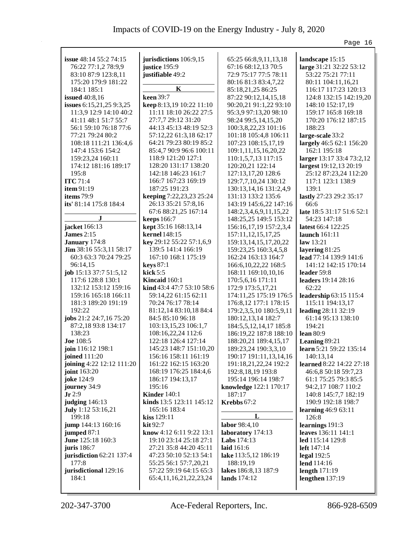|                           |                           |                             | Page 16                   |
|---------------------------|---------------------------|-----------------------------|---------------------------|
|                           |                           |                             |                           |
| issue 48:14 55:2 74:15    | jurisdictions 106:9,15    | 65:25 66:8,9,11,13,18       | landscape 15:15           |
| 76:22 77:1,2 78:9,9       | justice 195:9             | 67:16 68:12,13 70:5         | large 31:21 32:22 53:12   |
| 83:10 87:9 123:8,11       | justifiable 49:2          | 72:9 75:17 77:5 78:11       | 53:22 75:21 77:11         |
| 175:20 179:9 181:22       |                           | 80:16 81:3 83:4,7,22        | 80:11 104:11,16,21        |
| 184:1 185:1               | K                         | 85:18,21,25 86:25           | 116:17 117:23 120:13      |
| <b>issued</b> 40:8,16     | keen 39:7                 | 87:22 90:12,14,15,18        | 124:8 132:15 142:19,20    |
| issues 6:15,21,25 9:3,25  | keep 8:13,19 10:22 11:10  | 90:20,21 91:1,22 93:10      | 148:10 152:17,19          |
| 11:3,9 12:9 14:10 40:2    | 11:11 18:10 26:22 27:5    | 95:3,9 97:13,20 98:10       | 159:17 165:8 169:18       |
| 41:11 48:1 51:7 55:7      | 27:7,7 29:12 31:20        | 98:24 99:5,14,15,20         | 170:20 176:12 187:15      |
| 56:1 59:10 76:18 77:6     | 44:13 45:13 48:19 52:3    | 100:3,8,22,23 101:16        | 188:23                    |
| 77:21 79:24 80:2          | 57:12,22 61:3,18 62:17    | 101:18 105:4,8 106:11       | large-scale 33:2          |
| 108:18 111:21 136:4,6     | 64:21 79:23 80:19 85:2    | 107:23 108:15,17,19         | largely 46:5 62:1 156:20  |
| 147:4 153:6 154:2         | 85:4,7 90:9 96:6 100:11   | 109:1,11,15,16,20,22        | 162:1 195:18              |
| 159:23,24 160:11          | 118:9 121:20 127:1        | 110:1,5,7,13 117:15         | larger 13:17 33:4 73:2,12 |
| 174:12 181:16 189:17      | 128:20 131:17 138:20      | 120:20,21 122:14            | largest 19:12,13 20:19    |
| 195:8                     | 142:18 146:23 161:7       | 127:13,17,20 128:6          | 25:12 87:23,24 112:20     |
| <b>ITC</b> 71:4           | 166:7 167:23 169:19       | 129:7,7,10,24 130:12        | 117:1 123:1 138:9         |
| item 91:19                | 187:25 191:23             | 130:13,14,16 131:2,4,9      | 139:1                     |
| items 79:9                | keeping 7:22,23,23 25:24  | 131:13 133:2 135:6          | lastly 27:23 29:2 35:17   |
| its' 81:14 175:8 184:4    | 26:13 35:21 57:8,16       | 143:19 145:6,22 147:16      | 66:6                      |
|                           | 67:6 88:21,25 167:14      | 148:2,3,4,6,9,11,15,22      | late 18:5 31:17 51:6 52:1 |
| $\bf J$                   | <b>keeps</b> 166:7        | 148:25,25 149:5 153:12      | 54:23 147:18              |
| jacket 166:13             | kept 35:16 168:13,14      | 156:16,17,19 157:2,3,4      | latest 66:4 122:25        |
| <b>James 2:15</b>         | <b>kernel</b> 148:15      | 157:11,12,15,17,25          | launch $161:11$           |
| January 174:8             | key 29:12 55:22 57:1,6,9  | 159:13, 14, 15, 17, 20, 22  | law $13:21$               |
| Jim 38:16 55:3,11 58:17   | 139:5 141:4 166:19        | 159:23,25 160:3,4,5,8       | layering 81:25            |
| 60:3 63:3 70:24 79:25     | 167:10 168:1 175:19       | 162:24 163:13 164:7         | lead 77:14 139:9 141:6    |
| 96:14,15                  | <b>keys</b> 87:1          | 166:6, 10, 22, 22 168:5     | 141:12 142:15 170:14      |
| job 15:13 37:7 51:5,12    | kick $5:5$                | 168:11 169:10,10,16         | leader 59:8               |
| 117:6 128:8 130:1         | <b>Kincaid</b> $160:1$    | 170:5,6,16 171:11           | leaders 19:14 28:16       |
| 132:12 153:12 159:16      | kind 43:4 47:7 53:10 58:6 | 172:9 173:5,17,21           | 62:22                     |
| 159:16 165:18 166:11      | 59:14,22 61:15 62:11      | 174:11,25 175:19 176:5      | leadership 63:15 115:4    |
| 181:3 189:20 191:19       | 70:24 76:17 78:14         | 176:8,12 177:1 178:15       | 115:11 194:13,17          |
| 192:22                    | 81:12,14 83:10,18 84:4    | 179:2,3,5,10 180:5,9,11     | leading 28:11 32:19       |
| jobs 21:2 24:7,16 75:20   | 84:5 85:10 96:18          | 180:12,13,14 182:7          | 61:14 95:13 138:10        |
| 87:2,18 93:8 134:17       | 103:13,15,23 106:1,7      | 184:5, 5, 12, 14, 17 185: 8 | 194:21                    |
| 138:23                    | 108:16,22,24 112:6        | 186:19,22 187:8 188:10      | <b>lean</b> 80:9          |
| <b>Joe</b> 108:5          | 122:18 126:4 127:14       | 188:20,21 189:4,15,17       | Leaning 89:21             |
| join 116:12 198:1         | 145:23 148:7 151:10,20    | 189:23,24 190:3,3,10        | learn 5:21 59:22 135:14   |
| joined 111:20             | 156:16 158:11 161:19      | 190:17 191:11,13,14,16      | 140:13,14                 |
| joining 4:22 12:12 111:20 | 161:22 162:15 163:20      | 191:18,21,22,24 192:2       | learned 8:22 14:22 27:18  |
| joint 163:20              | 168:19 176:25 184:4,6     | 192:8, 18, 19 193:8         | 46:6,8 50:18 59:7,23      |
| joke 124:9                | 186:17 194:13,17          | 195:14 196:14 198:7         | 61:1 75:25 79:3 85:5      |
| journey 34:9              | 195:16                    | knowledge 122:1 170:17      | 94:2,17 108:7 110:2       |
| $Jr$ 2:9                  | <b>Kinder</b> 140:1       | 187:17                      | 140:8 145:7,7 182:19      |
| judging 146:13            | kinds 13:5 123:11 145:12  | Krebbs 67:2                 | 190:9 192:18 198:7        |
| July 1:12 53:16,21        | 165:16 183:4              |                             | learning 46:9 63:11       |
| 199:18                    | kiss 129:11               | L                           | 126:8                     |
| jump 144:13 160:16        | $\mathbf{kit} 92:7$       | labor 98:4,10               | learnings 191:3           |
| jumped 87:1               | know 4:12 6:11 9:22 13:1  | laboratory 174:13           | leaves 136:11 141:1       |
| June 125:18 160:3         | 19:10 23:14 25:18 27:1    | <b>Labs</b> 174:13          | led 115:14 129:8          |
| juris $186:7$             | 27:21 35:8 44:20 45:11    | laid 161:6                  | <b>left</b> $147:14$      |
| jurisdiction 62:21 137:4  | 47:23 50:10 52:13 54:1    | lake 113:5,12 186:19        | legal 192:5               |
| 177:8                     | 55:25 56:1 57:7,20,21     | 188:19,19                   | lend 114:16               |
| jurisdictional 129:16     | 57:22 59:19 64:15 65:3    | lakes 186:8,13 187:9        | length $171:19$           |
| 184:1                     | 65:4,11,16,21,22,23,24    | lands $174:12$              | lengthen $137:19$         |
|                           |                           |                             |                           |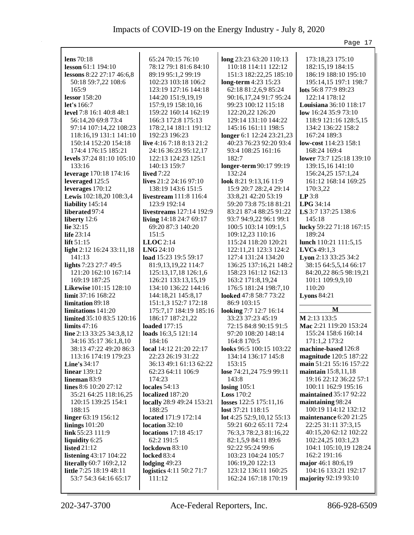|                                              |                                     |                                             | Page 17                                       |
|----------------------------------------------|-------------------------------------|---------------------------------------------|-----------------------------------------------|
|                                              |                                     |                                             |                                               |
| lens $70:18$                                 | 65:24 70:15 76:10                   | long 23:23 63:20 110:13                     | 173:18,23 175:10                              |
| lesson 61:1 194:10                           | 78:12 79:1 81:6 84:10               | 110:18 114:11 122:12                        | 182:15,19 184:15                              |
| lessons 8:22 27:17 46:6,8                    | 89:19 95:1,2 99:19                  | 151:3 182:22,25 185:10                      | 186:19 188:10 195:10                          |
| 50:18 59:7,22 108:6                          | 102:23 103:18 106:2                 | long-term 4:23 15:23                        | 195:14,15 197:1 198:7                         |
| 165:9                                        | 123:19 127:16 144:18                | 62:18 81:2,6,9 85:24                        | lots 56:8 77:9 89:23                          |
| lessor 158:20                                | 144:20 151:9,19,19                  | 90:16,17,24 91:7 95:24                      | 122:14 178:12                                 |
| let's $166:7$                                | 157:9,19 158:10,16                  | 99:23 100:12 115:18                         | Louisiana 36:10 118:17                        |
| level 7:8 16:1 40:8 48:1                     | 159:22 160:14 162:19                | 122:20,22 126:20                            | low 16:24 35:9 73:10                          |
| 56:14,20 69:8 73:4                           | 166:3 172:8 175:13                  | 129:14 131:10 144:22                        | 118:9 121:16 128:5,15                         |
| 97:14 107:14,22 108:23                       | 178:2,14 181:1 191:12               | 145:16 161:11 198:5                         | 134:2 136:22 158:2                            |
| 118:16,19 131:1 141:10                       | 192:23 196:23                       | longer 6:1 12:24 23:21,23                   | 167:24 189:3                                  |
| 150:14 152:20 154:18                         | live 4:16 7:18 8:13 21:2            | 40:23 76:23 92:20 93:4                      | <b>low-cost</b> 114:23 158:1                  |
| 174:4 176:15 185:21                          | 24:16 36:23 95:12,17                | 93:4 108:25 161:16                          | 168:24 169:4                                  |
| levels 37:24 81:10 105:10                    | 122:13 124:23 125:1                 | 182:7                                       | lower 73:7 125:18 139:10                      |
| 133:16                                       | 140:13 159:7                        | longer-term 90:17 99:19                     | 139:15,16 141:10                              |
| leverage 170:18 174:16                       | lived $7:22$                        | 132:24                                      | 156:24,25 157:1,24                            |
| leveraged 125:5                              | lives $21:2$ 24:16 97:10            | look 8:21 9:13,16 11:9                      | 161:12 168:14 169:25                          |
| leverages $170:12$                           | 138:19 143:6 151:5                  | 15:9 20:7 28:2,4 29:14                      | 170:3,22                                      |
| Lewis 102:18,20 108:3,4                      | <b>livestream</b> 111:8 116:4       | 33:8,21 42:20 53:19                         | LP 3:8                                        |
| liability 145:14                             | 123:9 192:14                        | 59:20 73:8 75:18 81:21                      | LPG 34:14                                     |
| liberated 97:4                               | livestreams 127:14 192:9            | 83:21 87:4 88:25 91:22                      | LS 3:7 137:25 138:6                           |
| liberty 12:6                                 | living 14:18 24:7 69:17             | 93:7 94:9,22 96:1 99:1                      | 145:18                                        |
| lie 32:15                                    | 69:20 87:3 140:20                   | 100:5 103:14 109:1,5                        | lucky 59:22 71:18 167:15                      |
| life 23:14                                   | 151:5                               | 109:12,23 110:16                            | 189:24                                        |
| lift $51:15$                                 | $LLOC$ 2:14                         | 115:24 118:20 120:21                        | lunch 110:21 111:5,15                         |
| light 2:12 16:24 33:11,18                    | <b>LNG 24:10</b>                    | 122:11,21 123:3 124:2                       | $LVCs$ 49:1,3                                 |
| 141:13                                       | load 15:23 19:5 59:17               | 127:4 131:24 134:20                         | Lyon 2:13 33:25 34:2                          |
| lights 7:23 27:7 49:5                        | 81:9,13,19,22 114:7                 | 136:25 137:16,21 148:2                      | 38:15 64:5,5,14 66:17                         |
| 121:20 162:10 167:14                         | 125:13,17,18 126:1,6                | 158:23 161:12 162:13                        | 84:20,22 86:5 98:19,21                        |
| 169:19 187:25                                | 126:21 133:13,15,19                 | 163:2 171:8,19,24                           | 101:1 109:9,9,10                              |
| <b>Likewise</b> 101:15 128:10                | 134:10 136:22 144:16                | 176:5 181:24 198:7,10                       | 110:20                                        |
| $\lim$ it 37:16 168:22                       | 144:18,21 145:8,17                  | <b>looked</b> 47:8 58:7 73:22               | Lyons $84:21$                                 |
| limitation 89:18                             | 151:1,3 152:7 172:18                | 86:9 103:15                                 |                                               |
| limitations 141:20                           | 175:7,17 184:19 185:16              | looking 7:7 12:7 16:14                      | М                                             |
| limited 35:10 83:5 120:16                    | 186:17 187:21,22                    | 33:23 37:23 45:19                           | M 2:13 133:5                                  |
| limits $47:16$                               | loaded 177:15                       | 72:15 84:8 90:15 91:5                       | Mac 2:21 119:20 153:24                        |
| line 2:13 33:25 34:3,8,12                    | loads 16:3,5 121:14                 | 97:20 108:20 148:14                         | 155:24 158:6 160:14                           |
| 34:16 35:17 36:1,8,10                        | 184:16                              | 164:8 170:5                                 | 171:1,2 173:2                                 |
| 38:13 47:22 49:20 86:3                       | local 14:12 21:20 22:17             | looks 96:5 100:15 103:22                    | machine-based 126:8                           |
| 113:16 174:19 179:23                         | 22:23 26:19 31:22                   | 134:14 136:17 145:8                         | magnitude 120:5 187:22                        |
| Line's $34:17$                               | 36:13 49:1 61:13 62:22              | 153:15                                      | main 51:21 55:16 157:22                       |
| <b>linear</b> 139:12                         | 62:23 64:11 106:9                   | lose 74:21,24 75:9 99:11                    | maintain $15:8,11,18$                         |
| lineman 83:9                                 | 174:23                              | 143:8                                       | 19:16 22:12 36:22 57:1                        |
| lines 8:6 10:20 27:12                        | locales 54:13                       | losing $105:1$                              | 100:11 162:9 195:16<br>maintained 35:17 92:22 |
| 35:21 64:25 118:16,25<br>120:15 139:25 154:1 | localized 187:20                    | <b>Loss 170:2</b><br>losses 122:5 175:11,16 |                                               |
| 188:15                                       | locally 28:9 49:24 153:21<br>188:25 | lost 37:21 118:15                           | maintaining 98:24<br>100:19 114:12 132:12     |
| linger 63:19 156:12                          | located 171:9 172:14                | lot 4:25 52:9, 10, 12 55:13                 | maintenance 6:20 21:25                        |
| linings $101:20$                             | location 32:10                      | 59:21 60:2 65:11 72:4                       | 22:25 31:11 37:3,15                           |
| link 55:23 111:9                             | locations 17:18 45:17               | 76:3,3 78:2,3 81:16,22                      | 40:15,20 62:12 102:22                         |
| liquidity 6:25                               | 62:2 191:5                          | 82:1,5,9 84:11 89:6                         | 102:24,25 103:1,23                            |
| listed $21:12$                               | lockdown 83:10                      | 92:22 95:24 99:6                            | 104:1 105:10,19 128:24                        |
| listening 43:17 104:22                       | locked 83:4                         | 103:23 104:24 105:7                         | 162:2 191:16                                  |
| <b>literally</b> 60:7 169:2,12               | lodging 49:23                       | 106:19,20 122:13                            | major 46:1 80:6,19                            |
| little 7:25 18:19 48:11                      | logistics 4:11 50:2 71:7            | 123:12 136:11 160:25                        | 104:16 133:21 192:17                          |
| 53:7 54:3 64:16 65:17                        | 111:12                              | 162:24 167:18 170:19                        | majority 92:19 93:10                          |
|                                              |                                     |                                             |                                               |
|                                              |                                     |                                             |                                               |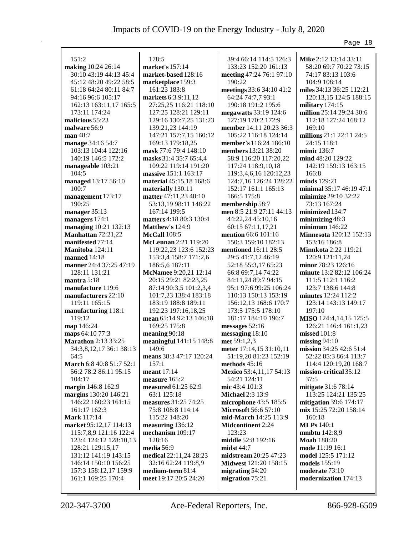|                                  |                                                 |                                                       | Page 18                                          |
|----------------------------------|-------------------------------------------------|-------------------------------------------------------|--------------------------------------------------|
|                                  |                                                 |                                                       |                                                  |
| 151:2                            | 178:5                                           | 39:4 66:14 114:5 126:3                                | Mike 2:12 13:14 33:11                            |
| making 10:24 26:14               | market's 157:14                                 | 133:23 152:20 161:13                                  | 58:20 69:7 70:22 73:15                           |
| 30:10 43:19 44:13 45:4           | market-based 128:16                             | meeting 47:24 76:1 97:10                              | 74:17 83:13 103:6                                |
| 45:12 48:20 49:22 58:5           | marketplace 159:3                               | 190:22                                                | 104:9 108:14                                     |
| 61:18 64:24 80:11 84:7           | 161:23 183:8                                    | meetings 33:6 34:10 41:2                              | miles 34:13 36:25 112:21                         |
| 94:16 96:6 105:17                | markets 6:3 9:11,12                             | 64:24 74:7,7 93:1                                     | 120:13,15 124:5 188:15                           |
| 162:13 163:11,17 165:5           | 27:25,25 116:21 118:10                          | 190:18 191:2 195:6                                    | military 174:15                                  |
| 173:11 174:24<br>malicious 55:23 | 127:25 128:21 129:11<br>129:16 130:7,25 131:23  | megawatts 33:19 124:6                                 | million 25:14 29:24 30:6<br>112:18 127:24 168:12 |
|                                  |                                                 | 127:19 170:2 172:9                                    | 169:10                                           |
| malware 56:9<br>man 48:7         | 139:21,23 144:19                                | member 14:11 20:23 36:3                               |                                                  |
|                                  | 147:21 157:7,15 160:12<br>169:13 179:18,25      | 105:22 116:18 124:14<br><b>member's</b> 116:24 186:10 | millions 21:1 22:11 24:5<br>24:15 118:1          |
| manage 34:16 54:7                |                                                 |                                                       |                                                  |
| 103:13 104:4 122:16              | mask 77:6 79:4 148:10                           | members 13:21 38:20                                   | mimic 136:7                                      |
| 140:19 146:5 172:2               | masks 31:4 35:7 65:4,4                          | 58:9 116:20 117:20,22                                 | mind 48:20 129:22                                |
| manageable 103:21<br>104:5       | 109:22 119:14 191:20                            | 117:24 118:9,10,18                                    | 142:19 159:13 163:15<br>166:8                    |
|                                  | massive 151:1 163:17<br>material 45:15,18 168:6 | 119:3,4,6,16 120:12,23<br>124:7,16 126:24 128:22      | minds 129:21                                     |
| managed 13:17 56:10<br>100:7     |                                                 | 152:17 161:1 165:13                                   | minimal 35:17 46:19 47:1                         |
| management 173:17                | materially 130:11<br>matter 47:11,23 48:10      | 166:5 175:8                                           | minimize 29:10 32:22                             |
| 190:25                           | 53:13,19 98:11 146:22                           | membership 58:7                                       | 73:13 167:24                                     |
| manager 35:13                    | 167:14 199:5                                    | men 8:5 21:9 27:11 44:13                              | minimized 134:7                                  |
| managers 174:1                   | matters 4:18 80:3 130:4                         | 44:22,24 45:10,16                                     | minimizing 48:3                                  |
| managing 10:21 132:13            | Matthew's 124:9                                 | 60:15 67:11,17,21                                     | minimum $146:22$                                 |
| Manhattan 72:21,22               | <b>McCall</b> 108:5                             | mention 66:6 101:16                                   | Minnesota 120:12 152:13                          |
| manifested 77:14                 | McLennan 2:21 119:20                            | 150:3 159:10 182:13                                   | 153:16 186:8                                     |
| Manitoba 124:11                  | 119:22,23 123:6 152:23                          | mentioned 16:11 28:5                                  | <b>Minnkota</b> 2:22 119:21                      |
| manned 14:18                     | 153:3,4 158:7 171:2,6                           | 29:5 41:7,12 46:19                                    | 120:9 121:11,24                                  |
| manner 24:4 37:25 47:19          | 186:5,6 187:11                                  | 52:18 55:3,17 65:23                                   | minor 78:23 126:16                               |
| 128:11 131:21                    | McNamee 9:20,21 12:14                           | 66:8 69:7,14 74:22                                    | minute 13:2 82:12 106:24                         |
| mantra 5:18                      | 20:15 29:21 82:23,25                            | 84:11,24 89:7 94:15                                   | 111:5 112:1 116:2                                |
| manufacture 119:6                | 87:14 90:3,5 101:2,3,4                          | 95:1 97:6 99:25 106:24                                | 123:7 138:6 144:8                                |
| manufacturers 22:10              | 101:7,23 138:4 183:18                           | 110:13 150:13 153:19                                  | minutes 12:24 112:2                              |
| 119:11 165:15                    | 183:19 188:8 189:11                             | 156:12,13 168:6 170:7                                 | 123:14 143:13 149:17                             |
| manufacturing 118:1              | 192:23 197:16,18,25                             | 173:5 175:5 178:10                                    | 197:10                                           |
| 119:12                           | mean 65:14 92:13 146:18                         | 181:17 184:10 196:7                                   | MISO 124:4,14,15 125:5                           |
| map 146:24                       | 169:25 175:8                                    | messages 52:16                                        | 126:21 146:4 161:1,23                            |
| maps 64:10 77:3                  | meaning 90:18                                   | messaging 18:10                                       | missed 101:8                                     |
| <b>Marathon</b> 2:13 33:25       | meaningful 141:15 148:8                         | met 59:1,2,3                                          | $\text{missing } 94:10$                          |
| 34:3,8,12,17 36:1 38:13          | 149:6                                           | meter 17:14,15 31:10,11                               | mission 34:25 42:6 51:4                          |
| 64:5                             | means 38:3 47:17 120:24                         | 51:19,20 81:23 152:19                                 | 52:22 85:3 86:4 113:7                            |
| March 6:8 40:8 51:7 52:1         | 157:1                                           | methods $45:16$                                       | 114:4 120:19,20 168:7                            |
| 56:2 78:2 86:11 95:15            | meant $17:14$                                   | Mexico 53:4,11,17 54:13                               | mission-critical 35:12                           |
| 104:17                           | measure 165:2                                   | 54:21 124:11                                          | 37:5                                             |
| margin 146:8 162:9               | measured 61:25 62:9                             | mic 43:4 101:3                                        | mitigate 31:6 78:14                              |
| margins 130:20 146:21            | 63:1 125:18                                     | <b>Michael 2:3 13:9</b>                               | 113:25 124:21 135:25                             |
| 146:22 160:23 161:15             | measures 31:25 74:25                            | microphone 43:5 185:5                                 | mitigation $39:6$ 174:17                         |
| 161:17 162:3                     | 75:8 108:8 114:14                               | <b>Microsoft 56:6 57:10</b>                           | mix 15:25 72:20 158:14                           |
| <b>Mark</b> 117:14               | 115:22 148:20                                   | mid-March 14:25 113:9                                 | 160:18                                           |
| market 95:12,17 114:13           | measuring $136:12$                              | <b>Midcontinent</b> 2:24                              | <b>MLPs</b> 140:1                                |
| 115:7,8,9 121:16 122:4           | mechanism 109:17                                | 123:23                                                | <b>mmbtu</b> 142:8,9                             |
| 123:4 124:12 128:10,13           | 128:16                                          | middle 52:8 192:16                                    | <b>Moab</b> 188:20                               |
| 128:21 129:15,17                 | media 56:9                                      | mid44:7                                               | mode 11:19 16:1                                  |
| 131:12 141:19 143:15             | medical 22:11,24 28:23                          | midstream 20:25 47:23                                 | model 125:5 171:12                               |
| 146:14 150:10 156:25             | 32:16 62:24 119:8,9                             | Midwest 121:20 158:15                                 | <b>models</b> 155:19                             |
| 157:3 158:12,17 159:9            | medium-term 81:4                                | migrating 54:20                                       | moderate 73:10                                   |
| 161:1 169:25 170:4               | meet 19:17 20:5 24:20                           | migration 75:21                                       | modernization 174:13                             |
|                                  |                                                 |                                                       |                                                  |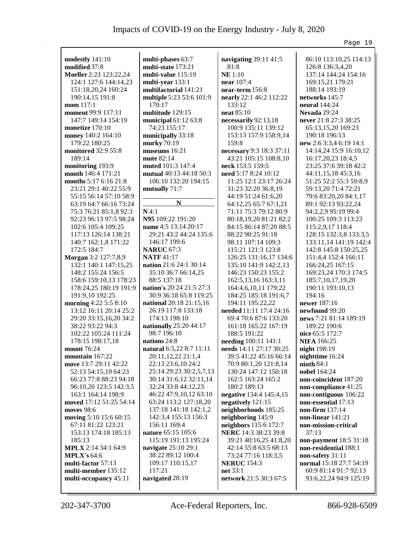|                            |                                 |                          | Page 19                 |
|----------------------------|---------------------------------|--------------------------|-------------------------|
|                            | multi-phases 63:7               |                          |                         |
| modestly 141:10            |                                 | navigating 39:11 41:5    | 86:10 113:10,25 114:13  |
| modified 37:8              | multi-state 173:21              | 81:8                     | 126:8 136:3,4,20        |
| Moeller 2:23 123:22,24     | multi-value 115:19              | <b>NE</b> 1:10           | 137:14 144:24 154:16    |
| 124:1 127:6 144:14,23      | multi-year 133:1                | near 107:4               | 169:15,21 179:21        |
| 151:18,20,24 160:24        | multifactorial 141:21           | near-term 156:8          | 188:14 193:19           |
| 190:14,15 191:8            | multiple 5:23 53:6 101:9        | nearly 22:1 46:2 112:22  | networks 145:7          |
| mom 117:1                  | 170:17                          | 133:12                   | neural 144:24           |
| moment 99:9 117:11         | multitude 129:15                | neat 85:10               | <b>Nevada</b> 29:24     |
| 147:7 149:14 154:19        | municipal $61:1263:8$           | necessarily 92:13,18     | never 21:8 27:3 38:25   |
| monetize 170:10            | 74:23 155:17                    | 100:9 135:11 139:12      | 65:13,15,20 169:23      |
| money 140:2 164:10         | municipally 33:18               | 153:13 157:9 158:9,14    | 190:18 196:13           |
| 179:22 180:25              | murky 70:19                     | 159:8                    | new 2:6 3:3,4 6:19 14:1 |
| <b>monitored</b> 32:9 55:8 | museums 16:21                   | necessary 9:3 18:3 37:11 | 14:14,24 15:9 16:10,12  |
| 189:14                     | mute 82:14                      | 43:21 105:15 108:8,10    | 16:17,20,23 18:4,5      |
| monitoring 193:9           | muted 101:3 147:4               | neck 153:5 159:5         | 23:25 37:6 39:18 42:2   |
| month 146:4 171:21         | mutual 40:13 44:18 50:3         | need 5:17 8:24 10:12     | 44:11,15,18 45:3,16     |
| months $5:176:1621:8$      | 106:10 132:20 194:15            | 11:25 12:1 23:17 26:24   | 51:25 52:2 55:3 59:8,9  |
| 23:21 29:1 40:22 55:9      |                                 | 31:23 32:20 36:8,19      | 59:13,20 71:4 72:21     |
| 55:15 56:14 57:10 58:9     | mutually 71:7                   | 44:19 51:24 61:6,20      | 79:6 83:20,20 84:1,17   |
|                            | N                               |                          |                         |
| 63:19 64:7 66:16 73:24     |                                 | 64:12,25 65:7 67:1,21    | 89:1 92:13 93:22,24     |
| 75:3 76:21 85:1,8 92:3     | $N$ 4:1                         | 71:11 75:3 79:12 80:9    | 94:2,2,9 95:19 99:4     |
| 92:23 96:13 97:5 98:24     | N95 109:22 191:20               | 80:18,19,20 81:21 82:2   | 100:25 109:3 113:23     |
| 102:6 105:4 109:25         | name 4:5 13:14 20:17            | 84:15 86:14 87:20 88:5   | 115:2,9,17 118:4        |
| 117:13 126:14 138:21       | 29:21 43:2 44:24 135:6          | 88:22 90:25 91:18        | 128:15 132:3,8 133:3,5  |
| 140:7 162:1,8 171:22       | 146:17 199:6                    | 98:11 107:14 109:3       | 133:11,14 141:19 142:4  |
| 172:5 184:7                | <b>NARUC</b> 67:3               | 115:21 121:3 123:8       | 142:8 145:8 150:25,25   |
| Morgan 3:2 127:7,8,9       | <b>NATF</b> 41:17               | 126:25 131:16,17 134:6   | 151:4,4 152:4 166:11    |
| 132:1 140:1 147:15,25      | <b>nation</b> 21:6 24:1 30:14   | 135:10 141:9 142:2,13    | 166:24,25 167:15        |
| 148:2 155:24 156:5         | 35:10 36:7 66:14,25             | 146:23 150:23 155:2      | 169:23,24 170:3 174:5   |
| 158:6 159:10,13 178:23     | 88:5 137:18                     | 162:5, 13, 16 163:3, 11  | 185:7, 10, 17, 19, 20   |
| 178:24,25 180:19 191:9     | <b>nation's</b> 20:24 21:5 27:3 | 164:4,6,10,11 179:22     | 190:11 193:10,13        |
| 191:9,10 192:25            | 30:9 36:18 65:8 119:25          | 184:25 185:18 191:6,7    | 194:16                  |
| morning 4:22 5:5 8:10      | national 20:18 21:15,16         | 194:11 195:22,22         | newer $187:16$          |
| 13:12 16:11 20:14 25:2     | 26:19 117:8 133:18              | needed 11:11 17:4 24:16  | newfound 99:20          |
| 29:20 33:15,16,20 34:2     | 174:13 198:10                   | 69:4 70:6 87:6 133:20    | news 7:21 81:14 189:19  |
| 38:22 93:22 94:3           | nationally 25:20 44:17          | 161:18 165:22 167:19     | 189:22 190:6            |
| 102:22 105:24 111:24       | 98:7 196:10                     | 188:5 191:22             | nice 65:5 172:7         |
| 178:15 198:17,18           | nations 24:8                    | needing 100:11 141:1     | <b>NIFA 166:25</b>      |
| mount 76:24                | natural 6:5,22 8:7 11:11        | needs 14:11 27:17 30:25  | night 198:19            |
| mountain 167:22            | 20:11,12,22 21:1,4              | 39:5 41:22 45:16 66:14   | nighttime 16:24         |
| move 13:7 29:11 42:22      | 22:13 23:6,10 24:2              | 70:9 80:1,20 121:8,14    | n <sub>in</sub> 84:1    |
| 52:13 54:15,19 64:23       | 25:14 29:23 30:2,5,7,13         | 130:24 147:12 150:18     | nobel 164:24            |
| 66:23 77:8 88:23 94:18     | 30:14 31:6,12 32:11,14          | 162:5 163:24 165:2       | non-coincident 187:20   |
| 96:10,20 123:5 142:3,5     | 32:24 33:8 44:12,23             | 180:2 189:13             | non-compliance 41:25    |
| 163:1 164:14 198:9         | 46:22 47:9,10,12 63:10          | negative 134:4 145:4,15  | non-contiguous 106:22   |
| moved 17:12 51:25 54:14    | 63:24 113:2 127:18,20           | negatively 121:15        | non-essential 17:13     |
| moves 98:6                 | 137:18 141:18 142:1,2           | neighborhoods 185:25     | non-firm 137:14         |
| moving 5:10 15:6 60:15     | 142:3,4 155:13 156:3            | neighboring 145:9        | non-linear 141:21       |
| 67:11 81:22 123:21         | 156:11 169:4                    | neighbors 115:6 172:7    | non-mission-critical    |
| 153:13 174:18 185:13       | nature 65:15 105:6              | NERC 14:3 38:23 39:8     | 37:13                   |
| 185:13                     | 115:19 191:13 195:24            | 39:21 40:16,25 41:8,20   | non-payment 18:5 31:18  |
| MPLX 2:14 34:1 64:9        | navigate 25:10 29:1             | 42:14 55:8 63:5 68:13    | non-residential 188:1   |
| <b>MPLX's</b> $64:6$       | 38:22 89:12 100:4               |                          | non-safety 31:11        |
| multi-factor 57:13         | 109:17 110:15,17                | 73:24 77:16 118:3,5      |                         |
|                            | 117:21                          | <b>NERUC</b> 154:3       | normal 15:18 27:7 54:19 |
| multi-member 135:12        |                                 | net 33:1                 | 60:9 81:14 91:7 92:13   |
| multi-occupancy 45:11      | navigated 28:19                 | network 21:5 30:3 67:5   | 93:6,22,24 94:9 125:19  |
|                            |                                 |                          |                         |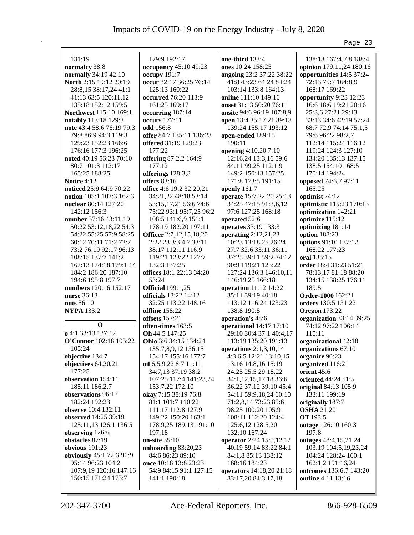|                                 |                                                |                                            | Page 20                  |
|---------------------------------|------------------------------------------------|--------------------------------------------|--------------------------|
|                                 |                                                |                                            |                          |
| 131:19                          | 179:9 192:17                                   | one-third 133:4                            | 138:18 167:4,7,8 188:4   |
| normalcy 38:8                   | occupancy 45:10 49:23                          | ones 10:24 158:25                          | opinion 179:11,24 180:16 |
| normally 34:19 42:10            | occupy 191:7                                   | ongoing 23:2 37:22 38:22                   | opportunities 14:5 37:24 |
| North 2:15 19:12 20:19          | occur 32:17 36:25 76:14                        | 41:8 43:23 64:24 84:24                     | 72:13 75:7 164:8,9       |
| 28:8,15 38:17,24 41:1           | 125:13 160:22                                  | 103:14 133:8 164:13                        | 168:17 169:22            |
| 41:13 63:5 120:11,12            | occurred 76:20 113:9                           | online 111:10 149:16                       | opportunity 9:23 12:23   |
| 135:18 152:12 159:5             | 161:25 169:17                                  | onset 31:13 50:20 76:11                    | 16:6 18:6 19:21 20:16    |
| Northwest 115:10 169:1          | occurring 187:14                               | onsite 94:6 96:19 107:8,9                  | 25:3,6 27:21 29:13       |
| notably 113:18 129:3            | occurs 177:11                                  | open 13:4 35:17,21 89:13                   | 33:13 34:6 42:19 57:24   |
| note 43:4 58:6 76:19 79:3       | odd 156:8                                      | 139:24 155:17 193:12                       | 68:7 72:9 74:14 75:1,5   |
| 79:8 86:9 94:3 119:3            | offer 84:7 135:11 136:23                       | open-ended 189:15                          | 79:6 96:22 98:2,7        |
| 129:23 152:23 166:6             | offered 31:19 129:23                           | 190:11                                     | 112:14 115:24 116:12     |
| 176:16 177:3 196:25             | 177:22                                         | opening 4:10,207:10                        | 119:24 124:3 127:10      |
| noted 40:19 56:23 70:10         | offering 87:2,2 164:9                          | 12:16,24 13:3,16 59:6                      | 134:20 135:13 137:15     |
| 80:7 101:3 112:17               | 177:12                                         | 84:11 99:25 112:1,9                        | 138:5 154:10 168:5       |
| 165:25 188:25                   | offerings 128:3,3                              | 149:2 150:13 157:25                        | 170:14 194:24            |
| Notice 4:12                     | offers $83:16$                                 | 171:8 173:5 191:15                         | opposed 74:6,7 97:11     |
| noticed 25:9 64:9 70:22         | office 4:6 19:2 32:20,21                       | openly 161:7                               | 165:25                   |
| notion 105:1 107:3 162:3        | 34:21,22 48:18 53:14                           | operate 15:7 22:20 25:13                   | optimist 24:12           |
| nuclear 80:14 127:20            | 53:15,17,21 56:6 74:6                          | 34:25 47:15 91:3,6,12                      | optimistic 115:23 170:13 |
| 142:12 156:3                    | 75:22 93:1 95:7,25 96:2                        | 97:6 127:25 168:18                         | optimization 142:21      |
| number 37:16 43:11,19           | 108:5 141:6,9 151:1                            | operated 52:6                              | optimize 115:12          |
| 50:22 53:12,18,22 54:3          | 178:19 182:20 197:11                           | operates 33:19 133:3                       | optimizing 181:14        |
| 54:22 55:25 57:9 58:25          | Officer 2:7,12,15,18,20                        | operating $2:12,21,23$                     | option 188:23            |
| 60:12 70:11 71:2 72:7           | 2:22,23 3:3,4,7 33:11                          | 10:23 13:18,25 26:24                       | options 91:10 137:12     |
| 73:2 76:19 92:17 96:13          | 38:17 112:11 116:9                             | 27:7 32:6 33:11 36:11                      | 168:22 177:23            |
| 108:15 137:7 141:2              | 119:21 123:22 127:7                            | 37:25 39:11 59:2 74:12                     | oral 135:15              |
| 167:13 174:18 179:1,14          | 132:3 137:25                                   | 90:9 119:21 123:22                         | order 18:4 31:23 51:21   |
| 184:2 186:20 187:10             | offices 18:1 22:13 34:20                       | 127:24 136:3 146:10,11                     | 78:13,17 81:18 88:20     |
| 194:6 195:8 197:7               | 53:24                                          | 146:19,25 166:18                           | 134:15 138:25 176:11     |
| numbers 120:16 152:17           | <b>Official</b> 199:1,25                       | operation 11:12 14:22                      | 189:5                    |
| <b>nurse</b> 36:13              | officials 13:22 14:12                          | 35:11 39:19 40:18                          | Order-1000 162:21        |
| nuts 56:10                      | 32:25 113:22 148:16                            | 113:12 116:24 123:23                       | orders 130:5 131:22      |
| <b>NYPA 133:2</b>               | <b>offline</b> 158:22                          | 138:8 190:5                                | <b>Oregon</b> 173:22     |
|                                 | offsets 157:21                                 | operation's 48:6                           | organization 33:14 39:25 |
| $\mathbf 0$                     | often-times 163:5                              | operational 14:17 17:10                    | 74:12 97:22 106:14       |
| o 4:1 33:13 137:12              | Oh 44:5 147:25                                 | 29:10 30:4 37:1 40:4,17                    | 110:11                   |
| O'Connor 102:18 105:22          | Ohio 3:6 34:15 134:24                          | 113:19 135:20 191:13                       | organizational 42:18     |
| 105:24                          | 135:7,8,9,12 136:15                            | operations $2:1,3,10,14$                   | organizations 67:10      |
| objective 134:7                 | 154:17 155:16 177:7                            | 4:3 6:5 12:21 13:10,15                     | organize 90:23           |
| objectives 64:20,21             |                                                |                                            | organized 116:21         |
| 177:25                          | oil $6:5,9,22$ 8:7 11:11<br>34:7,13 37:19 38:2 | 13:16 14:8,16 15:19<br>24:25 25:5 29:18,22 | orient 45:6              |
| observation 154:11              |                                                | 34:1,12,15,17,18 36:6                      | oriented 44:24 51:5      |
|                                 | 107:25 117:4 141:23,24                         |                                            |                          |
| 185:11 186:2,7                  | 153:7,22 172:10                                | 36:22 37:12 39:10 45:4                     | original 84:13 105:9     |
| observations 96:17              | okay 7:15 38:19 76:8                           | 54:11 59:9,18,24 60:10                     | 133:11 199:19            |
| 182:24 192:23                   | 81:1 101:7 110:22                              | 71:2,8,14 73:23 85:6                       | originally 187:7         |
| observe 10:4 132:11             | 111:17 112:8 127:9                             | 98:25 100:20 105:9                         | <b>OSHA</b> 21:20        |
| observed 14:25 39:19            | 149:22 150:20 163:1                            | 108:11 112:20 124:4                        | <b>OT</b> 193:5          |
| 125:11,13 126:1 136:5           | 178:9,25 189:13 191:10                         | 125:6,12 128:5,20                          | outage 126:10 160:3      |
| observing 126:6                 | 197:18                                         | 132:10 167:24                              | 197:8                    |
| obstacles 87:19                 | on-site 35:10                                  | operator 2:24 15:9,12,12                   | outages 48:4,15,21,24    |
| obvious $191:23$                | onboarding 83:20,23                            | 40:19 59:14 83:22 84:1                     | 103:19 104:5,19,23,24    |
| <b>obviously</b> 45:1 72:3 90:9 | 84:6 86:23 89:10                               | 84:1,8 85:13 138:12                        | 104:24 128:24 160:1      |
| 95:14 96:23 104:2               | once 10:18 13:8 23:23                          | 168:16 184:23                              | 162:1,2 191:16,24        |
| 107:9,19 120:16 147:16          | 54:9 84:15 91:1 127:15                         | operators 14:18,20 21:18                   | outcomes 136:6,7 143:20  |
| 150:15 171:24 173:7             | 141:1 190:18                                   | 83:17,20 84:3,17,18                        | outline 4:11 13:16       |
|                                 |                                                |                                            |                          |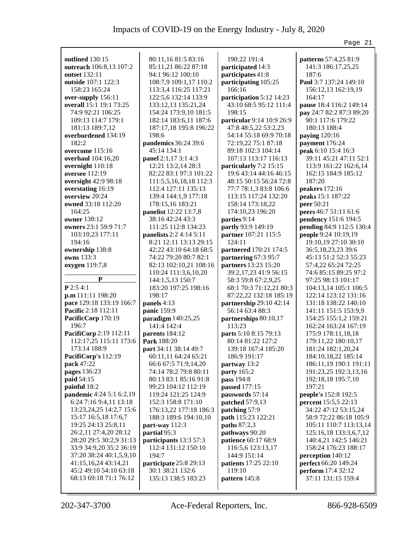|                                                  |                                             |                                                    | Page 21                                             |
|--------------------------------------------------|---------------------------------------------|----------------------------------------------------|-----------------------------------------------------|
|                                                  |                                             |                                                    |                                                     |
| <b>outlined</b> 130:15                           | 80:11,16 81:5 83:16                         | 190:22 191:4                                       | patterns 57:4,25 81:9                               |
| outreach 106:8,13 107:2<br>outset 132:11         | 85:11,21 86:22 87:18                        | participated 14:3<br>participates 41:8             | 141:3 186:17,25,25<br>187:6                         |
|                                                  | 94:1 96:12 100:10                           | participating 105:25                               | Paul 3:7 137:24 149:10                              |
| outside 107:1 122:3<br>158:23 165:24             | 108:7,9 109:1,17 110:2                      | 166:16                                             |                                                     |
|                                                  | 113:3,4 116:25 117:21                       |                                                    | 156:12,13 162:19,19<br>164:17                       |
| over-supply 156:11<br>overall 15:1 19:1 73:25    | 122:5,6 132:14 133:9<br>133:12,13 135:21,24 | participation 5:12 14:23<br>43:10 68:5 95:12 111:4 |                                                     |
| 74:9 92:21 106:25                                | 154:24 173:9,10 181:5                       | 198:15                                             | pause 18:4 116:2 149:14<br>pay 24:7 82:2 87:3 89:20 |
| 109:13 114:7 179:1                               | 182:14 183:6,11 187:6                       | particular 9:14 10:9 26:9                          | 90:1 117:6 179:22                                   |
| 181:13 189:7,12                                  | 187:17,18 195:8 196:22                      | 47:8 48:5,22 53:2,23                               | 180:13 188:4                                        |
| overburdened 134:19                              | 198:6                                       | 54:14 55:18 69:9 70:18                             | paying 120:16                                       |
| 182:2                                            | pandemics 36:24 39:6                        | 72:19,22 75:1 87:18                                | payment 176:24                                      |
| overcome 115:16                                  | 45:14 134:1                                 | 89:18 102:3 104:14                                 | peak 6:10 15:4 16:3                                 |
| overhaul 104:16,20                               | panel 2:1,17 3:1 4:3                        | 107:13 113:17 116:13                               | 39:11 45:21 47:11 52:1                              |
| overnight 110:18                                 | 12:21 13:2,14 28:3                          | particularly 7:2 15:15                             | 113:9 161:22 162:6,14                               |
| oversee 112:19                                   | 82:22 83:1 97:3 101:22                      | 19:6 43:14 44:16 46:15                             | 162:15 184:9 185:12                                 |
| oversight 42:9 98:18                             | 111:5,5,16,18,18 112:3                      | 48:15 50:15 56:24 72:8                             | 187:20                                              |
| overstating 16:19                                | 112:4 127:11 135:13                         | 77:7 78:1,3 83:8 106:6                             | peakers 172:16                                      |
| overview 20:24                                   | 139:4 144:1,9 177:18                        | 113:15 117:24 132:20                               | peaks 15:1 187:22                                   |
| owned 33:18 112:20                               | 178:15,16 183:21                            | 158:14 173:18,22                                   | peer 50:21                                          |
| 164:25                                           | panelist 12:22 13:7,8                       | 174:10,23 196:20                                   | peers 46:7 51:11 61:6                               |
| owner 138:12                                     | 38:16 42:24 43:3                            | parties 9:14                                       | pendency 151:6 194:5                                |
| owners 23:1 59:9 71:7                            | 111:25 112:8 134:23                         | partly 93:9 149:19                                 | pending 84:9 112:5 130:4                            |
| 103:10,23 177:11                                 | panelists 2:2 4:14 5:11                     | partner 107:21 115:5                               | people 9:24 10:19,19                                |
| 194:16                                           | 8:21 12:11 13:13 29:15                      | 124:11                                             | 19:10,19 27:10 30:10                                |
| ownership 138:8                                  | 42:22 43:10 64:18 68:5                      | partnered 170:21 174:5                             | 36:5,18,23,23 39:6                                  |
| owns 133:3                                       | 74:22 79:20 80:7 82:1                       | partnering 67:3 95:7                               | 45:13 51:2 52:3 55:23                               |
| oxygen 119:7,8                                   | 82:13 102:10,21 108:16                      | partners 13:23 15:20                               | 57:4,22 65:24 72:25                                 |
|                                                  | 110:24 111:3,6,10,20                        | 39:2,17,23 41:9 56:15                              | 74:6 85:15 89:25 97:2                               |
| P                                                | 144:1,5,13 150:7                            | 58:3 59:8 67:2,9,25                                | 97:25 98:13 101:17                                  |
| $P$ 2:54:1                                       | 183:20 197:25 198:16                        | 68:1 70:3 71:12,21 80:3                            | 104:13,14 105:1 106:5                               |
| p.m 111:11 198:20                                | 198:17                                      | 87:22,22 132:18 185:19                             | 122:14 123:12 131:16                                |
| pace 129:18 133:19 166:7                         | panels 4:13                                 | partnership 29:10 42:14                            | 131:18 138:22 140:10                                |
| Pacific 2:18 112:11                              | panic 159:9                                 | 56:14 63:4 88:3                                    | 141:11 151:5 153:9,9                                |
| PacificCorp 170:19                               | paradigm 140:25,25                          | partnerships 80:10,17                              | 154:25 155:1,2 159:21                               |
| 196:7                                            | 141:4 142:4                                 | 113:23                                             | 162:24 163:24 167:19                                |
| PacifiCorp 2:19 112:11                           | parents 184:12                              | parts 5:10 8:15 79:13                              | 175:9 178:11,18,18                                  |
| 112:17,25 115:11 173:6                           | <b>Park</b> 188:20                          | 80:14 81:22 127:2                                  | 179:11,22 180:10,17                                 |
| 173:14 188:9                                     | part 34:11 38:14 49:7                       | 139:18 167:4 185:20                                | 181:24 182:1,20,24                                  |
| PacifiCorp's 112:19                              | 60:11,11 64:24 65:21                        | 186:9 191:17                                       | 184:10,18,22 185:14                                 |
| pack 47:22                                       | 66:6 67:5 71:9,14,20                        | partway 13:2                                       | 186:11,19 190:1 191:11                              |
| <b>pages</b> 136:23                              | 74:14 78:2 79:8 80:11                       | <b>party</b> 165:2                                 | 191:23,25 192:3,13,16                               |
| <b>paid</b> 54:15                                | 80:13 83:1 85:16 91:8                       | pass 194:8                                         | 192:18,18 195:7,10                                  |
| painful 18:2                                     | 99:23 104:12 112:19                         | passed 177:15                                      | 197:21                                              |
| pandemic 4:24 5:1 6:2,19                         | 119:24 121:25 124:9                         | passwords 57:14                                    | people's 152:8 192:5                                |
| 6:24 7:16 9:4,11 13:18                           | 152:3 158:8 171:10                          | patched 57:9,13                                    | <b>percent</b> 15:5,5 22:13                         |
| 13:23, 24, 25 14:2, 7 15:6                       | 176:13,22 177:18 186:3                      | patching 57:9                                      | 34:22 47:12 53:15,24                                |
| 15:17 16:5,18 17:6,7                             | 188:3 189:6 194:10,10                       | path 115:23 122:21                                 | 58:9 72:22 86:18 105:9                              |
| 19:25 24:13 25:8,11                              | part-way 112:3                              | paths 87:2,3                                       | 105:11 110:7 113:13,14                              |
| 26:2,11 27:4,20 28:12                            | partial 95:3                                | pathways 90:20                                     | 125:16,18 133:3,6,7,12                              |
| 28:20 29:5 30:2,9 31:13                          | participants 13:3 57:3                      | patience 60:17 68:9                                | 140:4,21 142:5 146:21                               |
| 33:9 34:9,20 35:2 36:19                          | 112:4 131:12 150:10                         | 116:5,6 123:13,17                                  | 158:24 176:23 188:17                                |
| 37:20 38:24 40:1,5,9,10                          | 194:7                                       | 144:9 151:14                                       | perception 140:12                                   |
| 41:15,16,24 43:14,21                             | participate 25:8 29:13                      | patients 17:25 22:10                               | perfect 66:20 149:24                                |
| 45:2 49:10 54:10 63:18<br>68:13 69:18 71:1 76:12 | 30:1 38:21 132:6                            | 119:10                                             | perform 17:4 32:12                                  |
|                                                  | 135:13 138:5 183:23                         | pattern 145:8                                      | 37:11 131:15 159:4                                  |
|                                                  |                                             |                                                    |                                                     |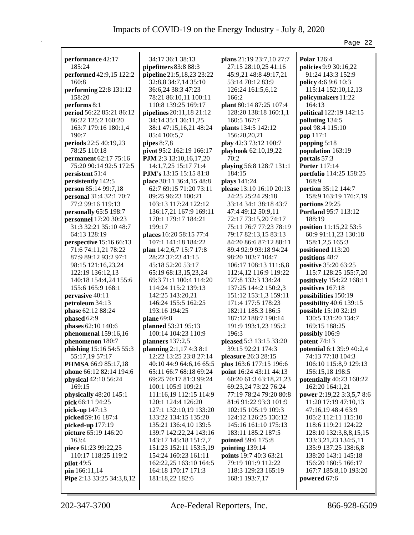|                              |                               |                                | Page 22                   |
|------------------------------|-------------------------------|--------------------------------|---------------------------|
|                              |                               |                                |                           |
| performance 42:17            | 34:17 36:1 38:13              | plans 21:19 23:7,10 27:7       | <b>Polar</b> 126:4        |
| 185:24                       | pipefitters 83:8 88:3         | 27:15 28:10,25 41:16           | policies 9:9 30:16,22     |
| performed 42:9,15 122:2      | pipeline 21:5,18,23 23:22     | 45:9,21 48:8 49:17,21          | 91:24 143:3 152:9         |
| 160:8                        | 32:8,8 34:7,14 35:10          | 53:14 70:12 83:9               | policy 4:6 9:6 10:3       |
| performing 22:8 131:12       | 36:6,24 38:3 47:23            | 126:24 161:5,6,12              | 115:14 152:10,12,13       |
| 158:20                       | 78:21 86:10,11 100:11         | 166:2                          | policymakers 11:22        |
| performs 8:1                 | 110:8 139:25 169:17           | plant 80:14 87:25 107:4        | 164:13                    |
| period 56:22 85:21 86:12     | pipelines 20:11,18 21:12      | 128:20 138:18 160:1,1          | political 122:19 142:15   |
| 86:22 125:2 160:20           | 34:14 35:1 36:11,25           | 160:5 167:7                    | polluting 134:5           |
| 163:7 179:16 180:1,4         | 38:1 47:15,16,21 48:24        | plants 134:5 142:12            | pool 98:4 115:10          |
| 190:7                        | 85:4 100:5,7                  | 156:20,20,21                   | pop 117:1                 |
| periods 22:5 40:19,23        | pipes $8:7,8$                 | play 42:3 73:12 100:7          | popping 5:18              |
| 78:25 110:18                 | pivot 95:2 162:19 166:17      | playbook 62:10,19,22           | population 163:19         |
| <b>permanent</b> 62:17 75:16 | PJM 2:3 13:10,16,17,20        | 70:2                           | portals 57:3              |
| 75:20 90:14 92:5 172:5       | 14:1,7,25 15:17 71:4          | playing 56:8 128:7 131:1       | <b>Porter 117:14</b>      |
| persistent 51:4              | <b>PJM's</b> 13:15 15:15 81:8 | 184:15                         | portfolio 114:25 158:25   |
| persistently 142:5           | place 30:11 36:4,15 48:8      | plays 141:24                   | 168:9                     |
| person 85:14 99:7,18         | 62:7 69:15 71:20 73:11        | please 13:10 16:10 20:13       | portion 35:12 144:7       |
| personal 31:4 32:1 70:7      | 89:25 96:23 100:21            | 24:25 25:24 29:18              |                           |
| 77:2 99:16 119:13            | 103:13 117:24 122:12          |                                | 158:9 163:19 176:7,19     |
|                              |                               | 33:14 34:1 38:18 43:7          | portions 29:25            |
| personally 65:5 198:7        | 136:17,21 167:9 169:11        | 47:4 49:12 50:9,11             | Portland 95:7 113:12      |
| personnel 17:20 30:23        | 170:1 179:17 184:21           | 72:17 73:15,20 74:17           | 188:19                    |
| 31:3 32:21 35:10 48:7        | 199:17                        | 75:11 76:7 77:23 78:19         | position 11:15,22 53:5    |
| 64:13 128:19                 | places 16:20 58:15 77:4       | 79:17 82:13,15 83:13           | 60:9 91:11,23 130:18      |
| perspective 15:16 66:13      | 107:1 141:18 184:22           | 84:20 86:6 87:12 88:11         | 158:1,2,5 165:3           |
| 71:6 74:11,21 78:22          | plan 14:2,6,7 15:7 17:8       | 89:4 92:9 93:18 94:24          | positioned 113:20         |
| 87:9 89:12 93:2 97:1         | 28:22 37:23 41:15             | 98:20 103:7 104:7              | positions 48:7            |
| 98:15 121:16,23,24           | 45:18 52:20 53:17             | 106:17 108:13 111:6,8          | positive 35:20 63:25      |
| 122:19 136:12,13             | 65:19 68:13,15,23,24          | 112:4,12 116:9 119:22          | 115:7 128:25 155:7,20     |
| 140:18 154:4,24 155:6        | 69:3 71:1 100:4 114:20        | 127:8 132:3 134:24             | positively 154:22 168:11  |
| 155:6 165:9 168:1            | 114:24 115:2 139:13           | 137:25 144:2 150:2,3           | positives 167:18          |
| pervasive 40:11              | 142:25 143:20,21              | 151:12 153:1,3 159:11          | possibilities 150:19      |
| petroleum 34:13              | 146:24 155:5 162:25           | 171:4 177:5 178:23             | possibility 40:6 139:15   |
| phase 62:12 88:24            | 193:16 194:25                 | 182:11 185:3 186:5             | possible 15:10 32:19      |
| phased 62:9                  | plane 69:8                    | 187:12 188:7 190:14            | 130:5 131:20 134:7        |
| phases 62:10 140:6           | planned 53:21 95:13           | 191:9 193:1,23 195:2           | 169:15 188:25             |
| phenomenal 159:16,16         | 100:14 104:23 110:9           | 196:3                          | possibly 106:9            |
| phenomenon 180:7             | planners $137:2,5$            | pleased 5:3 13:15 33:20        | <b>potent</b> 74:13       |
| phishing 15:16 54:5 55:3     | planning 2:1,17 4:3 8:1       | 39:15 92:21 174:3              | potential 6:1 39:9 40:2,4 |
| 55:17,19 57:17               | 12:22 13:25 23:8 27:14        | pleasure 26:3 28:15            | 74:13 77:18 104:3         |
| PHMSA 66:9 85:17,18          | 40:10 44:9 64:6,16 65:5       | plus 163:6 177:15 196:6        | 106:10 115:8,9 129:13     |
| phone 66:12 82:14 194:6      | 65:11 66:7 68:18 69:24        | <b>point</b> 16:24 43:11 44:13 | 156:15,18 198:5           |
| physical 42:10 56:24         | 69:25 70:17 81:3 99:24        | 60:20 61:3 63:18,21,23         | potentially 40:23 160:22  |
| 169:15                       | 100:1 105:9 109:21            | 69:23,24 73:22 76:24           | 162:20 164:1,21           |
| physically 48:20 145:1       | 111:16,19 112:15 114:9        | 77:19 78:24 79:20 80:8         | power 2:19,22 3:3,5,7 8:6 |
| pick 66:11 94:25             | 120:1 124:4 126:20            | 81:6 91:22 93:3 101:9          | 11:20 17:19 47:10,13      |
| pick-up 147:13               | 127:1 132:10,19 133:20        | 102:15 105:19 109:3            | 47:16,19 48:4 63:9        |
| picked 59:16 187:4           | 133:22 134:15 135:20          | 124:12 126:25 136:12           | 105:2 112:11 115:10       |
|                              |                               |                                |                           |
| picked-up 177:19             | 135:21 136:4,10 139:5         | 145:16 161:10 175:13           | 118:6 119:21 124:22       |
| picture 65:19 146:20         | 139:7 142:22,24 143:16        | 183:11 185:2 187:5             | 128:10 132:3,8,8,15,15    |
| 163:4                        | 143:17 145:18 151:7,7         | pointed 59:6 175:8             | 133:3,21,23 134:5,11      |
| piece 61:23 99:22,25         | 151:23 152:11 153:5,19        | pointing 139:14                | 135:9 137:25 138:6,8      |
| 110:17 118:25 119:2          | 154:24 160:23 161:11          | points 19:7 40:3 63:21         | 138:20 143:1 145:18       |
| pilot 49:5                   | 162:22,25 163:10 164:5        | 79:19 101:9 112:22             | 156:20 160:5 166:17       |
| pin 166:11,14                | 164:18 170:17 171:3           | 118:3 129:23 165:19            | 167:7 185:8,10 193:20     |
| Pipe 2:13 33:25 34:3,8,12    | 181:18,22 182:6               | 168:1 193:7,17                 | powered 67:6              |
|                              |                               |                                |                           |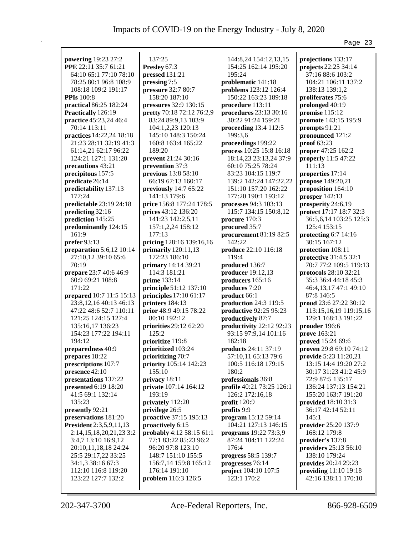|                            |                           |                             | Page 23                 |
|----------------------------|---------------------------|-----------------------------|-------------------------|
| powering 19:23 27:2        | 137:25                    | 144:8,24 154:12,13,15       | projections 133:17      |
| PPE 22:11 35:7 61:21       | Presley 67:3              | 154:25 162:14 195:20        | projects 22:25 34:14    |
| 64:10 65:1 77:10 78:10     | pressed 131:21            | 195:24                      | 37:16 88:6 103:2        |
| 78:25 80:1 96:8 108:9      | pressing 7:5              | problematic 141:18          | 104:21 106:11 137:2     |
| 108:18 109:2 191:17        | pressure 32:7 80:7        | problems 123:12 126:4       | 138:13 139:1,2          |
| <b>PPIs</b> 100:8          | 158:20 187:10             | 150:22 163:23 189:18        | proliferates 75:6       |
| practical 86:25 182:24     | pressures 32:9 130:15     | procedure 113:11            | prolonged 40:19         |
| Practically 126:19         | pretty 70:18 72:12 76:2,9 | procedures 23:13 30:16      | promise $115:12$        |
| practice 45:23,24 46:4     | 83:24 89:9,13 103:9       | 30:22 91:24 159:21          | promote 143:15 195:9    |
| 70:14 113:11               | 104:1,2,23 120:13         | proceeding $13:4$ 112:5     | prompts 91:21           |
| practices 14:22,24 18:18   | 145:10 148:3 150:24       | 199:3,6                     | pronounced 121:2        |
| 21:23 28:11 32:19 41:3     | 160:8 163:4 165:22        | proceedings 199:22          | proof 63:23             |
| 61:14,21 62:17 96:22       | 189:20                    | process 10:25 15:8 16:18    | proper 47:25 162:2      |
| 124:21 127:1 131:20        | prevent 21:24 30:16       | 18:14,23 23:13,24 37:9      | properly 11:5 47:22     |
| precautions 43:21          | prevention 37:3           | 60:10 75:25 78:24           | 111:13                  |
| precipitous 157:5          | previous 13:8 58:10       | 83:23 104:15 119:7          | properties 17:14        |
| predicate 26:14            | 66:19 67:13 160:17        | 139:2 142:24 147:22,22      | propose 149:20,21       |
| predictability 137:13      | previously 14:7 65:22     | 151:10 157:20 162:22        | proposition 164:10      |
| 177:24                     | 141:13 179:6              | 177:20 190:1 193:12         | prosper 142:13          |
| predictable 23:19 24:18    | price 156:8 177:24 178:5  | processes 94:3 103:13       | prosperity 24:6,19      |
| predicting 32:16           | prices 43:12 136:20       | 115:7 134:15 150:8,12       | protect 17:17 18:7 32:3 |
| prediction 145:25          | 141:23 142:2,5,11         | procure 170:3               | 36:5,6,14 103:25 125:3  |
| predominantly 124:15       | 157:1,2,24 158:12         | procured 35:7               | 125:4 153:15            |
| 161:9                      | 177:13                    | procurement 81:19 82:5      | protecting 6:7 14:16    |
| prefer 93:13               | pricing 128:16 139:16,16  | 142:22                      | 30:15 167:12            |
| preparation $5:6,12$ 10:14 | primarily $120:11,13$     | produce 22:10 116:18        | protection 108:11       |
| 27:10,12 39:10 65:6        | 172:23 186:10             | 119:4                       | protective 31:4,5 32:1  |
| 70:19                      | primary 14:14 39:21       | produced 136:7              | 70:7 77:2 109:5 119:13  |
| prepare 23:7 40:6 46:9     | 114:3 181:21              | producer 19:12,13           | protocols 28:10 32:21   |
| 60:9 69:21 108:8           | prime 133:14              | producers 165:16            | 35:3 36:4 44:18 45:3    |
| 171:22                     | principle 51:12 137:10    | produces 7:20               | 46:4,13,17 47:1 49:10   |
| prepared 10:7 11:5 15:13   | principles $17:1061:17$   | product 66:1                | 87:8 146:5              |
| 23:8, 12, 16 40:13 46:13   | printers 184:13           | production 24:3 119:5       | proud 23:6 27:22 30:12  |
| 47:22 48:6 52:7 110:11     | prior 48:9 49:15 78:22    | productive 92:25 95:23      | 113:15,16,19 119:15,16  |
| 121:25 124:15 127:4        | 80:10 192:12              | productively 87:7           | 129:1 168:13 191:22     |
| 135:16,17 136:23           | priorities 29:12 62:20    | productivity 22:12 92:23    | prouder 196:6           |
| 154:23 177:22 194:11       | 125:2                     | 93:15 97:9,14 101:16        | prove 163:21            |
| 194:12                     | prioritize 119:8          | 182:18                      | proved 15:24 69:6       |
| preparedness 40:9          | prioritized 103:24        | <b>products</b> 24:11 37:19 | proven 29:8 69:10 74:12 |
| prepares 18:22             | prioritizing 70:7         | 57:10,11 65:13 79:6         | provide 5:23 11:20,21   |
| prescriptions 107:7        | priority 105:14 142:23    | 100:5 116:18 179:15         | 13:15 14:4 19:20 27:2   |
| presence 42:10             | 155:10                    | 180:2                       | 30:17 31:23 41:2 45:9   |
| presentations 137:22       | privacy 18:11             | professionals 36:8          | 72:9 87:5 135:17        |
| presented $6:19$ 18:20     | private 107:14 164:12     | profile 40:21 73:25 126:1   | 136:24 137:13 154:21    |
| 41:5 69:1 132:14           | 193:19                    | 126:2 172:16,18             | 155:20 163:7 191:20     |
| 135:23                     | privately 112:20          | profit $120:9$              | provided 18:10 31:3     |
| presently 92:21            | privilege 26:5            | profits 9:9                 | 36:17 42:14 52:11       |
| preservations 181:20       | proactive 37:15 195:13    | program 15:12 59:14         | 145:1                   |
| President 2:3,5,9,11,13    | proactively 6:15          | 104:21 127:13 146:15        | provider 25:20 137:9    |
| 2:14,15,18,20,21,23 3:2    | probably 4:12 58:15 61:1  | programs 19:22 73:3,9       | 168:12 179:8            |
| 3:4,7 13:10 16:9,12        | 77:1 83:22 85:23 96:2     | 87:24 104:11 122:24         | provider's 137:8        |
| 20:10,11,18,18 24:24       | 96:20 97:8 123:10         | 176:4                       | providers 25:13 56:10   |
| 25:5 29:17,22 33:25        | 148:7 151:10 155:5        | progress 58:5 139:7         | 138:10 179:24           |
| 34:1,3 38:16 67:3          | 156:7,14 159:8 165:12     | progresses 76:14            | provides 20:24 29:23    |
| 112:10 116:8 119:20        | 176:14 191:10             | project 104:10 107:5        | providing $11:10$ 19:18 |
| 123:22 127:7 132:2         | problem 116:3 126:5       | 123:1 170:2                 | 42:16 138:11 170:10     |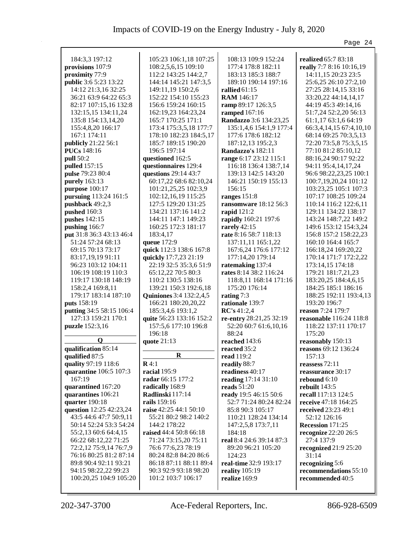|                          |                                                  |                                                  | Page 24                                   |
|--------------------------|--------------------------------------------------|--------------------------------------------------|-------------------------------------------|
|                          |                                                  |                                                  |                                           |
| 184:3,3 197:12           | 105:23 106:1,18 107:25                           | 108:13 109:9 152:24                              | realized 65:7 83:18                       |
| provisions 107:9         | 108:2,5,6,15 109:10                              | 177:4 178:8 182:11                               | really 7:7 8:16 10:16,19                  |
| proximity 77:9           | 112:2 143:25 144:2,7                             | 183:13 185:3 188:7                               | 14:11,15 20:23 23:5                       |
| public 3:6 5:23 13:22    | 144:14 145:21 147:3,5                            | 189:10 190:14 197:16                             | 25:6,25 26:10 27:2,10                     |
| 14:12 21:3,16 32:25      | 149:11,19 150:2,6                                | rallied $61:15$                                  | 27:25 28:14,15 33:16                      |
| 36:21 63:9 64:22 65:3    | 152:22 154:10 155:23                             | <b>RAM</b> 146:17                                | 33:20,22 44:14,14,17                      |
| 82:17 107:15,16 132:8    | 156:6 159:24 160:15                              | ramp 89:17 126:3,5                               | 44:19 45:3 49:14,16                       |
| 132:15,15 134:11,24      | 162:19,23 164:23,24                              | ramped 167:16                                    | 51:7,24 52:2,20 56:13                     |
| 135:8 154:13,14,20       | 165:7 170:25 171:1                               | Randazzo 3:6 134:23,25                           | 61:1,17 63:1,6 64:19                      |
| 155:4,8,20 166:17        | 173:4 175:3,5,18 177:7                           | 135:1,4,6 154:1,9 177:4                          | 66:3,4,14,15 67:4,10,10                   |
| 167:1 174:11             | 178:10 182:23 184:5,17                           | 177:6 178:6 182:12                               | 68:14 69:25 70:3,5,13                     |
| publicly 21:22 56:1      | 185:7 189:15 190:20                              | 187:12,13 195:2,3                                | 72:20 73:5,8 75:3,5,15                    |
| <b>PUCs</b> 148:16       | 196:5 197:14                                     | Randazzo's 182:11                                | 77:10 81:2 85:10,12                       |
| pull 50:2                | questioned 162:5                                 | range 6:17 23:12 115:1                           | 88:16,24 90:17 92:22                      |
| pulled 157:15            | questionnaires 129:4                             | 116:18 136:4 138:7,14                            | 94:11 95:4,14,17,24                       |
| pulse 79:23 80:4         | questions 29:14 43:7                             | 139:13 142:5 143:20                              | 96:6 98:22,23,25 100:1                    |
| purely 163:13            | 60:17,22 68:6 82:10,24                           | 146:21 150:19 155:13                             | 100:7,19,20,24 101:12                     |
| purpose 100:17           | 101:21,25,25 102:3,9                             | 156:15                                           | 103:23,25 105:1 107:3                     |
| pursuing 113:24 161:5    | 102:12,16,19 115:25                              | ranges $151:8$                                   | 107:17 108:25 109:24                      |
| pushback 49:2,3          | 127:5 129:20 131:25                              | ransomware 18:12 56:3                            | 110:14 116:2 122:6,11                     |
| pushed 160:3             | 134:21 137:16 141:2                              | rapid $121:2$                                    | 129:11 134:22 138:17                      |
| pushes 142:15            | 144:11 147:1 149:23                              | rapidly 160:21 197:6                             | 143:24 148:7,22 149:2                     |
| pushing 166:7            | 160:25 172:3 181:17                              | rarely $42:15$                                   | 149:6 153:12 154:3,24                     |
| put 31:8 36:3 43:13 46:4 | 183:4,17                                         | rate 8:16 58:7 118:13                            | 156:8 157:2 158:22,23                     |
| 51:24 57:24 68:13        | queue 172:9                                      | 137:11,11 165:1,22                               | 160:10 164:4 165:7                        |
| 69:15 70:13 73:17        | quick 112:3 138:6 167:8                          | 167:6,24 176:6 177:12                            | 166:18,24 169:20,22                       |
| 83:17,19,19 91:11        | quickly 17:7,23 21:19                            | 177:14,20 179:14                                 | 170:14 171:7 172:2,22                     |
| 96:23 103:12 104:11      | 22:19 32:5 35:3,6 51:9                           | ratemaking 137:4                                 | 173:14,15 174:18                          |
| 106:19 108:19 110:3      | 65:12,22 70:5 80:3                               | rates 8:14 38:2 116:24                           | 179:21 181:7,21,23                        |
| 119:17 130:18 148:19     | 110:2 130:5 138:16                               | 118:8,11 168:14 171:16                           | 183:20,25 184:4,6,15                      |
| 158:2,4 169:8,11         | 139:21 150:3 192:6,18                            | 175:20 176:14                                    | 184:25 185:1 186:16                       |
| 179:17 183:14 187:10     | <b>Quiniones</b> 3:4 132:2,4,5                   | rating 7:3                                       | 188:25 192:11 193:4,13                    |
| puts 158:19              | 166:21 180:20,20,22                              | rationale 139:7                                  | 193:20 196:7                              |
| putting 34:5 58:15 106:4 | 185:3,4,6 193:1,2                                | RC's 41:2,4                                      | reason 7:24 179:7                         |
| 127:13 159:21 170:1      | quite 56:23 133:16 152:2<br>157:5,6 177:10 196:8 | re-entry 28:21,25 32:19<br>52:20 60:7 61:6,10,16 | <b>reasonable</b> 116:24 118:8            |
| puzzle 152:3,16          | 196:18                                           | 88:24                                            | 118:22 137:11 170:17<br>175:20            |
| $\mathbf{Q}$             |                                                  | reached 143:6                                    |                                           |
| qualification 85:14      | quote 21:13                                      | reacted 35:2                                     | reasonably 150:13<br>reasons 69:12 136:24 |
| qualified 87:5           | $\bf R$                                          | <b>read</b> 119:2                                | 157:13                                    |
| quality 97:19 118:6      | $\mathbf{R}4:1$                                  | readily 88:7                                     | reassess $72:11$                          |
| quarantine 106:5 107:3   | racial 195:9                                     | readiness 40:17                                  | reassurance 30:17                         |
| 167:19                   | radar 66:15 177:2                                | reading 17:14 31:10                              | rebound $6:10$                            |
| quarantined 167:20       | radically 168:9                                  | reads $51:20$                                    | rebuilt $143:5$                           |
| quarantines 106:21       | Radlinski 117:14                                 | ready 19:5 46:15 50:6                            | recall 117:13 124:5                       |
| quarter 190:18           | rails 159:16                                     | 52:7 71:24 80:24 82:24                           | receive 47:18 164:25                      |
| question 12:25 42:23,24  | raise 42:25 44:1 50:10                           | 85:8 90:3 105:17                                 | received 23:23 49:1                       |
| 43:5 44:6 47:7 50:9,11   | 55:21 80:2 98:2 140:2                            | 110:21 128:24 134:14                             | 52:12 126:16                              |
| 50:14 52:24 53:3 54:24   | 144:2 178:22                                     | 147:2,5,8 173:7,11                               | Recession 171:25                          |
| 55:2,13 60:6 64:4,15     | raised 44:4 50:8 66:18                           | 184:18                                           | recognize $22:2026:5$                     |
| 66:22 68:12,22 71:25     | 71:24 73:15,20 75:11                             | real 8:4 24:6 39:14 87:3                         | 27:4 137:9                                |
| 72:2,12 75:9,14 76:7,9   | 76:6 77:6,23 78:19                               | 89:20 96:21 105:20                               | recognized 21:9 25:20                     |
| 76:16 80:25 81:2 87:14   | 80:24 82:8 84:20 86:6                            | 124:23                                           | 31:14                                     |
| 89:8 90:4 92:11 93:21    | 86:18 87:11 88:11 89:4                           | real-time 32:9 193:17                            | recognizing 5:6                           |
| 94:15 98:22,22 99:23     | 90:3 92:9 93:18 98:20                            | reality 105:19                                   | recommendations 55:10                     |
| 100:20,25 104:9 105:20   | 101:2 103:7 106:17                               | realize $169:9$                                  | recommended 40:5                          |
|                          |                                                  |                                                  |                                           |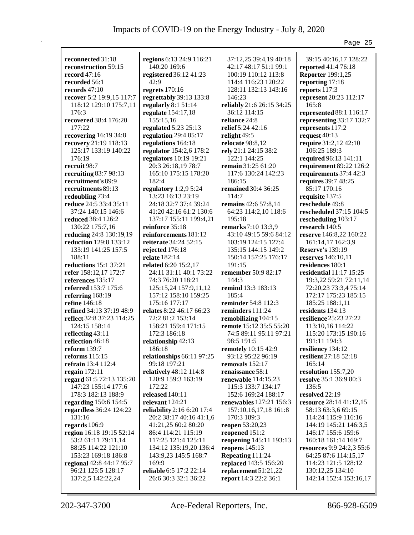|                           |                                |                           | Page 25                          |
|---------------------------|--------------------------------|---------------------------|----------------------------------|
|                           |                                |                           |                                  |
| reconnected 31:18         | regions 6:13 24:9 116:21       | 37:12,25 39:4,19 40:18    | 39:15 40:16,17 128:22            |
| reconstruction 59:15      | 140:20 169:6                   | 42:17 48:17 51:1 99:1     | reported 41:4 76:18              |
| record $47:16$            | registered 36:12 41:23<br>42:9 | 100:19 110:12 113:8       | <b>Reporter</b> 199:1,25         |
| recorded 56:1             |                                | 114:4 116:23 120:22       | reporting 17:18                  |
| records 47:10             | regrets $170:16$               | 128:11 132:13 143:16      | reports 117:3                    |
| recover 5:2 19:9,15 117:7 | regrettably 39:13 133:8        | 146:23                    | represent 20:23 112:17           |
| 118:12 129:10 175:7,11    | regularly $8:151:14$           | reliably 21:6 26:15 34:25 | 165:8                            |
| 176:3                     | regulate 154:17,18             | 36:12 114:15              | represented 88:1 116:17          |
| recovered 38:4 176:20     | 155:15,16                      | reliance 24:8             | representing 33:17 132:7         |
| 177:22                    | regulated 5:23 25:13           | relief 5:24 42:16         | represents 117:2                 |
| recovering 16:19 34:8     | regulation $29:485:17$         | relight 49:5              | request 40:13                    |
| recovery 21:19 118:13     | regulations 164:18             | relocate 98:8,12          | require 31:2,12 42:10            |
| 125:17 133:19 140:22      | regulator 154:2,6 178:2        | rely 21:1 24:15 38:2      | 106:25 189:3                     |
| 176:19                    | regulators 10:19 19:21         | 122:1 144:25              | required 96:13 141:11            |
| recruit 98:7              | 20:3 26:18,19 78:7             | <b>remain</b> 31:25 61:20 | requirement 89:22 126:2          |
| recruiting 83:7 98:13     | 165:10 175:15 178:20           | 117:6 130:24 142:23       | requirements 37:4 42:3           |
| recruitment's 89:9        | 182:4                          | 186:15                    | requires 39:7 48:25              |
| recruitments 89:13        | regulatory 1:2,9 5:24          | remained 30:4 36:25       | 85:17 170:16                     |
| redoubling 73:4           | 13:23 16:13 23:19              | 114:7                     | requisite 137:5                  |
| reduce 24:5 33:4 35:11    | 24:18 32:7 37:4 39:24          | remains 42:6 57:8,14      | reschedule 49:8                  |
| 37:24 140:15 146:6        | 41:20 42:16 61:2 130:6         | 64:23 114:2,10 118:6      | rescheduled 37:15 104:5          |
| reduced 38:4 126:2        | 137:17 155:11 199:4,21         | 195:18                    | rescheduling 103:17              |
| 130:22 175:7,16           | reinforce 35:18                | remarks 7:10 13:3,9       | research 140:5                   |
| reducing 24:8 130:19,19   | reinforcements 181:12          | 43:10 49:15 59:6 84:12    | reserve 146:8,22 160:22          |
| reduction 129:8 133:12    | reiterate 34:24 52:15          | 103:19 124:15 127:4       | 161:14,17 162:3,9                |
| 133:19 141:25 157:5       | rejected 176:18                | 135:15 144:15 149:2       | <b>Reserve's 139:19</b>          |
| 188:11                    | relate 182:14                  | 150:14 157:25 176:17      | reserves 146:10,11               |
| reductions 15:1 37:21     | related 6:20 15:2,17           | 191:15                    | residences 180:1                 |
| refer 158:12,17 172:7     | 24:11 31:11 40:1 73:22         | remember 50:9 82:17       | residential $11:17$ $15:25$      |
| references 135:17         | 74:3 76:20 118:21              | 144:3                     | 19:3,22 59:21 72:11,14           |
| referred 153:7 175:6      | 125:15,24 157:9,11,12          | remind 13:3 183:13        | 72:20,23 73:3,4 75:14            |
| referring 168:19          | 157:12 158:10 159:25           | 185:4                     | 172:17 175:23 185:15             |
| refine 146:18             | 175:16 177:17                  | reminder 54:8 112:3       | 185:25 188:1,11                  |
| refined 34:13 37:19 48:9  | relates 8:22 46:17 66:23       | reminders 111:24          | residents 134:13                 |
| reflect 32:8 37:23 114:25 | 72:2 81:2 153:14               | remobilizing 104:15       | resilience 25:23 27:22           |
| 124:15 158:14             | 158:21 159:4 171:15            | remote 15:12 35:5 55:20   | 113:10,16 114:22                 |
| reflecting 43:11          | 172:3 186:18                   | 74:5 89:11 95:11 97:21    | 115:20 173:15 190:16             |
| reflection 46:18          | relationship 42:13             | 98:5 191:5                | 191:11 194:3                     |
| reform $139:7$            | 186:18                         | remotely 10:15 42:9       | resiliency 134:12                |
| reforms 115:15            | relationships 66:11 97:25      | 93:12 95:22 96:19         | resilient 27:18 52:18            |
| refrain 13:4 112:4        | 99:18 197:21                   | removals $152:17$         | 165:14                           |
| regain $172:11$           | relatively 48:12 114:8         | renaissance 58:1          | resolution 155:7,20              |
| regard 61:5 72:13 135:20  | 120:9 159:3 163:19             | renewable $114:15,23$     | resolve 35:1 36:9 80:3           |
| 147:23 155:14 177:6       | 172:22                         | 115:3 133:7 134:17        | 136:5                            |
| 178:3 182:13 188:9        | released 140:11                | 152:6 169:24 188:17       | resolved 22:19                   |
| regarding 150:6 154:5     | relevant 124:21                | renewables 127:21 156:3   | resource 28:14 41:12,15          |
| regardless 36:24 124:22   | reliability 2:16 6:20 17:4     | 157:10,16,17,18 161:8     | 58:13 63:3,6 69:15               |
| 131:16                    | 20:2 38:17 40:16 41:1,6        | 170:3 189:3               | 114:24 115:9 116:16              |
| regards $106:9$           | 41:21,25 60:2 80:20            | <b>reopen</b> 53:20,23    | 144:19 145:21 146:3,5            |
| region 16:18 19:15 52:14  | 86:4 114:21 115:19             | reopened 151:2            | 146:17 155:6 159:6               |
| 53:2 61:11 79:11,14       | 117:25 121:4 125:11            | reopening 145:11 193:13   | 160:18 161:14 169:7              |
| 88:25 114:22 121:10       | 134:12 135:19,20 136:4         | reopens $145:13$          | <b>resources</b> 9:9 24:2,3 55:6 |
| 153:23 169:18 186:8       | 143:9,23 145:5 168:7           | Repeating 111:24          | 64:25 87:6 114:15,17             |
| regional 42:8 44:17 95:7  | 169:9                          | replaced 143:5 156:20     | 114:23 121:5 128:12              |
| 96:21 125:5 128:17        | reliable 6:5 17:2 22:14        | replacement 51:21,22      | 130:12,25 134:10                 |
| 137:2,5 142:22,24         | 26:6 30:3 32:1 36:22           | report 14:3 22:2 36:1     | 142:14 152:4 153:16,17           |
|                           |                                |                           |                                  |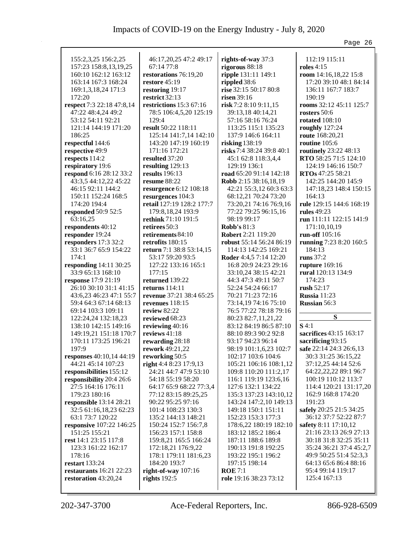|                           |                           |                           | Page 26                      |
|---------------------------|---------------------------|---------------------------|------------------------------|
|                           |                           |                           |                              |
| 155:2,3,25 156:2,25       | 46:17,20,25 47:2 49:17    | rights-of-way 37:3        | 112:19 115:11                |
| 157:23 158:8,13,19,25     | 67:14 77:8                | rigorous 88:18            | <b>roles</b> 4:15            |
| 160:10 162:12 163:12      | restorations 76:19,20     | ripple 131:11 149:1       | room 14:16,18,22 15:8        |
| 163:14 167:3 168:24       | restore 45:19             | rippled 38:6              | 17:20 39:10 48:1 84:14       |
| 169:1,3,18,24 171:3       | restoring 19:17           | rise 32:15 50:17 80:8     | 136:11 167:7 183:7           |
| 172:20                    | restrict 32:13            | risen 39:16               | 190:19                       |
| respect 7:3 22:18 47:8,14 | restrictions 15:3 67:16   | risk 7:2 8:10 9:11,15     | rooms 32:12 45:11 125:7      |
| 47:22 48:4,24 49:2        | 78:5 106:4,5,20 125:19    | 39:13,18 40:14,21         | rosters 50:6                 |
| 53:12 54:11 92:21         | 129:4                     | 57:16 58:16 76:24         | rotated $108:10$             |
| 121:14 144:19 171:20      | result 50:22 118:11       | 113:25 115:1 135:23       | roughly 127:24               |
| 186:25                    | 125:14 141:7,14 142:10    | 137:9 146:6 164:11        | route 168:20,21              |
| respectful 144:6          | 143:20 147:19 160:19      | risking 138:19            | routine 105:6                |
| respective 49:9           | 171:16 172:21             | risks 7:4 38:24 39:8 40:1 | routinely 23:22 48:13        |
| respects 114:2            | resulted 37:20            | 45:1 62:8 118:3,4,4       | <b>RTO</b> 58:25 71:5 124:10 |
| respiratory 19:6          | resulting 129:13          | 129:19 136:1              | 124:19 146:16 150:7          |
| respond 6:16 28:12 33:2   | results $196:13$          | road 65:20 91:14 142:18   | <b>RTOs</b> 47:25 58:21      |
| 43:3,5 44:12,22 45:22     | resume 88:22              | Robb 2:15 38:16,18,19     | 142:25 144:20 145:9          |
| 46:15 92:11 144:2         | resurgence 6:12 108:18    | 42:21 55:3,12 60:3 63:3   | 147:18,23 148:4 150:15       |
| 150:11 152:24 168:5       | resurgences 104:3         | 68:12,21 70:24 73:20      | 164:13                       |
| 174:20 194:4              | retail 127:19 128:2 177:7 | 73:20,21 74:16 76:9,16    | rule 129:15 144:6 168:19     |
| responded 50:9 52:5       | 179:8, 18, 24 193:9       | 77:22 79:25 96:15,16      | rules 49:23                  |
| 63:16,25                  | rethink 71:10 191:5       | 98:19 99:17               | run 111:11 122:15 141:9      |
| respondents 40:12         | retirees 50:3             | Robb's $81:3$             | 171:10,10,19                 |
| responder 19:24           | retirements 84:10         | Robert 2:21 119:20        | run-off 105:16               |
| responders 17:3 32:2      | retrofits 180:15          | robust 55:14 56:24 86:19  | running 7:23 8:20 160:5      |
| 33:1 36:7 65:9 154:22     | return 7:1 38:8 53:14,15  | 114:13 142:25 169:21      | 184:13                       |
| 174:1                     | 53:17 59:20 93:5          | Roder 4:4,5 7:14 12:20    | runs 37:2                    |
| responding 14:11 30:25    | 127:22 133:16 165:1       | 16:8 20:9 24:23 29:16     | rupture 169:16               |
| 33:9 65:13 168:10         | 177:15                    | 33:10,24 38:15 42:21      | rural 120:13 134:9           |
| response 17:9 21:19       | returned 139:22           | 44:3 47:3 49:11 50:7      | 174:23                       |
| 26:10 30:10 31:1 41:15    | returns 114:11            | 52:24 54:24 66:17         | rush $52:17$                 |
| 43:6,23 46:23 47:1 55:7   | revenue 37:21 38:4 65:25  | 70:21 71:23 72:16         | Russia 11:23                 |
| 59:4 64:3 67:14 68:13     | revenues $118:15$         | 73:14,19 74:16 75:10      | Russian 56:3                 |
| 69:14 103:3 109:11        | review 82:22              | 76:5 77:22 78:18 79:16    |                              |
| 122:24,24 132:18,23       | reviewed 68:23            | 80:23 82:7,11,21,22       | ${\bf S}$                    |
| 138:10 142:15 149:16      | reviewing 40:16           | 83:12 84:19 86:5 87:10    | $S$ 4:1                      |
| 149:19,21 151:18 170:7    | reviews 41:18             | 88:10 89:3 90:2 92:8      | sacrifices 43:15 163:17      |
| 170:11 173:25 196:21      | rewarding 28:18           | 93:17 94:23 96:14         | sacrificing 93:15            |
| 197:9                     | rework 49:21,22           | 98:19 101:1,6,23 102:7    | safe 22:14 24:3 26:6,13      |
| responses 40:10,14 44:19  | reworking 50:5            | 102:17 103:6 104:6        | 30:3 31:25 36:15,22          |
| 44:21 45:14 107:23        | right 4:4 8:23 17:9,13    | 105:21 106:16 108:1,12    | 37:12,25 44:14 52:6          |
| responsibilities 155:12   | 24:21 44:7 47:9 53:10     | 109:8 110:20 111:2,17     | 64:22,22,22 89:1 96:7        |
| responsibility 20:4 26:6  | 54:18 55:19 58:20         | 116:1 119:19 123:6,16     | 100:19 110:12 113:7          |
| 27:5 164:16 176:11        | 64:17 65:9 68:22 77:3,4   | 127:6 132:1 134:22        | 114:4 120:21 131:17,20       |
| 179:23 180:16             | 77:12 83:15 89:25,25      | 135:3 137:23 143:10,12    | 162:9 168:8 174:20           |
| responsible 13:14 28:21   | 90:22 95:25 97:16         | 143:24 147:2,10 149:13    | 191:23                       |
| 32:5 61:16,18,23 62:23    | 101:4 108:23 130:3        | 149:18 150:1 151:11       | safely 20:25 21:5 34:25      |
| 63:1 73:7 120:22          | 135:2 144:13 148:21       | 152:23 153:3 177:3        | 36:12 37:7 52:22 87:7        |
| responsive 107:22 146:25  | 150:24 152:7 156:7,8      | 178:6,22 180:19 182:10    | safety 8:11 17:10,12         |
| 151:25 155:21             | 156:23 157:1 158:8        | 183:12 185:2 186:4        | 21:16 23:13 26:9 27:13       |
| rest 14:1 23:15 117:8     | 159:8,21 165:5 166:24     | 187:11 188:6 189:8        | 30:18 31:8 32:25 35:11       |
| 123:3 161:22 162:17       | 172:18,21 176:9,22        | 190:13 191:8 192:25       | 35:24 36:21 37:4 45:2,7      |
| 178:16                    | 178:1 179:11 181:6,23     | 193:22 195:1 196:2        | 49:9 50:25 51:4 52:3,3       |
| restart 133:24            | 184:20 193:7              | 197:15 198:14             | 64:13 65:6 86:4 88:16        |
| restaurants $16:21$ 22:23 | right-of-way 107:16       | ROE 7:1                   | 95:4 99:14 119:17            |
| restoration 43:20,24      | rights 192:5              | role 19:16 38:23 73:12    | 125:4 167:13                 |
|                           |                           |                           |                              |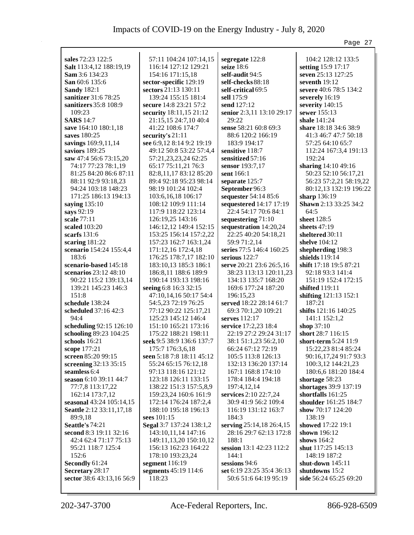|                                              |                                               |                                            | Page 27                               |
|----------------------------------------------|-----------------------------------------------|--------------------------------------------|---------------------------------------|
|                                              |                                               |                                            |                                       |
| sales 72:23 122:5                            | 57:11 104:24 107:14,15                        | segregate 122:8                            | 104:2 128:12 133:5                    |
| Salt 113:4,12 188:19,19                      | 116:14 127:12 129:21                          | seize 18:6                                 | setting 15:9 17:17                    |
| Sam 3:6 134:23                               | 154:16 171:15,18                              | self-audit 94:5                            | seven 25:13 127:25<br>seventh $19:12$ |
| San 60:6 135:6                               | sector-specific 129:19                        | self-checks 88:18                          |                                       |
| <b>Sandy 182:1</b>                           | sectors 21:13 130:11                          | self-critical 69:5                         | severe 40:6 78:5 134:2                |
| sanitizer 31:6 78:25                         | 139:24 155:15 181:4                           | sell 175:9                                 | severely 16:19                        |
| sanitizers 35:8 108:9                        | secure 14:8 23:21 57:2                        | send 127:12                                | severity 140:15                       |
| 109:23                                       | security 18:11,15 21:12                       | senior 2:3,11 13:10 29:17                  | sewer $155:13$<br>shale 141:24        |
| <b>SARS</b> 14:7                             | 21:15,15 24:7,10 40:4<br>41:22 108:6 174:7    | 29:22                                      |                                       |
| save 164:10 180:1,18                         |                                               | sense 58:21 60:8 69:3                      | share 18:18 34:6 38:9                 |
| saves 180:25                                 | security's $21:11$                            | 88:6 120:2 166:19                          | 41:3 46:7 47:7 50:18                  |
| savings 169:9,11,14                          | see 6:9,12 8:14 9:2 19:19                     | 183:9 194:17                               | 57:25 64:10 65:7                      |
| saviors 189:25                               | 49:12 50:8 53:22 57:4,4                       | sensitive 118:7                            | 112:24 167:3,4 191:13                 |
| saw 47:4 56:6 73:15,20                       | 57:21,23,23,24 62:25                          | sensitized 57:16                           | 192:24                                |
| 74:17 77:23 78:1,19                          | 65:17 75:11,21 76:3                           | sensor 193:7,17                            | sharing 14:10 49:16                   |
| 81:25 84:20 86:6 87:11                       | 82:8,11,17 83:12 85:20                        | sent 166:1                                 | 50:23 52:10 56:17,21                  |
| 88:11 92:9 93:18,23                          | 89:4 92:18 95:23 98:14                        | separate 125:7                             | 56:23 57:2,21 58:19,22                |
| 94:24 103:18 148:23                          | 98:19 101:24 102:4                            | September 96:3                             | 80:12,13 132:19 196:22                |
| 171:25 186:13 194:13                         | 103:6, 16, 18 106: 17                         | sequester 54:14 85:6                       | sharp 136:19                          |
| saying 135:10                                | 108:12 109:9 111:14                           | sequestered 14:17 17:19                    | Shawn 2:13 33:25 34:2                 |
| says 92:19                                   | 117:9 118:22 123:14                           | 22:4 54:17 70:6 84:1                       | 64:5                                  |
| scale 77:11                                  | 126:19,25 143:16                              | sequestering 71:10                         | sheet 128:5                           |
| scaled 103:20                                | 146:12,12 149:4 152:15                        | sequestration 14:20,24                     | sheets 47:19                          |
| scarfs 131:6                                 | 153:25 156:14 157:2,22                        | 22:25 40:20 54:18,21                       | sheltered 30:11                       |
| scaring $181:22$                             | 157:23 162:7 163:1,24                         | 59:9 71:2,14                               | shelve $104:12$                       |
| scenario 154:24 155:4,4                      | 171:12,16 172:4,18                            | series 77:5 146:4 160:25                   | shepherding 198:3                     |
| 183:6                                        | 176:25 178:7,17 182:10                        | serious $122:7$                            | shields 119:14                        |
| scenario-based 145:18                        | 183:10,13 185:3 186:1                         | serve 20:21 23:6 26:5,16                   | shift 17:18 19:5 87:21                |
| scenarios 23:12 48:10                        | 186:8,11 188:6 189:9                          | 38:23 113:13 120:11,23                     | 92:18 93:3 141:4                      |
| 90:22 115:2 139:13,14<br>139:21 145:23 146:3 | 190:14 193:13 198:16                          | 134:13 135:7 168:20<br>169:6 177:24 187:20 | 151:19 152:4 172:15                   |
| 151:8                                        | seeing 6:8 16:3 32:15                         |                                            | shifted 119:11                        |
| schedule 138:24                              | 47:10,14,16 50:17 54:4<br>54:5,23 72:19 76:25 | 196:15,23<br>served 18:22 28:14 61:7       | shifting 121:13 152:1<br>187:21       |
| scheduled 37:16 42:3                         | 77:12 90:22 125:17,21                         | 69:3 70:1,20 109:21                        | shifts 121:16 140:25                  |
| 94:4                                         | 125:23 145:12 146:4                           | serves $112:17$                            | 141:1 152:1,2                         |
| scheduling 92:15 126:10                      | 151:10 165:21 173:16                          | service 17:2,23 18:4                       | shop 37:10                            |
| schooling 89:23 104:25                       | 175:22 188:21 198:11                          | 22:19 27:2 29:24 31:17                     | short 28:7 116:15                     |
| schools $16:21$                              | seek 9:5 38:9 136:6 137:7                     | 38:1 51:1,23 56:2,10                       | short-term 5:24 11:9                  |
| scope 177:21                                 | 175:7 176:3,6,18                              | 66:24 67:12 72:19                          | 15:22,23 81:4 85:24                   |
| screen 85:20 99:15                           | seen 5:18 7:8 18:11 45:12                     | 105:5 113:8 126:13                         | 90:16,17,24 91:7 93:3                 |
| screening 32:13 35:15                        | 55:24 65:15 76:12,18                          | 132:13 136:20 137:14                       | 100:3,12 144:21,23                    |
| seamless 6:4                                 | 97:13 118:16 121:12                           | 167:1 168:8 174:10                         | 180:6,6 181:20 184:4                  |
| season 6:10 39:11 44:7                       | 123:18 126:11 133:15                          | 178:4 184:4 194:18                         | shortage $58:23$                      |
| 77:7,8 113:17,22                             | 138:22 151:3 157:5,8,9                        | 197:4,12,14                                | shortages 39:9 137:19                 |
| 162:14 173:7,12                              | 159:23,24 160:6 161:9                         | services 2:10 22:7,24                      | shortfalls 161:25                     |
| seasonal 43:24 105:14,15                     | 172:14 176:24 187:2,4                         | 30:9 41:9 56:2 109:4                       | shoulder 161:25 184:7                 |
| Seattle 2:12 33:11,17,18                     | 188:10 195:18 196:13                          | 116:19 131:12 163:7                        | show 70:17 124:20                     |
| 89:9,18                                      | sees 101:15                                   | 184:3                                      | 138:19                                |
| Seattle's 74:21                              | Segal 3:7 137:24 138:1,2                      | serving 25:14,18 26:4,15                   | showed 17:22 19:1                     |
| second 8:3 19:11 32:16                       | 143:10,11,14 147:16                           | 28:16 29:7 62:13 172:8                     | shown $196:12$                        |
| 42:4 62:4 71:17 75:13                        | 149:11,13,20 150:10,12                        | 188:1                                      | shows $164:2$                         |
| 95:21 118:7 125:4                            | 156:13 162:23 164:22                          | session 13:1 42:23 112:2                   | shut 117:25 145:13                    |
| 152:6                                        | 178:10 193:23,24                              | 144:1                                      | 148:19 187:2                          |
| Secondly 61:24                               | segment 116:19                                | sessions 94:6                              | shut-down 145:11                      |
| Secretary 28:17                              | segments 45:19 114:6                          | set 6:19 23:25 35:4 36:13                  | shutdowns 15:2                        |
| sector 38:6 43:13,16 56:9                    | 118:23                                        | 50:6 51:6 64:19 95:19                      | side 56:24 65:25 69:20                |
|                                              |                                               |                                            |                                       |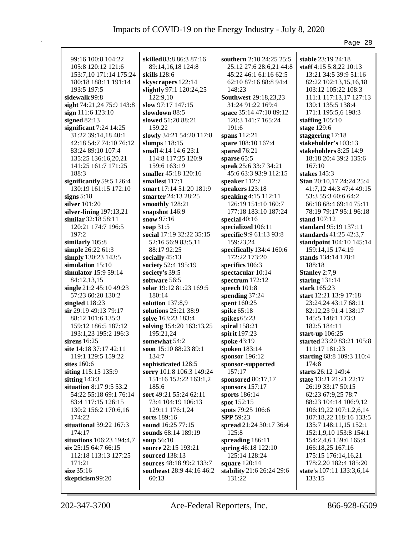|                            |                           |                              | Page 28                   |
|----------------------------|---------------------------|------------------------------|---------------------------|
|                            |                           |                              |                           |
| 99:16 100:8 104:22         | skilled 83:8 86:3 87:16   | southern 2:10 24:25 25:5     | stable 23:19 24:18        |
| 105:8 120:12 121:6         | 89:14,16,18 124:8         | 25:12 27:6 28:6,21 44:8      | staff 4:15 5:8,22 10:13   |
| 153:7,10 171:14 175:24     | skills 128:6              | 45:22 46:1 61:16 62:5        | 13:21 34:5 39:9 51:16     |
| 180:18 188:11 191:14       | skyscrapers 122:14        | 62:10 87:16 88:8 94:4        | 82:22 102:13,15,16,18     |
| 193:5 197:5                | slightly 97:1 120:24,25   | 148:23                       | 103:12 105:22 108:3       |
| sidewalk 99:8              | 122:9,10                  | <b>Southwest 29:18,23,23</b> | 111:1 117:13,17 127:13    |
| sight 74:21,24 75:9 143:8  | slow 97:17 147:15         | 31:24 91:22 169:4            | 130:1 135:5 138:4         |
| sign 111:6 123:10          | slowdown 88:5             | space 35:14 47:10 89:12      | 171:1 195:5,6 198:3       |
| signed $82:13$             | slowed 51:20 88:21        | 120:3 141:7 165:24           | staffing $105:10$         |
| significant $7:24$ 14:25   | 159:22                    | 191:6                        | stage 129:6               |
| 31:22 39:14,18 40:1        | slowly 34:21 54:20 117:8  | spans 112:21                 | staggering 17:18          |
| 42:18 54:7 74:10 76:12     | slumps 118:15             | spare 108:10 167:4           | stakeholder's 103:13      |
| 83:24 89:10 107:4          | small 4:14 14:6 23:1      | spared 76:21                 | stakeholders 8:25 14:9    |
| 135:25 136:16,20,21        | 114:8 117:25 120:9        | sparse 65:5                  | 18:18 20:4 39:2 135:6     |
| 141:25 161:7 171:25        | 159:6 163:19              | speak 25:6 33:7 34:21        | 167:10                    |
| 188:3                      | smaller 45:18 120:16      | 45:6 63:3 93:9 112:15        | stakes 145:3              |
| significantly 59:5 126:4   | smallest 117:1            | speaker 112:7                | Stan 20:10,17 24:24 25:4  |
| 130:19 161:15 172:10       | smart 17:14 51:20 181:9   | speakers 123:18              | 41:7,12 44:3 47:4 49:15   |
| signs $5:18$               | smarter 24:13 28:25       | speaking 4:15 112:11         | 53:3 55:3 60:6 64:2       |
| silver 101:20              |                           | 126:19 151:10 160:7          | 66:18 68:4 69:14 75:11    |
|                            | smoothly 128:21           |                              |                           |
| silver-lining $197:13,21$  | snapshot 146:9            | 177:18 183:10 187:24         | 78:19 79:17 95:1 96:18    |
| similar 32:18 58:11        | snow 97:16                | special $40:16$              | stand 107:12              |
| 120:21 174:7 196:5         | soap 31:5                 | specialized 106:11           | standard 95:19 137:11     |
| 197:2                      | social 17:19 32:22 35:15  | specific 9:9 61:13 93:8      | standards 41:25 42:3,7    |
| similarly 105:8            | 52:16 56:9 83:5,11        | 159:23,24                    | standpoint 104:10 145:14  |
| simple 26:22 61:3          | 88:17 92:25               | specifically 134:4 160:6     | 159:14,15 174:19          |
| simply 130:23 143:5        | socially 45:13            | 172:22 173:20                | stands 134:14 178:1       |
| simulation 15:10           | society 52:4 195:19       | specifics 106:3              | 188:18                    |
| simulator 15:9 59:14       | society's 39:5            | spectacular 10:14            | Stanley 2:7,9             |
| 84:12,13,15                | software 56:5             | spectrum 172:12              | staring $131:14$          |
| single 21:2 45:10 49:23    | solar 19:12 81:23 169:5   | speech $101:8$               | stark 165:23              |
| 57:23 60:20 130:2          | 180:14                    | spending 37:24               | start 12:21 13:9 17:18    |
| singled $118:23$           | solution $137:8,9$        | spent 160:25                 | 23:24,24 43:17 68:11      |
| sir 29:19 49:13 79:17      | solutions 25:21 38:9      | spike 65:18                  | 82:12,23 91:4 138:17      |
| 88:12 101:6 135:3          | solve 163:23 183:4        | spikes $65:23$               | 145:5 148:1 173:3         |
| 159:12 186:5 187:12        | solving 154:20 163:13,25  | spiral 158:21                | 182:5 184:11              |
| 193:1,23 195:2 196:3       | 195:21,24                 | spirit 197:23                | start-up $106:25$         |
| sirens $16:25$             | somewhat 54:2             | spoke 43:19                  | started 23:20 83:21 105:8 |
| site $14:18\,37:17\,42:11$ | soon 15:10 88:23 89:1     | spoken 183:14                | 111:17 181:23             |
| 119:1 129:5 159:22         | 134:7                     | sponsor 196:12               | starting 68:8 109:3 110:4 |
| sites $160:6$              | sophisticated 128:5       | sponsor-supported            | 174:8                     |
| siting 115:15 135:9        | sorry 101:8 106:3 149:24  | 157:17                       | starts 26:12 149:4        |
| sitting $143:3$            | 151:16 152:22 163:1,2     | sponsored 80:17,17           | state 13:21 21:21 22:17   |
| situation 8:17 9:5 53:2    | 185:6                     | sponsors 157:17              | 26:19 33:17 50:15         |
| 54:22 55:18 69:1 76:14     | sort 49:21 55:24 62:11    | sports 186:14                | 62:23 67:9,25 78:7        |
| 83:4 117:15 126:15         | 73:4 104:19 106:13        | spot 152:15                  | 88:23 104:14 106:9,12     |
| 130:2 156:2 170:6,16       | 129:11 176:1,24           | spots 79:25 106:6            | 106:19,22 107:1,2,6,14    |
| 174:22                     | sorts 189:16              | <b>SPP 59:23</b>             | 107:18,22 118:16 133:5    |
| situational 39:22 167:3    | sound 16:25 77:15         | spread 21:24 30:17 36:4      | 135:7 148:11,15 152:1     |
| 174:17                     | sounds 68:14 189:19       | 125:8                        | 152:1,9,10 153:8 154:1    |
| situations 106:23 194:4,7  | soup 56:10                | spreading 186:11             | 154:2,4,6 159:6 165:4     |
| six 25:15 64:7 66:15       | source 22:15 193:21       |                              | 166:18,25 167:16          |
|                            |                           | spring 46:18 122:10          |                           |
| 112:18 113:13 127:25       | sourced 138:13            | 125:14 128:24                | 175:15 176:14,16,21       |
| 171:21                     | sources 48:18 99:2 133:7  | square 120:14                | 178:2,20 182:4 185:20     |
| size 35:16                 | southeast 28:9 44:16 46:2 | stability 21:6 26:24 29:6    | state's 107:11 133:3,6,14 |
| skepticism 99:20           | 60:13                     | 131:22                       | 133:15                    |
|                            |                           |                              |                           |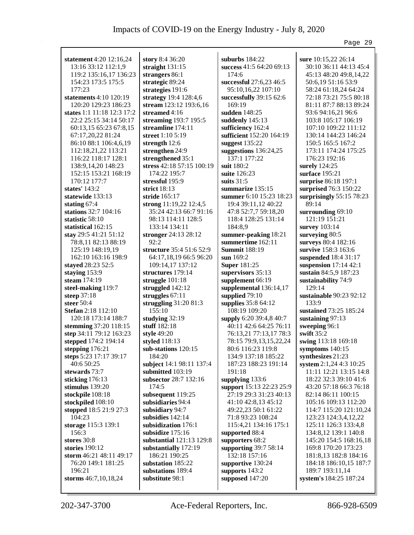| statement 4:20 12:16,24    | story 8:4 36:20           | suburbs $184:22$         | sure 10:15,22 26:14       |
|----------------------------|---------------------------|--------------------------|---------------------------|
| 13:16 33:12 112:1,9        | straight $131:15$         | success 41:5 64:20 69:13 | 30:10 36:11 44:13 45:4    |
| 119:2 135:16,17 136:23     | strangers 86:1            | 174:6                    | 45:13 48:20 49:8,14,22    |
| 154:23 173:5 175:5         | strategic 89:24           | successful 27:6,23 46:5  | 50:6,19 51:16 53:9        |
| 177:23                     | strategies 191:6          | 95:10,16,22 107:10       | 58:24 61:18,24 64:24      |
| statements 4:10 120:19     | strategy 19:4 128:4,6     | successfully 39:15 62:6  | 72:18 73:21 75:5 80:18    |
| 120:20 129:23 186:23       | stream 123:12 193:6,16    | 169:19                   | 81:11 87:7 88:13 89:24    |
| states 1:1 11:18 12:3 17:2 | streamed $4:16$           | sudden 148:25            | 93:6 94:16,21 96:6        |
| 22:2 25:15 34:14 50:17     | streaming 193:7 195:5     | suddenly 145:13          | 103:8 105:17 106:19       |
| 60:13,15 65:23 67:8,15     | streamline 174:11         | sufficiency 162:4        | 107:10 109:22 111:12      |
| 67:17,20,22 81:24          | street 1:10 5:19          | sufficient 152:20 164:19 | 130:14 144:23 146:24      |
| 86:10 88:1 106:4,6,19      | strength 12:6             | suggest $135:22$         | 150:5 165:5 167:2         |
| 112:18,21,22 113:21        | strengthen 24:9           | suggestions $136:24,25$  | 173:11 174:24 175:25      |
| 116:22 118:17 128:1        | strengthened 35:1         | 137:1 177:22             | 176:23 192:16             |
| 138:9, 14, 20 148: 23      | stress 42:18 57:15 100:19 | suit 180:2               | surely 124:25             |
| 152:15 153:21 168:19       | 174:22 195:7              | suite 126:23             | surface 195:21            |
| 170:12 177:7               | stressful 195:9           | suits 31:5               | surprise 86:18 197:1      |
| states' 143:2              | strict 18:13              | summarize 135:15         | surprised 76:3 150:22     |
| statewide 133:13           | stride 165:17             | summer 6:10 15:23 18:23  | surprisingly $55:1578:23$ |
| stating $67:4$             | strong 11:19,22 12:4,5    | 19:4 39:11,12 40:22      | 89:14                     |
| stations 32:7 104:16       | 35:24 42:13 66:7 91:16    | 47:8 52:7,7 59:18,20     | surrounding 69:10         |
| statistic 58:10            | 98:13 114:11 128:5        | 118:4 128:25 131:14      | 121:19 151:21             |
| statistical 162:15         | 133:14 134:11             | 184:8,9                  | survey 103:14             |
| stay 29:5 41:21 51:12      | stronger 24:13 28:12      | summer-peaking 18:21     | surveying 80:5            |
| 78:8,11 82:13 88:19        | 92:2                      | summertime 162:11        | surveys 80:4 182:16       |
| 125:19 148:19,19           | structure 35:4 51:6 52:9  | <b>Summit 188:19</b>     | survive 158:3 163:6       |
| 162:10 163:16 198:9        | 64:17,18,19 66:5 96:20    | sun 169:2                | suspended 18:4 31:17      |
| stayed 28:23 52:5          | 109:14,17 137:12          | <b>Super 181:25</b>      | suspension 17:14 42:1     |
| staying 153:9              | structures 179:14         | supervisors 35:13        | sustain 84:5,9 187:23     |
| steam 174:19               | struggle $101:18$         | supplement 66:19         | sustainability 74:9       |
| steel-making 119:7         | struggled $142:12$        | supplemental 136:14,17   | 129:14                    |
| steep 37:18                | struggles 67:11           | supplied 79:10           | sustainable 90:23 92:12   |
| steer $50:4$               | struggling $31:2081:3$    | supplies 35:8 64:12      | 133:9                     |
| Stefan 2:18 112:10         | 155:10                    | 108:19 109:20            | sustained 73:25 185:24    |
| 120:18 173:14 188:7        | studying 32:19            | supply 6:20 39:4,8 40:7  | sustaining 97:13          |
| stemming 37:20 118:15      | stuff $182:18$            | 40:11 42:6 64:25 76:11   | sweeping 96:1             |
| step 34:11 79:12 163:23    | style 49:20               | 76:13,21 77:13,17 78:3   | swift $35:2$              |
| stepped 174:2 194:14       | styled 118:13             | 78:15 79:9,13,15,22,24   | swing 113:18 169:18       |
| stepping 176:21            | sub-stations 120:15       | 80:6 116:23 119:8        | symptoms $140:15$         |
| steps 5:23 17:17 39:17     | 184:20                    | 134:9 137:18 185:22      | synthesizes 21:23         |
| 40:6 50:25                 | subject 14:1 98:11 137:4  | 187:23 188:23 191:14     | system 2:1,24 4:3 10:25   |
| stewards 73:7              | submitted 103:19          | 191:18                   | 11:11 12:21 13:15 14:8    |
| sticking $176:13$          | subsector 28:7 132:16     | supplying 133:6          | 18:22 32:3 39:10 41:6     |
| stimulus 139:20            | 174:5                     | support 15:13 22:23 25:9 | 43:20 57:18 66:3 76:18    |
| stockpile 108:18           | subsequent 119:25         | 27:19 29:3 31:23 40:13   | 82:14 86:11 100:15        |
| stockpiled 108:10          | subsidiaries 94:4         | 41:10 42:8,13 45:12      | 105:16 109:13 112:20      |
| stopped 18:5 21:9 27:3     | subsidiary 94:7           | 49:22,23 50:1 61:22      | 114:7 115:20 121:10,24    |
| 104:23                     | subsidies 142:14          | 71:8 93:23 108:24        | 123:23 124:3,4,12,22      |
| storage 115:3 139:1        | subsidization 176:1       | 115:4,21 134:16 175:1    | 125:11 126:3 133:4,8      |
| 156:3                      | subsidize 175:16          | supported 88:4           | 134:8,12 139:1 140:8      |
| stores 30:8                | substantial 121:13 129:8  | supporters 68:2          | 145:20 154:5 168:16,18    |
| stories 190:12             | substantially 172:19      | supporting 39:7 58:14    | 169:8 170:20 173:23       |
| storm 46:21 48:11 49:17    | 186:21 190:25             | 132:18 157:16            | 181:8,13 182:8 184:16     |
| 76:20 149:1 181:25         | substation 185:22         | supportive 130:24        | 184:18 186:10,15 187:7    |
| 196:21                     | substations 189:4         | supports 143:2           | 189:7 193:11,14           |
| storms 46:7,10,18,24       | substitute 98:1           | supposed $147:20$        | system's 184:25 187:24    |
|                            |                           |                          |                           |

Page 29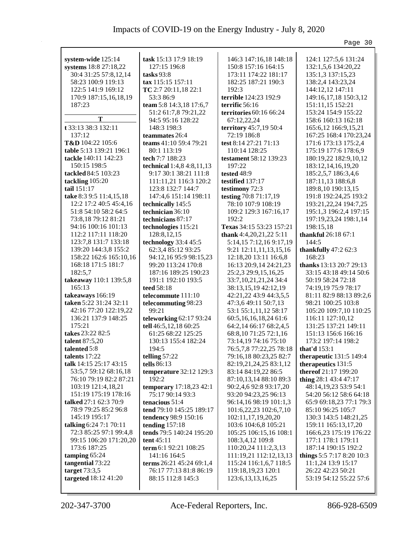## Impacts of COVID-19 on the Energy Industry - July 8, 2020

|                                               |                                            |                                                | Page 30                                           |
|-----------------------------------------------|--------------------------------------------|------------------------------------------------|---------------------------------------------------|
| system-wide 125:14                            | task 15:13 17:9 18:19                      | 146:3 147:16,18 148:18                         | 124:1 127:5,6 131:24                              |
| systems 18:8 27:18,22                         | 127:15 196:8                               | 150:8 157:16 164:15                            | 132:1,5,6 134:20,22                               |
| 30:4 31:25 57:8,12,14                         | tasks $93:8$                               | 173:11 174:22 181:17                           | 135:1,3 137:15,23                                 |
| 58:23 100:9 119:13                            | tax 115:15 157:11                          | 182:25 187:21 190:3                            | 138:2,4 143:23,24                                 |
| 122:5 141:9 169:12                            | TC 2:7 20:11,18 22:1                       | 192:3                                          | 144:12,12 147:11                                  |
| 170:9 187:15,16,18,19                         | 53:3 86:9                                  | terrible 124:23 192:9                          | 149:16,17,18 150:3,12                             |
| 187:23                                        | team 5:8 14:3,18 17:6,7                    | terrific 56:16                                 | 151:11,15 152:21                                  |
|                                               | 51:2 61:7,8 79:21,22                       | territories 60:16 66:24                        | 153:24 154:9 155:22                               |
| T                                             | 94:5 95:16 128:22                          | 67:12,22,24                                    | 158:6 160:13 162:18                               |
| t 33:13 38:3 132:11                           | 148:3 198:3                                | territory 45:7,19 50:4                         | 165:6,12 166:9,15,21                              |
| 137:12                                        | teammates 26:4                             | 72:19 186:8                                    | 167:25 168:4 170:23,24                            |
| T&D 104:22 105:6                              | teams 41:10 59:4 79:21                     | test 8:14 27:21 71:13                          | 171:6 173:13 175:2,4                              |
| table 5:13 139:21 196:1                       | 80:1 113:19                                | 110:14 128:25                                  | 175:19 177:6 178:6,9                              |
| tackle 140:11 142:23                          | tech 7:7 188:23                            | testament 58:12 139:23                         | 180:19,22 182:9,10,12                             |
| 150:15 198:5                                  | technical 1:4,8 4:8,11,13                  | 197:22                                         | 183:12,14,16,19,20                                |
| tackled 84:5 103:23                           | 9:17 30:1 38:21 111:8                      | tested 48:9                                    | 185:2,5,7 186:3,4,6                               |
| tackling 105:20                               | 111:11,21 116:3 120:2                      | testified 137:17                               | 187:11,13 188:6,8                                 |
| tail 151:17                                   | 123:8 132:7 144:7                          | testimony 72:3                                 | 189:8,10 190:13,15                                |
| take 8:3 9:5 11:4,15,18                       | 147:4,6 151:14 198:11                      | testing 70:8 71:17,19                          | 191:8 192:24,25 193:2                             |
| 12:2 17:2 40:5 45:4,16                        | technically 145:5                          | 78:10 107:9 108:19                             | 193:21,22,24 194:7,25                             |
| 51:8 54:10 58:2 64:5                          | technician 36:10                           | 109:2 129:3 167:16,17                          | 195:1,3 196:2,4 197:15                            |
| 73:8,18 79:12 81:21                           | technicians 87:17                          | 192:2                                          | 197:19,23,24 198:1,14                             |
| 94:16 100:16 101:13                           | technologies 115:21                        | Texas 34:15 53:23 157:21                       | 198:15,18                                         |
| 112:2 117:11 118:20                           | 128:8, 12, 15                              | thank 4:4,20,21,22 5:11                        | thankful 26:18 67:1                               |
| 123:7,8 131:7 133:18                          | technology 33:4 45:5                       | 5:14,157:12,169:17,19                          | 144:5                                             |
| 139:20 144:3,8 155:2                          | 62:3,4 85:12 93:25                         | 9:21 12:11,11,13,15,16                         | thankfully $47:262:3$                             |
| 158:22 162:6 165:10,16<br>168:18 171:5 181:7  | 94:12,16 95:9 98:15,23                     | 12:18,20 13:11 16:6,8                          | 168:23                                            |
| 182:5,7                                       | 99:20 113:24 170:8<br>187:16 189:25 190:23 | 16:13 20:9,14 24:21,23<br>25:2,3 29:9,15,16,25 | thanks 13:13 20:7 29:13<br>33:15 43:18 49:14 50:6 |
| takeaway 110:1 139:5,8                        | 191:1 192:10 193:5                         | 33:7, 10, 21, 21, 24 34: 4                     | 50:19 58:24 72:18                                 |
| 165:13                                        | teed 58:18                                 | 38:13,15,19 42:12,19                           | 74:19,19 75:9 78:17                               |
| takeaways 166:19                              | telecommute 111:10                         | 42:21,22 43:9 44:3,5,5                         | 81:11 82:9 88:13 89:2,6                           |
| taken 5:22 31:24 32:11                        | telecommuting 98:23                        | 47:3,6 49:11 50:7,13                           | 98:21 100:25 103:8                                |
| 42:16 77:20 122:19,22                         | 99:21                                      | 53:1 55:1,11,12 58:17                          | 105:20 109:7,10 110:25                            |
| 136:21 137:9 148:25                           | teleworking 62:17 93:24                    | 60:5,16,16,18,24 61:6                          | 116:11 127:10,12                                  |
| 175:21                                        | tell 46:5,12,18 60:25                      | 64:2,14 66:17 68:2,4,5                         | 131:25 137:21 149:11                              |
| takes 23:22 82:5                              | 61:25 68:22 125:25                         | 68:8,10 71:25 72:1,16                          | 151:13 156:6 166:16                               |
| talent 87:5,20                                | 130:13 155:4 182:24                        | 73:14,19 74:16 75:10                           | 173:2 197:14 198:2                                |
| talented 5:8                                  | 194:5                                      | 76:5,7,8 77:22,25 78:18                        | that'd 153:1                                      |
| talents 17:22                                 | telling 57:22                              | 79:16,18 80:23,25 82:7                         | <b>therapeutic</b> 131:5 149:4                    |
| talk 14:15 25:17 43:15                        | tells $86:13$                              | 82:19,21,24,25 83:1,12                         | therapeutics 131:5                                |
| 53:5,7 59:12 68:16,18                         | temperature 32:12 129:3                    | 83:14 84:19,22 86:5                            | thereof 21:17 199:20                              |
| 76:10 79:19 82:2 87:21                        | 192:2                                      | 87:10,13,14 88:10 89:3                         | thing 28:1 43:4 47:17                             |
| 103:19 121:4,18,21                            | temporary 17:18,23 42:1                    | 90:2,4,6 92:8 93:17,20                         | 48:14, 19, 23 53: 9 54: 1                         |
| 151:19 175:19 178:16<br>talked 27:1 62:3 70:9 | 75:17 90:14 93:3<br>tenacious 51:4         | 93:20 94:23,25 96:13<br>96:14,16 98:19 101:1,3 | 54:20 56:12 58:6 64:18<br>65:9 69:18,23 77:1 79:3 |
| 78:9 79:25 85:2 96:8                          | tend 79:10 145:25 189:17                   | 101:6,22,23 102:6,7,10                         | 85:10 96:25 105:7                                 |
| 145:19 195:17                                 | tendency 98:9 150:16                       | 102:11,17,19,20,20                             | 130:3 143:5 148:21,25                             |
| talking 6:24 7:1 70:11                        | tending $157:18$                           | 103:6 104:6,8 105:21                           | 159:11 165:13,17,20                               |
| 72:3 85:25 97:1 99:4,8                        | tends 79:5 140:24 195:20                   | 105:25 106:15,16 108:1                         | 166:6,23 175:19 176:22                            |
| 99:15 106:20 171:20,20                        | tent 45:11                                 | 108:3,4,12 109:8                               | 177:1 178:1 179:11                                |
| 173:6 187:25                                  | term 6:1 92:21 108:25                      | 110:20,24 111:2,3,13                           | 187:14 190:15 192:2                               |
| tamping 65:24                                 | 141:16 164:5                               | 111:19,21 112:12,13,13                         | things 5:5 7:17 8:20 10:3                         |
| tangential 73:22                              | terms 26:21 45:24 69:1,4                   | 115:24 116:1,6,7 118:5                         | 11:1,24 13:9 15:17                                |
| target 73:3,5                                 | 76:17 77:13 81:8 86:19                     | 119:18,19,23 120:1                             | 26:22 42:23 50:21                                 |
| targeted 18:12 41:20                          | 88:15 112:8 145:3                          | 123:6, 13, 13, 16, 25                          | 53:19 54:12 55:22 57:6                            |
|                                               |                                            |                                                |                                                   |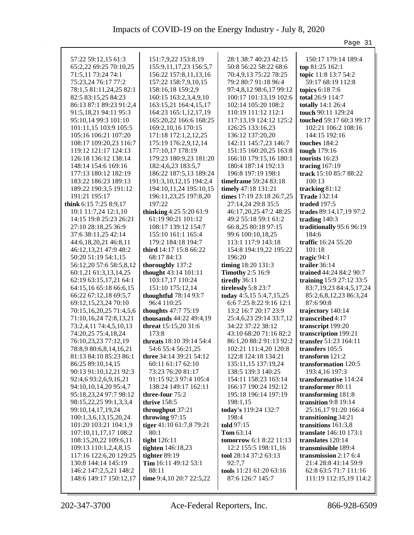|                                                 |                                      |                                                 | Page 31                                                 |
|-------------------------------------------------|--------------------------------------|-------------------------------------------------|---------------------------------------------------------|
| 57:22 59:12,15 61:3                             | 151:7,9,22 153:8,19                  | 28:1 38:7 40:23 42:15                           | 150:17 179:14 189:4                                     |
| 65:2,22 69:25 70:10,25                          | 155:9, 11, 17, 23 156: 5, 7          | 50:8 56:22 58:22 68:6                           | top 81:25 162:1                                         |
| 71:5,11 73:24 74:1                              | 156:22 157:8,11,13,16                | 70:4,9,13 75:22 78:25                           | topic 11:8 13:7 54:2                                    |
| 75:23,24 76:17 77:2                             | 157:22 158:7,9,10,15                 | 79:2 80:7 91:18 96:4                            | 59:17 68:19 112:8                                       |
| 78:1,5 81:11,24,25 82:1                         | 158:16,18 159:2,9                    | 97:4,8,12 98:6,17 99:12                         | topics 6:18 7:6                                         |
| 82:5 83:15,25 84:23                             | 160:15 163:2,3,4,9,10                | 100:17 101:13,19 102:6                          | total 26:9 114:7                                        |
| 86:13 87:1 89:23 91:2,4                         | 163:15,21 164:4,15,17                | 102:14 105:20 108:2                             | totally 14:1 26:4                                       |
| 91:5,18,21 94:11 95:3                           | 164:23 165:1,12,17,19                | 110:19 111:12 112:1                             | touch 90:11 129:24                                      |
| 95:10,14 99:3 101:10                            | 165:20,22 166:6 168:25               | 117:13,19 124:12 125:2                          | touched 59:17 60:3 99:17                                |
| 101:11,15 103:9 105:5                           | 169:2, 10, 16 170: 15                | 126:25 133:16,23                                | 102:21 106:2 108:16                                     |
| 105:16 106:21 107:20                            | 171:18 172:1,2,12,25                 | 136:12 137:20,20                                | 144:15 192:16                                           |
| 108:17 109:20,23 116:7                          | 175:19 176:2,9,12,14                 | 142:11 145:7,23 146:7                           | touches 184:2                                           |
| 119:12 121:17 124:13                            | 177:10,17 178:19                     | 151:15 160:20,25 163:8                          | tough 179:16                                            |
| 126:18 136:12 138:14                            | 179:23 180:9,23 181:20               | 166:10 179:15,16 180:1                          | tourists 16:23                                          |
| 148:14 154:6 169:16                             | 182:4,6,23 183:5,7                   | 180:4 187:14 192:13                             | tracing $167:19$                                        |
| 177:13 180:12 182:19                            | 186:22 187:5,13 189:24               | 196:8 197:19 198:1                              | track 15:10 85:7 88:22                                  |
| 183:22 186:23 189:13                            | 191:3, 10, 12, 15 194: 2, 4          | timeframe 59:24 83:18                           | 100:13                                                  |
| 189:22 190:3,5 191:12                           | 194:10,11,24 195:10,15               | timely 47:18 131:21                             | tracking 81:12                                          |
| 191:21 195:17                                   | 196:11,23,25 197:8,20                | times 17:19 23:18 26:7,25                       | <b>Trade</b> 132:14                                     |
| think 6:15 7:25 8:9,17                          | 197:22                               | 27:14,24 29:8 35:5                              | traded 197:5                                            |
| 10:1 11:7,24 12:1,10                            | thinking $4:255:2061:9$              | 46:17,20,25 47:2 48:25                          | trades 89:14,17,19 97:2                                 |
| 14:15 19:8 25:23 26:21                          | 61:19 90:21 101:12                   | 49:2 55:18 59:1 61:2                            | trading $140:3$                                         |
| 27:10 28:18,25 36:9                             | 108:17 139:12 154:7                  | 66:8,25 80:18 97:15                             | traditionally 95:6 96:19                                |
| 37:6 38:11,25 42:14                             | 155:10 161:1 165:4                   | 99:6 100:10,18,25                               | 184:6                                                   |
| 44:6,18,20,21 46:8,11                           | 179:2 184:18 194:7                   | 113:1 117:9 143:18                              | traffic 16:24 55:20                                     |
| 46:12,13,21 47:9 48:2                           | third 14:17 15:8 66:22               | 154:8 194:19,22 195:22                          | 101:18                                                  |
| 50:20 51:19 54:1,15                             | 68:17 84:13                          | 196:20                                          | tragic $94:1$                                           |
| 56:12,20 57:6 58:5,8,12                         | thoroughly 137:2                     | timing 18:20 131:3                              | trailer $36:14$                                         |
| 60:1,21 61:3,13,14,25                           | thought 43:14 101:11                 | <b>Timothy</b> 2:5 16:9                         | trained 44:24 84:2 90:7                                 |
| 62:19 63:15,17,21 64:1                          | 103:17,17 110:24                     | tiredly 36:11                                   | training 15:9 27:12 33:5                                |
| 64:15,16 65:18 66:6,15<br>66:22 67:12,18 69:5,7 | 151:10 175:12,14                     | tirelessly 5:8 23:7<br>today 4:5,15 5:4,7,15,25 | 83:7, 19, 23 84: 4, 5, 17, 24<br>85:2,6,8,12,23 86:3,24 |
| 69:12,15,23,24 70:10                            | thoughtful 78:14 93:7<br>96:4 110:25 | 6:6 7:25 8:22 9:16 12:1                         | 87:6 90:8                                               |
| 70:15,16,20,25 71:4,5,6                         | <b>thoughts</b> 47:7 75:19           | 13:2 16:7 20:17 23:9                            | trajectory 140:14                                       |
| 71:10,16,24 72:8,13,21                          | <b>thousands</b> 44:22 49:4,19       | 25:4,6,23 29:14 33:7,12                         | transcribed 4:17                                        |
| 73:2,4,11 74:4,5,10,13                          | threat 15:15,20 31:6                 | 34:22 37:22 38:12                               | transcript 199:20                                       |
| 74:20,25 75:4,18,24                             | 173:8                                | 43:10 68:20 71:16 82:2                          | transcription 199:21                                    |
| 76:10,23,23 77:12,19                            | threats 18:10 39:14 54:4             | 86:1,20 88:2 91:13 92:2                         | transfer 51:23 164:11                                   |
| 78:8,9 80:6,8,14,16,21                          | 54:6 55:4 56:21,25                   | 102:21 111:4,20 120:8                           | transfers 105:5                                         |
| 81:13 84:10 85:23 86:1                          | three 34:14 39:21 54:12              | 122:8 124:18 134:21                             | transform 121:2                                         |
| 86:25 89:10,14,15                               | 60:11 61:17 62:10                    | 135:11,15 137:19,24                             | transformation 120:5                                    |
| 90:13 91:10,12,21 92:3                          | 73:23 76:20 81:17                    | 138:5 139:3 140:25                              | 193:4,16 197:3                                          |
| 92:4,6 93:2,6,9,16,21                           | 91:15 92:3 97:4 105:4                | 154:11 158:23 163:14                            | transformative 114:24                                   |
| 94:10,10,14,20 95:4,7                           | 138:24 149:17 162:11                 | 166:17 190:24 192:12                            | transformer 80:11                                       |
| 95:18,23,24 97:7 98:12                          | three-four 75:2                      | 195:18 196:14 197:19                            | transforming 181:8                                      |
| 98:15,22,25 99:1,3,3,4                          | thrive 158:5                         | 198:1,15                                        | transition 9:8 19:14                                    |
| 99:10,14,17,19,24                               | throughput 37:21                     | today's 119:24 132:7                            | 25:16,17 91:20 166:4                                    |
| 100:1,3,6,13,15,20,24                           | throwing 97:15                       | 198:4                                           | transitioning 34:21                                     |
| 101:20 103:21 104:1,9                           | tiger 41:10 61:7,8 79:21             | told 97:15                                      | transitions 161:3,8                                     |
| 107:10,11,17,17 108:2                           | 80:1                                 | Tom 63:14                                       | translate 146:10 173:1                                  |
| 108:15,20,22 109:6,11                           | tight 126:11                         | tomorrow 6:1 8:22 11:13                         | translates 120:14                                       |
| 109:13 110:1,2,4,8,15                           | tighten 146:18,23                    | 12:2 155:5 198:11,16                            | transmissible 189:4                                     |
| 117:16 122:6,20 129:25                          | tighter 89:19                        | tool 28:14 37:2 63:13                           | transmission 2:17 6:4                                   |
| 130:8 144:14 145:19                             | Tim 16:11 49:12 53:1                 | 92:7,7                                          | 21:4 28:8 41:14 59:9                                    |
| 146:2 147:2,5,21 148:2                          | 88:11                                | tools 11:21 61:20 63:16                         | 62:8 63:5 71:7 111:16                                   |
| 148:6 149:17 150:12,17                          | time 9:4,10 20:7 22:5,22             | 87:6 126:7 145:7                                | 111:19 112:15,19 114:2                                  |
|                                                 |                                      |                                                 |                                                         |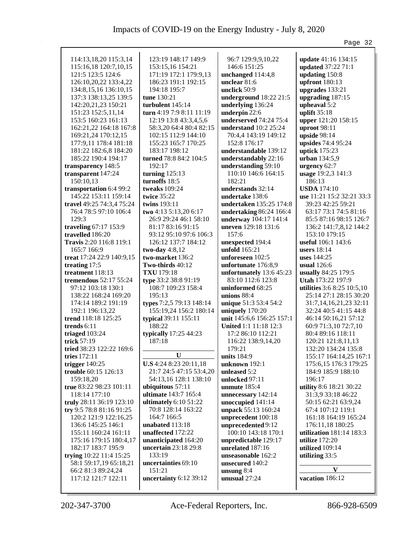|                                                 |                              |                                      | Page 32                                         |
|-------------------------------------------------|------------------------------|--------------------------------------|-------------------------------------------------|
|                                                 |                              |                                      |                                                 |
| 114:13,18,20 115:3,14                           | 123:19 148:17 149:9          | 96:7 129:9,9,10,22                   | <b>update</b> 41:16 134:15                      |
| 115:16,18 120:7,10,15                           | 153:15,16 154:21             | 146:6 151:25                         | updated 37:22 71:1                              |
| 121:5 123:5 124:6                               | 171:19 172:1 179:9,13        | unchanged 114:4,8                    | updating 150:8                                  |
| 126:10,20,22 133:4,22                           | 186:23 191:1 192:15          | unclear 81:6                         | upfront 180:13                                  |
| 134:8, 15, 16 136: 10, 15                       | 194:18 195:7                 | unclick 50:9                         | upgrades 133:21                                 |
| 137:3 138:13,25 139:5                           | tune 130:21                  | underground 18:22 21:5               | upgrading 187:15                                |
| 142:20,21,23 150:21                             | turbulent 145:14             | underlying 136:24                    | upheaval 5:2                                    |
| 151:23 152:5,11,14                              | turn 4:19 7:9 8:11 11:19     | underpin 22:6                        | uplift $35:18$                                  |
| 153:5 160:23 161:13                             | 12:19 13:8 43:3,4,5,6        | underserved 74:24 75:4               | upper 121:20 158:15                             |
| 162:21,22 164:18 167:8                          | 58:3,20 64:4 80:4 82:15      | understand $10:2$ 25:24              | uproot 98:11                                    |
| 169:21,24 170:12,15                             | 102:15 112:9 144:10          | 70:4,4 143:19 149:12                 | upside 98:14                                    |
| 177:9,11 178:4 181:18                           | 155:23 165:7 170:25          | 152:8 176:17                         | upsides 74:4 95:24                              |
| 181:22 182:6,8 184:20                           | 183:17 198:12                | understandable 139:12                | uptick $175:23$                                 |
| 185:22 190:4 194:17                             | turned 78:8 84:2 104:5       | understandably 22:16                 | urban 134:5,9                                   |
| transparency 148:5                              | 192:17                       | understanding 59:10                  | urgency 62:7                                    |
| transparent 147:24                              | turning $125:13$             | 110:10 146:6 164:15                  | usage 19:2,3 141:3                              |
| 150:10,13                                       | turnoffs 18:5                | 182:21                               | 186:13                                          |
|                                                 |                              |                                      |                                                 |
| transportation 6:4 99:2<br>145:22 153:11 159:14 | tweaks 109:24<br>twice 35:22 | understands 32:14<br>undertake 138:6 | <b>USDA</b> 174:10<br>use 11:21 15:2 32:21 33:3 |
|                                                 |                              |                                      |                                                 |
| travel 49:25 74:3,4 75:24                       | twins 193:11                 | undertaken 135:25 174:8              | 39:23 42:25 59:21                               |
| 76:4 78:5 97:10 106:4                           | two 4:13 5:13,20 6:17        | undertaking 86:24 166:4              | 63:17 73:1 74:5 81:16                           |
| 129:3                                           | 26:9 29:24 46:1 58:10        | underway 104:17 141:4                | 85:5 87:16 98:15 126:7                          |
| traveling 67:17 153:9                           | 81:17 83:16 91:15            | uneven 129:18 131:6                  | 136:2 141:7,8,12 144:2                          |
| travelled 186:20                                | 93:12 95:10 97:6 106:3       | 157:6                                | 153:10 179:15                                   |
| Travis 2:20 116:8 119:1                         | 126:12 137:7 184:12          | unexpected 194:4                     | useful 106:1 143:6                              |
| 165:7 166:9                                     | two-day $4:8,12$             | unfold 165:21                        | users $18:14$                                   |
| treat 17:24 22:9 140:9,15                       | two-market 136:2             | unforeseen 102:5                     | uses $144:25$                                   |
| treating 17:5                                   | Two-thirds 40:12             | unfortunate 176:8,9                  | usual $126:6$                                   |
| treatment 118:13                                | <b>TXU</b> 179:18            | unfortunately 13:6 45:23             | usually 84:25 179:5                             |
| tremendous 52:17 55:24                          | type 33:2 38:8 91:19         | 83:10 112:6 123:8                    | Utah 173:22 197:9                               |
| 97:12 103:18 130:1                              | 108:7 109:23 158:4           | uninformed 68:25                     | utilities 3:6 8:25 10:5,10                      |
| 138:22 168:24 169:20                            | 195:13                       | unions $88:4$                        | 25:14 27:1 28:15 30:20                          |
| 174:14 189:2 191:19                             | types 7:2,5 79:13 148:14     | unique 51:3 53:4 54:2                | 31:7,14,16,21,23 32:11                          |
| 192:1 196:13,22                                 | 155:19,24 156:2 180:14       | uniquely 170:20                      | 32:24 40:5 41:15 44:8                           |
| trend 118:18 125:25                             | typical 39:11 155:11         | unit 145:6,6 156:25 157:1            | 46:14 50:16,21 57:12                            |
| trends 6:11                                     | 188:22                       | United 1:1 11:18 12:3                | 60:9 71:3,10 72:7,10                            |
| triaged 103:24                                  | typically 17:25 44:23        | 17:2 86:10 112:21                    | 80:4 89:16 118:11                               |
| trick 57:19                                     | 187:18                       | 116:22 138:9,14,20                   | 120:21 121:8,11,13                              |
| tried 38:23 122:22 169:6                        |                              | 179:21                               | 132:20 134:24 135:8                             |
| tries 172:11                                    | U                            | units 184:9                          | 155:17 164:14,25 167:1                          |
| trigger $140:25$                                | U.S 4:24 8:23 20:11,18       | unknown 192:1                        | 175:6,15 176:3 179:25                           |
| trouble 60:15 126:13                            | 21:7 24:5 47:15 53:4,20      | unleased 5:2                         | 184:9 185:9 188:10                              |
| 159:18,20                                       | 54:13,16 128:1 138:10        | unlocked 97:11                       | 196:17                                          |
| true 83:22 98:23 101:11                         | ubiquitous $57:11$           | unmute $185:4$                       | utility 8:6 18:21 30:22                         |
| 118:14 177:10                                   | <b>ultimate</b> 143:7 165:4  | unnecessary 142:14                   | 31:3,9 33:18 46:22                              |
| truly 28:11 36:19 123:10                        | ultimately $6:1051:22$       | unoccupied 141:14                    | 50:15 62:21 63:9,24                             |
| try 9:5 78:8 81:16 91:25                        | 70:8 128:14 163:22           | unpack 55:13 160:24                  | 67:4 107:12 119:1                               |
| 120:2 121:9 122:16,25                           | 164:7 166:5                  | unprecedent 100:18                   | 161:18 164:19 165:24                            |
| 136:6 145:25 146:1                              | unabated 113:18              | unprecedented 9:12                   | 176:11,18 180:25                                |
|                                                 |                              |                                      |                                                 |
| 155:11 160:24 161:11                            | unaffected 172:22            | 100:10 143:18 170:1                  | utilization 181:14 183:3                        |
| 175:16 179:15 180:4,17                          | unanticipated 164:20         | unpredictable 129:17                 | utilize $172:20$                                |
| 182:17 183:7 195:9                              | uncertain 23:18 29:8         | unrelated 187:16                     | utilized 109:14                                 |
| trying 10:22 11:4 15:25                         | 133:19                       | unseasonable 162:2                   | utilizing 33:5                                  |
| 58:1 59:17,19 65:18,21                          | uncertainties 69:10          | unsecured 140:2                      | V                                               |
| 66:2 81:3 89:24,24                              | 151:21                       | unsung $8:4$                         |                                                 |
| 117:12 121:7 122:11                             | uncertainty 6:12 39:12       | unusual 27:24                        | vacation 186:12                                 |
|                                                 |                              |                                      |                                                 |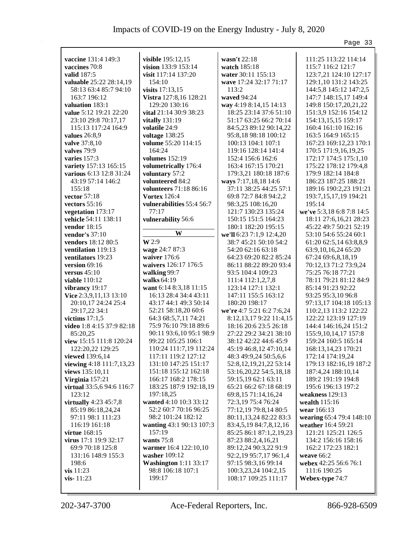|                                                  |                                               |                                                 | Page 33                                 |
|--------------------------------------------------|-----------------------------------------------|-------------------------------------------------|-----------------------------------------|
|                                                  |                                               |                                                 |                                         |
| vaccine 131:4 149:3                              | visible 195:12,15                             | wasn't 22:18                                    | 111:25 113:22 114:14                    |
| vaccines 70:8<br>valid 187:5                     | vision 133:9 153:14<br>visit 117:14 137:20    | watch 185:18<br>water 30:11 155:13              | 115:7 116:2 121:7                       |
|                                                  | 154:10                                        | wave 17:24 32:17 71:17                          | 123:7,21 124:10 127:17                  |
| valuable 25:22 28:14,19<br>58:13 63:4 85:7 94:10 |                                               | 113:2                                           | 129:1,10 131:2 143:25                   |
|                                                  | visits 17:13,15                               |                                                 | 144:5,8 145:12 147:2,5                  |
| 163:7 196:12                                     | Vistra 127:8,16 128:21                        | waved 94:24                                     | 147:7 148:15,17 149:4                   |
| valuation 183:1                                  | 129:20 130:16                                 | way 4:19 8:14,15 14:13                          | 149:8 150:17,20,21,22                   |
| value 5:12 19:21 22:20                           | vital 21:14 30:9 38:23                        | 18:25 23:14 37:6 51:10                          | 151:3,9 152:16 154:12                   |
| 23:10 29:8 70:17,17                              | vitally 131:19                                | 51:17 63:25 66:2 70:14                          | 154:13,15,15 159:17                     |
| 115:13 117:24 164:9                              | volatile 24:9                                 | 84:5,23 89:12 90:14,22                          | 160:4 161:10 162:16                     |
| values $26:8,9$                                  | voltage 138:25                                | 95:8,18 98:18 100:12                            | 163:5 164:9 165:15                      |
| valve 37:8,10                                    | volume 55:20 114:15                           | 100:13 104:1 107:1                              | 167:23 169:12,23 170:1                  |
| valves 79:9                                      | 164:24                                        | 119:16 128:14 141:4                             | 170:5 171:9,16,19,25                    |
| varies 157:3                                     | volumes $152:19$                              | 152:4 156:6 162:6                               | 172:17 174:5 175:1,10                   |
| variety 157:13 165:15                            | volumetrically 176:4                          | 163:4 167:15 170:21                             | 175:22 178:12 179:4,8                   |
| various 6:13 12:8 31:24                          | voluntary 57:2                                | 179:3,21 180:18 187:6                           | 179:9 182:14 184:8                      |
| 43:19 57:14 146:2                                | volunteered 84:2                              | ways 7:17,18,18 14:6                            | 186:23 187:25 188:21                    |
| 155:18                                           | volunteers 71:18 86:16                        | 37:11 38:25 44:25 57:1                          | 189:16 190:2,23 191:21                  |
| vector 57:18                                     | <b>Vortex 126:4</b>                           | 69:8 72:7 84:8 94:2,2                           | 193:7,15,17,19 194:21                   |
| vectors 55:16                                    | vulnerabilities 55:4 56:7                     | 98:3,25 108:16,20                               | 195:14                                  |
| vegetation 173:17                                | 77:17                                         | 121:7 130:23 135:24                             | we've 5:3,18 6:8 7:8 14:5               |
| vehicle 54:11 138:11                             | vulnerability 56:6                            | 150:15 151:5 164:23                             | 18:11 27:6,16,21 28:23                  |
| vendor 18:15                                     |                                               | 180:1 182:20 195:15                             | 45:22 49:7 50:21 52:19                  |
| vendor's 37:10                                   | W                                             | we'll 6:23 7:1,9 12:4,20                        | 53:10 54:6 55:24 60:1                   |
| vendors 18:12 80:5                               | W 2:9                                         | 38:7 45:21 50:10 54:2                           | 61:20 62:5,14 63:8,8,9                  |
| ventilation 119:13                               | wage 24:7 87:3                                | 54:20 62:16 63:18                               | 63:9, 10, 16, 24 65: 20                 |
| ventilators 19:23                                | waiver 176:6                                  | 64:23 69:20 82:2 85:24                          | 67:24 69:6,8,18,19                      |
| version $69:16$                                  | waivers 126:17 176:5                          | 86:11 88:22 89:20 93:4                          | 70:12,13 71:2 73:9,24                   |
| versus $45:10$                                   | walking 99:7                                  | 93:5 104:4 109:23                               | 75:25 76:18 77:21                       |
| <b>viable</b> 110:12                             | walks 64:19                                   | 111:4 112:1,2,7,8                               | 78:11 79:21 81:12 84:9                  |
| vibrancy 19:17                                   | want 6:14 8:3,18 11:15                        | 123:14 127:1 132:1                              | 85:14 91:23 92:22                       |
| Vice 2:3,9,11,13 13:10                           | 16:13 28:4 34:4 43:11                         | 147:11 155:5 163:12                             | 93:25 95:3,10 96:8                      |
| 20:10,17 24:24 25:4                              | 43:17 44:1 49:3 50:14                         | 180:20 198:17                                   | 97:13,17 104:18 105:13                  |
| 29:17,22 34:1                                    | 52:21 58:18,20 60:6                           | we're 4:7 5:21 6:2 7:6,24                       | 110:2,13 113:2 122:22                   |
| victims $17:1,5$                                 | 64:3 68:5,7,11 74:21                          | 8:12, 13, 17 9:22 11:4, 15                      | 122:22 123:19 127:19                    |
| video 1:8 4:15 37:9 82:18                        | 75:9 76:10 79:18 89:6                         | 18:16 20:6 23:5 26:18<br>27:22 29:2 34:21 38:10 | 144:4 146:16,24 151:2                   |
| 85:20,25                                         | 90:11 93:6,10 95:1 98:9<br>99:22 105:25 106:1 |                                                 | 155:9, 10, 14, 17 157:8                 |
| view 15:15 111:8 120:24                          |                                               | 38:12 42:22 44:6 45:9                           | 159:24 160:5 165:14                     |
| 122:20,22 129:25<br>viewed 139:6,14              | 110:24 111:7,19 112:24<br>117:11 119:2 127:12 | 45:19 46:8,12 47:10,14<br>48:3 49:9,24 50:5,6,6 | 168:13,14,23 170:21<br>172:14 174:19,24 |
| viewing 4:18 111:7,13,23                         | 131:10 147:25 151:17                          | 52:8, 12, 19, 21, 22 53:14                      | 179:13 182:16,19 187:2                  |
| views 135:10,11                                  | 151:18 155:12 162:18                          |                                                 | 187:4,24 188:10,14                      |
| Virginia 157:21                                  | 166:17 168:2 178:15                           | 53:16,20,22 54:5,18,18<br>59:15,19 62:1 63:11   | 189:2 191:19 194:8                      |
| virtual 33:5,6 94:6 116:7                        | 183:25 187:9 192:18,19                        | 65:21 66:2 67:18 68:19                          | 195:6 196:13 197:2                      |
| 123:12                                           | 197:18,25                                     | 69:8,15 71:14,16,24                             | weakness 129:13                         |
| virtually $4:23$ $45:7,8$                        | wanted 4:10 10:3 33:12                        | 72:3,19 75:4 76:24                              | wealth 115:16                           |
| 85:19 86:18,24,24                                | 52:2 60:7 70:16 96:25                         | 77:12,19 79:8,14 80:5                           | wear 166:13                             |
| 97:11 98:1 111:23                                | 98:2 101:24 182:12                            | 80:11,13,24 82:22 83:3                          | wearing 65:4 79:4 148:10                |
| 116:19 161:18                                    | wanting 43:1 90:13 107:3                      | 83:4,5,19 84:7,8,12,16                          | weather 16:4 59:21                      |
| virtue 168:15                                    | 157:19                                        | 85:25 86:1 87:1,2,19,23                         | 121:21 125:21 126:5                     |
| virus 17:1 19:9 32:17                            | wants 75:8                                    | 87:23 88:2,4,16,21                              | 134:2 156:16 158:16                     |
| 69:9 70:18 125:8                                 | warmer 16:4 122:10,10                         | 89:12,24 90:3,22 91:9                           | 162:2 172:23 182:1                      |
| 131:16 148:9 155:3                               | washer 109:12                                 | 92:2,19 95:7,17 96:1,4                          | weave 66:2                              |
| 198:6                                            | <b>Washington</b> 1:11 33:17                  | 97:15 98:3,16 99:14                             | webex 42:25 56:6 76:1                   |
| $vis$ 11:23                                      | 98:8 106:18 107:1                             | 100:3,23,24 104:2,15                            | 111:6 190:25                            |
| vis-11:23                                        | 199:17                                        | 108:17 109:25 111:17                            | Webex-type 74:7                         |
|                                                  |                                               |                                                 |                                         |
|                                                  |                                               |                                                 |                                         |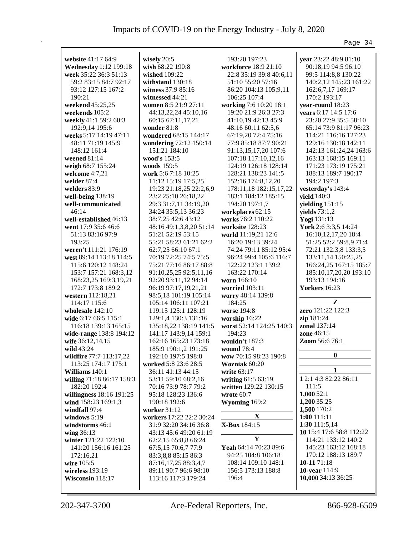|                                           |                                             |                                             | Page 34                                       |
|-------------------------------------------|---------------------------------------------|---------------------------------------------|-----------------------------------------------|
|                                           |                                             |                                             |                                               |
| website 41:17 64:9                        | wisely $20:5$                               | 193:20 197:23                               | year 23:22 48:9 81:10                         |
| <b>Wednesday</b> 1:12 199:18              | wish 68:22 190:8                            | workforce 18:9 21:10                        | 90:18,19 94:5 96:10                           |
| week 35:22 36:3 51:13                     | wished 109:22                               | 22:8 35:19 39:8 40:6,11                     | 99:5 114:8,8 130:22                           |
| 59:2 83:15 84:7 92:17                     | withstand 130:18                            | 51:10 55:20 57:16                           | 140:2,12 145:23 161:22                        |
| 93:12 127:15 167:2                        | witness 37:9 85:16                          | 86:20 104:13 105:9,11                       | 162:6,7,17 169:17                             |
| 190:21                                    | witnessed 44:21                             | 106:25 107:4                                | 170:2 193:17                                  |
| weekend 45:25,25                          | women 8:5 21:9 27:11                        | working 7:6 10:20 18:1                      | year-round 18:23                              |
| weekends 105:2<br>weekly 41:1 59:2 60:3   | 44:13,22,24 45:10,16<br>60:15 67:11,17,21   | 19:20 21:9 26:3 27:3<br>41:10,19 42:13 45:9 | years 6:17 14:5 17:6<br>23:20 27:9 35:5 58:10 |
| 192:9,14 195:6                            | wonder 81:8                                 | 48:16 60:11 62:5,6                          | 65:14 73:9 81:17 96:23                        |
| weeks 5:17 14:19 47:11                    | wondered 68:15 144:17                       | 67:19,20 72:4 75:16                         | 114:21 116:16 127:23                          |
| 48:11 71:19 145:9                         | wondering 72:12 150:14                      | 77:9 85:18 87:7 90:21                       | 129:16 130:18 142:11                          |
| 148:12 161:4                              | 151:21 184:10                               | 91:13,15,17,20 107:6                        | 142:13 161:24,24 163:6                        |
| weened $81:14$                            | wood's 153:5                                | 107:18 117:10,12,16                         | 163:13 168:15 169:11                          |
| weigh 68:7 155:24                         | woods $159:5$                               | 124:19 126:18 128:14                        | 171:23 173:19 175:21                          |
| welcome 4:7,21                            | work 5:6 7:18 10:25                         | 128:21 138:23 141:5                         | 188:13 189:7 190:17                           |
| welder 87:4                               | 11:12 15:19 17:5,25                         | 152:16 174:8,12,20                          | 194:2 197:3                                   |
| welders $83:9$                            | 19:23 21:18,25 22:2,6,9                     | 178:11,18 182:15,17,22                      | yesterday's 143:4                             |
| well-being $138:19$                       | 23:2 25:10 26:18,22                         | 183:1 184:12 185:15                         | yield 140:3                                   |
| well-communicated                         | 29:3 31:7,11 34:19,20                       | 194:20 197:1,7                              | yielding 151:15                               |
| 46:14                                     | 34:24 35:5,13 36:23                         | workplaces 62:15                            | yields $73:1,2$                               |
| well-established 46:13                    | 38:7,25 42:6 43:12                          | works 76:2 110:22                           | Yogi 131:13                                   |
| went 17:9 35:6 46:6                       | 48:16 49:1,3,8,20 51:14                     | worksite 128:23                             | York 2:6 3:3,5 14:24                          |
| 51:13 83:16 97:9                          | 51:21 52:19 53:15                           | world 11:19,21 12:6                         | 16:10, 12, 17, 20 18:4                        |
| 193:25                                    | 55:21 58:23 61:21 62:2                      | 16:20 19:13 39:24                           | 51:25 52:2 59:8,9 71:4                        |
| weren't 111:21 176:19                     | 62:7,25 66:10 67:1                          | 74:24 79:11 85:12 95:4                      | 72:21 132:3,8 133:3,5                         |
| west 89:14 113:18 114:5                   | 70:19 72:25 74:5 75:5                       | 96:24 99:4 105:6 116:7                      | 133:11,14 150:25,25                           |
| 115:6 120:12 148:24                       | 75:21 77:16 86:17 88:8                      | 122:22 123:1 139:2                          | 166:24,25 167:15 185:7                        |
| 153:7 157:21 168:3,12                     | 91:10,25,25 92:5,11,16                      | 163:22 170:14                               | 185:10,17,20,20 193:10                        |
| 168:23,25 169:3,19,21                     | 92:20 93:11,12 94:14                        | worn 166:10                                 | 193:13 194:16                                 |
| 172:7 173:8 189:2                         | 96:19 97:17,19,21,21                        | worried $103:11$                            | <b>Yorkers</b> 16:23                          |
| western 112:18,21                         | 98:5,18 101:19 105:14                       | worry 48:14 139:8                           |                                               |
| 114:17 115:6                              | 105:14 106:11 107:21                        | 184:25                                      | Z                                             |
| wholesale 142:10                          | 119:15 125:1 128:19                         | worse 194:8                                 | zero 121:22 122:3                             |
| wide 6:17 66:5 115:1                      | 129:1,4 130:3 131:16                        | worship 16:22                               | zip 181:24                                    |
| 116:18 139:13 165:15                      | 135:18,22 138:19 141:5                      | worst 52:14 124:25 140:3                    | <b>zonal</b> 137:14                           |
| wide-range 138:8 194:12                   | 141:17 143:9,14 159:1                       | 194:23                                      | <b>zone</b> 46:15                             |
| wife 36:12,14,15                          | 162:16 165:23 173:18                        | wouldn't 187:3                              | Zoom 56:6 76:1                                |
| wild $43:24$                              | 185:9 190:1,2 191:25                        | <b>wound</b> 78:4                           | $\boldsymbol{0}$                              |
| wildfire 77:7 113:17,22                   | 192:10 197:5 198:8                          | wow 70:15 98:23 190:8                       |                                               |
| 113:25 174:17 175:1                       | worked 5:8 23:6 28:5                        | Wozniak 60:20                               |                                               |
| Williams 140:1                            | 36:11 41:13 44:15                           | write 63:17                                 | 1 2:1 4:3 82:22 86:11                         |
| willing 71:18 86:17 158:3<br>182:20 192:4 | 53:11 59:10 68:2,16<br>70:16 73:9 78:7 79:2 | writing 61:5 63:19<br>written 129:22 130:15 | 111:5                                         |
| willingness 18:16 191:25                  | 95:18 128:23 136:6                          | wrote 60:7                                  | 1,00052:1                                     |
| wind 158:23 169:1,3                       | 190:18 192:6                                | Wyoming 169:2                               | 1,200 35:25                                   |
| windfall 97:4                             | worker 31:12                                |                                             | 1,500 170:2                                   |
| windows 5:19                              | workers 17:22 22:2 30:24                    | X                                           | 1:00111:11                                    |
| windstorms 46:1                           | 31:9 32:20 34:16 36:8                       | X-Box 184:15                                | 1:30 111:5,14                                 |
| wing 36:13                                | 43:13 45:6 49:20 61:19                      |                                             | 10 15:4 17:6 58:8 112:22                      |
| winter 121:22 122:10                      | 62:2,15 65:8,8 66:24                        | $\mathbf Y$                                 | 114:21 133:12 140:2                           |
| 141:20 156:16 161:25                      | 67:5,15 70:6,7 77:9                         | Yeah 64:14 70:23 89:6                       | 145:23 163:12 168:18                          |
| 172:16,21                                 | 83:3,8,8 85:15 86:3                         | 94:25 104:8 106:18                          | 170:12 188:13 189:7                           |
| wire 105:5                                | 87:16,17,25 88:3,4,7                        | 108:14 109:10 148:1                         | 10-11 71:18                                   |
| wireless 193:19                           | 89:11 90:7 96:6 98:10                       | 156:5 173:13 188:8                          | 10-year 114:9                                 |
| Wisconsin 118:17                          | 113:16 117:3 179:24                         | 196:4                                       | 10,000 34:13 36:25                            |
|                                           |                                             |                                             |                                               |